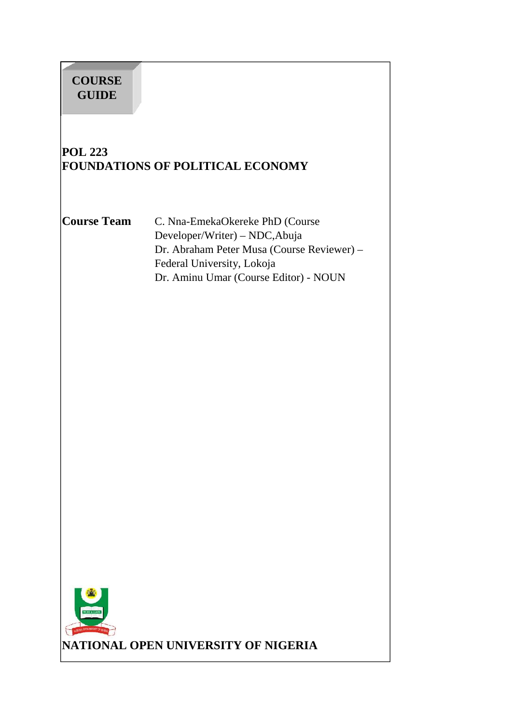# **COURSE GUIDE**

# **POL 223 FOUNDATIONS OF POLITICAL ECONOMY**

**Course Team** C. Nna-EmekaOkereke PhD (Course Developer/Writer) – NDC,Abuja Dr. Abraham Peter Musa (Course Reviewer) – Federal University, Lokoja Dr. Aminu Umar (Course Editor) - NOUN

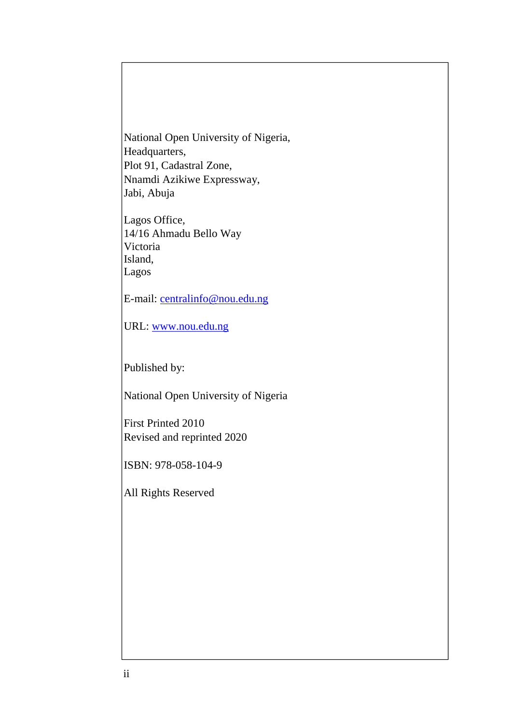National Open University of Nigeria, Headquarters, Plot 91, Cadastral Zone, Nnamdi Azikiwe Expressway, Jabi, Abuja

Lagos Office, 14/16 Ahmadu Bello Way Victoria Island, Lagos

E-mail: centralinfo@nou.edu.ng

URL: www.nou.edu.ng

Published by:

National Open University of Nigeria

First Printed 2010 Revised and reprinted 2020

ISBN: 978-058-104-9

All Rights Reserved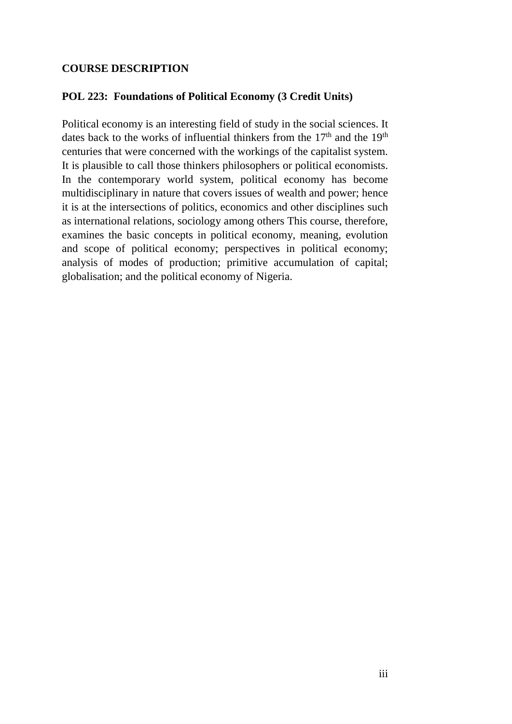#### **COURSE DESCRIPTION**

#### **POL 223: Foundations of Political Economy (3 Credit Units)**

Political economy is an interesting field of study in the social sciences. It dates back to the works of influential thinkers from the  $17<sup>th</sup>$  and the  $19<sup>th</sup>$ centuries that were concerned with the workings of the capitalist system. It is plausible to call those thinkers philosophers or political economists. In the contemporary world system, political economy has become multidisciplinary in nature that covers issues of wealth and power; hence it is at the intersections of politics, economics and other disciplines such as international relations, sociology among others This course, therefore, examines the basic concepts in political economy, meaning, evolution and scope of political economy; perspectives in political economy; analysis of modes of production; primitive accumulation of capital; globalisation; and the political economy of Nigeria.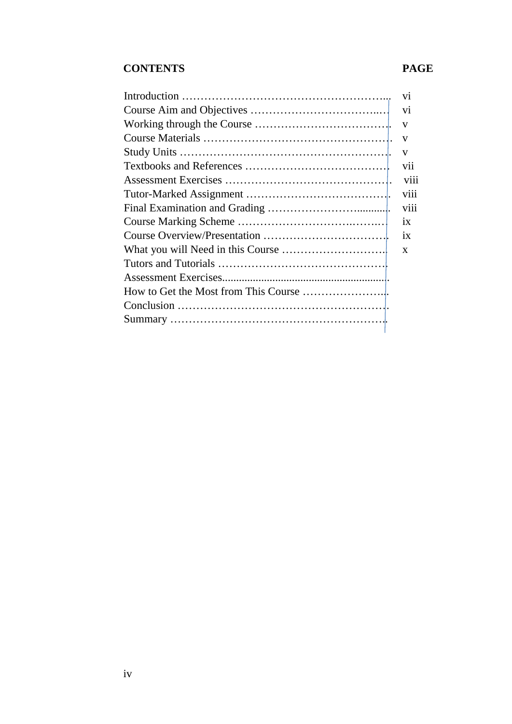## **CONTENTS PAGE**

| <b>V11</b>   |
|--------------|
| viii         |
|              |
|              |
| 1X           |
|              |
| $\mathbf{X}$ |
|              |
|              |
|              |
|              |
|              |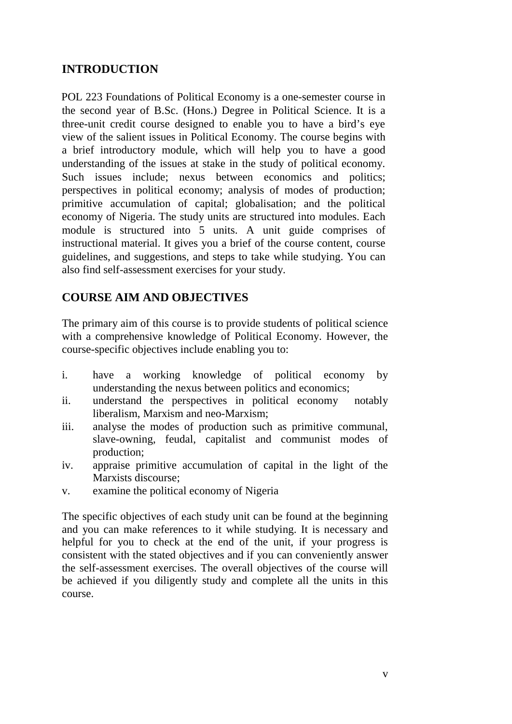## **INTRODUCTION**

POL 223 Foundations of Political Economy is a one-semester course in the second year of B.Sc. (Hons.) Degree in Political Science. It is a three-unit credit course designed to enable you to have a bird's eye view of the salient issues in Political Economy. The course begins with a brief introductory module, which will help you to have a good understanding of the issues at stake in the study of political economy. Such issues include; nexus between economics and politics; perspectives in political economy; analysis of modes of production; primitive accumulation of capital; globalisation; and the political economy of Nigeria. The study units are structured into modules. Each module is structured into 5 units. A unit guide comprises of instructional material. It gives you a brief of the course content, course guidelines, and suggestions, and steps to take while studying. You can also find self-assessment exercises for your study.

## **COURSE AIM AND OBJECTIVES**

The primary aim of this course is to provide students of political science with a comprehensive knowledge of Political Economy. However, the course-specific objectives include enabling you to:

- i. have a working knowledge of political economy by understanding the nexus between politics and economics;
- ii. understand the perspectives in political economy notably liberalism, Marxism and neo-Marxism;
- iii. analyse the modes of production such as primitive communal, slave-owning, feudal, capitalist and communist modes of production;
- iv. appraise primitive accumulation of capital in the light of the Marxists discourse;
- v. examine the political economy of Nigeria

The specific objectives of each study unit can be found at the beginning and you can make references to it while studying. It is necessary and helpful for you to check at the end of the unit, if your progress is consistent with the stated objectives and if you can conveniently answer the self-assessment exercises. The overall objectives of the course will be achieved if you diligently study and complete all the units in this course.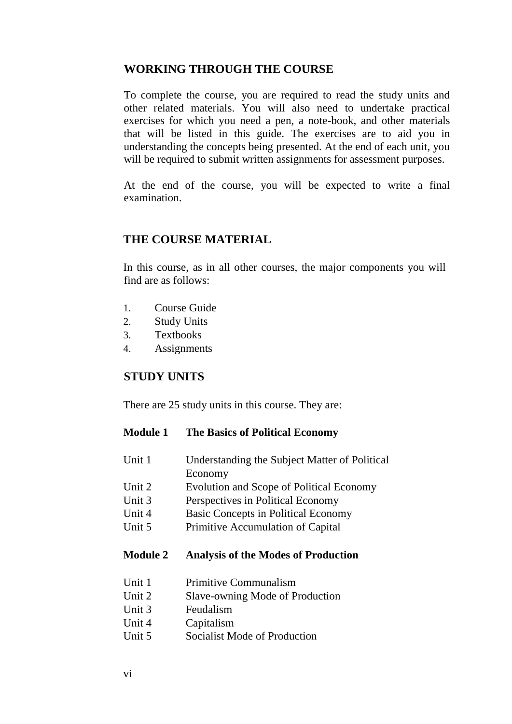### **WORKING THROUGH THE COURSE**

To complete the course, you are required to read the study units and other related materials. You will also need to undertake practical exercises for which you need a pen, a note-book, and other materials that will be listed in this guide. The exercises are to aid you in understanding the concepts being presented. At the end of each unit, you will be required to submit written assignments for assessment purposes.

At the end of the course, you will be expected to write a final examination.

#### **THE COURSE MATERIAL**

In this course, as in all other courses, the major components you will find are as follows:

- 1. Course Guide
- 2. Study Units
- 3. Textbooks
- 4. Assignments

#### **STUDY UNITS**

There are 25 study units in this course. They are:

#### **Module 1 The Basics of Political Economy**

- Unit 1 Understanding the Subject Matter of Political
- Economy
- Unit 2 Evolution and Scope of Political Economy
- Unit 3 Perspectives in Political Economy
- Unit 4 Basic Concepts in Political Economy
- Unit 5 Primitive Accumulation of Capital

#### **Module 2 Analysis of the Modes of Production**

- Unit 1 Primitive Communalism
- Unit 2 Slave-owning Mode of Production
- Unit 3 Feudalism
- Unit 4 Capitalism
- Unit 5 Socialist Mode of Production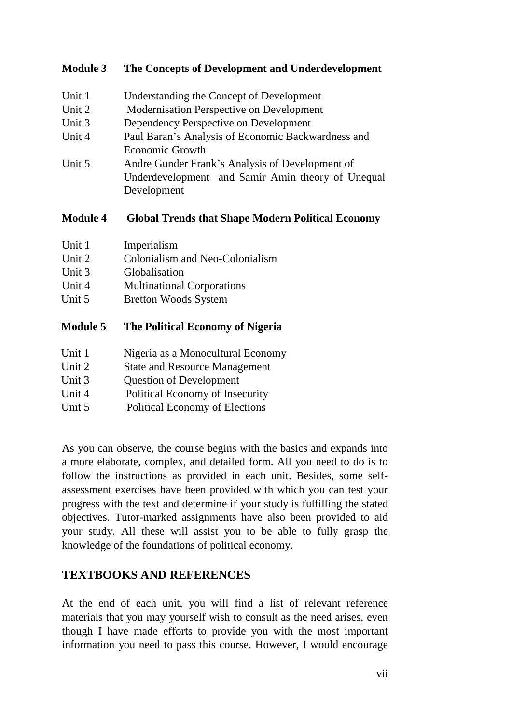#### **Module 3 The Concepts of Development and Underdevelopment**

- Unit 1 Understanding the Concept of Development Unit 2 Modernisation Perspective on Development Unit 3 Dependency Perspective on Development Unit 4 Paul Baran's Analysis of Economic Backwardness and Economic Growth Unit 5 Andre Gunder Frank's Analysis of Development of
- Underdevelopment and Samir Amin theory of Unequal Development

#### **Module 4 Global Trends that Shape Modern Political Economy**

| Unit 1 | Imperialism                     |
|--------|---------------------------------|
| Unit 2 | Colonialism and Neo-Colonialism |

- Unit 3 Globalisation
- Unit 4 Multinational Corporations
- Unit 5 Bretton Woods System

#### **Module 5 The Political Economy of Nigeria**

- Unit 1 Nigeria as a Monocultural Economy
- Unit 2 State and Resource Management
- Unit 3 Question of Development
- Unit 4 Political Economy of Insecurity
- Unit 5 Political Economy of Elections

As you can observe, the course begins with the basics and expands into a more elaborate, complex, and detailed form. All you need to do is to follow the instructions as provided in each unit. Besides, some self assessment exercises have been provided with which you can test your progress with the text and determine if your study is fulfilling the stated objectives. Tutor-marked assignments have also been provided to aid your study. All these will assist you to be able to fully grasp the knowledge of the foundations of political economy.

#### **TEXTBOOKS AND REFERENCES**

At the end of each unit, you will find a list of relevant reference materials that you may yourself wish to consult as the need arises, even though I have made efforts to provide you with the most important information you need to pass this course. However, I would encourage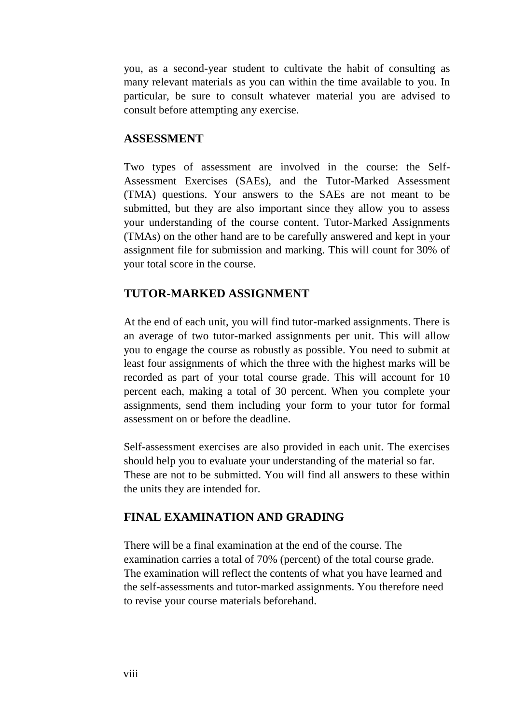you, as a second-year student to cultivate the habit of consulting as many relevant materials as you can within the time available to you. In particular, be sure to consult whatever material you are advised to consult before attempting any exercise.

#### **ASSESSMENT**

Two types of assessment are involved in the course: the Self- Assessment Exercises (SAEs), and the Tutor-Marked Assessment (TMA) questions. Your answers to the SAEs are not meant to be submitted, but they are also important since they allow you to assess your understanding of the course content. Tutor-Marked Assignments (TMAs) on the other hand are to be carefully answered and kept in your assignment file for submission and marking. This will count for 30% of your total score in the course.

#### **TUTOR-MARKED ASSIGNMENT**

At the end of each unit, you will find tutor-marked assignments. There is an average of two tutor-marked assignments per unit. This will allow you to engage the course as robustly as possible. You need to submit at least four assignments of which the three with the highest marks will be recorded as part of your total course grade. This will account for 10 percent each, making a total of 30 percent. When you complete your assignments, send them including your form to your tutor for formal assessment on or before the deadline.

Self-assessment exercises are also provided in each unit. The exercises should help you to evaluate your understanding of the material so far. These are not to be submitted. You will find all answers to these within the units they are intended for.

#### **FINAL EXAMINATION AND GRADING**

There will be a final examination at the end of the course. The examination carries a total of 70% (percent) of the total course grade. The examination will reflect the contents of what you have learned and the self-assessments and tutor-marked assignments. You therefore need to revise your course materials beforehand.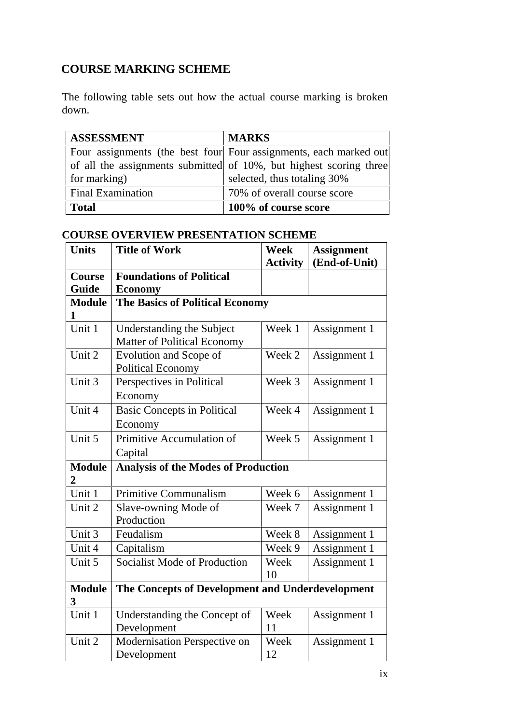# **COURSE MARKING SCHEME**

The following table sets out how the actual course marking is broken down.

| <b>ASSESSMENT</b>        | <b>MARKS</b>                                                       |
|--------------------------|--------------------------------------------------------------------|
|                          | Four assignments (the best four Four assignments, each marked out  |
|                          | of all the assignments submitted of 10%, but highest scoring three |
| for marking)             | selected, thus totaling 30%                                        |
| <b>Final Examination</b> | 70% of overall course score                                        |
| Total                    | 100% of course score                                               |

| <b>COURSE OVERVIEW PRESENTATION SCHEME</b> |  |
|--------------------------------------------|--|
|                                            |  |

| <b>Units</b>                    | <b>Title of Work</b>                                            | <b>Week</b>     | <b>Assignment</b> |
|---------------------------------|-----------------------------------------------------------------|-----------------|-------------------|
|                                 |                                                                 | <b>Activity</b> | (End-of-Unit)     |
| <b>Course</b>                   | <b>Foundations of Political</b>                                 |                 |                   |
| Guide                           | <b>Economy</b>                                                  |                 |                   |
| <b>Module</b>                   | <b>The Basics of Political Economy</b>                          |                 |                   |
| 1<br>Unit 1                     |                                                                 |                 |                   |
|                                 | Understanding the Subject<br><b>Matter of Political Economy</b> | Week 1          | Assignment 1      |
| Unit 2                          | Evolution and Scope of<br><b>Political Economy</b>              | Week 2          | Assignment 1      |
| Unit 3                          | Perspectives in Political                                       | Week 3          | Assignment 1      |
|                                 | Economy                                                         |                 |                   |
| Unit 4                          | <b>Basic Concepts in Political</b>                              | Week 4          | Assignment 1      |
|                                 | Economy                                                         |                 |                   |
| Unit 5                          | Primitive Accumulation of                                       | Week 5          | Assignment 1      |
|                                 | Capital                                                         |                 |                   |
| <b>Module</b><br>$\overline{2}$ | <b>Analysis of the Modes of Production</b>                      |                 |                   |
| Unit 1                          | <b>Primitive Communalism</b>                                    | Week 6          | Assignment 1      |
| Unit 2                          | Slave-owning Mode of                                            | Week 7          | Assignment 1      |
|                                 | Production                                                      |                 |                   |
| Unit 3                          | Feudalism                                                       | Week 8          | Assignment 1      |
| Unit 4                          | Capitalism                                                      | Week 9          | Assignment 1      |
| Unit 5                          | <b>Socialist Mode of Production</b>                             | Week            | Assignment 1      |
|                                 |                                                                 | 10              |                   |
| <b>Module</b><br>3              | The Concepts of Development and Underdevelopment                |                 |                   |
| Unit 1                          | Understanding the Concept of                                    | Week            | Assignment 1      |
|                                 | Development                                                     | 11              |                   |
| Unit 2                          | Modernisation Perspective on                                    | Week            | Assignment 1      |
|                                 | Development                                                     | 12              |                   |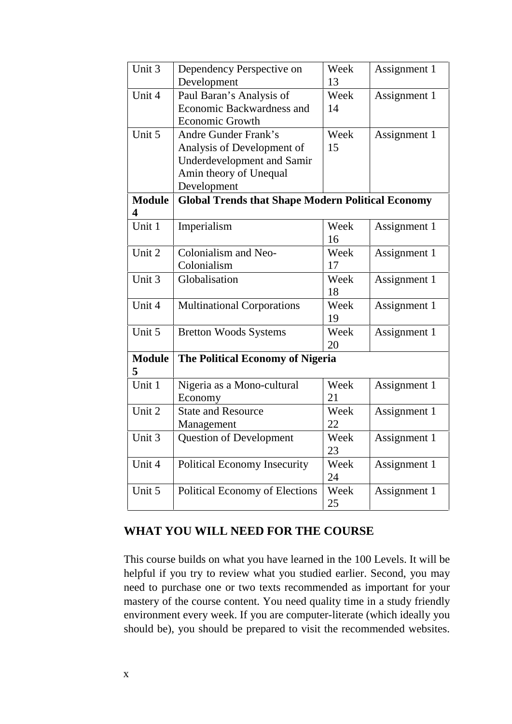| Unit 3             | Dependency Perspective on<br>Development                                                                                                | Week<br>13 | Assignment 1 |
|--------------------|-----------------------------------------------------------------------------------------------------------------------------------------|------------|--------------|
| Unit 4             | Paul Baran's Analysis of<br>Economic Backwardness and<br><b>Economic Growth</b>                                                         | Week<br>14 | Assignment 1 |
| Unit 5             | <b>Andre Gunder Frank's</b><br>Analysis of Development of<br><b>Underdevelopment and Samir</b><br>Amin theory of Unequal<br>Development | Week<br>15 | Assignment 1 |
| <b>Module</b><br>4 | <b>Global Trends that Shape Modern Political Economy</b>                                                                                |            |              |
| Unit 1             | Imperialism                                                                                                                             | Week<br>16 | Assignment 1 |
| Unit 2             | Colonialism and Neo-<br>Colonialism                                                                                                     | Week<br>17 | Assignment 1 |
| Unit 3             | Globalisation                                                                                                                           | Week<br>18 | Assignment 1 |
| Unit 4             | <b>Multinational Corporations</b>                                                                                                       | Week<br>19 | Assignment 1 |
| Unit 5             | <b>Bretton Woods Systems</b>                                                                                                            | Week<br>20 | Assignment 1 |
| <b>Module</b><br>5 | The Political Economy of Nigeria                                                                                                        |            |              |
| Unit 1             | Nigeria as a Mono-cultural<br>Economy                                                                                                   | Week<br>21 | Assignment 1 |
| Unit 2             | <b>State and Resource</b><br>Management                                                                                                 | Week<br>22 | Assignment 1 |
| Unit 3             | <b>Question of Development</b>                                                                                                          | Week<br>23 | Assignment 1 |
| Unit 4             | <b>Political Economy Insecurity</b>                                                                                                     | Week<br>24 | Assignment 1 |
| Unit 5             | <b>Political Economy of Elections</b>                                                                                                   | Week<br>25 | Assignment 1 |

#### **WHAT YOU WILL NEED FOR THE COURSE**

This course builds on what you have learned in the 100 Levels. It will be helpful if you try to review what you studied earlier. Second, you may need to purchase one or two texts recommended as important for your mastery of the course content. You need quality time in a study friendly environment every week. If you are computer-literate (which ideally you should be), you should be prepared to visit the recommended websites.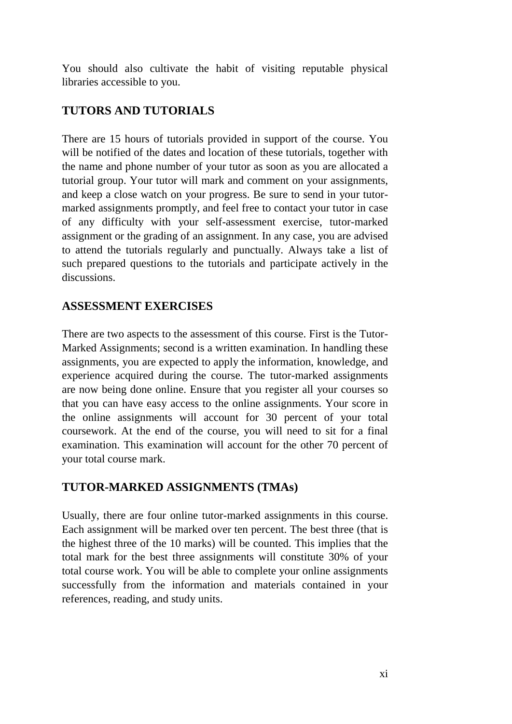You should also cultivate the habit of visiting reputable physical libraries accessible to you.

## **TUTORS AND TUTORIALS**

There are 15 hours of tutorials provided in support of the course. You will be notified of the dates and location of these tutorials, together with the name and phone number of your tutor as soon as you are allocated a tutorial group. Your tutor will mark and comment on your assignments, and keep a close watch on your progress. Be sure to send in your tutor marked assignments promptly, and feel free to contact your tutor in case of any difficulty with your self-assessment exercise, tutor-marked assignment or the grading of an assignment. In any case, you are advised to attend the tutorials regularly and punctually. Always take a list of such prepared questions to the tutorials and participate actively in the discussions.

## **ASSESSMENT EXERCISES**

There are two aspects to the assessment of this course. First is the Tutor- Marked Assignments; second is a written examination. In handling these assignments, you are expected to apply the information, knowledge, and experience acquired during the course. The tutor-marked assignments are now being done online. Ensure that you register all your courses so that you can have easy access to the online assignments. Your score in the online assignments will account for 30 percent of your total coursework. At the end of the course, you will need to sit for a final examination. This examination will account for the other 70 percent of your total course mark.

## **TUTOR-MARKED ASSIGNMENTS (TMAs)**

Usually, there are four online tutor-marked assignments in this course. Each assignment will be marked over ten percent. The best three (that is the highest three of the 10 marks) will be counted. This implies that the total mark for the best three assignments will constitute 30% of your total course work. You will be able to complete your online assignments successfully from the information and materials contained in your references, reading, and study units.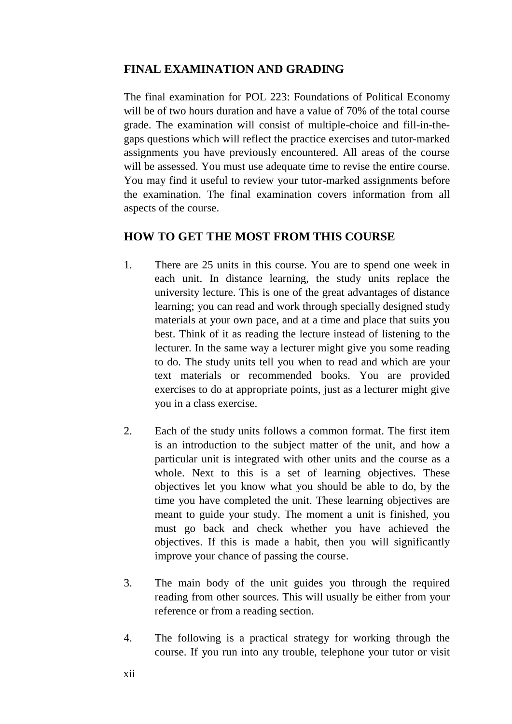## **FINAL EXAMINATION AND GRADING**

The final examination for POL 223: Foundations of Political Economy will be of two hours duration and have a value of 70% of the total course grade. The examination will consist of multiple-choice and fill-in-the gaps questions which will reflect the practice exercises and tutor-marked assignments you have previously encountered. All areas of the course will be assessed. You must use adequate time to revise the entire course. You may find it useful to review your tutor-marked assignments before the examination. The final examination covers information from all aspects of the course.

#### **HOW TO GET THE MOST FROM THIS COURSE**

- 1. There are 25 units in this course. You are to spend one week in each unit. In distance learning, the study units replace the university lecture. This is one of the great advantages of distance learning; you can read and work through specially designed study materials at your own pace, and at a time and place that suits you best. Think of it as reading the lecture instead of listening to the lecturer. In the same way a lecturer might give you some reading to do. The study units tell you when to read and which are your text materials or recommended books. You are provided exercises to do at appropriate points, just as a lecturer might give you in a class exercise.
- 2. Each of the study units follows a common format. The first item is an introduction to the subject matter of the unit, and how a particular unit is integrated with other units and the course as a whole. Next to this is a set of learning objectives. These objectives let you know what you should be able to do, by the time you have completed the unit. These learning objectives are meant to guide your study. The moment a unit is finished, you must go back and check whether you have achieved the objectives. If this is made a habit, then you will significantly improve your chance of passing the course.
- 3. The main body of the unit guides you through the required reading from other sources. This will usually be either from your reference or from a reading section.
- 4. The following is a practical strategy for working through the course. If you run into any trouble, telephone your tutor or visit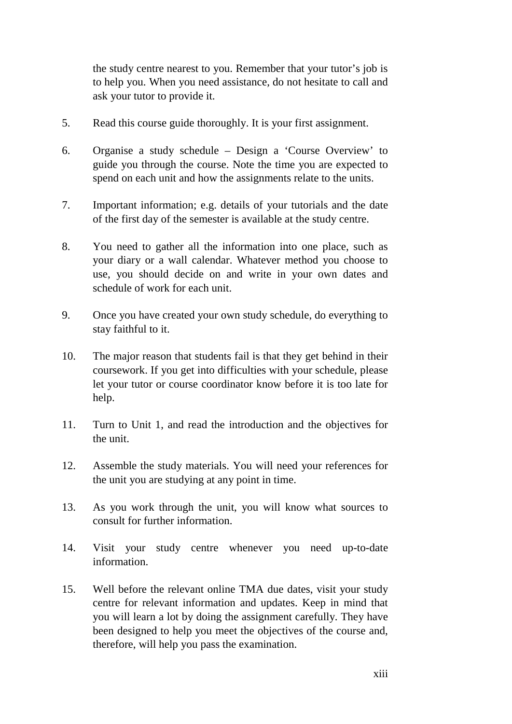the study centre nearest to you. Remember that your tutor's job is to help you. When you need assistance, do not hesitate to call and ask your tutor to provide it.

- 5. Read this course guide thoroughly. It is your first assignment.
- 6. Organise a study schedule Design a 'Course Overview' to guide you through the course. Note the time you are expected to spend on each unit and how the assignments relate to the units.
- 7. Important information; e.g. details of your tutorials and the date of the first day of the semester is available at the study centre.
- 8. You need to gather all the information into one place, such as your diary or a wall calendar. Whatever method you choose to use, you should decide on and write in your own dates and schedule of work for each unit.
- 9. Once you have created your own study schedule, do everything to stay faithful to it.
- 10. The major reason that students fail is that they get behind in their coursework. If you get into difficulties with your schedule, please let your tutor or course coordinator know before it is too late for help.
- 11. Turn to Unit 1, and read the introduction and the objectives for the unit.
- 12. Assemble the study materials. You will need your references for the unit you are studying at any point in time.
- 13. As you work through the unit, you will know what sources to consult for further information.
- 14. Visit your study centre whenever you need up-to-date information.
- 15. Well before the relevant online TMA due dates, visit your study centre for relevant information and updates. Keep in mind that you will learn a lot by doing the assignment carefully. They have been designed to help you meet the objectives of the course and, therefore, will help you pass the examination.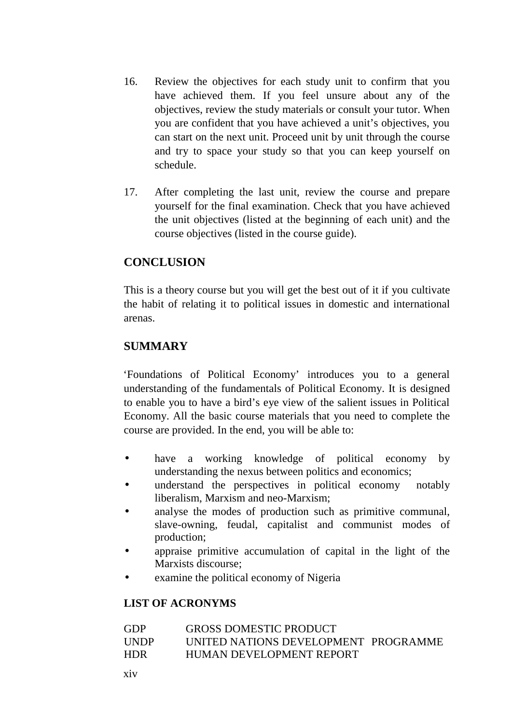- 16. Review the objectives for each study unit to confirm that you have achieved them. If you feel unsure about any of the objectives, review the study materials or consult your tutor. When you are confident that you have achieved a unit's objectives, you can start on the next unit. Proceed unit by unit through the course and try to space your study so that you can keep yourself on schedule.
- 17. After completing the last unit, review the course and prepare yourself for the final examination. Check that you have achieved the unit objectives (listed at the beginning of each unit) and the course objectives (listed in the course guide).

## **CONCLUSION**

This is a theory course but you will get the best out of it if you cultivate the habit of relating it to political issues in domestic and international arenas.

## **SUMMARY**

'Foundations of Political Economy' introduces you to a general understanding of the fundamentals of Political Economy. It is designed to enable you to have a bird's eye view of the salient issues in Political Economy. All the basic course materials that you need to complete the course are provided. In the end, you will be able to:

- have a working knowledge of political economy by understanding the nexus between politics and economics;
- understand the perspectives in political economy notably liberalism, Marxism and neo-Marxism;
- analyse the modes of production such as primitive communal, slave-owning, feudal, capitalist and communist modes of production;
- appraise primitive accumulation of capital in the light of the Marxists discourse;
- examine the political economy of Nigeria

### **LIST OF ACRONYMS**

| GDP  | <b>GROSS DOMESTIC PRODUCT</b>        |
|------|--------------------------------------|
| UNDP | UNITED NATIONS DEVELOPMENT PROGRAMME |
| HDR  | HUMAN DEVELOPMENT REPORT             |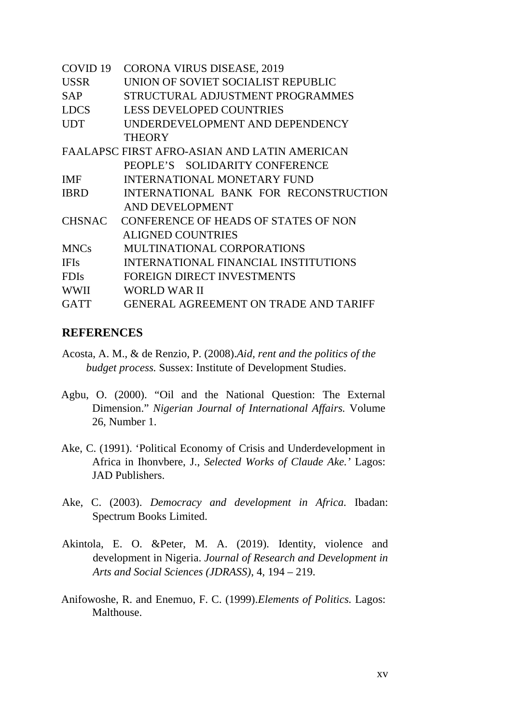| COVID 19    | <b>CORONA VIRUS DISEASE, 2019</b>            |
|-------------|----------------------------------------------|
| <b>USSR</b> | UNION OF SOVIET SOCIALIST REPUBLIC           |
| <b>SAP</b>  | STRUCTURAL ADJUSTMENT PROGRAMMES             |
| LDCS        | <b>LESS DEVELOPED COUNTRIES</b>              |
| <b>UDT</b>  | UNDERDEVELOPMENT AND DEPENDENCY              |
|             | <b>THEORY</b>                                |
|             | FAALAPSC FIRST AFRO-ASIAN AND LATIN AMERICAN |
|             | PEOPLE'S SOLIDARITY CONFERENCE               |
| IMF -       | INTERNATIONAL MONETARY FUND                  |
| <b>IBRD</b> | INTERNATIONAL BANK FOR RECONSTRUCTION        |
|             | AND DEVELOPMENT                              |
|             | CHSNAC CONFERENCE OF HEADS OF STATES OF NON  |
|             | <b>ALIGNED COUNTRIES</b>                     |
| <b>MNCs</b> | MULTINATIONAL CORPORATIONS                   |
| <b>IFIs</b> | INTERNATIONAL FINANCIAL INSTITUTIONS         |
| <b>FDIs</b> | FOREIGN DIRECT INVESTMENTS                   |
| <b>WWII</b> | WORLD WAR II                                 |
| <b>GATT</b> | <b>GENERAL AGREEMENT ON TRADE AND TARIFF</b> |

#### **REFERENCES**

- Acosta, A. M., & de Renzio, P. (2008).*Aid, rent and the politics of the budget process.* Sussex: Institute of Development Studies.
- Agbu, O. (2000). "Oil and the National Question: The External Dimension." *Nigerian Journal of International Affairs.* Volume 26, Number 1.
- Ake, C. (1991). 'Political Economy of Crisis and Underdevelopment in Africa in Ihonvbere, J., *Selected Works of Claude Ake.'* Lagos: JAD Publishers.
- Ake, C. (2003). *Democracy and development in Africa.* Ibadan: Spectrum Books Limited.
- Akintola, E. O. &Peter, M. A. (2019). Identity, violence and development in Nigeria. *Journal of Research and Development in Arts and Social Sciences (JDRASS)*, 4, 194 – 219.
- Anifowoshe, R. and Enemuo, F. C. (1999).*Elements of Politics.* Lagos: Malthouse.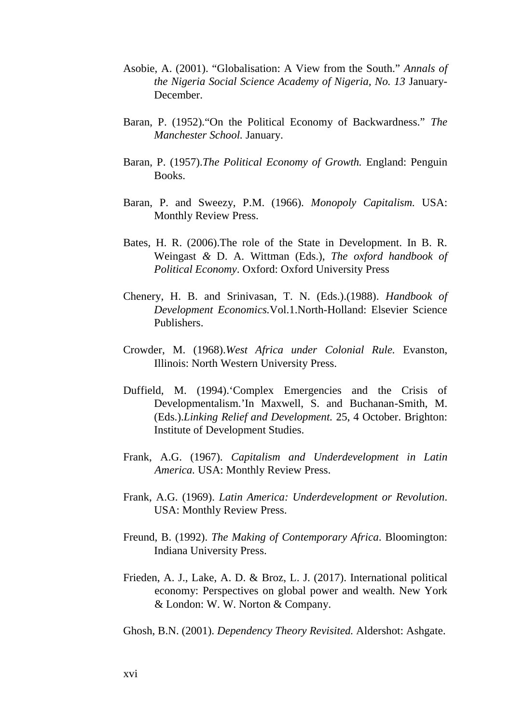- Asobie, A. (2001). "Globalisation: A View from the South." *Annals of the Nigeria Social Science Academy of Nigeria, No. 13* January- December.
- Baran, P. (1952)."On the Political Economy of Backwardness." *The Manchester School.* January.
- Baran, P. (1957).*The Political Economy of Growth.* England: Penguin Books.
- Baran, P. and Sweezy, P.M. (1966). *Monopoly Capitalism.* USA: Monthly Review Press.
- Bates, H. R. (2006).The role of the State in Development. In B. R. Weingast *&* D. A. Wittman (Eds.), *The oxford handbook of Political Economy*. Oxford: Oxford University Press
- Chenery, H. B. and Srinivasan, T. N. (Eds.).(1988). *Handbook of Development Economics.*Vol.1.North-Holland: Elsevier Science Publishers.
- Crowder, M. (1968).*West Africa under Colonial Rule.* Evanston, Illinois: North Western University Press.
- Duffield, M. (1994).'Complex Emergencies and the Crisis of Developmentalism.'In Maxwell, S. and Buchanan-Smith, M. (Eds.).*Linking Relief and Development.* 25, 4 October. Brighton: Institute of Development Studies.
- Frank, A.G. (1967). *Capitalism and Underdevelopment in Latin America.* USA: Monthly Review Press.
- Frank, A.G. (1969). *Latin America: Underdevelopment or Revolution*. USA: Monthly Review Press.
- Freund, B. (1992). *The Making of Contemporary Africa*. Bloomington: Indiana University Press.
- Frieden, A. J., Lake, A. D. & Broz, L. J. (2017). International political economy: Perspectives on global power and wealth. New York & London: W. W. Norton & Company.
- Ghosh, B.N. (2001). *Dependency Theory Revisited.* Aldershot: Ashgate.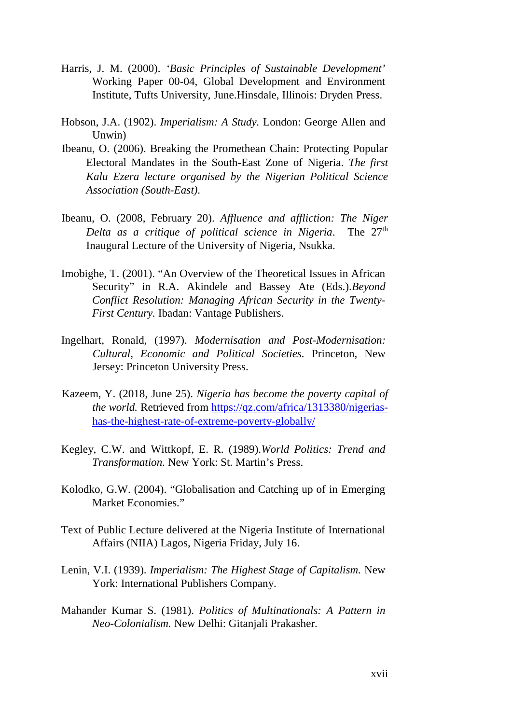- Harris, J. M. (2000). *'Basic Principles of Sustainable Development'* Working Paper 00-04, Global Development and Environment Institute, Tufts University, June.Hinsdale, Illinois: Dryden Press.
- Hobson, J.A. (1902). *Imperialism: A Study.* London: George Allen and Unwin)
- Ibeanu, O. (2006). Breaking the Promethean Chain: Protecting Popular Electoral Mandates in the South-East Zone of Nigeria. *The first Kalu Ezera lecture organised by the Nigerian Political Science Association (South-East)*.
- Ibeanu, O. (2008, February 20). *Affluence and affliction: The Niger Delta as a critique of political science in Nigeria*. The 27<sup>th</sup> Inaugural Lecture of the University of Nigeria, Nsukka.
- Imobighe, T. (2001). "An Overview of the Theoretical Issues in African Security" in R.A. Akindele and Bassey Ate (Eds.).*Beyond Conflict Resolution: Managing African Security in the Twenty- First Century.* Ibadan: Vantage Publishers.
- Ingelhart, Ronald, (1997). *Modernisation and Post-Modernisation: Cultural, Economic and Political Societies.* Princeton, New Jersey: Princeton University Press.
- Kazeem, Y. (2018, June 25). *Nigeria has become the poverty capital of the world.* Retrieved from https://qz.com/africa/1313380/nigerias has-the-highest-rate-of-extreme-poverty-globally/
- Kegley, C.W. and Wittkopf, E. R. (1989).*World Politics: Trend and Transformation.* New York: St. Martin's Press.
- Kolodko, G.W. (2004). "Globalisation and Catching up of in Emerging Market Economies."
- Text of Public Lecture delivered at the Nigeria Institute of International Affairs (NIIA) Lagos, Nigeria Friday, July 16.
- Lenin, V.I. (1939). *Imperialism: The Highest Stage of Capitalism.* New York: International Publishers Company.
- Mahander Kumar S. (1981). *Politics of Multinationals: A Pattern in Neo-Colonialism.* New Delhi: Gitanjali Prakasher.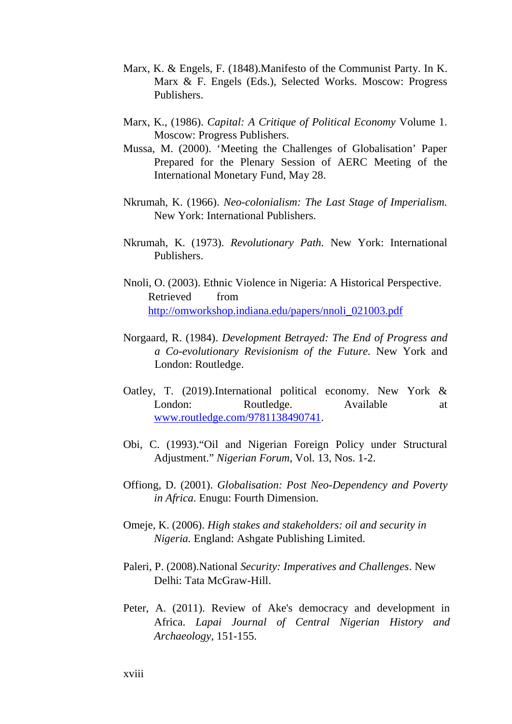- Marx, K. & Engels, F. (1848).Manifesto of the Communist Party. In K. Marx & F. Engels (Eds.), Selected Works. Moscow: Progress Publishers.
- Marx, K., (1986). *Capital: A Critique of Political Economy* Volume 1. Moscow: Progress Publishers.
- Mussa, M. (2000). 'Meeting the Challenges of Globalisation' Paper Prepared for the Plenary Session of AERC Meeting of the International Monetary Fund, May 28.
- Nkrumah, K. (1966). *Neo-colonialism: The Last Stage of Imperialism.* New York: International Publishers.
- Nkrumah, K. (1973). *Revolutionary Path.* New York: International Publishers.
- Nnoli, O. (2003). Ethnic Violence in Nigeria: A Historical Perspective. Retrieved from http://omworkshop.indiana.edu/papers/nnoli\_021003.pdf
- Norgaard, R. (1984). *Development Betrayed: The End of Progress and a Co-evolutionary Revisionism of the Future.* New York and London: Routledge.
- Oatley, T. (2019).International political economy. New York & London: Routledge. Available at www.routledge.com/9781138490741.
- Obi, C. (1993)."Oil and Nigerian Foreign Policy under Structural Adjustment." *Nigerian Forum,* Vol. 13, Nos. 1-2.
- Offiong, D. (2001). *Globalisation: Post Neo-Dependency and Poverty in Africa*. Enugu: Fourth Dimension.
- Omeje, K. (2006). *High stakes and stakeholders: oil and security in Nigeria.* England: Ashgate Publishing Limited.
- Paleri, P. (2008).National *Security: Imperatives and Challenges*. New Delhi: Tata McGraw-Hill.
- Peter, A. (2011). Review of Ake's democracy and development in Africa. *Lapai Journal of Central Nigerian History and Archaeology*, 151-155.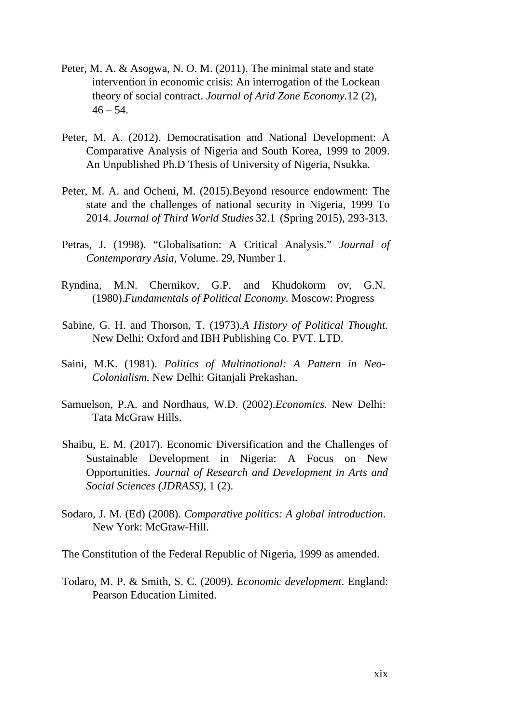- Peter, M. A. & Asogwa, N. O. M. (2011). The minimal state and state intervention in economic crisis: An interrogation of the Lockean theory of social contract. *Journal of Arid Zone Economy.*12 (2),  $46 - 54$ .
- Peter, M. A. (2012). Democratisation and National Development: A Comparative Analysis of Nigeria and South Korea, 1999 to 2009. An Unpublished Ph.D Thesis of University of Nigeria, Nsukka.
- Peter, M. A. and Ocheni, M. (2015).Beyond resource endowment: The state and the challenges of national security in Nigeria, 1999 To 2014. *Journal of Third World Studies* 32.1 (Spring 2015), 293-313.
- Petras, J. (1998). "Globalisation: A Critical Analysis." *Journal of Contemporary Asia,* Volume. 29, Number 1.
- Ryndina, M.N. Chernikov, G.P. and Khudokorm ov, G.N. (1980).*Fundamentals of Political Economy.* Moscow: Progress
- Sabine, G. H. and Thorson, T. (1973).*A History of Political Thought.* New Delhi: Oxford and IBH Publishing Co. PVT. LTD.
- Saini, M.K. (1981). *Politics of Multinational: A Pattern in Neo- Colonialism.* New Delhi: Gitanjali Prekashan.
- Samuelson, P.A. and Nordhaus, W.D. (2002).*Economics.* New Delhi: Tata McGraw Hills.
- Shaibu, E. M. (2017). Economic Diversification and the Challenges of Sustainable Development in Nigeria: A Focus on New Opportunities. *Journal of Research and Development in Arts and Social Sciences (JDRASS)*, 1 (2).
- Sodaro, J. M. (Ed) (2008). *Comparative politics: A global introduction*. New York: McGraw-Hill.
- The Constitution of the Federal Republic of Nigeria, 1999 as amended.
- Todaro, M. P. & Smith, S. C. (2009). *Economic development*. England: Pearson Education Limited.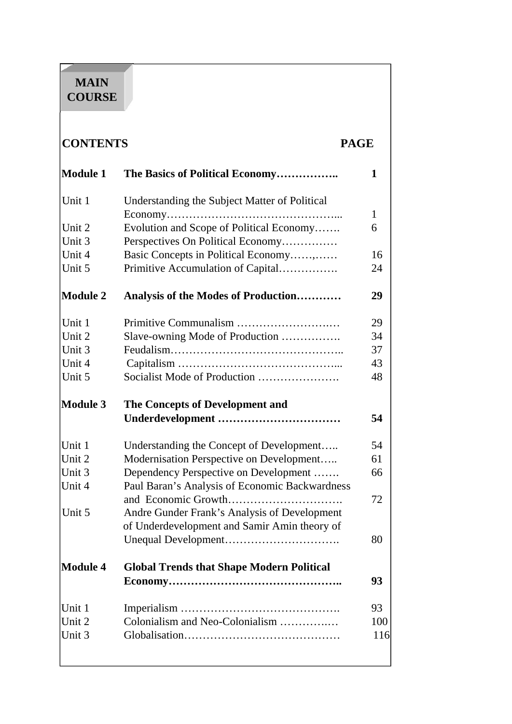# **MAIN COURSE**

| <b>CONTENTS</b> |                                                  | <b>PAGE</b> |
|-----------------|--------------------------------------------------|-------------|
| <b>Module 1</b> | The Basics of Political Economy                  | 1           |
| Unit 1          | Understanding the Subject Matter of Political    |             |
|                 |                                                  | $\mathbf 1$ |
| Unit 2          | Evolution and Scope of Political Economy         | 6           |
| Unit 3          | Perspectives On Political Economy                |             |
| Unit 4          | Basic Concepts in Political Economy,             | 16          |
| Unit 5          | Primitive Accumulation of Capital                | 24          |
| <b>Module 2</b> | Analysis of the Modes of Production              | 29          |
| Unit 1          |                                                  | 29          |
| Unit 2          | Slave-owning Mode of Production                  | 34          |
| Unit 3          |                                                  | 37          |
| Unit 4          |                                                  | 43          |
| Unit 5          |                                                  | 48          |
| <b>Module 3</b> | The Concepts of Development and                  |             |
|                 |                                                  | 54          |
| Unit 1          | Understanding the Concept of Development         | 54          |
| Unit 2          |                                                  |             |
|                 | Modernisation Perspective on Development         | 61          |
| Unit 3          | Dependency Perspective on Development            | 66          |
| Unit 4          | Paul Baran's Analysis of Economic Backwardness   |             |
| Unit 5          | Andre Gunder Frank's Analysis of Development     | 72          |
|                 | of Underdevelopment and Samir Amin theory of     |             |
|                 |                                                  | 80          |
| <b>Module 4</b> | <b>Global Trends that Shape Modern Political</b> |             |
|                 |                                                  | 93          |
| Unit 1          |                                                  | 93          |
| Unit 2          | Colonialism and Neo-Colonialism                  | 100         |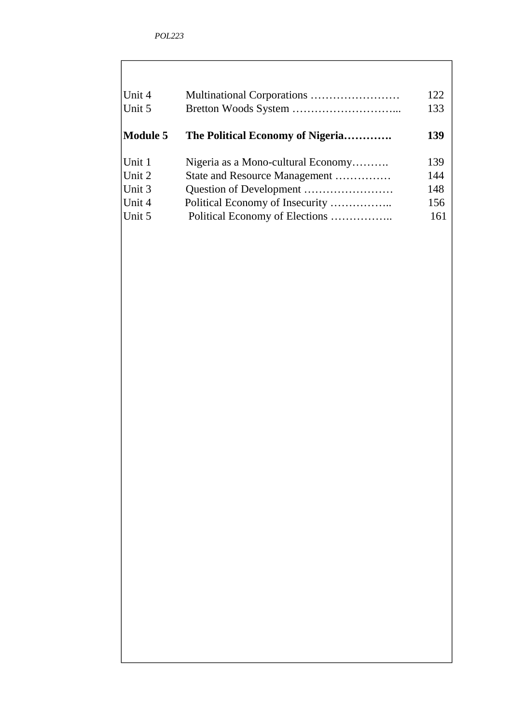| Unit 4   |                                    | 122 |
|----------|------------------------------------|-----|
| Unit 5   |                                    | 133 |
| Module 5 | The Political Economy of Nigeria   | 139 |
| Unit 1   | Nigeria as a Mono-cultural Economy | 139 |
| Unit 2   | State and Resource Management      | 144 |
| Unit 3   |                                    | 148 |
| Unit 4   | Political Economy of Insecurity    | 156 |
| Unit 5   |                                    | 161 |
|          |                                    |     |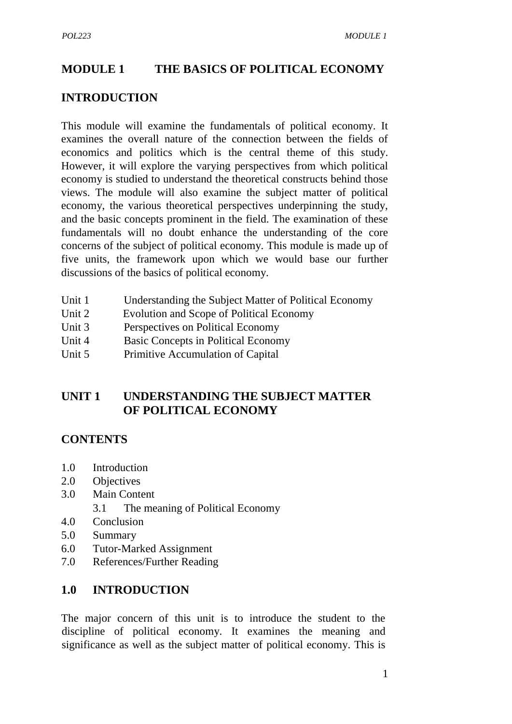## **MODULE 1 THE BASICS OF POLITICAL ECONOMY**

#### **INTRODUCTION**

This module will examine the fundamentals of political economy. It examines the overall nature of the connection between the fields of economics and politics which is the central theme of this study. However, it will explore the varying perspectives from which political economy is studied to understand the theoretical constructs behind those views. The module will also examine the subject matter of political economy, the various theoretical perspectives underpinning the study, and the basic concepts prominent in the field. The examination of these fundamentals will no doubt enhance the understanding of the core concerns of the subject of political economy. This module is made up of five units, the framework upon which we would base our further discussions of the basics of political economy.

- Unit 1 Understanding the Subject Matter of Political Economy
- Unit 2 Evolution and Scope of Political Economy
- Unit 3 Perspectives on Political Economy
- Unit 4 Basic Concepts in Political Economy
- Unit 5 Primitive Accumulation of Capital

## **UNIT 1 UNDERSTANDING THE SUBJECT MATTER OF POLITICAL ECONOMY**

### **CONTENTS**

- 1.0 Introduction
- 2.0 Objectives
- 3.0 Main Content
	- 3.1 The meaning of Political Economy
- 4.0 Conclusion
- 5.0 Summary
- 6.0 Tutor-Marked Assignment
- 7.0 References/Further Reading

### **1.0 INTRODUCTION**

The major concern of this unit is to introduce the student to the discipline of political economy. It examines the meaning and significance as well as the subject matter of political economy. This is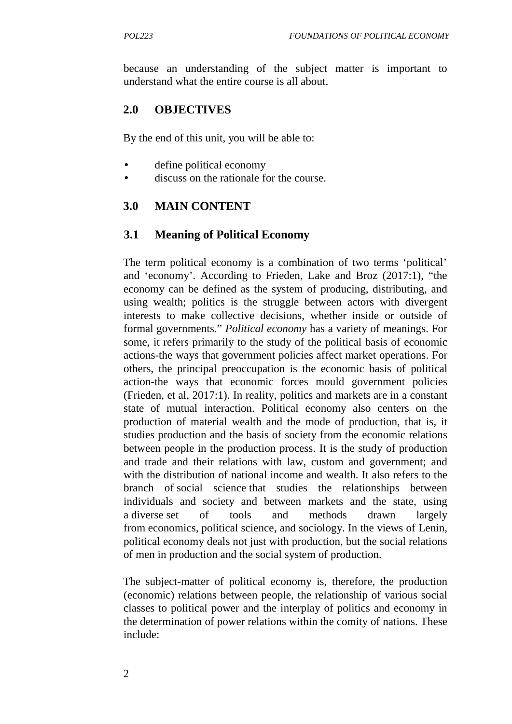because an understanding of the subject matter is important to understand what the entire course is all about.

#### **2.0 OBJECTIVES**

By the end of this unit, you will be able to:

- define political economy
- discuss on the rationale for the course.

#### **3.0 MAIN CONTENT**

#### **3.1 Meaning of Political Economy**

The term political economy is a combination of two terms 'political' and 'economy'. According to Frieden, Lake and Broz (2017:1), "the economy can be defined as the system of producing, distributing, and using wealth; politics is the struggle between actors with divergent interests to make collective decisions, whether inside or outside of formal governments." *Political economy* has a variety of meanings. For some, it refers primarily to the study of the political basis of economic actions-the ways that government policies affect market operations. For others, the principal preoccupation is the economic basis of political action-the ways that economic forces mould government policies (Frieden, et al, 2017:1). In reality, politics and markets are in a constant state of mutual interaction. Political economy also centers on the production of material wealth and the mode of production, that is, it studies production and the basis of society from the economic relations between people in the production process. It is the study of production and trade and their relations with law, custom and government; and with the distribution of national income and wealth. It also refers to the branch of social science that studies the relationships between individuals and society and between markets and the state, using a diverse set of tools and methods drawn largely from economics, political science, and sociology. In the views of Lenin, political economy deals not just with production, but the social relations of men in production and the social system of production.

The subject-matter of political economy is, therefore, the production (economic) relations between people, the relationship of various social classes to political power and the interplay of politics and economy in the determination of power relations within the comity of nations. These include: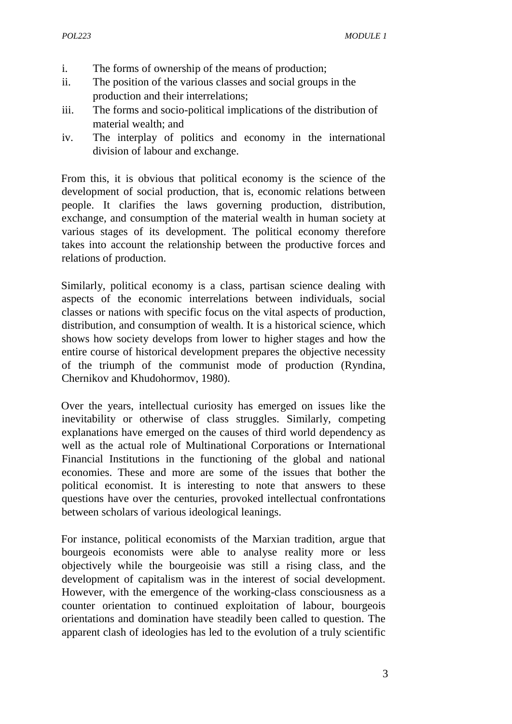- i. The forms of ownership of the means of production;
- ii. The position of the various classes and social groups in the production and their interrelations;
- iii. The forms and socio-political implications of the distribution of material wealth; and
- iv. The interplay of politics and economy in the international division of labour and exchange.

From this, it is obvious that political economy is the science of the development of social production, that is, economic relations between people. It clarifies the laws governing production, distribution, exchange, and consumption of the material wealth in human society at various stages of its development. The political economy therefore takes into account the relationship between the productive forces and relations of production.

Similarly, political economy is a class, partisan science dealing with aspects of the economic interrelations between individuals, social classes or nations with specific focus on the vital aspects of production, distribution, and consumption of wealth. It is a historical science, which shows how society develops from lower to higher stages and how the entire course of historical development prepares the objective necessity of the triumph of the communist mode of production (Ryndina, Chernikov and Khudohormov, 1980).

Over the years, intellectual curiosity has emerged on issues like the inevitability or otherwise of class struggles. Similarly, competing explanations have emerged on the causes of third world dependency as well as the actual role of Multinational Corporations or International Financial Institutions in the functioning of the global and national economies. These and more are some of the issues that bother the political economist. It is interesting to note that answers to these questions have over the centuries, provoked intellectual confrontations between scholars of various ideological leanings.

For instance, political economists of the Marxian tradition, argue that bourgeois economists were able to analyse reality more or less objectively while the bourgeoisie was still a rising class, and the development of capitalism was in the interest of social development. However, with the emergence of the working-class consciousness as a counter orientation to continued exploitation of labour, bourgeois orientations and domination have steadily been called to question. The apparent clash of ideologies has led to the evolution of a truly scientific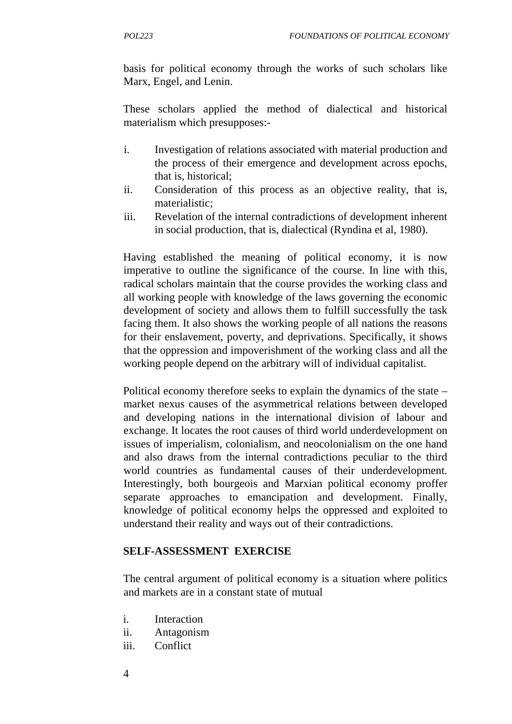basis for political economy through the works of such scholars like Marx, Engel, and Lenin.

These scholars applied the method of dialectical and historical materialism which presupposes:-

- i. Investigation of relations associated with material production and the process of their emergence and development across epochs, that is, historical;
- ii. Consideration of this process as an objective reality, that is, materialistic;
- iii. Revelation of the internal contradictions of development inherent in social production, that is, dialectical (Ryndina et al, 1980).

Having established the meaning of political economy, it is now imperative to outline the significance of the course. In line with this, radical scholars maintain that the course provides the working class and all working people with knowledge of the laws governing the economic development of society and allows them to fulfill successfully the task facing them. It also shows the working people of all nations the reasons for their enslavement, poverty, and deprivations. Specifically, it shows that the oppression and impoverishment of the working class and all the working people depend on the arbitrary will of individual capitalist.

Political economy therefore seeks to explain the dynamics of the state – market nexus causes of the asymmetrical relations between developed and developing nations in the international division of labour and exchange. It locates the root causes of third world underdevelopment on issues of imperialism, colonialism, and neocolonialism on the one hand and also draws from the internal contradictions peculiar to the third world countries as fundamental causes of their underdevelopment. Interestingly, both bourgeois and Marxian political economy proffer separate approaches to emancipation and development. Finally, knowledge of political economy helps the oppressed and exploited to understand their reality and ways out of their contradictions.

### **SELF-ASSESSMENT EXERCISE**

The central argument of political economy is a situation where politics and markets are in a constant state of mutual

- i. Interaction
- ii. Antagonism
- iii. Conflict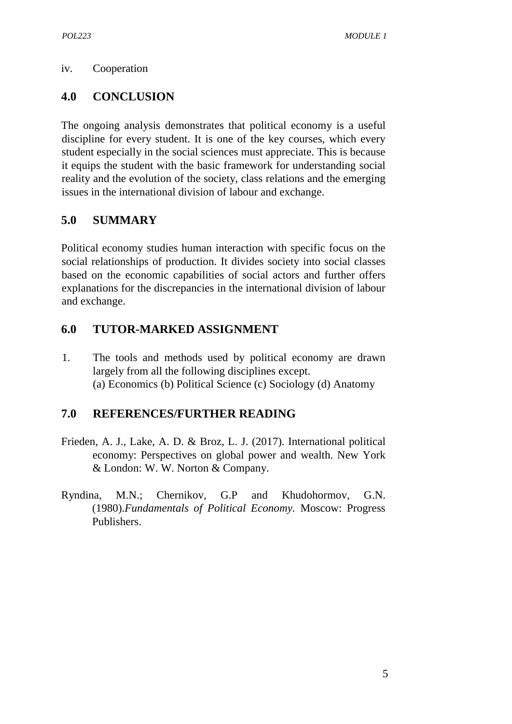#### iv. Cooperation

### **4.0 CONCLUSION**

The ongoing analysis demonstrates that political economy is a useful discipline for every student. It is one of the key courses, which every student especially in the social sciences must appreciate. This is because it equips the student with the basic framework for understanding social reality and the evolution of the society, class relations and the emerging issues in the international division of labour and exchange.

### **5.0 SUMMARY**

Political economy studies human interaction with specific focus on the social relationships of production. It divides society into social classes based on the economic capabilities of social actors and further offers explanations for the discrepancies in the international division of labour and exchange.

### **6.0 TUTOR-MARKED ASSIGNMENT**

1. The tools and methods used by political economy are drawn largely from all the following disciplines except. (a) Economics (b) Political Science (c) Sociology (d) Anatomy

### **7.0 REFERENCES/FURTHER READING**

- Frieden, A. J., Lake, A. D. & Broz, L. J. (2017). International political economy: Perspectives on global power and wealth. New York & London: W. W. Norton & Company.
- Ryndina, M.N.; Chernikov, G.P and Khudohormov, G.N. (1980).*Fundamentals of Political Economy.* Moscow: Progress Publishers.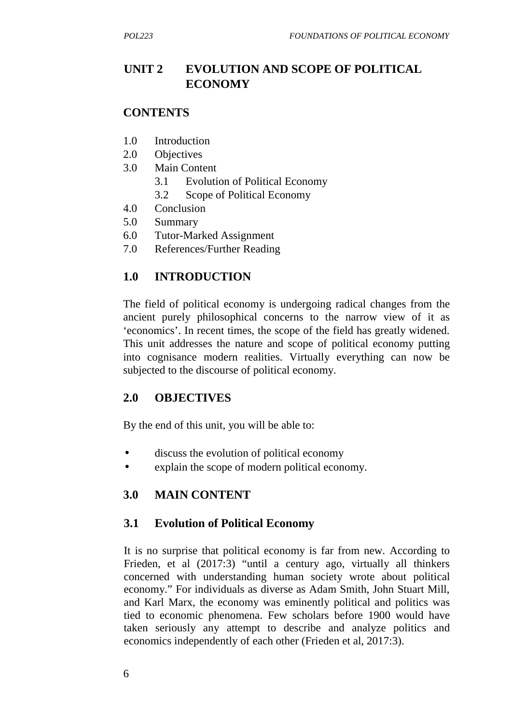## **UNIT 2 EVOLUTION AND SCOPE OF POLITICAL ECONOMY**

#### **CONTENTS**

- 1.0 Introduction
- 2.0 Objectives
- 3.0 Main Content
	- 3.1 Evolution of Political Economy
	- 3.2 Scope of Political Economy
- 4.0 Conclusion
- 5.0 Summary
- 6.0 Tutor-Marked Assignment
- 7.0 References/Further Reading

## **1.0 INTRODUCTION**

The field of political economy is undergoing radical changes from the ancient purely philosophical concerns to the narrow view of it as 'economics'. In recent times, the scope of the field has greatly widened. This unit addresses the nature and scope of political economy putting into cognisance modern realities. Virtually everything can now be subjected to the discourse of political economy.

### **2.0 OBJECTIVES**

By the end of this unit, you will be able to:

- discuss the evolution of political economy
- explain the scope of modern political economy.

## **3.0 MAIN CONTENT**

### **3.1 Evolution of Political Economy**

It is no surprise that political economy is far from new. According to Frieden, et al (2017:3) "until a century ago, virtually all thinkers concerned with understanding human society wrote about political economy." For individuals as diverse as Adam Smith, John Stuart Mill, and Karl Marx, the economy was eminently political and politics was tied to economic phenomena. Few scholars before 1900 would have taken seriously any attempt to describe and analyze politics and economics independently of each other (Frieden et al, 2017:3).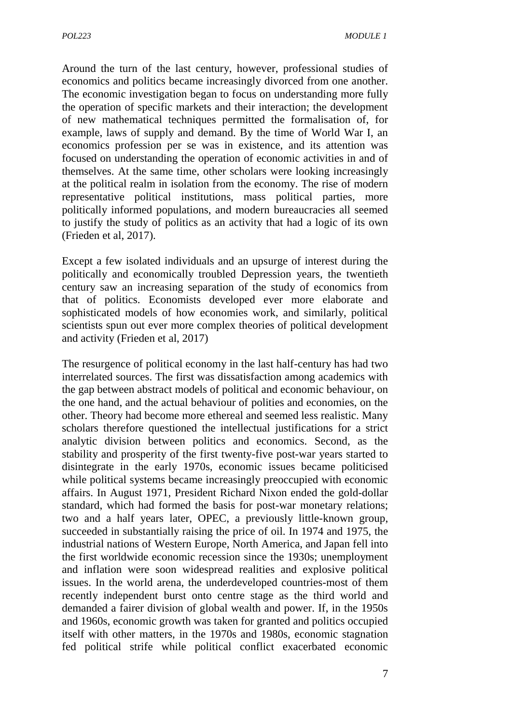Around the turn of the last century, however, professional studies of economics and politics became increasingly divorced from one another. The economic investigation began to focus on understanding more fully the operation of specific markets and their interaction; the development of new mathematical techniques permitted the formalisation of, for example, laws of supply and demand. By the time of World War I, an economics profession per se was in existence, and its attention was focused on understanding the operation of economic activities in and of themselves. At the same time, other scholars were looking increasingly at the political realm in isolation from the economy. The rise of modern representative political institutions, mass political parties, more politically informed populations, and modern bureaucracies all seemed to justify the study of politics as an activity that had a logic of its own (Frieden et al, 2017).

Except a few isolated individuals and an upsurge of interest during the politically and economically troubled Depression years, the twentieth century saw an increasing separation of the study of economics from that of politics. Economists developed ever more elaborate and sophisticated models of how economies work, and similarly, political scientists spun out ever more complex theories of political development and activity (Frieden et al, 2017)

The resurgence of political economy in the last half-century has had two interrelated sources. The first was dissatisfaction among academics with the gap between abstract models of political and economic behaviour, on the one hand, and the actual behaviour of polities and economies, on the other. Theory had become more ethereal and seemed less realistic. Many scholars therefore questioned the intellectual justifications for a strict analytic division between politics and economics. Second, as the stability and prosperity of the first twenty-five post-war years started to disintegrate in the early 1970s, economic issues became politicised while political systems became increasingly preoccupied with economic affairs. In August 1971, President Richard Nixon ended the gold-dollar standard, which had formed the basis for post-war monetary relations; two and a half years later, OPEC, a previously little-known group, succeeded in substantially raising the price of oil. In 1974 and 1975, the industrial nations of Western Europe, North America, and Japan fell into the first worldwide economic recession since the 1930s; unemployment and inflation were soon widespread realities and explosive political issues. In the world arena, the underdeveloped countries-most of them recently independent burst onto centre stage as the third world and demanded a fairer division of global wealth and power. If, in the 1950s and 1960s, economic growth was taken for granted and politics occupied itself with other matters, in the 1970s and 1980s, economic stagnation fed political strife while political conflict exacerbated economic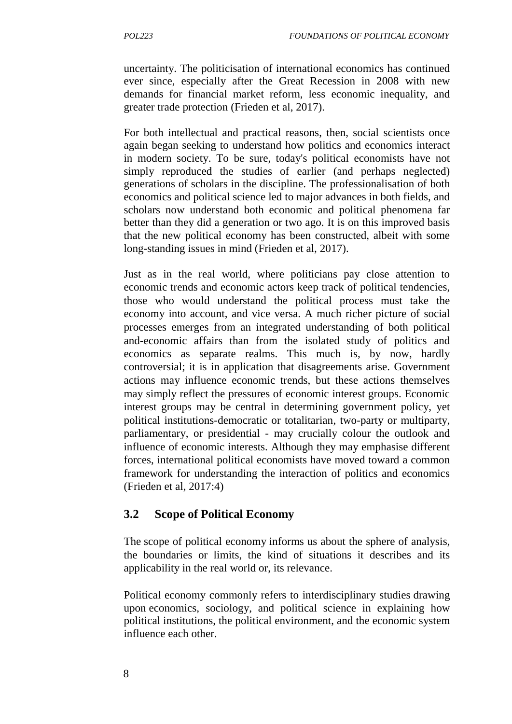uncertainty. The politicisation of international economics has continued ever since, especially after the Great Recession in 2008 with new demands for financial market reform, less economic inequality, and greater trade protection (Frieden et al, 2017).

For both intellectual and practical reasons, then, social scientists once again began seeking to understand how politics and economics interact in modern society. To be sure, today's political economists have not simply reproduced the studies of earlier (and perhaps neglected) generations of scholars in the discipline. The professionalisation of both economics and political science led to major advances in both fields, and scholars now understand both economic and political phenomena far better than they did a generation or two ago. It is on this improved basis that the new political economy has been constructed, albeit with some long-standing issues in mind (Frieden et al, 2017).

Just as in the real world, where politicians pay close attention to economic trends and economic actors keep track of political tendencies, those who would understand the political process must take the economy into account, and vice versa. A much richer picture of social processes emerges from an integrated understanding of both political and-economic affairs than from the isolated study of politics and economics as separate realms. This much is, by now, hardly controversial; it is in application that disagreements arise. Government actions may influence economic trends, but these actions themselves may simply reflect the pressures of economic interest groups. Economic interest groups may be central in determining government policy, yet political institutions-democratic or totalitarian, two-party or multiparty, parliamentary, or presidential - may crucially colour the outlook and influence of economic interests. Although they may emphasise different forces, international political economists have moved toward a common framework for understanding the interaction of politics and economics (Frieden et al, 2017:4)

## **3.2 Scope of Political Economy**

The scope of political economy informs us about the sphere of analysis, the boundaries or limits, the kind of situations it describes and its applicability in the real world or, its relevance.

Political economy commonly refers to interdisciplinary studies drawing upon economics, sociology, and political science in explaining how political institutions, the political environment, and the economic system influence each other.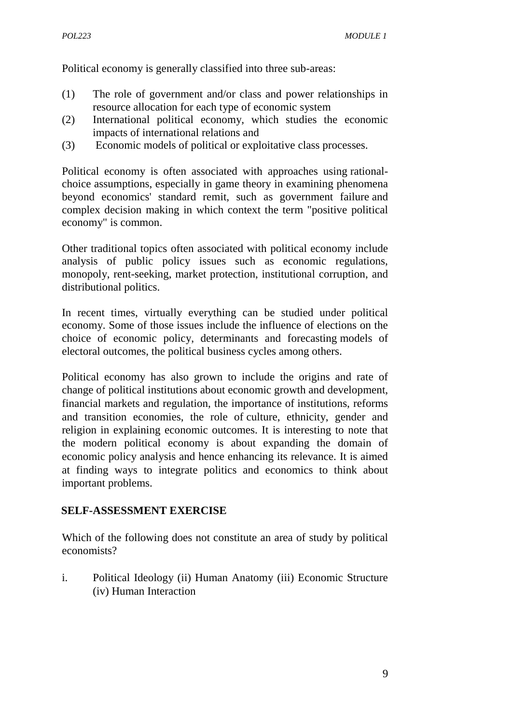Political economy is generally classified into three sub-areas:

- (1) The role of government and/or class and power relationships in resource allocation for each type of economic system
- (2) International political economy, which studies the economic impacts of international relations and
- (3) Economic models of political or exploitative class processes.

Political economy is often associated with approaches using rational choice assumptions, especially in game theory in examining phenomena beyond economics' standard remit, such as government failure and complex decision making in which context the term "positive political economy" is common.

Other traditional topics often associated with political economy include analysis of public policy issues such as economic regulations, monopoly, rent-seeking, market protection, institutional corruption, and distributional politics.

In recent times, virtually everything can be studied under political economy. Some of those issues include the influence of elections on the choice of economic policy, determinants and forecasting models of electoral outcomes, the political business cycles among others.

Political economy has also grown to include the origins and rate of change of political institutions about economic growth and development, financial markets and regulation, the importance of institutions, reforms and transition economies, the role of culture, ethnicity, gender and religion in explaining economic outcomes. It is interesting to note that the modern political economy is about expanding the domain of economic policy analysis and hence enhancing its relevance. It is aimed at finding ways to integrate politics and economics to think about important problems.

#### **SELF-ASSESSMENT EXERCISE**

Which of the following does not constitute an area of study by political economists?

i. Political Ideology (ii) Human Anatomy (iii) Economic Structure (iv) Human Interaction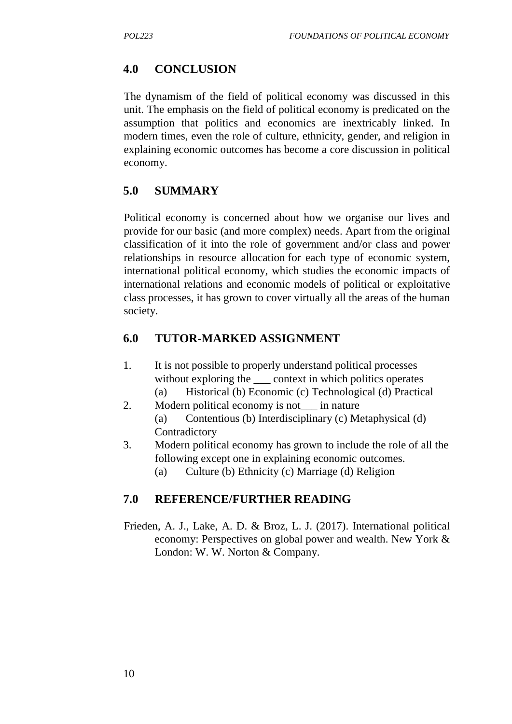## **4.0 CONCLUSION**

The dynamism of the field of political economy was discussed in this unit. The emphasis on the field of political economy is predicated on the assumption that politics and economics are inextricably linked. In modern times, even the role of culture, ethnicity, gender, and religion in explaining economic outcomes has become a core discussion in political economy.

## **5.0 SUMMARY**

Political economy is concerned about how we organise our lives and provide for our basic (and more complex) needs. Apart from the original classification of it into the role of government and/or class and power relationships in resource allocation for each type of economic system, international political economy, which studies the economic impacts of international relations and economic models of political or exploitative class processes, it has grown to cover virtually all the areas of the human society.

## **6.0 TUTOR-MARKED ASSIGNMENT**

- 1. It is not possible to properly understand political processes without exploring the  $\_\_$  context in which politics operates (a) Historical (b) Economic (c) Technological (d) Practical
- 2. Modern political economy is not in nature (a) Contentious (b) Interdisciplinary (c) Metaphysical (d)
	- Contradictory
- 3. Modern political economy has grown to include the role of all the following except one in explaining economic outcomes.
	- (a) Culture (b) Ethnicity (c) Marriage (d) Religion

# **7.0 REFERENCE/FURTHER READING**

Frieden, A. J., Lake, A. D. & Broz, L. J. (2017). International political economy: Perspectives on global power and wealth. New York & London: W. W. Norton & Company.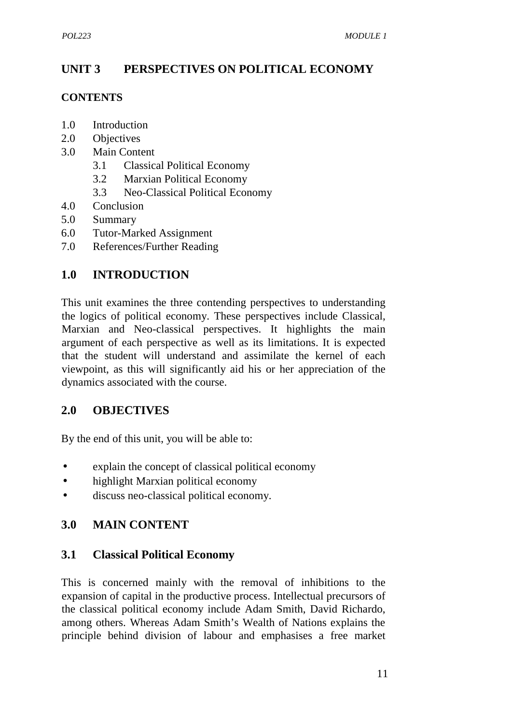## **UNIT 3 PERSPECTIVES ON POLITICAL ECONOMY**

#### **CONTENTS**

- 1.0 Introduction
- 2.0 Objectives
- 3.0 Main Content
	- 3.1 Classical Political Economy
	- 3.2 Marxian Political Economy
	- 3.3 Neo-Classical Political Economy
- 4.0 Conclusion
- 5.0 Summary
- 6.0 Tutor-Marked Assignment
- 7.0 References/Further Reading

## **1.0 INTRODUCTION**

This unit examines the three contending perspectives to understanding the logics of political economy. These perspectives include Classical, Marxian and Neo-classical perspectives. It highlights the main argument of each perspective as well as its limitations. It is expected that the student will understand and assimilate the kernel of each viewpoint, as this will significantly aid his or her appreciation of the dynamics associated with the course.

### **2.0 OBJECTIVES**

By the end of this unit, you will be able to:

- explain the concept of classical political economy
- highlight Marxian political economy
- discuss neo-classical political economy.

## **3.0 MAIN CONTENT**

### **3.1 Classical Political Economy**

This is concerned mainly with the removal of inhibitions to the expansion of capital in the productive process. Intellectual precursors of the classical political economy include Adam Smith, David Richardo, among others. Whereas Adam Smith's Wealth of Nations explains the principle behind division of labour and emphasises a free market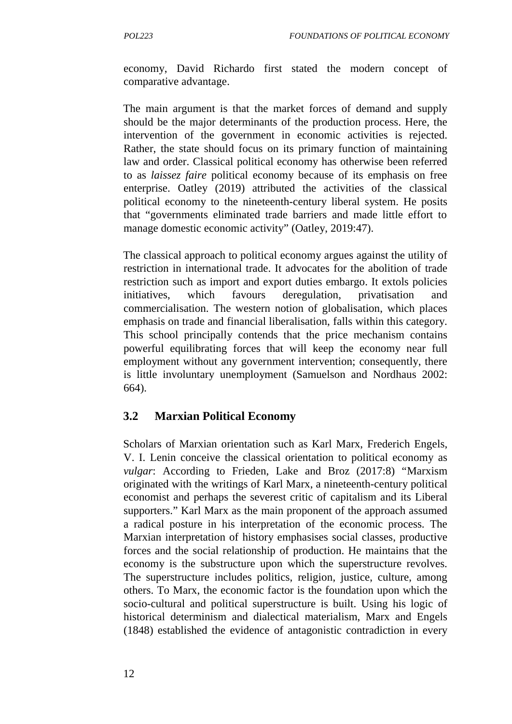economy, David Richardo first stated the modern concept of comparative advantage.

The main argument is that the market forces of demand and supply should be the major determinants of the production process. Here, the intervention of the government in economic activities is rejected. Rather, the state should focus on its primary function of maintaining law and order. Classical political economy has otherwise been referred to as *laissez faire* political economy because of its emphasis on free enterprise. Oatley (2019) attributed the activities of the classical political economy to the nineteenth-century liberal system. He posits that "governments eliminated trade barriers and made little effort to manage domestic economic activity" (Oatley, 2019:47).

The classical approach to political economy argues against the utility of restriction in international trade. It advocates for the abolition of trade restriction such as import and export duties embargo. It extols policies initiatives, which favours deregulation, privatisation and commercialisation. The western notion of globalisation, which places emphasis on trade and financial liberalisation, falls within this category. This school principally contends that the price mechanism contains powerful equilibrating forces that will keep the economy near full employment without any government intervention; consequently, there is little involuntary unemployment (Samuelson and Nordhaus 2002: 664).

### **3.2 Marxian Political Economy**

Scholars of Marxian orientation such as Karl Marx, Frederich Engels, V. I. Lenin conceive the classical orientation to political economy as *vulgar*: According to Frieden, Lake and Broz (2017:8) "Marxism originated with the writings of Karl Marx, a nineteenth-century political economist and perhaps the severest critic of capitalism and its Liberal supporters." Karl Marx as the main proponent of the approach assumed a radical posture in his interpretation of the economic process. The Marxian interpretation of history emphasises social classes, productive forces and the social relationship of production. He maintains that the economy is the substructure upon which the superstructure revolves. The superstructure includes politics, religion, justice, culture, among others. To Marx, the economic factor is the foundation upon which the socio-cultural and political superstructure is built. Using his logic of historical determinism and dialectical materialism, Marx and Engels (1848) established the evidence of antagonistic contradiction in every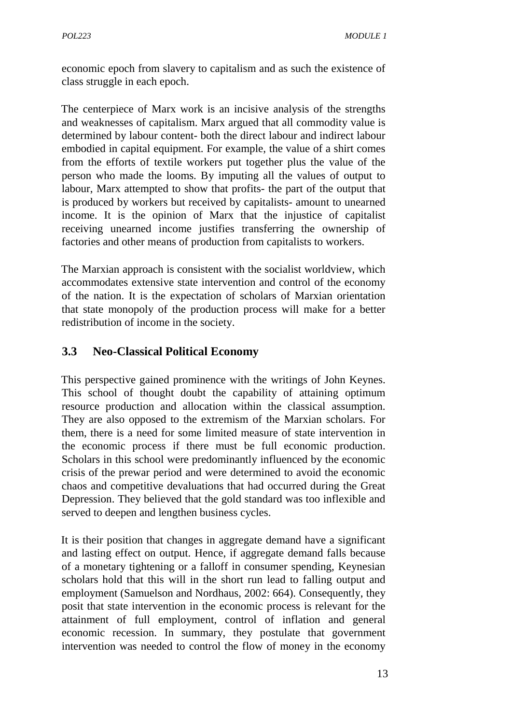economic epoch from slavery to capitalism and as such the existence of class struggle in each epoch.

The centerpiece of Marx work is an incisive analysis of the strengths and weaknesses of capitalism. Marx argued that all commodity value is determined by labour content- both the direct labour and indirect labour embodied in capital equipment. For example, the value of a shirt comes from the efforts of textile workers put together plus the value of the person who made the looms. By imputing all the values of output to labour, Marx attempted to show that profits- the part of the output that is produced by workers but received by capitalists- amount to unearned income. It is the opinion of Marx that the injustice of capitalist receiving unearned income justifies transferring the ownership of factories and other means of production from capitalists to workers.

The Marxian approach is consistent with the socialist worldview, which accommodates extensive state intervention and control of the economy of the nation. It is the expectation of scholars of Marxian orientation that state monopoly of the production process will make for a better redistribution of income in the society.

## **3.3 Neo-Classical Political Economy**

This perspective gained prominence with the writings of John Keynes. This school of thought doubt the capability of attaining optimum resource production and allocation within the classical assumption. They are also opposed to the extremism of the Marxian scholars. For them, there is a need for some limited measure of state intervention in the economic process if there must be full economic production. Scholars in this school were predominantly influenced by the economic crisis of the prewar period and were determined to avoid the economic chaos and competitive devaluations that had occurred during the Great Depression. They believed that the gold standard was too inflexible and served to deepen and lengthen business cycles.

It is their position that changes in aggregate demand have a significant and lasting effect on output. Hence, if aggregate demand falls because of a monetary tightening or a falloff in consumer spending, Keynesian scholars hold that this will in the short run lead to falling output and employment (Samuelson and Nordhaus, 2002: 664). Consequently, they posit that state intervention in the economic process is relevant for the attainment of full employment, control of inflation and general economic recession. In summary, they postulate that government intervention was needed to control the flow of money in the economy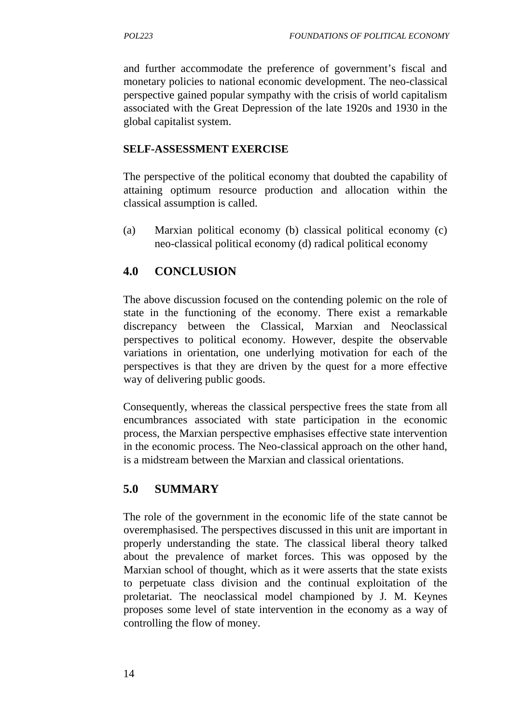and further accommodate the preference of government's fiscal and monetary policies to national economic development. The neo-classical perspective gained popular sympathy with the crisis of world capitalism associated with the Great Depression of the late 1920s and 1930 in the global capitalist system.

#### **SELF-ASSESSMENT EXERCISE**

The perspective of the political economy that doubted the capability of attaining optimum resource production and allocation within the classical assumption is called.

(a) Marxian political economy (b) classical political economy (c) neo-classical political economy (d) radical political economy

## **4.0 CONCLUSION**

The above discussion focused on the contending polemic on the role of state in the functioning of the economy. There exist a remarkable discrepancy between the Classical, Marxian and Neoclassical perspectives to political economy. However, despite the observable variations in orientation, one underlying motivation for each of the perspectives is that they are driven by the quest for a more effective way of delivering public goods.

Consequently, whereas the classical perspective frees the state from all encumbrances associated with state participation in the economic process, the Marxian perspective emphasises effective state intervention in the economic process. The Neo-classical approach on the other hand, is a midstream between the Marxian and classical orientations.

## **5.0 SUMMARY**

The role of the government in the economic life of the state cannot be overemphasised. The perspectives discussed in this unit are important in properly understanding the state. The classical liberal theory talked about the prevalence of market forces. This was opposed by the Marxian school of thought, which as it were asserts that the state exists to perpetuate class division and the continual exploitation of the proletariat. The neoclassical model championed by J. M. Keynes proposes some level of state intervention in the economy as a way of controlling the flow of money.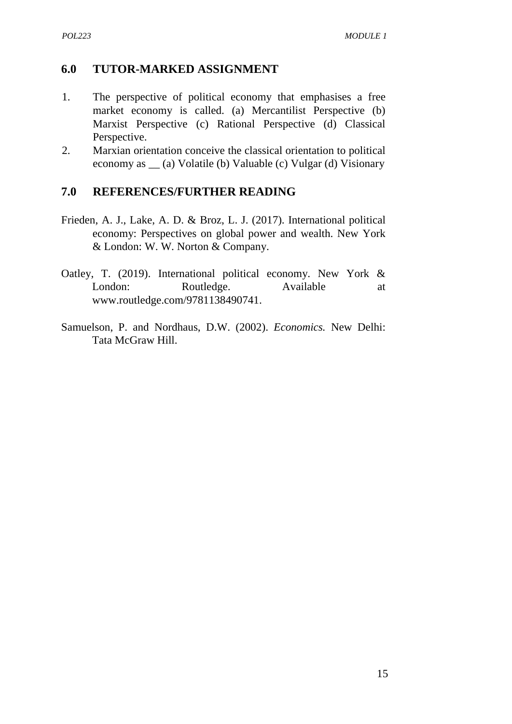#### **6.0 TUTOR-MARKED ASSIGNMENT**

- 1. The perspective of political economy that emphasises a free market economy is called. (a) Mercantilist Perspective (b) Marxist Perspective (c) Rational Perspective (d) Classical Perspective.
- 2. Marxian orientation conceive the classical orientation to political economy as \_\_ (a) Volatile (b) Valuable (c) Vulgar (d) Visionary

#### **7.0 REFERENCES/FURTHER READING**

- Frieden, A. J., Lake, A. D. & Broz, L. J. (2017). International political economy: Perspectives on global power and wealth. New York & London: W. W. Norton & Company.
- Oatley, T. (2019). International political economy. New York & London: Routledge. Available at www.routledge.com/9781138490741.
- Samuelson, P. and Nordhaus, D.W. (2002). *Economics.* New Delhi: Tata McGraw Hill.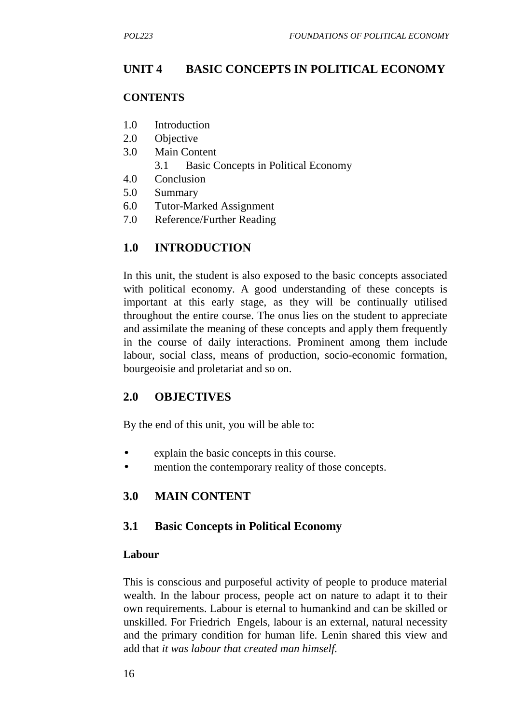## **UNIT 4 BASIC CONCEPTS IN POLITICAL ECONOMY**

#### **CONTENTS**

- 1.0 Introduction
- 2.0 Objective
- 3.0 Main Content
	- 3.1 Basic Concepts in Political Economy
- 4.0 Conclusion
- 5.0 Summary
- 6.0 Tutor-Marked Assignment
- 7.0 Reference/Further Reading

## **1.0 INTRODUCTION**

In this unit, the student is also exposed to the basic concepts associated with political economy. A good understanding of these concepts is important at this early stage, as they will be continually utilised throughout the entire course. The onus lies on the student to appreciate and assimilate the meaning of these concepts and apply them frequently in the course of daily interactions. Prominent among them include labour, social class, means of production, socio-economic formation, bourgeoisie and proletariat and so on.

### **2.0 OBJECTIVES**

By the end of this unit, you will be able to:

- explain the basic concepts in this course.
- mention the contemporary reality of those concepts.

## **3.0 MAIN CONTENT**

### **3.1 Basic Concepts in Political Economy**

#### **Labour**

This is conscious and purposeful activity of people to produce material wealth. In the labour process, people act on nature to adapt it to their own requirements. Labour is eternal to humankind and can be skilled or unskilled. For Friedrich Engels, labour is an external, natural necessity and the primary condition for human life. Lenin shared this view and add that *it was labour that created man himself.*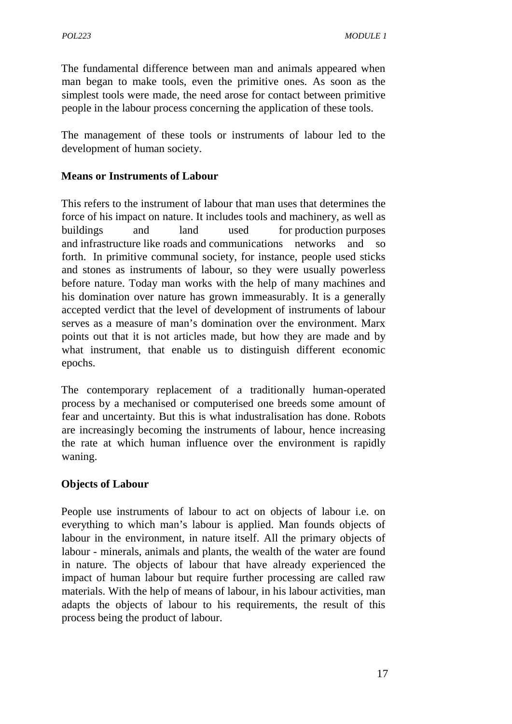The fundamental difference between man and animals appeared when man began to make tools, even the primitive ones. As soon as the simplest tools were made, the need arose for contact between primitive people in the labour process concerning the application of these tools.

The management of these tools or instruments of labour led to the development of human society.

### **Means or Instruments of Labour**

This refers to the instrument of labour that man uses that determines the force of his impact on nature. It includes tools and machinery, as well as buildings and land used for production purposes and infrastructure like roads and communications networks and so forth. In primitive communal society, for instance, people used sticks and stones as instruments of labour, so they were usually powerless before nature. Today man works with the help of many machines and his domination over nature has grown immeasurably. It is a generally accepted verdict that the level of development of instruments of labour serves as a measure of man's domination over the environment. Marx points out that it is not articles made, but how they are made and by what instrument, that enable us to distinguish different economic epochs.

The contemporary replacement of a traditionally human-operated process by a mechanised or computerised one breeds some amount of fear and uncertainty. But this is what industralisation has done. Robots are increasingly becoming the instruments of labour, hence increasing the rate at which human influence over the environment is rapidly waning.

#### **Objects of Labour**

People use instruments of labour to act on objects of labour i.e. on everything to which man's labour is applied. Man founds objects of labour in the environment, in nature itself. All the primary objects of labour - minerals, animals and plants, the wealth of the water are found in nature. The objects of labour that have already experienced the impact of human labour but require further processing are called raw materials. With the help of means of labour, in his labour activities, man adapts the objects of labour to his requirements, the result of this process being the product of labour.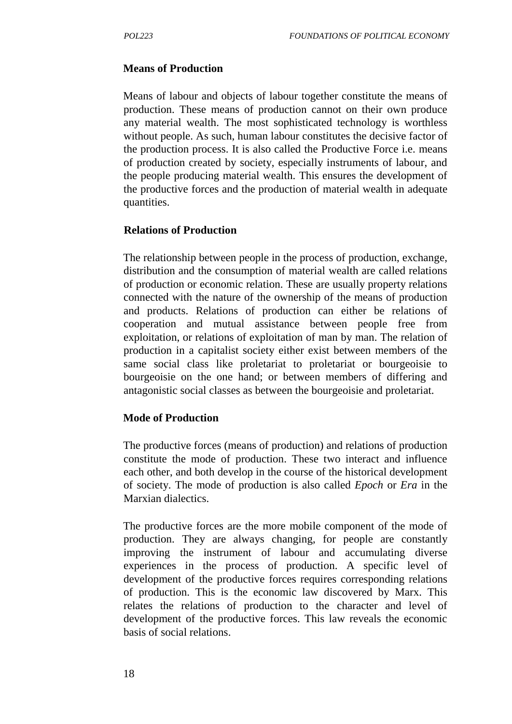#### **Means of Production**

Means of labour and objects of labour together constitute the means of production. These means of production cannot on their own produce any material wealth. The most sophisticated technology is worthless without people. As such, human labour constitutes the decisive factor of the production process. It is also called the Productive Force i.e. means of production created by society, especially instruments of labour, and the people producing material wealth. This ensures the development of the productive forces and the production of material wealth in adequate quantities.

#### **Relations of Production**

The relationship between people in the process of production, exchange, distribution and the consumption of material wealth are called relations of production or economic relation. These are usually property relations connected with the nature of the ownership of the means of production and products. Relations of production can either be relations of cooperation and mutual assistance between people free from exploitation, or relations of exploitation of man by man. The relation of production in a capitalist society either exist between members of the same social class like proletariat to proletariat or bourgeoisie to bourgeoisie on the one hand; or between members of differing and antagonistic social classes as between the bourgeoisie and proletariat.

#### **Mode of Production**

The productive forces (means of production) and relations of production constitute the mode of production. These two interact and influence each other, and both develop in the course of the historical development of society. The mode of production is also called *Epoch* or*Era* in the Marxian dialectics.

The productive forces are the more mobile component of the mode of production. They are always changing, for people are constantly improving the instrument of labour and accumulating diverse experiences in the process of production. A specific level of development of the productive forces requires corresponding relations of production. This is the economic law discovered by Marx. This relates the relations of production to the character and level of development of the productive forces. This law reveals the economic basis of social relations.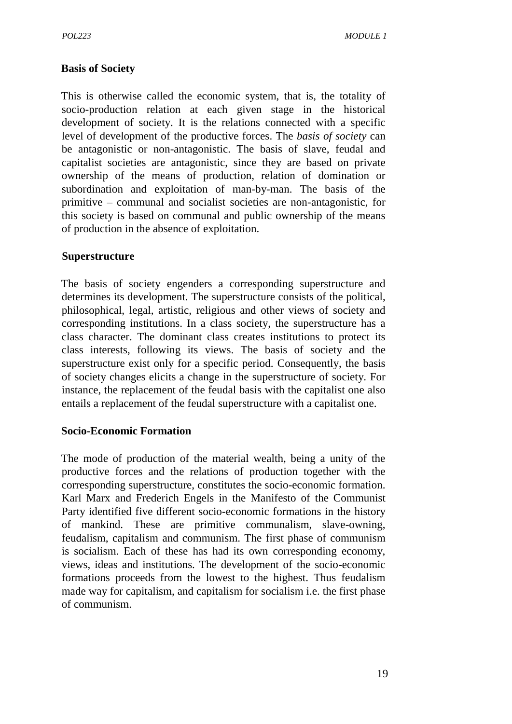#### **Basis of Society**

This is otherwise called the economic system, that is, the totality of socio-production relation at each given stage in the historical development of society. It is the relations connected with a specific level of development of the productive forces. The *basis of society* can be antagonistic or non-antagonistic. The basis of slave, feudal and capitalist societies are antagonistic, since they are based on private ownership of the means of production, relation of domination or subordination and exploitation of man-by-man. The basis of the primitive – communal and socialist societies are non-antagonistic, for this society is based on communal and public ownership of the means of production in the absence of exploitation.

#### **Superstructure**

The basis of society engenders a corresponding superstructure and determines its development. The superstructure consists of the political, philosophical, legal, artistic, religious and other views of society and corresponding institutions. In a class society, the superstructure has a class character. The dominant class creates institutions to protect its class interests, following its views. The basis of society and the superstructure exist only for a specific period. Consequently, the basis of society changes elicits a change in the superstructure of society. For instance, the replacement of the feudal basis with the capitalist one also entails a replacement of the feudal superstructure with a capitalist one.

#### **Socio-Economic Formation**

The mode of production of the material wealth, being a unity of the productive forces and the relations of production together with the corresponding superstructure, constitutes the socio-economic formation. Karl Marx and Frederich Engels in the Manifesto of the Communist Party identified five different socio-economic formations in the history of mankind. These are primitive communalism, slave-owning, feudalism, capitalism and communism. The first phase of communism is socialism. Each of these has had its own corresponding economy, views, ideas and institutions. The development of the socio-economic formations proceeds from the lowest to the highest. Thus feudalism made way for capitalism, and capitalism for socialism i.e. the first phase of communism.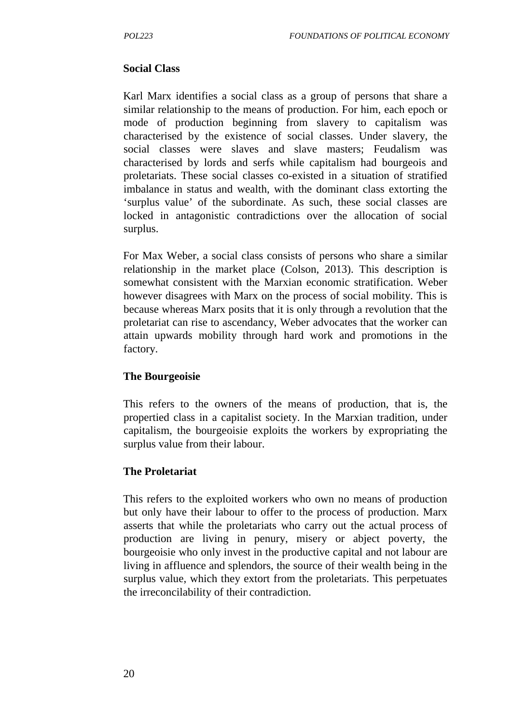#### **Social Class**

Karl Marx identifies a social class as a group of persons that share a similar relationship to the means of production. For him, each epoch or mode of production beginning from slavery to capitalism was characterised by the existence of social classes. Under slavery, the social classes were slaves and slave masters; Feudalism was characterised by lords and serfs while capitalism had bourgeois and proletariats. These social classes co-existed in a situation of stratified imbalance in status and wealth, with the dominant class extorting the 'surplus value' of the subordinate. As such, these social classes are locked in antagonistic contradictions over the allocation of social surplus.

For Max Weber, a social class consists of persons who share a similar relationship in the market place (Colson, 2013). This description is somewhat consistent with the Marxian economic stratification. Weber however disagrees with Marx on the process of social mobility. This is because whereas Marx posits that it is only through a revolution that the proletariat can rise to ascendancy, Weber advocates that the worker can attain upwards mobility through hard work and promotions in the factory.

#### **The Bourgeoisie**

This refers to the owners of the means of production, that is, the propertied class in a capitalist society. In the Marxian tradition, under capitalism, the bourgeoisie exploits the workers by expropriating the surplus value from their labour.

#### **The Proletariat**

This refers to the exploited workers who own no means of production but only have their labour to offer to the process of production. Marx asserts that while the proletariats who carry out the actual process of production are living in penury, misery or abject poverty, the bourgeoisie who only invest in the productive capital and not labour are living in affluence and splendors, the source of their wealth being in the surplus value, which they extort from the proletariats. This perpetuates the irreconcilability of their contradiction.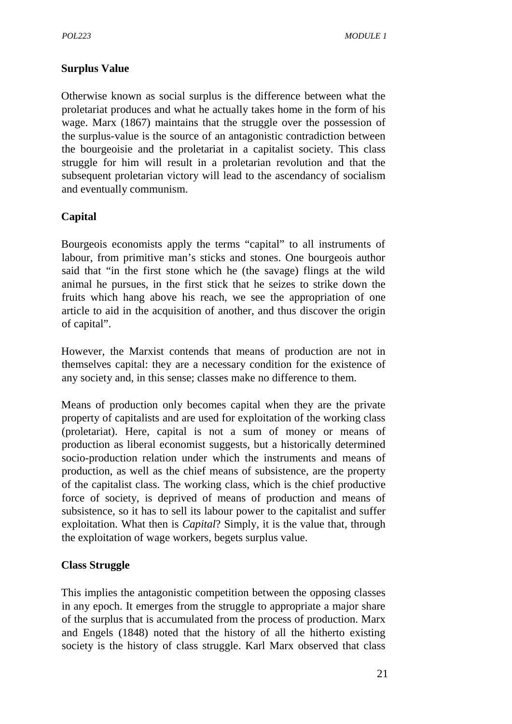### **Surplus Value**

Otherwise known as social surplus is the difference between what the proletariat produces and what he actually takes home in the form of his wage. Marx (1867) maintains that the struggle over the possession of the surplus-value is the source of an antagonistic contradiction between the bourgeoisie and the proletariat in a capitalist society. This class struggle for him will result in a proletarian revolution and that the subsequent proletarian victory will lead to the ascendancy of socialism and eventually communism.

## **Capital**

Bourgeois economists apply the terms "capital" to all instruments of labour, from primitive man's sticks and stones. One bourgeois author said that "in the first stone which he (the savage) flings at the wild animal he pursues, in the first stick that he seizes to strike down the fruits which hang above his reach, we see the appropriation of one article to aid in the acquisition of another, and thus discover the origin of capital".

However, the Marxist contends that means of production are not in themselves capital: they are a necessary condition for the existence of any society and, in this sense; classes make no difference to them.

Means of production only becomes capital when they are the private property of capitalists and are used for exploitation of the working class (proletariat). Here, capital is not a sum of money or means of production as liberal economist suggests, but a historically determined socio-production relation under which the instruments and means of production, as well as the chief means of subsistence, are the property of the capitalist class. The working class, which is the chief productive force of society, is deprived of means of production and means of subsistence, so it has to sell its labour power to the capitalist and suffer exploitation. What then is *Capital*? Simply, it is the value that, through the exploitation of wage workers, begets surplus value.

### **Class Struggle**

This implies the antagonistic competition between the opposing classes in any epoch. It emerges from the struggle to appropriate a major share of the surplus that is accumulated from the process of production. Marx and Engels (1848) noted that the history of all the hitherto existing society is the history of class struggle. Karl Marx observed that class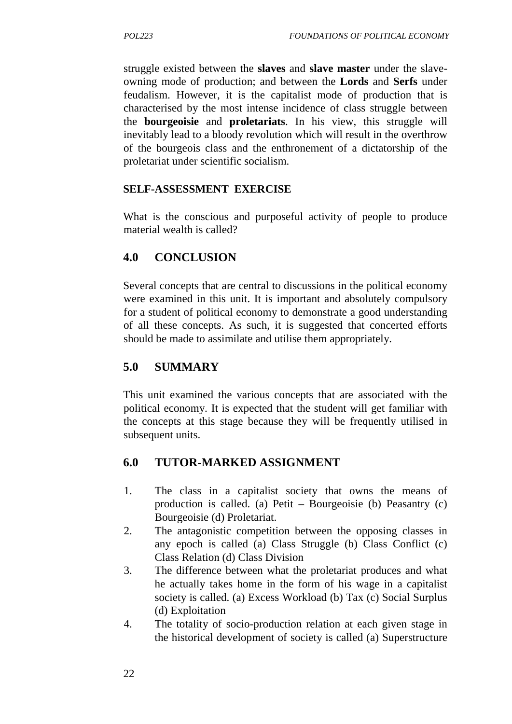struggle existed between the **slaves** and **slave master** under the slave owning mode of production; and between the **Lords** and **Serfs** under feudalism. However, it is the capitalist mode of production that is characterised by the most intense incidence of class struggle between the **bourgeoisie** and **proletariats**. In his view, this struggle will inevitably lead to a bloody revolution which will result in the overthrow of the bourgeois class and the enthronement of a dictatorship of the proletariat under scientific socialism.

#### **SELF-ASSESSMENT EXERCISE**

What is the conscious and purposeful activity of people to produce material wealth is called?

### **4.0 CONCLUSION**

Several concepts that are central to discussions in the political economy were examined in this unit. It is important and absolutely compulsory for a student of political economy to demonstrate a good understanding of all these concepts. As such, it is suggested that concerted efforts should be made to assimilate and utilise them appropriately.

### **5.0 SUMMARY**

This unit examined the various concepts that are associated with the political economy. It is expected that the student will get familiar with the concepts at this stage because they will be frequently utilised in subsequent units.

### **6.0 TUTOR-MARKED ASSIGNMENT**

- 1. The class in a capitalist society that owns the means of production is called. (a) Petit – Bourgeoisie (b) Peasantry (c) Bourgeoisie (d) Proletariat.
- 2. The antagonistic competition between the opposing classes in any epoch is called (a) Class Struggle (b) Class Conflict (c) Class Relation (d) Class Division
- 3. The difference between what the proletariat produces and what he actually takes home in the form of his wage in a capitalist society is called. (a) Excess Workload (b) Tax (c) Social Surplus (d) Exploitation
- 4. The totality of socio-production relation at each given stage in the historical development of society is called (a) Superstructure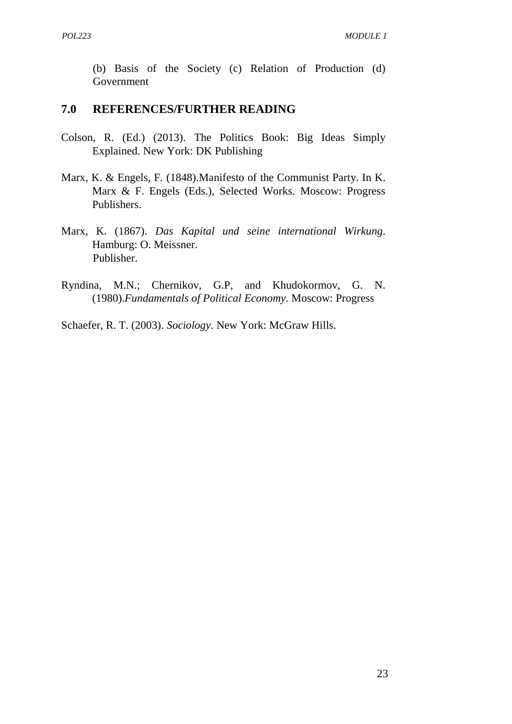(b) Basis of the Society (c) Relation of Production (d) Government

#### **7.0 REFERENCES/FURTHER READING**

- Colson, R. (Ed.) (2013). The Politics Book: Big Ideas Simply Explained. New York: DK Publishing
- Marx, K. & Engels, F. (1848).Manifesto of the Communist Party. In K. Marx & F. Engels (Eds.), Selected Works. Moscow: Progress Publishers.
- Marx, K. (1867). *Das Kapital und seine international Wirkung*. Hamburg: O. Meissner. Publisher.
- Ryndina, M.N.; Chernikov, G.P, and Khudokormov, G. N. (1980).*Fundamentals of Political Economy.* Moscow: Progress

Schaefer, R. T. (2003). *Sociology.* New York: McGraw Hills.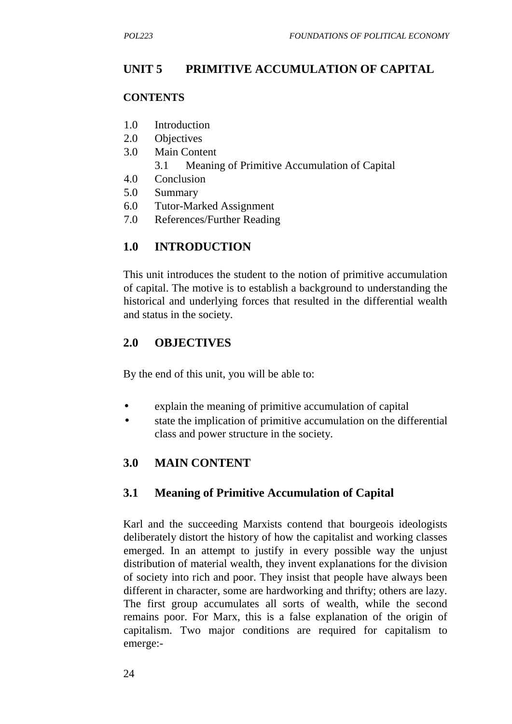# **UNIT 5 PRIMITIVE ACCUMULATION OF CAPITAL**

#### **CONTENTS**

- 1.0 Introduction
- 2.0 Objectives
- 3.0 Main Content
	- 3.1 Meaning of Primitive Accumulation of Capital
- 4.0 Conclusion
- 5.0 Summary
- 6.0 Tutor-Marked Assignment
- 7.0 References/Further Reading

## **1.0 INTRODUCTION**

This unit introduces the student to the notion of primitive accumulation of capital. The motive is to establish a background to understanding the historical and underlying forces that resulted in the differential wealth and status in the society.

## **2.0 OBJECTIVES**

By the end of this unit, you will be able to:

- explain the meaning of primitive accumulation of capital
- state the implication of primitive accumulation on the differential class and power structure in the society.

## **3.0 MAIN CONTENT**

## **3.1 Meaning of Primitive Accumulation of Capital**

Karl and the succeeding Marxists contend that bourgeois ideologists deliberately distort the history of how the capitalist and working classes emerged. In an attempt to justify in every possible way the unjust distribution of material wealth, they invent explanations for the division of society into rich and poor. They insist that people have always been different in character, some are hardworking and thrifty; others are lazy. The first group accumulates all sorts of wealth, while the second remains poor. For Marx, this is a false explanation of the origin of capitalism. Two major conditions are required for capitalism to emerge:-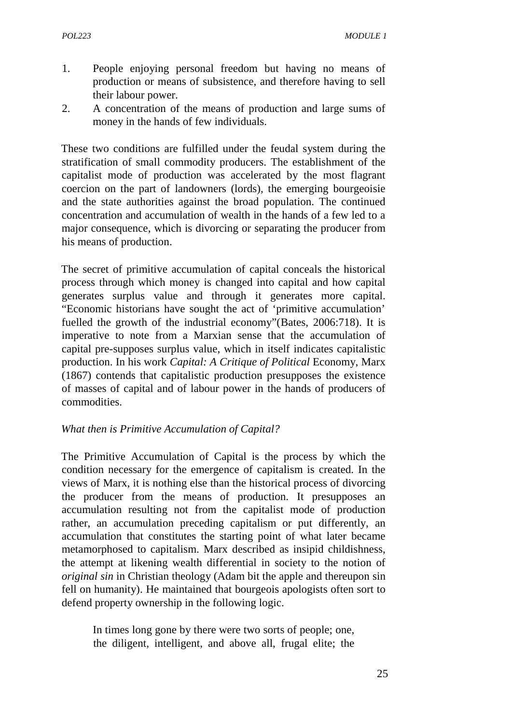- 1. People enjoying personal freedom but having no means of production or means of subsistence, and therefore having to sell their labour power.
- 2. A concentration of the means of production and large sums of money in the hands of few individuals.

These two conditions are fulfilled under the feudal system during the stratification of small commodity producers. The establishment of the capitalist mode of production was accelerated by the most flagrant coercion on the part of landowners (lords), the emerging bourgeoisie and the state authorities against the broad population. The continued concentration and accumulation of wealth in the hands of a few led to a major consequence, which is divorcing or separating the producer from his means of production.

The secret of primitive accumulation of capital conceals the historical process through which money is changed into capital and how capital generates surplus value and through it generates more capital. "Economic historians have sought the act of 'primitive accumulation' fuelled the growth of the industrial economy"(Bates, 2006:718). It is imperative to note from a Marxian sense that the accumulation of capital pre-supposes surplus value, which in itself indicates capitalistic production. In his work *Capital: A Critique of Political* Economy, Marx (1867) contends that capitalistic production presupposes the existence of masses of capital and of labour power in the hands of producers of commodities.

#### *What then is Primitive Accumulation of Capital?*

The Primitive Accumulation of Capital is the process by which the condition necessary for the emergence of capitalism is created. In the views of Marx, it is nothing else than the historical process of divorcing the producer from the means of production. It presupposes an accumulation resulting not from the capitalist mode of production rather, an accumulation preceding capitalism or put differently, an accumulation that constitutes the starting point of what later became metamorphosed to capitalism. Marx described as insipid childishness, the attempt at likening wealth differential in society to the notion of *original sin* in Christian theology (Adam bit the apple and thereupon sin fell on humanity). He maintained that bourgeois apologists often sort to defend property ownership in the following logic.

In times long gone by there were two sorts of people; one, the diligent, intelligent, and above all, frugal elite; the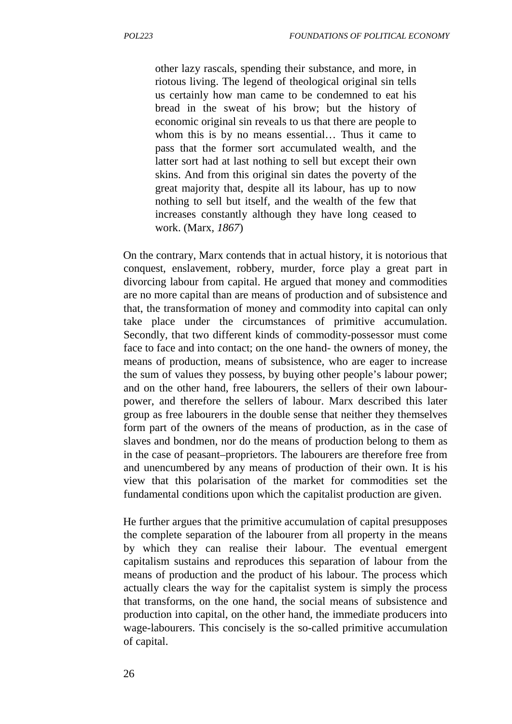other lazy rascals, spending their substance, and more, in riotous living. The legend of theological original sin tells us certainly how man came to be condemned to eat his bread in the sweat of his brow; but the history of economic original sin reveals to us that there are people to whom this is by no means essential… Thus it came to pass that the former sort accumulated wealth, and the latter sort had at last nothing to sell but except their own skins. And from this original sin dates the poverty of the great majority that, despite all its labour, has up to now nothing to sell but itself, and the wealth of the few that increases constantly although they have long ceased to work. (Marx*, 1867*)

On the contrary, Marx contends that in actual history, it is notorious that conquest, enslavement, robbery, murder, force play a great part in divorcing labour from capital. He argued that money and commodities are no more capital than are means of production and of subsistence and that, the transformation of money and commodity into capital can only take place under the circumstances of primitive accumulation. Secondly, that two different kinds of commodity-possessor must come face to face and into contact; on the one hand- the owners of money, the means of production, means of subsistence, who are eager to increase the sum of values they possess, by buying other people's labour power; and on the other hand, free labourers, the sellers of their own labour power, and therefore the sellers of labour. Marx described this later group as free labourers in the double sense that neither they themselves form part of the owners of the means of production, as in the case of slaves and bondmen, nor do the means of production belong to them as in the case of peasant–proprietors. The labourers are therefore free from and unencumbered by any means of production of their own. It is his view that this polarisation of the market for commodities set the fundamental conditions upon which the capitalist production are given.

He further argues that the primitive accumulation of capital presupposes the complete separation of the labourer from all property in the means by which they can realise their labour. The eventual emergent capitalism sustains and reproduces this separation of labour from the means of production and the product of his labour. The process which actually clears the way for the capitalist system is simply the process that transforms, on the one hand, the social means of subsistence and production into capital, on the other hand, the immediate producers into wage-labourers. This concisely is the so-called primitive accumulation of capital.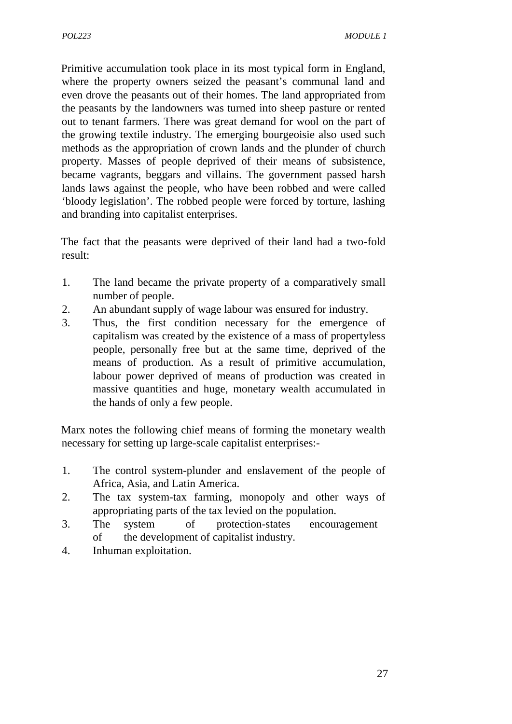Primitive accumulation took place in its most typical form in England, where the property owners seized the peasant's communal land and even drove the peasants out of their homes. The land appropriated from the peasants by the landowners was turned into sheep pasture or rented out to tenant farmers. There was great demand for wool on the part of the growing textile industry. The emerging bourgeoisie also used such methods as the appropriation of crown lands and the plunder of church property. Masses of people deprived of their means of subsistence, became vagrants, beggars and villains. The government passed harsh lands laws against the people, who have been robbed and were called 'bloody legislation'. The robbed people were forced by torture, lashing and branding into capitalist enterprises.

The fact that the peasants were deprived of their land had a two-fold result:

- 1. The land became the private property of a comparatively small number of people.
- 2. An abundant supply of wage labour was ensured for industry.
- 3. Thus, the first condition necessary for the emergence of capitalism was created by the existence of a mass of propertyless people, personally free but at the same time, deprived of the means of production. As a result of primitive accumulation, labour power deprived of means of production was created in massive quantities and huge, monetary wealth accumulated in the hands of only a few people.

Marx notes the following chief means of forming the monetary wealth necessary for setting up large-scale capitalist enterprises:-

- 1. The control system-plunder and enslavement of the people of Africa, Asia, and Latin America.
- 2. The tax system-tax farming, monopoly and other ways of appropriating parts of the tax levied on the population.
- 3. The system of protection-states encouragement of the development of capitalist industry.
- 4. Inhuman exploitation.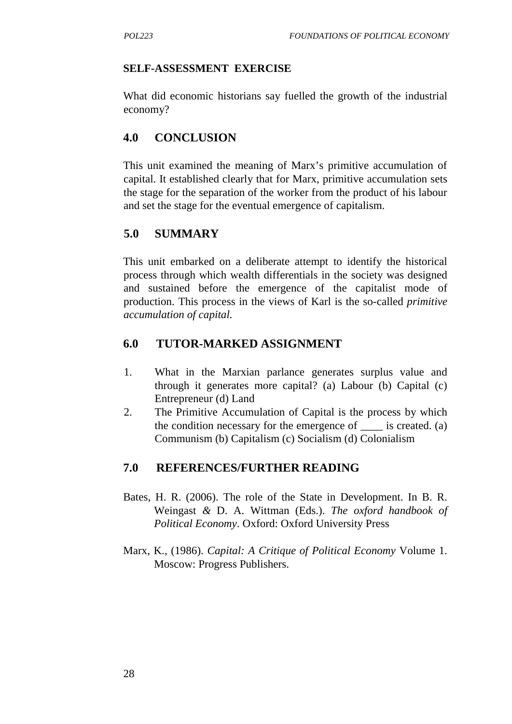#### **SELF-ASSESSMENT EXERCISE**

What did economic historians say fuelled the growth of the industrial economy?

## **4.0 CONCLUSION**

This unit examined the meaning of Marx's primitive accumulation of capital. It established clearly that for Marx, primitive accumulation sets the stage for the separation of the worker from the product of his labour and set the stage for the eventual emergence of capitalism.

## **5.0 SUMMARY**

This unit embarked on a deliberate attempt to identify the historical process through which wealth differentials in the society was designed and sustained before the emergence of the capitalist mode of production. This process in the views of Karl is the so-called *primitive accumulation of capital.*

## **6.0 TUTOR-MARKED ASSIGNMENT**

- 1. What in the Marxian parlance generates surplus value and through it generates more capital? (a) Labour (b) Capital (c) Entrepreneur (d) Land
- 2. The Primitive Accumulation of Capital is the process by which the condition necessary for the emergence of \_\_\_\_ is created. (a) Communism (b) Capitalism (c) Socialism (d) Colonialism

### **7.0 REFERENCES/FURTHER READING**

- Bates, H. R. (2006). The role of the State in Development. In B. R. Weingast *&* D. A. Wittman (Eds.). *The oxford handbook of Political Economy*. Oxford: Oxford University Press
- Marx, K., (1986). *Capital: A Critique of Political Economy* Volume 1. Moscow: Progress Publishers.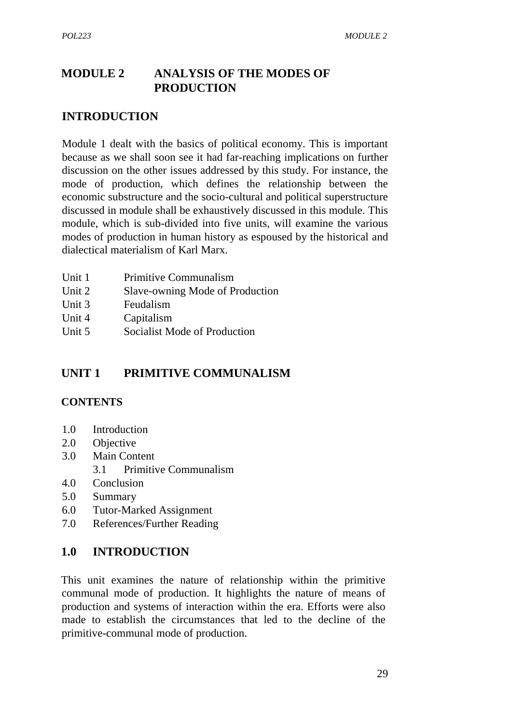## **MODULE 2 ANALYSIS OF THE MODES OF PRODUCTION**

### **INTRODUCTION**

Module 1 dealt with the basics of political economy. This is important because as we shall soon see it had far-reaching implications on further discussion on the other issues addressed by this study. For instance, the mode of production, which defines the relationship between the economic substructure and the socio-cultural and political superstructure discussed in module shall be exhaustively discussed in this module. This module, which is sub-divided into five units, will examine the various modes of production in human history as espoused by the historical and dialectical materialism of Karl Marx.

| Unit 1<br>Unit 2                | <b>Primitive Communalism</b>    |  |
|---------------------------------|---------------------------------|--|
|                                 | Slave-owning Mode of Production |  |
| $T$ $T$ $\cdot$ $\cdot$ $\cdot$ | $\mathbf{r}$ 1 1 $\mathbf{r}$   |  |

- Unit 3 Feudalism
- Unit 4 Capitalism
- Unit 5 Socialist Mode of Production

## **UNIT 1 PRIMITIVE COMMUNALISM**

#### **CONTENTS**

- 1.0 Introduction
- 2.0 Objective
- 3.0 Main Content
	- 3.1 Primitive Communalism
- 4.0 Conclusion
- 5.0 Summary
- 6.0 Tutor-Marked Assignment
- 7.0 References/Further Reading

### **1.0 INTRODUCTION**

This unit examines the nature of relationship within the primitive communal mode of production. It highlights the nature of means of production and systems of interaction within the era. Efforts were also made to establish the circumstances that led to the decline of the primitive-communal mode of production.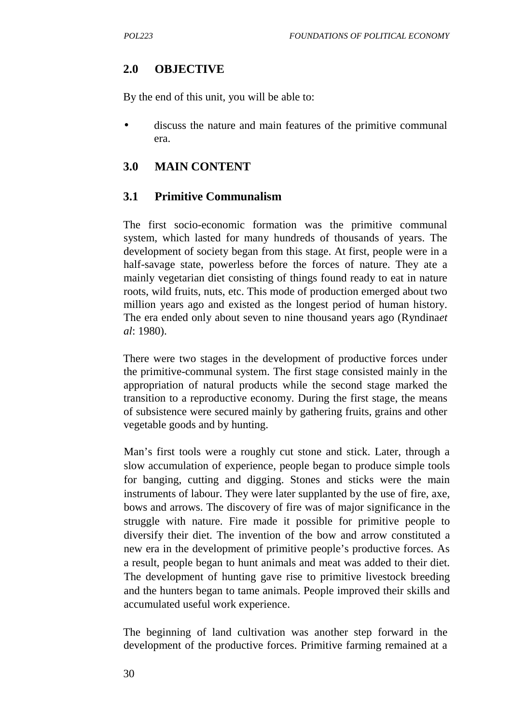## **2.0 OBJECTIVE**

By the end of this unit, you will be able to:

 discuss the nature and main features of the primitive communal era.

## **3.0 MAIN CONTENT**

## **3.1 Primitive Communalism**

The first socio-economic formation was the primitive communal system, which lasted for many hundreds of thousands of years. The development of society began from this stage. At first, people were in a half-savage state, powerless before the forces of nature. They ate a mainly vegetarian diet consisting of things found ready to eat in nature roots, wild fruits, nuts, etc. This mode of production emerged about two million years ago and existed as the longest period of human history. The era ended only about seven to nine thousand years ago (Ryndina*et al*: 1980).

There were two stages in the development of productive forces under the primitive-communal system. The first stage consisted mainly in the appropriation of natural products while the second stage marked the transition to a reproductive economy. During the first stage, the means of subsistence were secured mainly by gathering fruits, grains and other vegetable goods and by hunting.

Man's first tools were a roughly cut stone and stick. Later, through a slow accumulation of experience, people began to produce simple tools for banging, cutting and digging. Stones and sticks were the main instruments of labour. They were later supplanted by the use of fire, axe, bows and arrows. The discovery of fire was of major significance in the struggle with nature. Fire made it possible for primitive people to diversify their diet. The invention of the bow and arrow constituted a new era in the development of primitive people's productive forces. As a result, people began to hunt animals and meat was added to their diet. The development of hunting gave rise to primitive livestock breeding and the hunters began to tame animals. People improved their skills and accumulated useful work experience.

The beginning of land cultivation was another step forward in the development of the productive forces. Primitive farming remained at a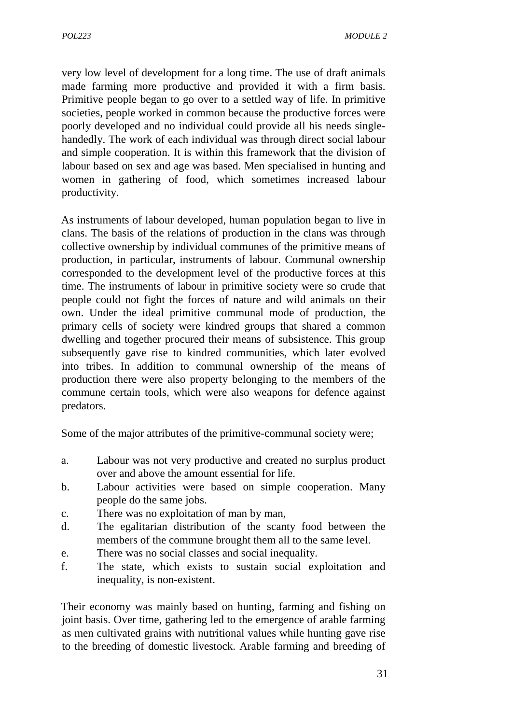very low level of development for a long time. The use of draft animals made farming more productive and provided it with a firm basis. Primitive people began to go over to a settled way of life. In primitive societies, people worked in common because the productive forces were poorly developed and no individual could provide all his needs single handedly. The work of each individual was through direct social labour and simple cooperation. It is within this framework that the division of labour based on sex and age was based. Men specialised in hunting and women in gathering of food, which sometimes increased labour productivity.

As instruments of labour developed, human population began to live in clans. The basis of the relations of production in the clans was through collective ownership by individual communes of the primitive means of production, in particular, instruments of labour. Communal ownership corresponded to the development level of the productive forces at this time. The instruments of labour in primitive society were so crude that people could not fight the forces of nature and wild animals on their own. Under the ideal primitive communal mode of production, the primary cells of society were kindred groups that shared a common dwelling and together procured their means of subsistence. This group subsequently gave rise to kindred communities, which later evolved into tribes. In addition to communal ownership of the means of production there were also property belonging to the members of the commune certain tools, which were also weapons for defence against predators.

Some of the major attributes of the primitive-communal society were;

- a. Labour was not very productive and created no surplus product over and above the amount essential for life.
- b. Labour activities were based on simple cooperation. Many people do the same jobs.
- c. There was no exploitation of man by man,
- d. The egalitarian distribution of the scanty food between the members of the commune brought them all to the same level.
- e. There was no social classes and social inequality.
- f. The state, which exists to sustain social exploitation and inequality, is non-existent.

Their economy was mainly based on hunting, farming and fishing on joint basis. Over time, gathering led to the emergence of arable farming as men cultivated grains with nutritional values while hunting gave rise to the breeding of domestic livestock. Arable farming and breeding of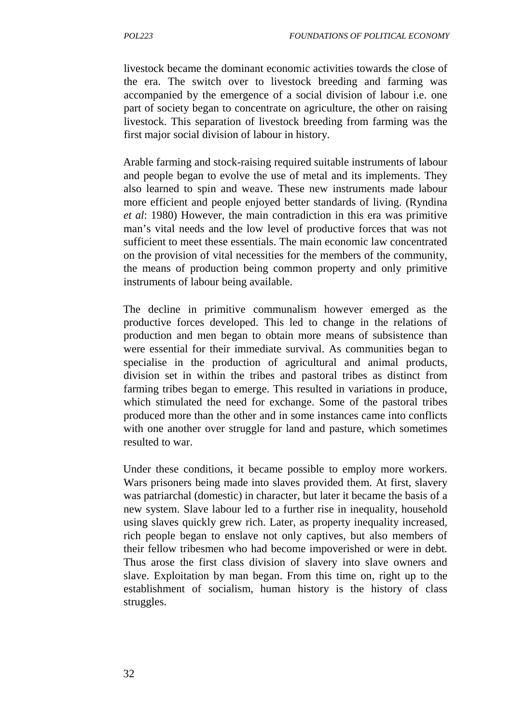livestock became the dominant economic activities towards the close of the era. The switch over to livestock breeding and farming was accompanied by the emergence of a social division of labour i.e. one part of society began to concentrate on agriculture, the other on raising livestock. This separation of livestock breeding from farming was the first major social division of labour in history.

Arable farming and stock-raising required suitable instruments of labour and people began to evolve the use of metal and its implements. They also learned to spin and weave. These new instruments made labour more efficient and people enjoyed better standards of living. (Ryndina *et al*: 1980) However, the main contradiction in this era was primitive man's vital needs and the low level of productive forces that was not sufficient to meet these essentials. The main economic law concentrated on the provision of vital necessities for the members of the community, the means of production being common property and only primitive instruments of labour being available.

The decline in primitive communalism however emerged as the productive forces developed. This led to change in the relations of production and men began to obtain more means of subsistence than were essential for their immediate survival. As communities began to specialise in the production of agricultural and animal products, division set in within the tribes and pastoral tribes as distinct from farming tribes began to emerge. This resulted in variations in produce, which stimulated the need for exchange. Some of the pastoral tribes produced more than the other and in some instances came into conflicts with one another over struggle for land and pasture, which sometimes resulted to war.

Under these conditions, it became possible to employ more workers. Wars prisoners being made into slaves provided them. At first, slavery was patriarchal (domestic) in character, but later it became the basis of a new system. Slave labour led to a further rise in inequality, household using slaves quickly grew rich. Later, as property inequality increased, rich people began to enslave not only captives, but also members of their fellow tribesmen who had become impoverished or were in debt. Thus arose the first class division of slavery into slave owners and slave. Exploitation by man began. From this time on, right up to the establishment of socialism, human history is the history of class struggles.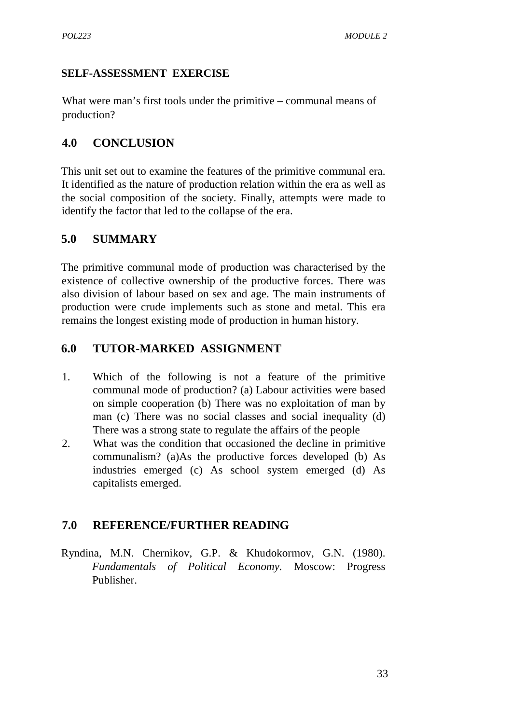#### **SELF-ASSESSMENT EXERCISE**

What were man's first tools under the primitive – communal means of production?

### **4.0 CONCLUSION**

This unit set out to examine the features of the primitive communal era. It identified as the nature of production relation within the era as well as the social composition of the society. Finally, attempts were made to identify the factor that led to the collapse of the era.

## **5.0 SUMMARY**

The primitive communal mode of production was characterised by the existence of collective ownership of the productive forces. There was also division of labour based on sex and age. The main instruments of production were crude implements such as stone and metal. This era remains the longest existing mode of production in human history.

## **6.0 TUTOR-MARKED ASSIGNMENT**

- 1. Which of the following is not a feature of the primitive communal mode of production? (a) Labour activities were based on simple cooperation (b) There was no exploitation of man by man (c) There was no social classes and social inequality (d) There was a strong state to regulate the affairs of the people
- 2. What was the condition that occasioned the decline in primitive communalism? (a)As the productive forces developed (b) As industries emerged (c) As school system emerged (d) As capitalists emerged.

## **7.0 REFERENCE/FURTHER READING**

Ryndina, M.N. Chernikov, G.P. & Khudokormov, G.N. (1980). *Fundamentals of Political Economy.* Moscow: Progress Publisher.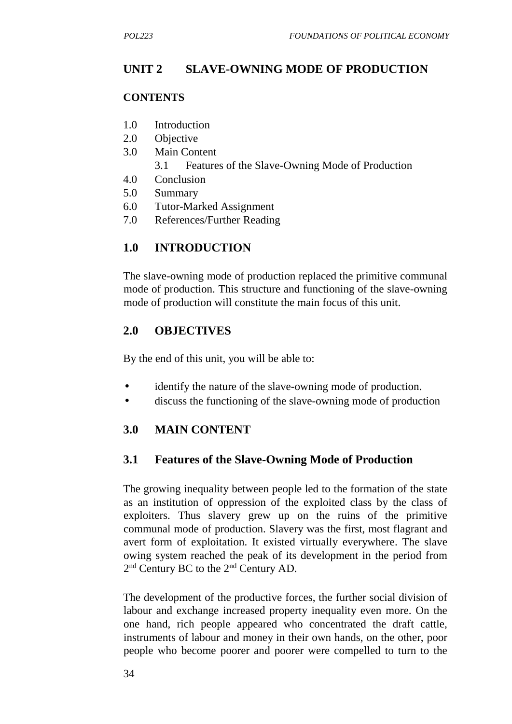## **UNIT 2 SLAVE-OWNING MODE OF PRODUCTION**

#### **CONTENTS**

- 1.0 Introduction
- 2.0 Objective
- 3.0 Main Content
	- 3.1 Features of the Slave-Owning Mode of Production
- 4.0 Conclusion
- 5.0 Summary
- 6.0 Tutor-Marked Assignment
- 7.0 References/Further Reading

## **1.0 INTRODUCTION**

The slave-owning mode of production replaced the primitive communal mode of production. This structure and functioning of the slave-owning mode of production will constitute the main focus of this unit.

## **2.0 OBJECTIVES**

By the end of this unit, you will be able to:

- identify the nature of the slave-owning mode of production.
- discuss the functioning of the slave-owning mode of production

## **3.0 MAIN CONTENT**

### **3.1 Features of the Slave-Owning Mode of Production**

The growing inequality between people led to the formation of the state as an institution of oppression of the exploited class by the class of exploiters. Thus slavery grew up on the ruins of the primitive communal mode of production. Slavery was the first, most flagrant and avert form of exploitation. It existed virtually everywhere. The slave owing system reached the peak of its development in the period from 2 nd Century BC to the 2nd Century AD.

The development of the productive forces, the further social division of labour and exchange increased property inequality even more. On the one hand, rich people appeared who concentrated the draft cattle, instruments of labour and money in their own hands, on the other, poor people who become poorer and poorer were compelled to turn to the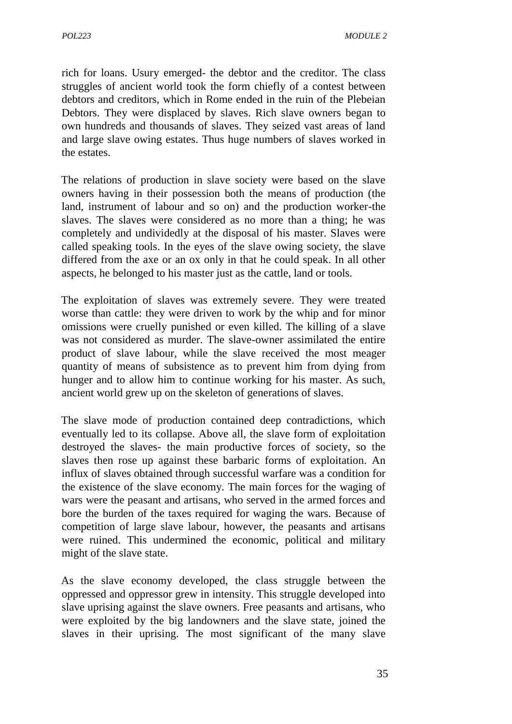rich for loans. Usury emerged- the debtor and the creditor. The class struggles of ancient world took the form chiefly of a contest between debtors and creditors, which in Rome ended in the ruin of the Plebeian Debtors. They were displaced by slaves. Rich slave owners began to own hundreds and thousands of slaves. They seized vast areas of land and large slave owing estates. Thus huge numbers of slaves worked in the estates.

The relations of production in slave society were based on the slave owners having in their possession both the means of production (the land, instrument of labour and so on) and the production worker-the slaves. The slaves were considered as no more than a thing; he was completely and undividedly at the disposal of his master. Slaves were called speaking tools. In the eyes of the slave owing society, the slave differed from the axe or an ox only in that he could speak. In all other aspects, he belonged to his master just as the cattle, land or tools.

The exploitation of slaves was extremely severe. They were treated worse than cattle: they were driven to work by the whip and for minor omissions were cruelly punished or even killed. The killing of a slave was not considered as murder. The slave-owner assimilated the entire product of slave labour, while the slave received the most meager quantity of means of subsistence as to prevent him from dying from hunger and to allow him to continue working for his master. As such, ancient world grew up on the skeleton of generations of slaves.

The slave mode of production contained deep contradictions, which eventually led to its collapse. Above all, the slave form of exploitation destroyed the slaves- the main productive forces of society, so the slaves then rose up against these barbaric forms of exploitation. An influx of slaves obtained through successful warfare was a condition for the existence of the slave economy. The main forces for the waging of wars were the peasant and artisans, who served in the armed forces and bore the burden of the taxes required for waging the wars. Because of competition of large slave labour, however, the peasants and artisans were ruined. This undermined the economic, political and military might of the slave state.

As the slave economy developed, the class struggle between the oppressed and oppressor grew in intensity. This struggle developed into slave uprising against the slave owners. Free peasants and artisans, who were exploited by the big landowners and the slave state, joined the slaves in their uprising. The most significant of the many slave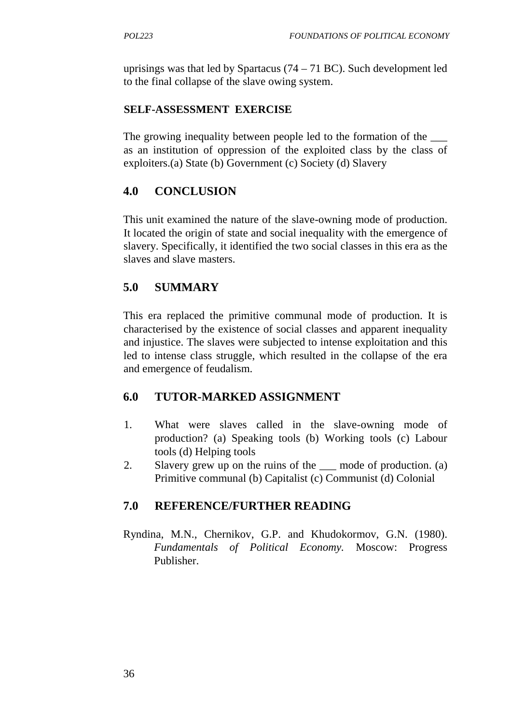uprisings was that led by Spartacus  $(74 – 71 BC)$ . Such development led to the final collapse of the slave owing system.

### **SELF-ASSESSMENT EXERCISE**

The growing inequality between people led to the formation of the as an institution of oppression of the exploited class by the class of exploiters.(a) State (b) Government (c) Society (d) Slavery

## **4.0 CONCLUSION**

This unit examined the nature of the slave-owning mode of production. It located the origin of state and social inequality with the emergence of slavery. Specifically, it identified the two social classes in this era as the slaves and slave masters.

## **5.0 SUMMARY**

This era replaced the primitive communal mode of production. It is characterised by the existence of social classes and apparent inequality and injustice. The slaves were subjected to intense exploitation and this led to intense class struggle, which resulted in the collapse of the era and emergence of feudalism.

### **6.0 TUTOR-MARKED ASSIGNMENT**

- 1. What were slaves called in the slave-owning mode of production? (a) Speaking tools (b) Working tools (c) Labour tools (d) Helping tools
- 2. Slavery grew up on the ruins of the \_\_\_ mode of production. (a) Primitive communal (b) Capitalist (c) Communist (d) Colonial

### **7.0 REFERENCE/FURTHER READING**

Ryndina, M.N., Chernikov, G.P. and Khudokormov, G.N. (1980). *Fundamentals of Political Economy.* Moscow: Progress Publisher.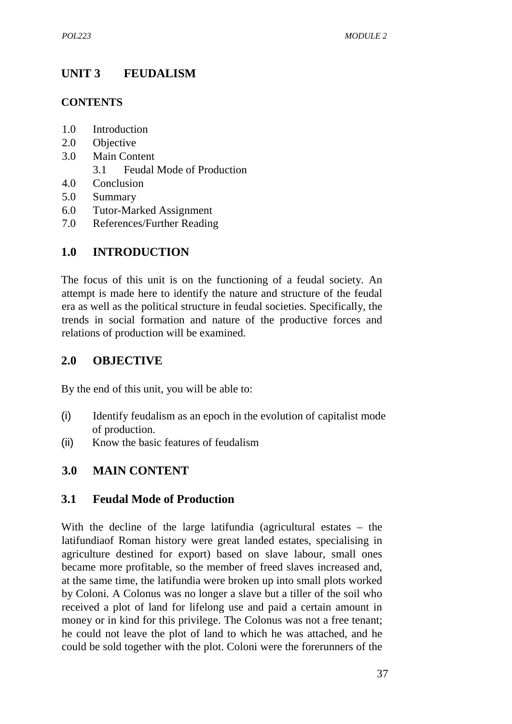# **UNIT 3 FEUDALISM**

#### **CONTENTS**

- 1.0 Introduction
- 2.0 Objective
- 3.0 Main Content 3.1 Feudal Mode of Production
- 4.0 Conclusion
- 5.0 Summary
- 6.0 Tutor-Marked Assignment
- 7.0 References/Further Reading

## **1.0 INTRODUCTION**

The focus of this unit is on the functioning of a feudal society. An attempt is made here to identify the nature and structure of the feudal era as well as the political structure in feudal societies. Specifically, the trends in social formation and nature of the productive forces and relations of production will be examined.

## **2.0 OBJECTIVE**

By the end of this unit, you will be able to:

- (i) Identify feudalism as an epoch in the evolution of capitalist mode of production.
- (ii) Know the basic features of feudalism

## **3.0 MAIN CONTENT**

### **3.1 Feudal Mode of Production**

With the decline of the large latifundia (agricultural estates – the latifundiaof Roman history were great landed estates, specialising in agriculture destined for export) based on slave labour, small ones became more profitable, so the member of freed slaves increased and, at the same time, the latifundia were broken up into small plots worked by Coloni. A Colonus was no longer a slave but a tiller of the soil who received a plot of land for lifelong use and paid a certain amount in money or in kind for this privilege. The Colonus was not a free tenant; he could not leave the plot of land to which he was attached, and he could be sold together with the plot. Coloni were the forerunners of the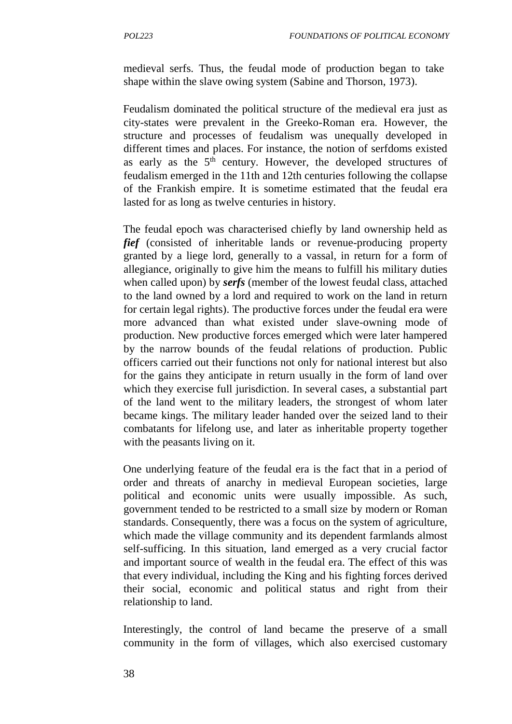medieval serfs. Thus, the feudal mode of production began to take shape within the slave owing system (Sabine and Thorson, 1973).

Feudalism dominated the political structure of the medieval era just as city-states were prevalent in the Greeko-Roman era. However, the structure and processes of feudalism was unequally developed in different times and places. For instance, the notion of serfdoms existed as early as the  $5<sup>th</sup>$  century. However, the developed structures of feudalism emerged in the 11th and 12th centuries following the collapse of the Frankish empire. It is sometime estimated that the feudal era lasted for as long as twelve centuries in history.

The feudal epoch was characterised chiefly by land ownership held as *fief* (consisted of inheritable lands or revenue-producing property granted by a liege lord, generally to a vassal, in return for a form of allegiance, originally to give him the means to fulfill his military duties when called upon) by *serfs* (member of the lowest feudal class, attached to the land owned by a lord and required to work on the land in return for certain legal rights). The productive forces under the feudal era were more advanced than what existed under slave-owning mode of production. New productive forces emerged which were later hampered by the narrow bounds of the feudal relations of production. Public officers carried out their functions not only for national interest but also for the gains they anticipate in return usually in the form of land over which they exercise full jurisdiction. In several cases, a substantial part of the land went to the military leaders, the strongest of whom later became kings. The military leader handed over the seized land to their combatants for lifelong use, and later as inheritable property together with the peasants living on it.

One underlying feature of the feudal era is the fact that in a period of order and threats of anarchy in medieval European societies, large political and economic units were usually impossible. As such, government tended to be restricted to a small size by modern or Roman standards. Consequently, there was a focus on the system of agriculture, which made the village community and its dependent farmlands almost self-sufficing. In this situation, land emerged as a very crucial factor and important source of wealth in the feudal era. The effect of this was that every individual, including the King and his fighting forces derived their social, economic and political status and right from their relationship to land.

Interestingly, the control of land became the preserve of a small community in the form of villages, which also exercised customary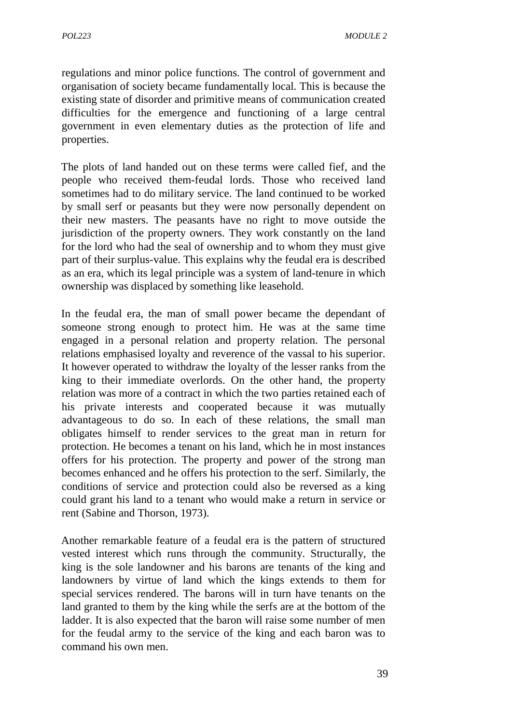regulations and minor police functions. The control of government and organisation of society became fundamentally local. This is because the existing state of disorder and primitive means of communication created difficulties for the emergence and functioning of a large central government in even elementary duties as the protection of life and properties.

The plots of land handed out on these terms were called fief, and the people who received them-feudal lords. Those who received land sometimes had to do military service. The land continued to be worked by small serf or peasants but they were now personally dependent on their new masters. The peasants have no right to move outside the jurisdiction of the property owners. They work constantly on the land for the lord who had the seal of ownership and to whom they must give part of their surplus-value. This explains why the feudal era is described as an era, which its legal principle was a system of land-tenure in which ownership was displaced by something like leasehold.

In the feudal era, the man of small power became the dependant of someone strong enough to protect him. He was at the same time engaged in a personal relation and property relation. The personal relations emphasised loyalty and reverence of the vassal to his superior. It however operated to withdraw the loyalty of the lesser ranks from the king to their immediate overlords. On the other hand, the property relation was more of a contract in which the two parties retained each of his private interests and cooperated because it was mutually advantageous to do so. In each of these relations, the small man obligates himself to render services to the great man in return for protection. He becomes a tenant on his land, which he in most instances offers for his protection. The property and power of the strong man becomes enhanced and he offers his protection to the serf. Similarly, the conditions of service and protection could also be reversed as a king could grant his land to a tenant who would make a return in service or rent (Sabine and Thorson, 1973).

Another remarkable feature of a feudal era is the pattern of structured vested interest which runs through the community. Structurally, the king is the sole landowner and his barons are tenants of the king and landowners by virtue of land which the kings extends to them for special services rendered. The barons will in turn have tenants on the land granted to them by the king while the serfs are at the bottom of the ladder. It is also expected that the baron will raise some number of men for the feudal army to the service of the king and each baron was to command his own men.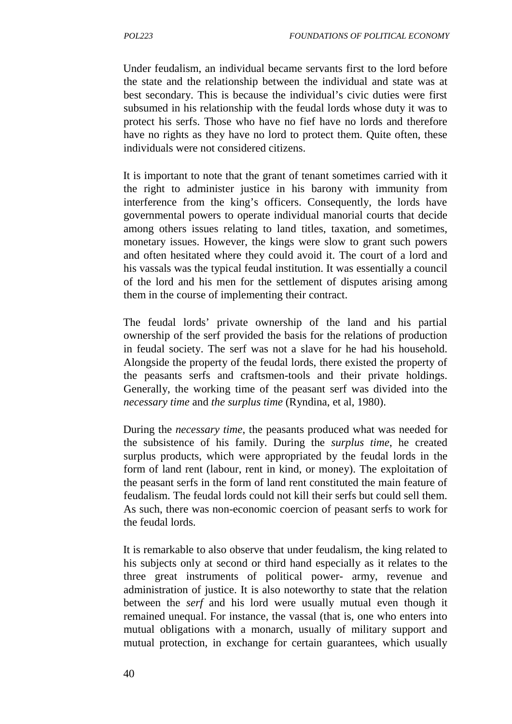Under feudalism, an individual became servants first to the lord before the state and the relationship between the individual and state was at best secondary. This is because the individual's civic duties were first subsumed in his relationship with the feudal lords whose duty it was to protect his serfs. Those who have no fief have no lords and therefore have no rights as they have no lord to protect them. Quite often, these individuals were not considered citizens.

It is important to note that the grant of tenant sometimes carried with it the right to administer justice in his barony with immunity from interference from the king's officers. Consequently, the lords have governmental powers to operate individual manorial courts that decide among others issues relating to land titles, taxation, and sometimes, monetary issues. However, the kings were slow to grant such powers and often hesitated where they could avoid it. The court of a lord and his vassals was the typical feudal institution. It was essentially a council of the lord and his men for the settlement of disputes arising among them in the course of implementing their contract.

The feudal lords' private ownership of the land and his partial ownership of the serf provided the basis for the relations of production in feudal society. The serf was not a slave for he had his household. Alongside the property of the feudal lords, there existed the property of the peasants serfs and craftsmen-tools and their private holdings. Generally, the working time of the peasant serf was divided into the *necessary time* and *the surplus time* (Ryndina, et al, 1980).

During the *necessary time*, the peasants produced what was needed for the subsistence of his family. During the *surplus time*, he created surplus products, which were appropriated by the feudal lords in the form of land rent (labour, rent in kind, or money). The exploitation of the peasant serfs in the form of land rent constituted the main feature of feudalism. The feudal lords could not kill their serfs but could sell them. As such, there was non-economic coercion of peasant serfs to work for the feudal lords.

It is remarkable to also observe that under feudalism, the king related to his subjects only at second or third hand especially as it relates to the three great instruments of political power- army, revenue and administration of justice. It is also noteworthy to state that the relation between the *serf* and his lord were usually mutual even though it remained unequal. For instance, the vassal (that is, one who enters into mutual obligations with a monarch, usually of military support and mutual protection, in exchange for certain guarantees, which usually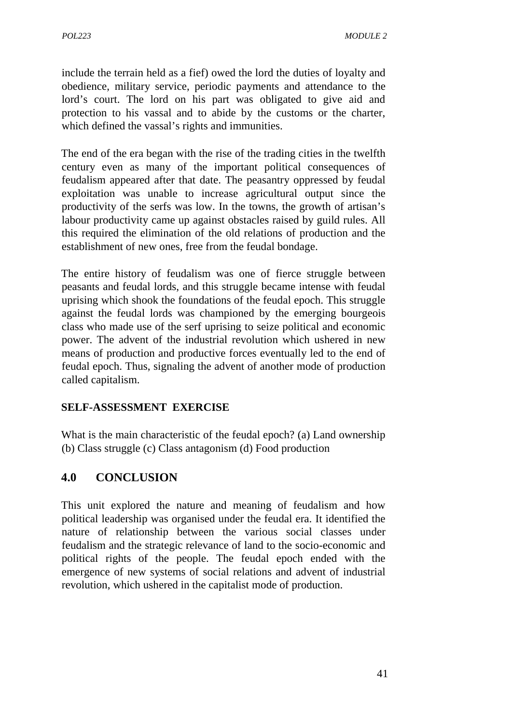include the terrain held as a fief) owed the lord the duties of loyalty and obedience, military service, periodic payments and attendance to the lord's court. The lord on his part was obligated to give aid and protection to his vassal and to abide by the customs or the charter, which defined the vassal's rights and immunities.

The end of the era began with the rise of the trading cities in the twelfth century even as many of the important political consequences of feudalism appeared after that date. The peasantry oppressed by feudal exploitation was unable to increase agricultural output since the productivity of the serfs was low. In the towns, the growth of artisan's labour productivity came up against obstacles raised by guild rules. All this required the elimination of the old relations of production and the establishment of new ones, free from the feudal bondage.

The entire history of feudalism was one of fierce struggle between peasants and feudal lords, and this struggle became intense with feudal uprising which shook the foundations of the feudal epoch. This struggle against the feudal lords was championed by the emerging bourgeois class who made use of the serf uprising to seize political and economic power. The advent of the industrial revolution which ushered in new means of production and productive forces eventually led to the end of feudal epoch. Thus, signaling the advent of another mode of production called capitalism.

### **SELF-ASSESSMENT EXERCISE**

What is the main characteristic of the feudal epoch? (a) Land ownership (b) Class struggle (c) Class antagonism (d) Food production

## **4.0 CONCLUSION**

This unit explored the nature and meaning of feudalism and how political leadership was organised under the feudal era. It identified the nature of relationship between the various social classes under feudalism and the strategic relevance of land to the socio-economic and political rights of the people. The feudal epoch ended with the emergence of new systems of social relations and advent of industrial revolution, which ushered in the capitalist mode of production.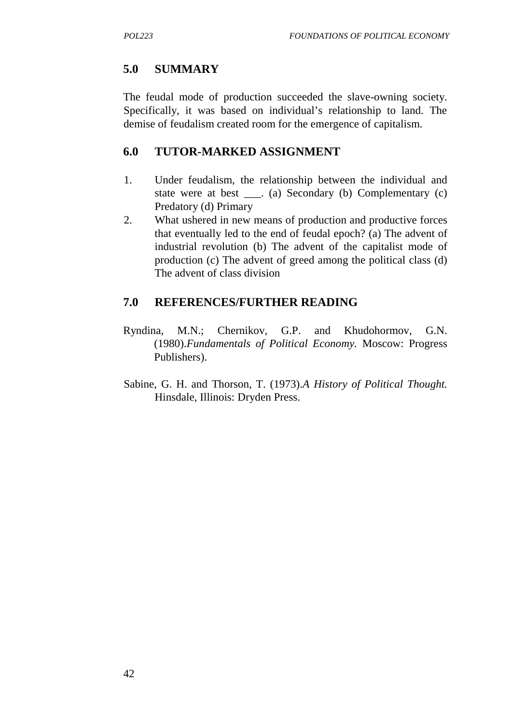## **5.0 SUMMARY**

The feudal mode of production succeeded the slave-owning society. Specifically, it was based on individual's relationship to land. The demise of feudalism created room for the emergence of capitalism.

### **6.0 TUTOR-MARKED ASSIGNMENT**

- 1. Under feudalism, the relationship between the individual and state were at best . (a) Secondary (b) Complementary (c) Predatory (d) Primary
- 2. What ushered in new means of production and productive forces that eventually led to the end of feudal epoch? (a) The advent of industrial revolution (b) The advent of the capitalist mode of production (c) The advent of greed among the political class (d) The advent of class division

## **7.0 REFERENCES/FURTHER READING**

- Ryndina, M.N.; Chernikov, G.P. and Khudohormov, G.N. (1980).*Fundamentals of Political Economy.* Moscow: Progress Publishers).
- Sabine, G. H. and Thorson, T. (1973).*A History of Political Thought.* Hinsdale, Illinois: Dryden Press.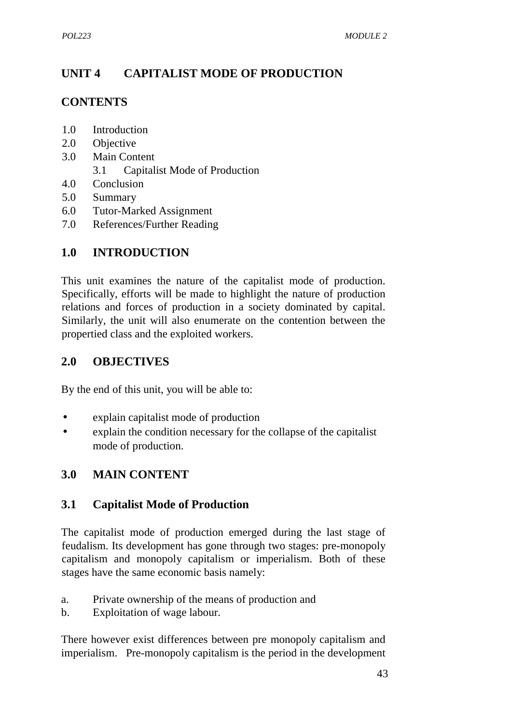# **UNIT 4 CAPITALIST MODE OF PRODUCTION**

# **CONTENTS**

- 1.0 Introduction
- 2.0 Objective
- 3.0 Main Content
	- 3.1 Capitalist Mode of Production
- 4.0 Conclusion
- 5.0 Summary
- 6.0 Tutor-Marked Assignment
- 7.0 References/Further Reading

## **1.0 INTRODUCTION**

This unit examines the nature of the capitalist mode of production. Specifically, efforts will be made to highlight the nature of production relations and forces of production in a society dominated by capital. Similarly, the unit will also enumerate on the contention between the propertied class and the exploited workers.

## **2.0 OBJECTIVES**

By the end of this unit, you will be able to:

- explain capitalist mode of production
- explain the condition necessary for the collapse of the capitalist mode of production.

## **3.0 MAIN CONTENT**

## **3.1 Capitalist Mode of Production**

The capitalist mode of production emerged during the last stage of feudalism. Its development has gone through two stages: pre-monopoly capitalism and monopoly capitalism or imperialism. Both of these stages have the same economic basis namely:

- a. Private ownership of the means of production and
- b. Exploitation of wage labour.

There however exist differences between pre monopoly capitalism and imperialism. Pre-monopoly capitalism is the period in the development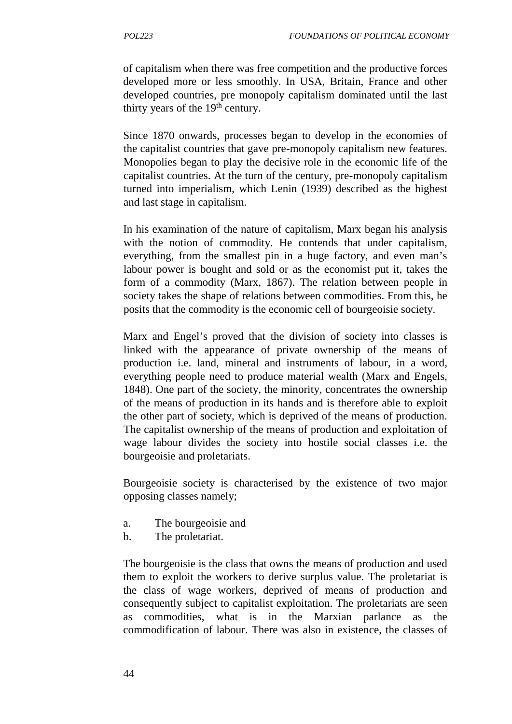of capitalism when there was free competition and the productive forces developed more or less smoothly. In USA, Britain, France and other developed countries, pre monopoly capitalism dominated until the last thirty years of the  $19<sup>th</sup>$  century.

Since 1870 onwards, processes began to develop in the economies of the capitalist countries that gave pre-monopoly capitalism new features. Monopolies began to play the decisive role in the economic life of the capitalist countries. At the turn of the century, pre-monopoly capitalism turned into imperialism, which Lenin (1939) described as the highest and last stage in capitalism.

In his examination of the nature of capitalism, Marx began his analysis with the notion of commodity. He contends that under capitalism, everything, from the smallest pin in a huge factory, and even man's labour power is bought and sold or as the economist put it, takes the form of a commodity (Marx, 1867). The relation between people in society takes the shape of relations between commodities. From this, he posits that the commodity is the economic cell of bourgeoisie society.

Marx and Engel's proved that the division of society into classes is linked with the appearance of private ownership of the means of production i.e. land, mineral and instruments of labour, in a word, everything people need to produce material wealth (Marx and Engels, 1848). One part of the society, the minority, concentrates the ownership of the means of production in its hands and is therefore able to exploit the other part of society, which is deprived of the means of production. The capitalist ownership of the means of production and exploitation of wage labour divides the society into hostile social classes i.e. the bourgeoisie and proletariats.

Bourgeoisie society is characterised by the existence of two major opposing classes namely;

- a. The bourgeoisie and
- b. The proletariat.

The bourgeoisie is the class that owns the means of production and used them to exploit the workers to derive surplus value. The proletariat is the class of wage workers, deprived of means of production and consequently subject to capitalist exploitation. The proletariats are seen as commodities, what is in the Marxian parlance as the commodification of labour. There was also in existence, the classes of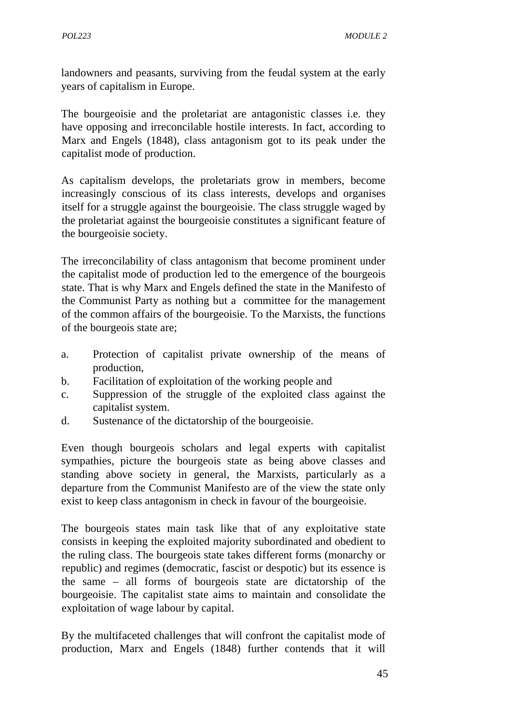landowners and peasants, surviving from the feudal system at the early years of capitalism in Europe.

The bourgeoisie and the proletariat are antagonistic classes i.e. they have opposing and irreconcilable hostile interests. In fact, according to Marx and Engels (1848), class antagonism got to its peak under the capitalist mode of production.

As capitalism develops, the proletariats grow in members, become increasingly conscious of its class interests, develops and organises itself for a struggle against the bourgeoisie. The class struggle waged by the proletariat against the bourgeoisie constitutes a significant feature of the bourgeoisie society.

The irreconcilability of class antagonism that become prominent under the capitalist mode of production led to the emergence of the bourgeois state. That is why Marx and Engels defined the state in the Manifesto of the Communist Party as nothing but a committee for the management of the common affairs of the bourgeoisie. To the Marxists, the functions of the bourgeois state are;

- a. Protection of capitalist private ownership of the means of production,
- b. Facilitation of exploitation of the working people and
- c. Suppression of the struggle of the exploited class against the capitalist system.
- d. Sustenance of the dictatorship of the bourgeoisie.

Even though bourgeois scholars and legal experts with capitalist sympathies, picture the bourgeois state as being above classes and standing above society in general, the Marxists, particularly as a departure from the Communist Manifesto are of the view the state only exist to keep class antagonism in check in favour of the bourgeoisie.

The bourgeois states main task like that of any exploitative state consists in keeping the exploited majority subordinated and obedient to the ruling class. The bourgeois state takes different forms (monarchy or republic) and regimes (democratic, fascist or despotic) but its essence is the same – all forms of bourgeois state are dictatorship of the bourgeoisie. The capitalist state aims to maintain and consolidate the exploitation of wage labour by capital.

By the multifaceted challenges that will confront the capitalist mode of production, Marx and Engels (1848) further contends that it will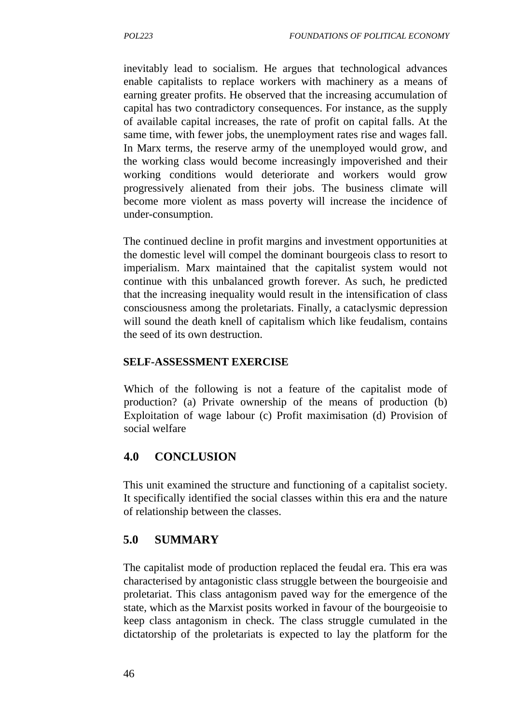inevitably lead to socialism. He argues that technological advances enable capitalists to replace workers with machinery as a means of earning greater profits. He observed that the increasing accumulation of capital has two contradictory consequences. For instance, as the supply of available capital increases, the rate of profit on capital falls. At the same time, with fewer jobs, the unemployment rates rise and wages fall. In Marx terms, the reserve army of the unemployed would grow, and the working class would become increasingly impoverished and their working conditions would deteriorate and workers would grow progressively alienated from their jobs. The business climate will become more violent as mass poverty will increase the incidence of under-consumption.

The continued decline in profit margins and investment opportunities at the domestic level will compel the dominant bourgeois class to resort to imperialism. Marx maintained that the capitalist system would not continue with this unbalanced growth forever. As such, he predicted that the increasing inequality would result in the intensification of class consciousness among the proletariats. Finally, a cataclysmic depression will sound the death knell of capitalism which like feudalism, contains the seed of its own destruction.

#### **SELF-ASSESSMENT EXERCISE**

Which of the following is not a feature of the capitalist mode of production? (a) Private ownership of the means of production (b) Exploitation of wage labour (c) Profit maximisation (d) Provision of social welfare

## **4.0 CONCLUSION**

This unit examined the structure and functioning of a capitalist society. It specifically identified the social classes within this era and the nature of relationship between the classes.

## **5.0 SUMMARY**

The capitalist mode of production replaced the feudal era. This era was characterised by antagonistic class struggle between the bourgeoisie and proletariat. This class antagonism paved way for the emergence of the state, which as the Marxist posits worked in favour of the bourgeoisie to keep class antagonism in check. The class struggle cumulated in the dictatorship of the proletariats is expected to lay the platform for the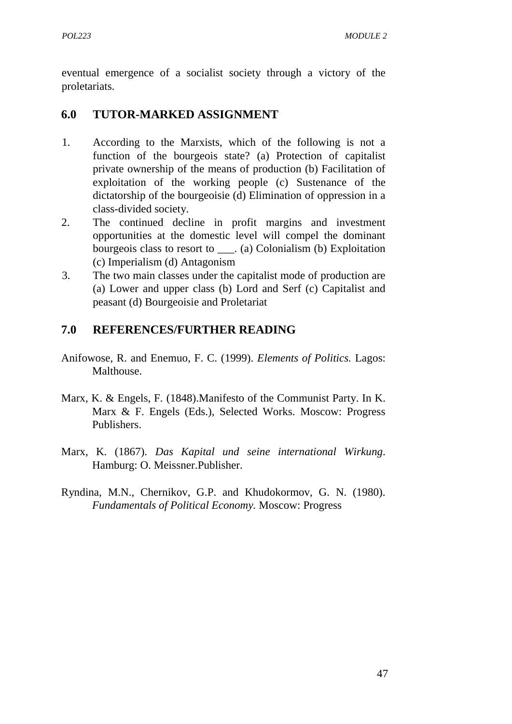eventual emergence of a socialist society through a victory of the proletariats.

## **6.0 TUTOR-MARKED ASSIGNMENT**

- 1. According to the Marxists, which of the following is not a function of the bourgeois state? (a) Protection of capitalist private ownership of the means of production (b) Facilitation of exploitation of the working people (c) Sustenance of the dictatorship of the bourgeoisie (d) Elimination of oppression in a class-divided society.
- 2. The continued decline in profit margins and investment opportunities at the domestic level will compel the dominant bourgeois class to resort to . (a) Colonialism (b) Exploitation (c) Imperialism (d) Antagonism
- 3. The two main classes under the capitalist mode of production are (a) Lower and upper class (b) Lord and Serf (c) Capitalist and peasant (d) Bourgeoisie and Proletariat

## **7.0 REFERENCES/FURTHER READING**

- Anifowose, R. and Enemuo, F. C. (1999). *Elements of Politics.* Lagos: Malthouse.
- Marx, K. & Engels, F. (1848).Manifesto of the Communist Party. In K. Marx & F. Engels (Eds.), Selected Works. Moscow: Progress Publishers.
- Marx, K. (1867). *Das Kapital und seine international Wirkung*. Hamburg: O. Meissner.Publisher.
- Ryndina, M.N., Chernikov, G.P. and Khudokormov, G. N. (1980). *Fundamentals of Political Economy.* Moscow: Progress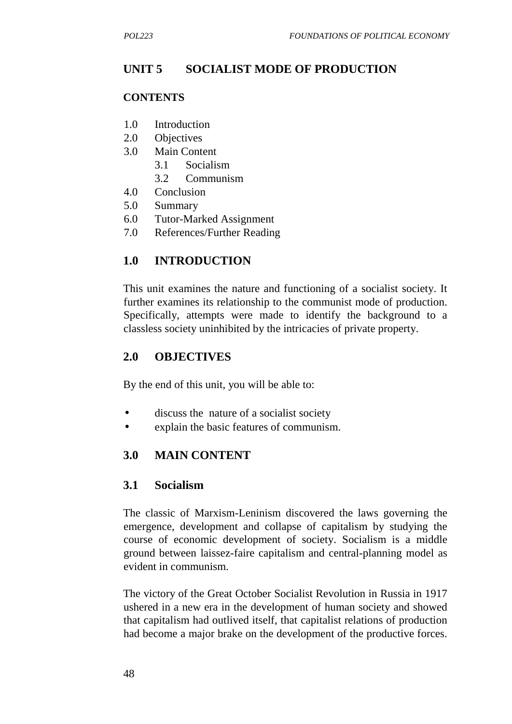# **UNIT 5 SOCIALIST MODE OF PRODUCTION**

#### **CONTENTS**

- 1.0 Introduction
- 2.0 Objectives
- 3.0 Main Content
	- 3.1 Socialism
	- 3.2 Communism
- 4.0 Conclusion
- 5.0 Summary
- 6.0 Tutor-Marked Assignment
- 7.0 References/Further Reading

## **1.0 INTRODUCTION**

This unit examines the nature and functioning of a socialist society. It further examines its relationship to the communist mode of production. Specifically, attempts were made to identify the background to a classless society uninhibited by the intricacies of private property.

## **2.0 OBJECTIVES**

By the end of this unit, you will be able to:

- discuss the nature of a socialist society
- explain the basic features of communism.

### **3.0 MAIN CONTENT**

### **3.1 Socialism**

The classic of Marxism-Leninism discovered the laws governing the emergence, development and collapse of capitalism by studying the course of economic development of society. Socialism is a middle ground between laissez-faire capitalism and central-planning model as evident in communism.

The victory of the Great October Socialist Revolution in Russia in 1917 ushered in a new era in the development of human society and showed that capitalism had outlived itself, that capitalist relations of production had become a major brake on the development of the productive forces.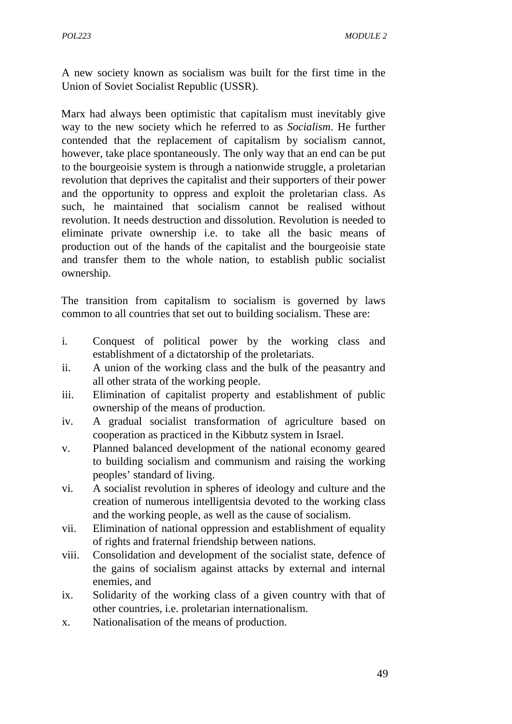A new society known as socialism was built for the first time in the Union of Soviet Socialist Republic (USSR).

Marx had always been optimistic that capitalism must inevitably give way to the new society which he referred to as *Socialism*. He further contended that the replacement of capitalism by socialism cannot, however, take place spontaneously. The only way that an end can be put to the bourgeoisie system is through a nationwide struggle, a proletarian revolution that deprives the capitalist and their supporters of their power and the opportunity to oppress and exploit the proletarian class. As such, he maintained that socialism cannot be realised without revolution. It needs destruction and dissolution. Revolution is needed to eliminate private ownership i.e. to take all the basic means of production out of the hands of the capitalist and the bourgeoisie state and transfer them to the whole nation, to establish public socialist ownership.

The transition from capitalism to socialism is governed by laws common to all countries that set out to building socialism. These are:

- i. Conquest of political power by the working class and establishment of a dictatorship of the proletariats.
- ii. A union of the working class and the bulk of the peasantry and all other strata of the working people.
- iii. Elimination of capitalist property and establishment of public ownership of the means of production.
- iv. A gradual socialist transformation of agriculture based on cooperation as practiced in the Kibbutz system in Israel.
- v. Planned balanced development of the national economy geared to building socialism and communism and raising the working peoples' standard of living.
- vi. A socialist revolution in spheres of ideology and culture and the creation of numerous intelligentsia devoted to the working class and the working people, as well as the cause of socialism.
- vii. Elimination of national oppression and establishment of equality of rights and fraternal friendship between nations.
- viii. Consolidation and development of the socialist state, defence of the gains of socialism against attacks by external and internal enemies, and
- ix. Solidarity of the working class of a given country with that of other countries, i.e. proletarian internationalism.
- x. Nationalisation of the means of production.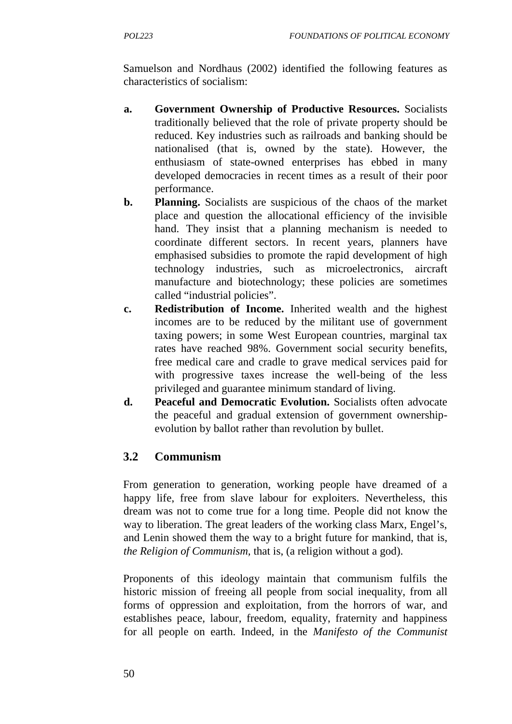Samuelson and Nordhaus (2002) identified the following features as characteristics of socialism:

- **a. Government Ownership of Productive Resources.** Socialists traditionally believed that the role of private property should be reduced. Key industries such as railroads and banking should be nationalised (that is, owned by the state). However, the enthusiasm of state-owned enterprises has ebbed in many developed democracies in recent times as a result of their poor performance.
- **b. Planning.** Socialists are suspicious of the chaos of the market place and question the allocational efficiency of the invisible hand. They insist that a planning mechanism is needed to coordinate different sectors. In recent years, planners have emphasised subsidies to promote the rapid development of high technology industries, such as microelectronics, aircraft manufacture and biotechnology; these policies are sometimes called "industrial policies".
- **c. Redistribution of Income.** Inherited wealth and the highest incomes are to be reduced by the militant use of government taxing powers; in some West European countries, marginal tax rates have reached 98%. Government social security benefits, free medical care and cradle to grave medical services paid for with progressive taxes increase the well-being of the less privileged and guarantee minimum standard of living.
- **d. Peaceful and Democratic Evolution.** Socialists often advocate the peaceful and gradual extension of government ownership evolution by ballot rather than revolution by bullet.

## **3.2 Communism**

From generation to generation, working people have dreamed of a happy life, free from slave labour for exploiters. Nevertheless, this dream was not to come true for a long time. People did not know the way to liberation. The great leaders of the working class Marx, Engel's, and Lenin showed them the way to a bright future for mankind, that is, *the Religion of Communism,* that is, (a religion without a god).

Proponents of this ideology maintain that communism fulfils the historic mission of freeing all people from social inequality, from all forms of oppression and exploitation, from the horrors of war, and establishes peace, labour, freedom, equality, fraternity and happiness for all people on earth. Indeed, in the *Manifesto of the Communist*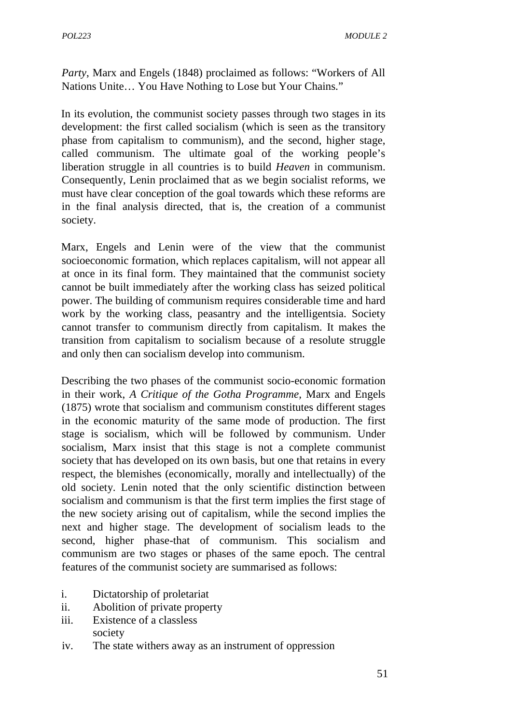*Party*, Marx and Engels (1848) proclaimed as follows: "Workers of All Nations Unite… You Have Nothing to Lose but Your Chains."

In its evolution, the communist society passes through two stages in its development: the first called socialism (which is seen as the transitory phase from capitalism to communism), and the second, higher stage, called communism. The ultimate goal of the working people's liberation struggle in all countries is to build *Heaven* in communism. Consequently, Lenin proclaimed that as we begin socialist reforms, we must have clear conception of the goal towards which these reforms are in the final analysis directed, that is, the creation of a communist society.

Marx, Engels and Lenin were of the view that the communist socioeconomic formation, which replaces capitalism, will not appear all at once in its final form. They maintained that the communist society cannot be built immediately after the working class has seized political power. The building of communism requires considerable time and hard work by the working class, peasantry and the intelligentsia. Society cannot transfer to communism directly from capitalism. It makes the transition from capitalism to socialism because of a resolute struggle and only then can socialism develop into communism.

Describing the two phases of the communist socio-economic formation in their work, *A Critique of the Gotha Programme,* Marx and Engels (1875) wrote that socialism and communism constitutes different stages in the economic maturity of the same mode of production. The first stage is socialism, which will be followed by communism. Under socialism, Marx insist that this stage is not a complete communist society that has developed on its own basis, but one that retains in every respect, the blemishes (economically, morally and intellectually) of the old society. Lenin noted that the only scientific distinction between socialism and communism is that the first term implies the first stage of the new society arising out of capitalism, while the second implies the next and higher stage. The development of socialism leads to the second, higher phase-that of communism. This socialism and communism are two stages or phases of the same epoch. The central features of the communist society are summarised as follows:

- i. Dictatorship of proletariat
- ii. Abolition of private property
- iii. Existence of a classless society
- iv. The state withers away as an instrument of oppression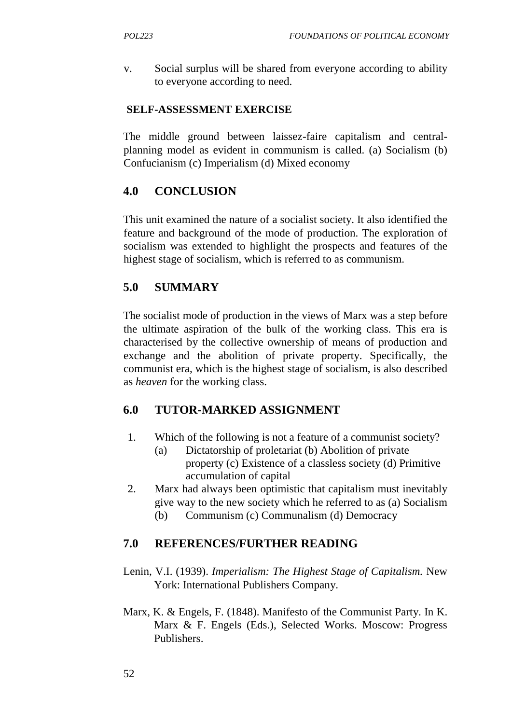v. Social surplus will be shared from everyone according to ability to everyone according to need.

### **SELF-ASSESSMENT EXERCISE**

The middle ground between laissez-faire capitalism and central planning model as evident in communism is called. (a) Socialism (b) Confucianism (c) Imperialism (d) Mixed economy

## **4.0 CONCLUSION**

This unit examined the nature of a socialist society. It also identified the feature and background of the mode of production. The exploration of socialism was extended to highlight the prospects and features of the highest stage of socialism, which is referred to as communism.

## **5.0 SUMMARY**

The socialist mode of production in the views of Marx was a step before the ultimate aspiration of the bulk of the working class. This era is characterised by the collective ownership of means of production and exchange and the abolition of private property. Specifically, the communist era, which is the highest stage of socialism, is also described as *heaven* for the working class.

## **6.0 TUTOR-MARKED ASSIGNMENT**

- 1. Which of the following is not a feature of a communist society?
	- (a) Dictatorship of proletariat (b) Abolition of private property (c) Existence of a classless society (d) Primitive accumulation of capital
- 2. Marx had always been optimistic that capitalism must inevitably give way to the new society which he referred to as (a) Socialism (b) Communism (c) Communalism (d) Democracy

## **7.0 REFERENCES/FURTHER READING**

- Lenin, V.I. (1939). *Imperialism: The Highest Stage of Capitalism.* New York: International Publishers Company.
- Marx, K. & Engels, F. (1848). Manifesto of the Communist Party. In K. Marx & F. Engels (Eds.), Selected Works. Moscow: Progress Publishers.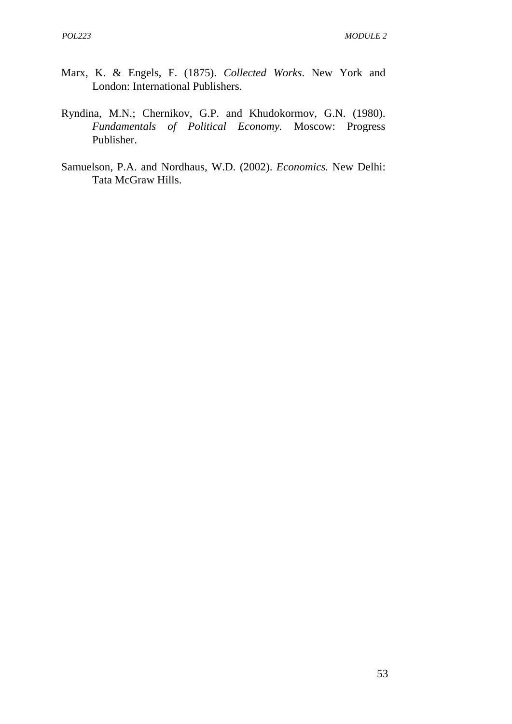- Marx, K. & Engels, F. (1875). *Collected Works*. New York and London: International Publishers.
- Ryndina, M.N.; Chernikov, G.P. and Khudokormov, G.N. (1980). *Fundamentals of Political Economy.* Moscow: Progress Publisher.
- Samuelson, P.A. and Nordhaus, W.D. (2002). *Economics.* New Delhi: Tata McGraw Hills.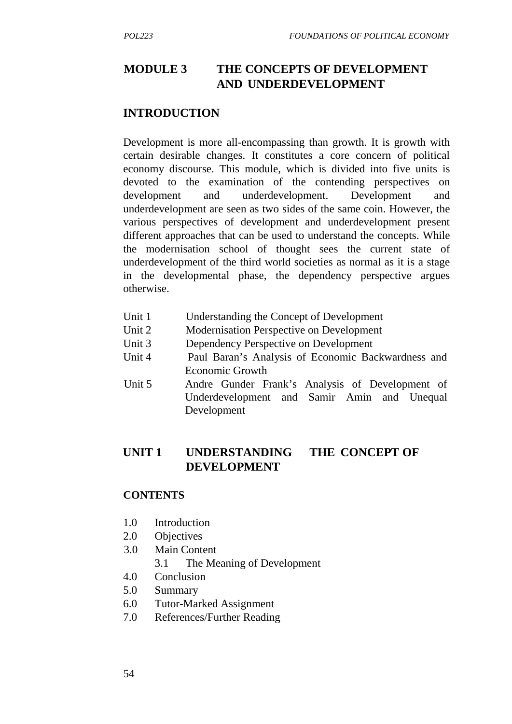## **MODULE 3 THE CONCEPTS OF DEVELOPMENT AND UNDERDEVELOPMENT**

#### **INTRODUCTION**

Development is more all-encompassing than growth. It is growth with certain desirable changes. It constitutes a core concern of political economy discourse. This module, which is divided into five units is devoted to the examination of the contending perspectives on development and underdevelopment. Development and underdevelopment are seen as two sides of the same coin. However, the various perspectives of development and underdevelopment present different approaches that can be used to understand the concepts. While the modernisation school of thought sees the current state of underdevelopment of the third world societies as normal as it is a stage in the developmental phase, the dependency perspective argues otherwise.

- Unit 1 Understanding the Concept of Development
- Unit 2 Modernisation Perspective on Development
- Unit 3 Dependency Perspective on Development
- Unit 4 Paul Baran's Analysis of Economic Backwardness and Economic Growth
- Unit 5 Andre Gunder Frank's Analysis of Development of Underdevelopment and Samir Amin and Unequal Development

### **UNIT 1 UNDERSTANDING THE CONCEPT OF DEVELOPMENT**

#### **CONTENTS**

- 1.0 Introduction
- 2.0 Objectives
- 3.0 Main Content
	- 3.1 The Meaning of Development
- 4.0 Conclusion
- 5.0 Summary
- 6.0 Tutor-Marked Assignment
- 7.0 References/Further Reading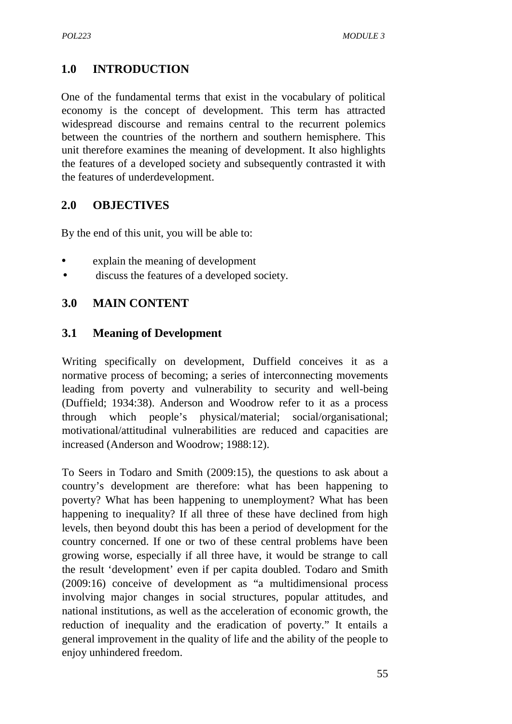## **1.0 INTRODUCTION**

One of the fundamental terms that exist in the vocabulary of political economy is the concept of development. This term has attracted widespread discourse and remains central to the recurrent polemics between the countries of the northern and southern hemisphere. This unit therefore examines the meaning of development. It also highlights the features of a developed society and subsequently contrasted it with the features of underdevelopment.

### **2.0 OBJECTIVES**

By the end of this unit, you will be able to:

- explain the meaning of development
- discuss the features of a developed society.

### **3.0 MAIN CONTENT**

#### **3.1 Meaning of Development**

Writing specifically on development, Duffield conceives it as a normative process of becoming; a series of interconnecting movements leading from poverty and vulnerability to security and well-being (Duffield; 1934:38). Anderson and Woodrow refer to it as a process through which people's physical/material; social/organisational; motivational/attitudinal vulnerabilities are reduced and capacities are increased (Anderson and Woodrow; 1988:12).

To Seers in Todaro and Smith (2009:15), the questions to ask about a country's development are therefore: what has been happening to poverty? What has been happening to unemployment? What has been happening to inequality? If all three of these have declined from high levels, then beyond doubt this has been a period of development for the country concerned. If one or two of these central problems have been growing worse, especially if all three have, it would be strange to call the result 'development' even if per capita doubled. Todaro and Smith (2009:16) conceive of development as "a multidimensional process involving major changes in social structures, popular attitudes, and national institutions, as well as the acceleration of economic growth, the reduction of inequality and the eradication of poverty." It entails a general improvement in the quality of life and the ability of the people to enjoy unhindered freedom.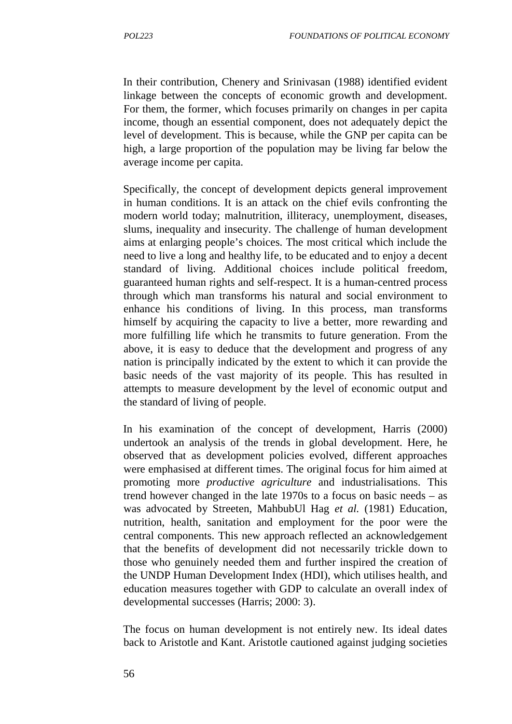In their contribution, Chenery and Srinivasan (1988) identified evident linkage between the concepts of economic growth and development. For them, the former, which focuses primarily on changes in per capita income, though an essential component, does not adequately depict the level of development. This is because, while the GNP per capita can be high, a large proportion of the population may be living far below the average income per capita.

Specifically, the concept of development depicts general improvement in human conditions. It is an attack on the chief evils confronting the modern world today; malnutrition, illiteracy, unemployment, diseases, slums, inequality and insecurity. The challenge of human development aims at enlarging people's choices. The most critical which include the need to live a long and healthy life, to be educated and to enjoy a decent standard of living. Additional choices include political freedom, guaranteed human rights and self-respect. It is a human-centred process through which man transforms his natural and social environment to enhance his conditions of living. In this process, man transforms himself by acquiring the capacity to live a better, more rewarding and more fulfilling life which he transmits to future generation. From the above, it is easy to deduce that the development and progress of any nation is principally indicated by the extent to which it can provide the basic needs of the vast majority of its people. This has resulted in attempts to measure development by the level of economic output and the standard of living of people.

In his examination of the concept of development, Harris (2000) undertook an analysis of the trends in global development. Here, he observed that as development policies evolved, different approaches were emphasised at different times. The original focus for him aimed at promoting more *productive agriculture* and industrialisations. This trend however changed in the late 1970s to a focus on basic needs – as was advocated by Streeten, MahbubUl Hag *et al.* (1981) Education, nutrition, health, sanitation and employment for the poor were the central components. This new approach reflected an acknowledgement that the benefits of development did not necessarily trickle down to those who genuinely needed them and further inspired the creation of the UNDP Human Development Index (HDI), which utilises health, and education measures together with GDP to calculate an overall index of developmental successes (Harris; 2000: 3).

The focus on human development is not entirely new. Its ideal dates back to Aristotle and Kant. Aristotle cautioned against judging societies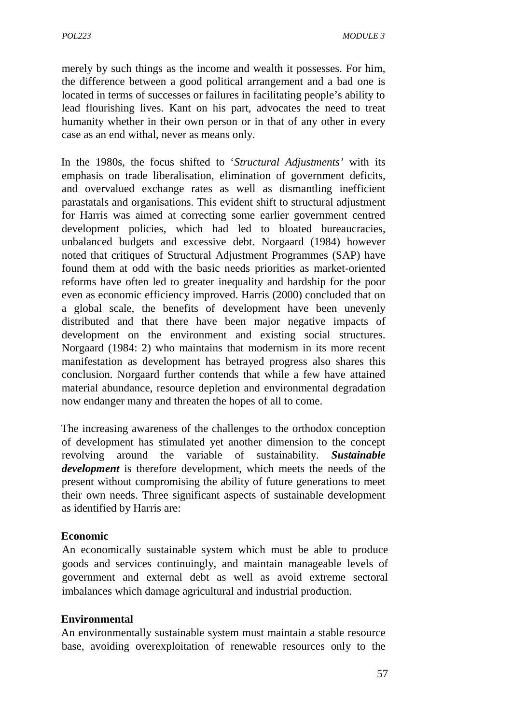merely by such things as the income and wealth it possesses. For him, the difference between a good political arrangement and a bad one is located in terms of successes or failures in facilitating people's ability to lead flourishing lives. Kant on his part, advocates the need to treat humanity whether in their own person or in that of any other in every case as an end withal, never as means only.

In the 1980s, the focus shifted to '*Structural Adjustments'* with its emphasis on trade liberalisation, elimination of government deficits, and overvalued exchange rates as well as dismantling inefficient parastatals and organisations. This evident shift to structural adjustment for Harris was aimed at correcting some earlier government centred development policies, which had led to bloated bureaucracies, unbalanced budgets and excessive debt. Norgaard (1984) however noted that critiques of Structural Adjustment Programmes (SAP) have found them at odd with the basic needs priorities as market-oriented reforms have often led to greater inequality and hardship for the poor even as economic efficiency improved. Harris (2000) concluded that on a global scale, the benefits of development have been unevenly distributed and that there have been major negative impacts of development on the environment and existing social structures. Norgaard (1984: 2) who maintains that modernism in its more recent manifestation as development has betrayed progress also shares this conclusion. Norgaard further contends that while a few have attained material abundance, resource depletion and environmental degradation now endanger many and threaten the hopes of all to come.

The increasing awareness of the challenges to the orthodox conception of development has stimulated yet another dimension to the concept revolving around the variable of sustainability. *Sustainable development* is therefore development, which meets the needs of the present without compromising the ability of future generations to meet their own needs. Three significant aspects of sustainable development as identified by Harris are:

#### **Economic**

An economically sustainable system which must be able to produce goods and services continuingly, and maintain manageable levels of government and external debt as well as avoid extreme sectoral imbalances which damage agricultural and industrial production.

#### **Environmental**

An environmentally sustainable system must maintain a stable resource base, avoiding overexploitation of renewable resources only to the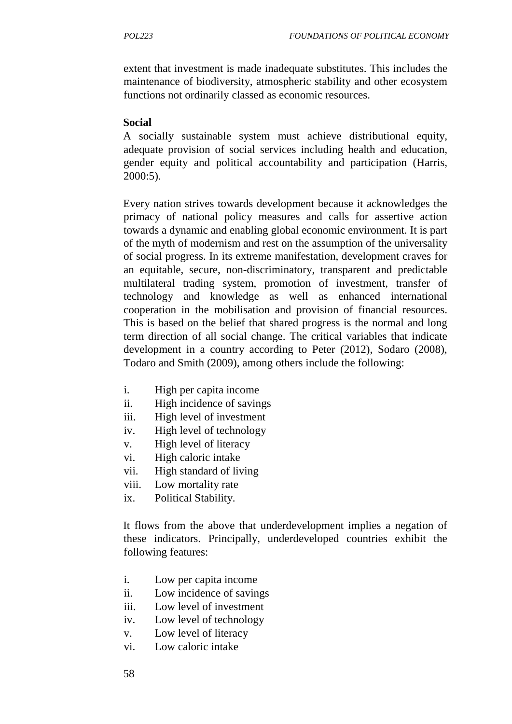extent that investment is made inadequate substitutes. This includes the maintenance of biodiversity, atmospheric stability and other ecosystem functions not ordinarily classed as economic resources.

### **Social**

A socially sustainable system must achieve distributional equity, adequate provision of social services including health and education, gender equity and political accountability and participation (Harris, 2000:5).

Every nation strives towards development because it acknowledges the primacy of national policy measures and calls for assertive action towards a dynamic and enabling global economic environment. It is part of the myth of modernism and rest on the assumption of the universality of social progress. In its extreme manifestation, development craves for an equitable, secure, non-discriminatory, transparent and predictable multilateral trading system, promotion of investment, transfer of technology and knowledge as well as enhanced international cooperation in the mobilisation and provision of financial resources. This is based on the belief that shared progress is the normal and long term direction of all social change. The critical variables that indicate development in a country according to Peter (2012), Sodaro (2008), Todaro and Smith (2009), among others include the following:

- i. High per capita income
- ii. High incidence of savings
- iii. High level of investment
- iv. High level of technology
- v. High level of literacy
- vi. High caloric intake
- vii. High standard of living
- viii. Low mortality rate
- ix. Political Stability.

It flows from the above that underdevelopment implies a negation of these indicators. Principally, underdeveloped countries exhibit the following features:

- i. Low per capita income
- ii. Low incidence of savings
- iii. Low level of investment
- iv. Low level of technology
- v. Low level of literacy
- vi. Low caloric intake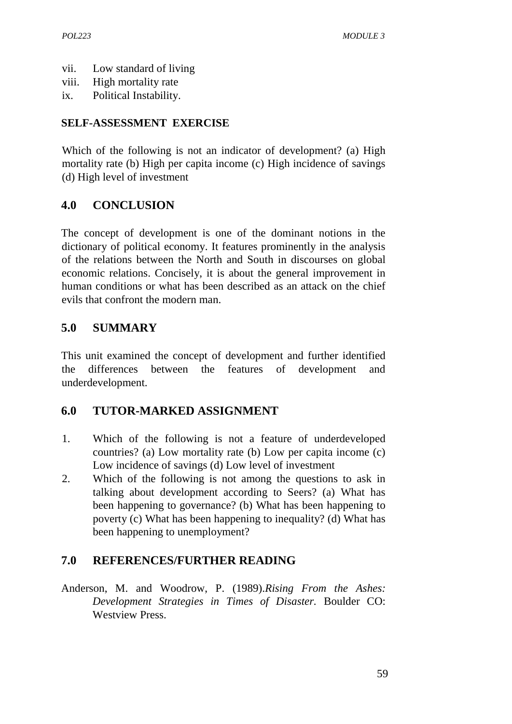- vii. Low standard of living
- viii. High mortality rate
- ix. Political Instability.

## **SELF-ASSESSMENT EXERCISE**

Which of the following is not an indicator of development? (a) High mortality rate (b) High per capita income (c) High incidence of savings (d) High level of investment

# **4.0 CONCLUSION**

The concept of development is one of the dominant notions in the dictionary of political economy. It features prominently in the analysis of the relations between the North and South in discourses on global economic relations. Concisely, it is about the general improvement in human conditions or what has been described as an attack on the chief evils that confront the modern man.

# **5.0 SUMMARY**

This unit examined the concept of development and further identified the differences between the features of development and underdevelopment.

## **6.0 TUTOR-MARKED ASSIGNMENT**

- 1. Which of the following is not a feature of underdeveloped countries? (a) Low mortality rate (b) Low per capita income (c) Low incidence of savings (d) Low level of investment
- 2. Which of the following is not among the questions to ask in talking about development according to Seers? (a) What has been happening to governance? (b) What has been happening to poverty (c) What has been happening to inequality? (d) What has been happening to unemployment?

## **7.0 REFERENCES/FURTHER READING**

Anderson, M. and Woodrow, P. (1989).*Rising From the Ashes: Development Strategies in Times of Disaster.* Boulder CO: Westview Press.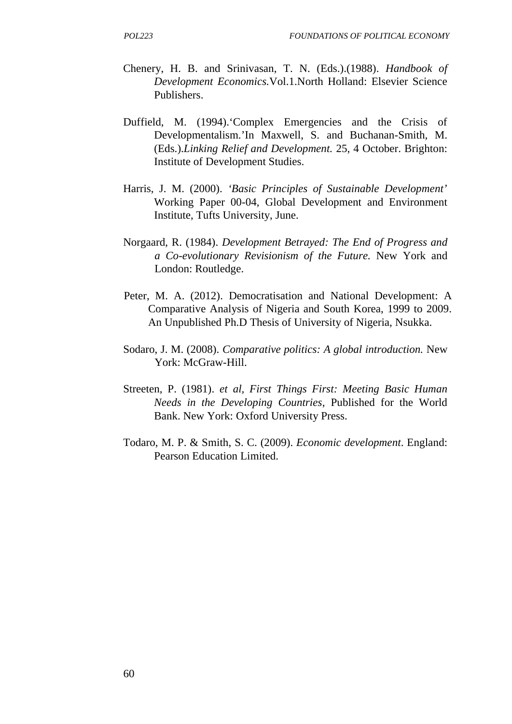- Chenery, H. B. and Srinivasan, T. N. (Eds.).(1988). *Handbook of Development Economics.*Vol.1.North Holland: Elsevier Science Publishers.
- Duffield, M. (1994).'Complex Emergencies and the Crisis of Developmentalism.'In Maxwell, S. and Buchanan-Smith, M. (Eds.).*Linking Relief and Development.* 25, 4 October. Brighton: Institute of Development Studies.
- Harris, J. M. (2000). *'Basic Principles of Sustainable Development'* Working Paper 00-04, Global Development and Environment Institute, Tufts University, June.
- Norgaard, R. (1984). *Development Betrayed: The End of Progress and a Co-evolutionary Revisionism of the Future.* New York and London: Routledge.
- Peter, M. A. (2012). Democratisation and National Development: A Comparative Analysis of Nigeria and South Korea, 1999 to 2009. An Unpublished Ph.D Thesis of University of Nigeria, Nsukka.
- Sodaro, J. M. (2008). *Comparative politics: A global introduction.* New York: McGraw-Hill.
- Streeten, P. (1981). *et al, First Things First: Meeting Basic Human Needs in the Developing Countries*, Published for the World Bank. New York: Oxford University Press.
- Todaro, M. P. & Smith, S. C. (2009). *Economic development*. England: Pearson Education Limited.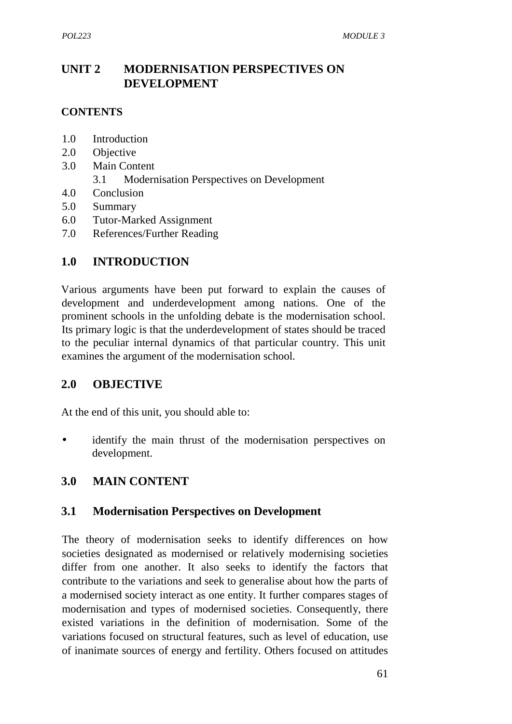# **UNIT 2 MODERNISATION PERSPECTIVES ON DEVELOPMENT**

### **CONTENTS**

- 1.0 Introduction
- 2.0 Objective
- 3.0 Main Content
	- 3.1 Modernisation Perspectives on Development
- 4.0 Conclusion
- 5.0 Summary
- 6.0 Tutor-Marked Assignment
- 7.0 References/Further Reading

## **1.0 INTRODUCTION**

Various arguments have been put forward to explain the causes of development and underdevelopment among nations. One of the prominent schools in the unfolding debate is the modernisation school. Its primary logic is that the underdevelopment of states should be traced to the peculiar internal dynamics of that particular country. This unit examines the argument of the modernisation school.

## **2.0 OBJECTIVE**

At the end of this unit, you should able to:

 identify the main thrust of the modernisation perspectives on development.

## **3.0 MAIN CONTENT**

## **3.1 Modernisation Perspectives on Development**

The theory of modernisation seeks to identify differences on how societies designated as modernised or relatively modernising societies differ from one another. It also seeks to identify the factors that contribute to the variations and seek to generalise about how the parts of a modernised society interact as one entity. It further compares stages of modernisation and types of modernised societies. Consequently, there existed variations in the definition of modernisation. Some of the variations focused on structural features, such as level of education, use of inanimate sources of energy and fertility. Others focused on attitudes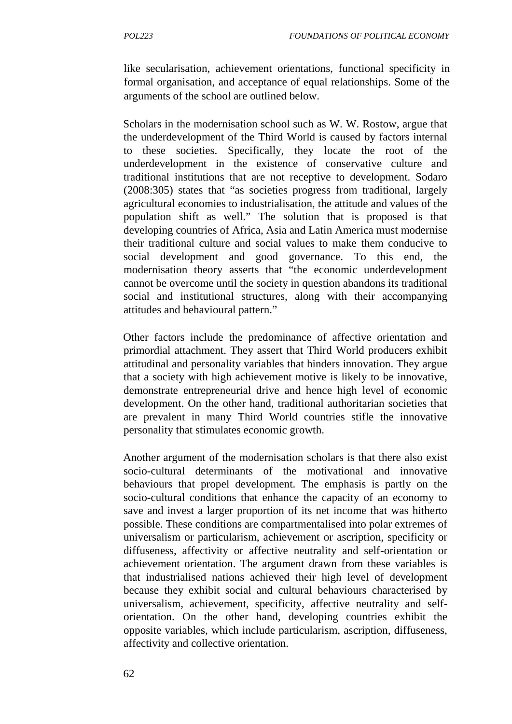like secularisation, achievement orientations, functional specificity in formal organisation, and acceptance of equal relationships. Some of the arguments of the school are outlined below.

Scholars in the modernisation school such as W. W. Rostow, argue that the underdevelopment of the Third World is caused by factors internal to these societies. Specifically, they locate the root of the underdevelopment in the existence of conservative culture and traditional institutions that are not receptive to development. Sodaro (2008:305) states that "as societies progress from traditional, largely agricultural economies to industrialisation, the attitude and values of the population shift as well." The solution that is proposed is that developing countries of Africa, Asia and Latin America must modernise their traditional culture and social values to make them conducive to social development and good governance. To this end, the modernisation theory asserts that "the economic underdevelopment cannot be overcome until the society in question abandons its traditional social and institutional structures, along with their accompanying attitudes and behavioural pattern."

Other factors include the predominance of affective orientation and primordial attachment. They assert that Third World producers exhibit attitudinal and personality variables that hinders innovation. They argue that a society with high achievement motive is likely to be innovative, demonstrate entrepreneurial drive and hence high level of economic development. On the other hand, traditional authoritarian societies that are prevalent in many Third World countries stifle the innovative personality that stimulates economic growth.

Another argument of the modernisation scholars is that there also exist socio-cultural determinants of the motivational and innovative behaviours that propel development. The emphasis is partly on the socio-cultural conditions that enhance the capacity of an economy to save and invest a larger proportion of its net income that was hitherto possible. These conditions are compartmentalised into polar extremes of universalism or particularism, achievement or ascription, specificity or diffuseness, affectivity or affective neutrality and self-orientation or achievement orientation. The argument drawn from these variables is that industrialised nations achieved their high level of development because they exhibit social and cultural behaviours characterised by universalism, achievement, specificity, affective neutrality and self orientation. On the other hand, developing countries exhibit the opposite variables, which include particularism, ascription, diffuseness, affectivity and collective orientation.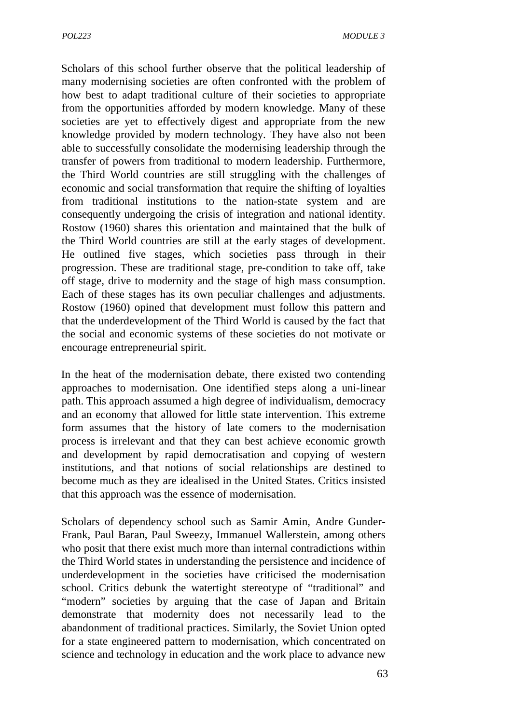Scholars of this school further observe that the political leadership of many modernising societies are often confronted with the problem of how best to adapt traditional culture of their societies to appropriate from the opportunities afforded by modern knowledge. Many of these societies are yet to effectively digest and appropriate from the new knowledge provided by modern technology. They have also not been able to successfully consolidate the modernising leadership through the transfer of powers from traditional to modern leadership. Furthermore, the Third World countries are still struggling with the challenges of economic and social transformation that require the shifting of loyalties from traditional institutions to the nation-state system and are consequently undergoing the crisis of integration and national identity. Rostow (1960) shares this orientation and maintained that the bulk of the Third World countries are still at the early stages of development. He outlined five stages, which societies pass through in their progression. These are traditional stage, pre-condition to take off, take off stage, drive to modernity and the stage of high mass consumption. Each of these stages has its own peculiar challenges and adjustments. Rostow (1960) opined that development must follow this pattern and that the underdevelopment of the Third World is caused by the fact that the social and economic systems of these societies do not motivate or encourage entrepreneurial spirit.

In the heat of the modernisation debate, there existed two contending approaches to modernisation. One identified steps along a uni-linear path. This approach assumed a high degree of individualism, democracy and an economy that allowed for little state intervention. This extreme form assumes that the history of late comers to the modernisation process is irrelevant and that they can best achieve economic growth and development by rapid democratisation and copying of western institutions, and that notions of social relationships are destined to become much as they are idealised in the United States. Critics insisted that this approach was the essence of modernisation.

Scholars of dependency school such as Samir Amin, Andre Gunder- Frank, Paul Baran, Paul Sweezy, Immanuel Wallerstein, among others who posit that there exist much more than internal contradictions within the Third World states in understanding the persistence and incidence of underdevelopment in the societies have criticised the modernisation school. Critics debunk the watertight stereotype of "traditional" and "modern" societies by arguing that the case of Japan and Britain demonstrate that modernity does not necessarily lead to the abandonment of traditional practices. Similarly, the Soviet Union opted for a state engineered pattern to modernisation, which concentrated on science and technology in education and the work place to advance new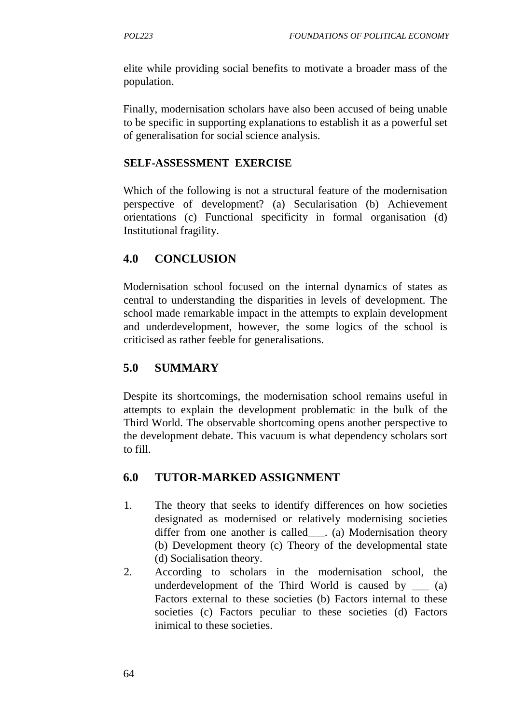elite while providing social benefits to motivate a broader mass of the population.

Finally, modernisation scholars have also been accused of being unable to be specific in supporting explanations to establish it as a powerful set of generalisation for social science analysis.

### **SELF-ASSESSMENT EXERCISE**

Which of the following is not a structural feature of the modernisation perspective of development? (a) Secularisation (b) Achievement orientations (c) Functional specificity in formal organisation (d) Institutional fragility.

## **4.0 CONCLUSION**

Modernisation school focused on the internal dynamics of states as central to understanding the disparities in levels of development. The school made remarkable impact in the attempts to explain development and underdevelopment, however, the some logics of the school is criticised as rather feeble for generalisations.

## **5.0 SUMMARY**

Despite its shortcomings, the modernisation school remains useful in attempts to explain the development problematic in the bulk of the Third World. The observable shortcoming opens another perspective to the development debate. This vacuum is what dependency scholars sort to fill.

## **6.0 TUTOR-MARKED ASSIGNMENT**

- 1. The theory that seeks to identify differences on how societies designated as modernised or relatively modernising societies differ from one another is called . (a) Modernisation theory (b) Development theory (c) Theory of the developmental state (d) Socialisation theory.
- 2. According to scholars in the modernisation school, the underdevelopment of the Third World is caused by (a) Factors external to these societies (b) Factors internal to these societies (c) Factors peculiar to these societies (d) Factors inimical to these societies.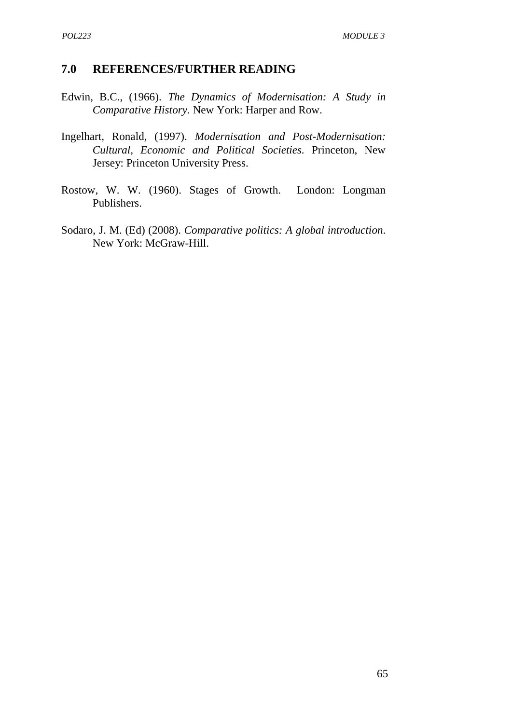### **7.0 REFERENCES/FURTHER READING**

- Edwin, B.C., (1966). *The Dynamics of Modernisation: A Study in Comparative History.* New York: Harper and Row.
- Ingelhart, Ronald, (1997). *Modernisation and Post-Modernisation: Cultural, Economic and Political Societies.* Princeton, New Jersey: Princeton University Press.
- Rostow, W. W. (1960). Stages of Growth. London: Longman Publishers.
- Sodaro, J. M. (Ed) (2008). *Comparative politics: A global introduction*. New York: McGraw-Hill.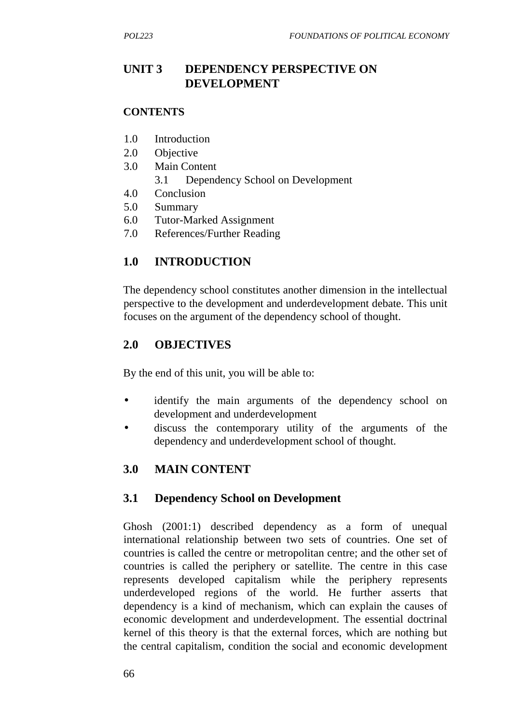## **UNIT 3 DEPENDENCY PERSPECTIVE ON DEVELOPMENT**

#### **CONTENTS**

- 1.0 Introduction
- 2.0 Objective
- 3.0 Main Content
	- 3.1 Dependency School on Development
- 4.0 Conclusion
- 5.0 Summary
- 6.0 Tutor-Marked Assignment
- 7.0 References/Further Reading

## **1.0 INTRODUCTION**

The dependency school constitutes another dimension in the intellectual perspective to the development and underdevelopment debate. This unit focuses on the argument of the dependency school of thought.

## **2.0 OBJECTIVES**

By the end of this unit, you will be able to:

- identify the main arguments of the dependency school on development and underdevelopment
- discuss the contemporary utility of the arguments of the dependency and underdevelopment school of thought.

## **3.0 MAIN CONTENT**

#### **3.1 Dependency School on Development**

Ghosh (2001:1) described dependency as a form of unequal international relationship between two sets of countries. One set of countries is called the centre or metropolitan centre; and the other set of countries is called the periphery or satellite. The centre in this case represents developed capitalism while the periphery represents underdeveloped regions of the world. He further asserts that dependency is a kind of mechanism, which can explain the causes of economic development and underdevelopment. The essential doctrinal kernel of this theory is that the external forces, which are nothing but the central capitalism, condition the social and economic development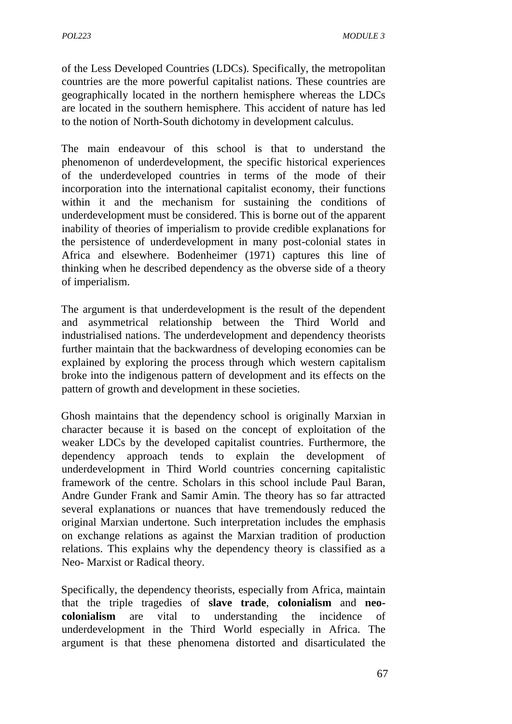of the Less Developed Countries (LDCs). Specifically, the metropolitan countries are the more powerful capitalist nations. These countries are geographically located in the northern hemisphere whereas the LDCs are located in the southern hemisphere. This accident of nature has led to the notion of North-South dichotomy in development calculus.

The main endeavour of this school is that to understand the phenomenon of underdevelopment, the specific historical experiences of the underdeveloped countries in terms of the mode of their incorporation into the international capitalist economy, their functions within it and the mechanism for sustaining the conditions of underdevelopment must be considered. This is borne out of the apparent inability of theories of imperialism to provide credible explanations for the persistence of underdevelopment in many post-colonial states in Africa and elsewhere. Bodenheimer (1971) captures this line of thinking when he described dependency as the obverse side of a theory of imperialism.

The argument is that underdevelopment is the result of the dependent and asymmetrical relationship between the Third World and industrialised nations. The underdevelopment and dependency theorists further maintain that the backwardness of developing economies can be explained by exploring the process through which western capitalism broke into the indigenous pattern of development and its effects on the pattern of growth and development in these societies.

Ghosh maintains that the dependency school is originally Marxian in character because it is based on the concept of exploitation of the weaker LDCs by the developed capitalist countries. Furthermore, the dependency approach tends to explain the development of underdevelopment in Third World countries concerning capitalistic framework of the centre. Scholars in this school include Paul Baran, Andre Gunder Frank and Samir Amin. The theory has so far attracted several explanations or nuances that have tremendously reduced the original Marxian undertone. Such interpretation includes the emphasis on exchange relations as against the Marxian tradition of production relations. This explains why the dependency theory is classified as a Neo- Marxist or Radical theory.

Specifically, the dependency theorists, especially from Africa, maintain that the triple tragedies of **slave trade**, **colonialism** and **neo colonialism** are vital to understanding the incidence of underdevelopment in the Third World especially in Africa. The argument is that these phenomena distorted and disarticulated the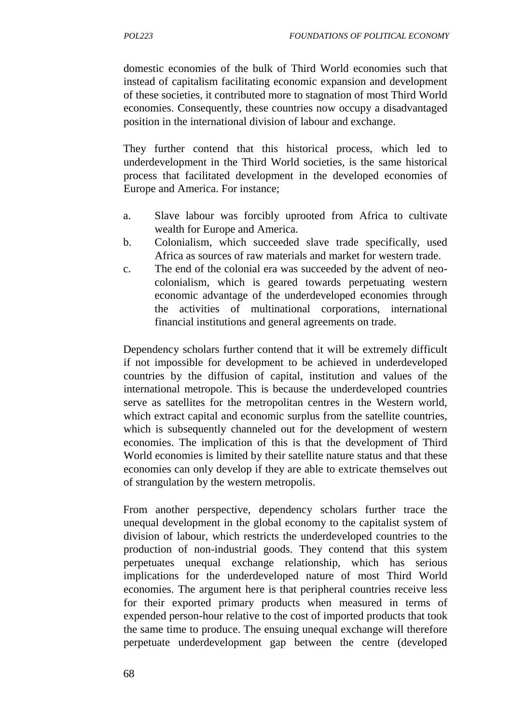domestic economies of the bulk of Third World economies such that instead of capitalism facilitating economic expansion and development of these societies, it contributed more to stagnation of most Third World economies. Consequently, these countries now occupy a disadvantaged position in the international division of labour and exchange.

They further contend that this historical process, which led to underdevelopment in the Third World societies, is the same historical process that facilitated development in the developed economies of Europe and America. For instance;

- a. Slave labour was forcibly uprooted from Africa to cultivate wealth for Europe and America.
- b. Colonialism, which succeeded slave trade specifically, used Africa as sources of raw materials and market for western trade.
- c. The end of the colonial era was succeeded by the advent of neo colonialism, which is geared towards perpetuating western economic advantage of the underdeveloped economies through the activities of multinational corporations, international financial institutions and general agreements on trade.

Dependency scholars further contend that it will be extremely difficult if not impossible for development to be achieved in underdeveloped countries by the diffusion of capital, institution and values of the international metropole. This is because the underdeveloped countries serve as satellites for the metropolitan centres in the Western world, which extract capital and economic surplus from the satellite countries, which is subsequently channeled out for the development of western economies. The implication of this is that the development of Third World economies is limited by their satellite nature status and that these economies can only develop if they are able to extricate themselves out of strangulation by the western metropolis.

From another perspective, dependency scholars further trace the unequal development in the global economy to the capitalist system of division of labour, which restricts the underdeveloped countries to the production of non-industrial goods. They contend that this system perpetuates unequal exchange relationship, which has serious implications for the underdeveloped nature of most Third World economies. The argument here is that peripheral countries receive less for their exported primary products when measured in terms of expended person-hour relative to the cost of imported products that took the same time to produce. The ensuing unequal exchange will therefore perpetuate underdevelopment gap between the centre (developed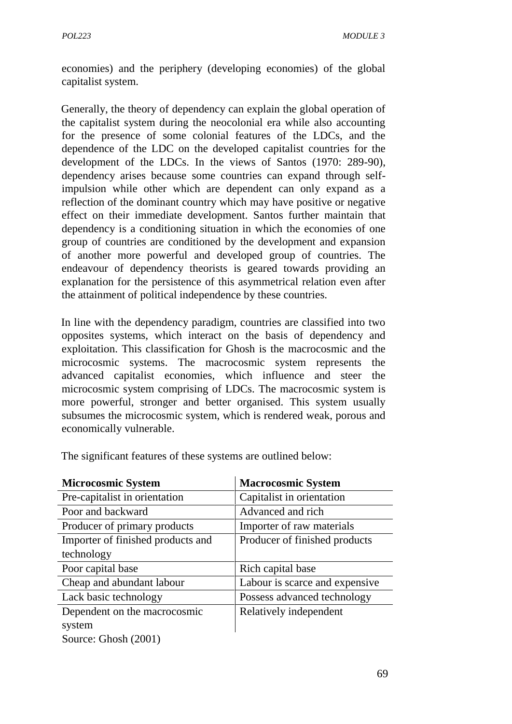economies) and the periphery (developing economies) of the global capitalist system.

Generally, the theory of dependency can explain the global operation of the capitalist system during the neocolonial era while also accounting for the presence of some colonial features of the LDCs, and the dependence of the LDC on the developed capitalist countries for the development of the LDCs. In the views of Santos (1970: 289-90), dependency arises because some countries can expand through selfimpulsion while other which are dependent can only expand as a reflection of the dominant country which may have positive or negative effect on their immediate development. Santos further maintain that dependency is a conditioning situation in which the economies of one group of countries are conditioned by the development and expansion of another more powerful and developed group of countries. The endeavour of dependency theorists is geared towards providing an explanation for the persistence of this asymmetrical relation even after the attainment of political independence by these countries.

In line with the dependency paradigm, countries are classified into two opposites systems, which interact on the basis of dependency and exploitation. This classification for Ghosh is the macrocosmic and the microcosmic systems. The macrocosmic system represents the advanced capitalist economies, which influence and steer the microcosmic system comprising of LDCs. The macrocosmic system is more powerful, stronger and better organised. This system usually subsumes the microcosmic system, which is rendered weak, porous and economically vulnerable.

| <b>Microcosmic System</b>         | <b>Macrocosmic System</b>      |
|-----------------------------------|--------------------------------|
| Pre-capitalist in orientation     | Capitalist in orientation      |
| Poor and backward                 | Advanced and rich              |
| Producer of primary products      | Importer of raw materials      |
| Importer of finished products and | Producer of finished products  |
| technology                        |                                |
| Poor capital base                 | Rich capital base              |
| Cheap and abundant labour         | Labour is scarce and expensive |
| Lack basic technology             | Possess advanced technology    |
| Dependent on the macrocosmic      | Relatively independent         |
| system                            |                                |
| Source: Ghosh (2001)              |                                |

The significant features of these systems are outlined below: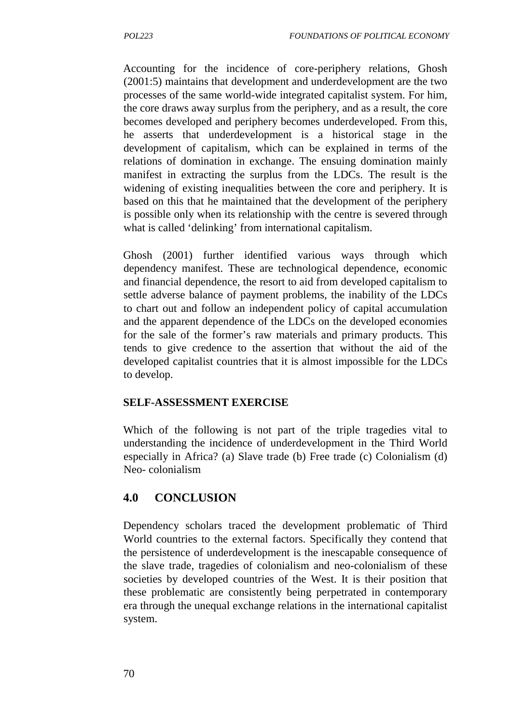Accounting for the incidence of core-periphery relations, Ghosh (2001:5) maintains that development and underdevelopment are the two processes of the same world-wide integrated capitalist system. For him, the core draws away surplus from the periphery, and as a result, the core becomes developed and periphery becomes underdeveloped. From this, he asserts that underdevelopment is a historical stage in the development of capitalism, which can be explained in terms of the relations of domination in exchange. The ensuing domination mainly manifest in extracting the surplus from the LDCs. The result is the widening of existing inequalities between the core and periphery. It is based on this that he maintained that the development of the periphery is possible only when its relationship with the centre is severed through what is called 'delinking' from international capitalism.

Ghosh (2001) further identified various ways through which dependency manifest. These are technological dependence, economic and financial dependence, the resort to aid from developed capitalism to settle adverse balance of payment problems, the inability of the LDCs to chart out and follow an independent policy of capital accumulation and the apparent dependence of the LDCs on the developed economies for the sale of the former's raw materials and primary products. This tends to give credence to the assertion that without the aid of the developed capitalist countries that it is almost impossible for the LDCs to develop.

#### **SELF-ASSESSMENT EXERCISE**

Which of the following is not part of the triple tragedies vital to understanding the incidence of underdevelopment in the Third World especially in Africa? (a) Slave trade (b) Free trade (c) Colonialism (d) Neo- colonialism

## **4.0 CONCLUSION**

Dependency scholars traced the development problematic of Third World countries to the external factors. Specifically they contend that the persistence of underdevelopment is the inescapable consequence of the slave trade, tragedies of colonialism and neo-colonialism of these societies by developed countries of the West. It is their position that these problematic are consistently being perpetrated in contemporary era through the unequal exchange relations in the international capitalist system.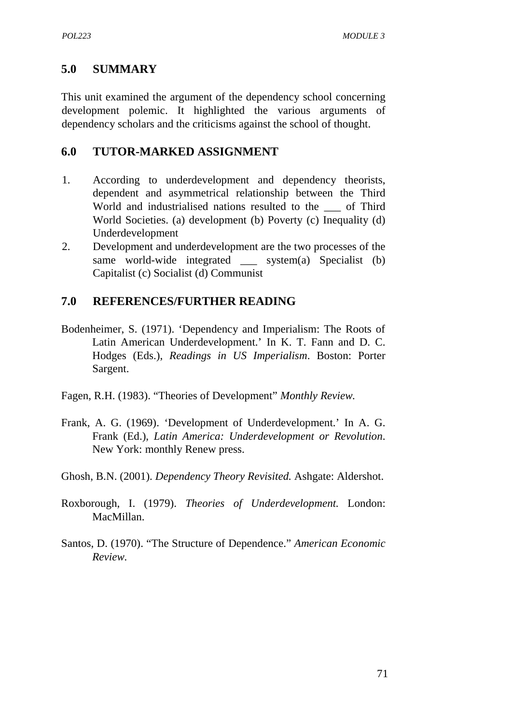### **5.0 SUMMARY**

This unit examined the argument of the dependency school concerning development polemic. It highlighted the various arguments of dependency scholars and the criticisms against the school of thought.

### **6.0 TUTOR-MARKED ASSIGNMENT**

- 1. According to underdevelopment and dependency theorists, dependent and asymmetrical relationship between the Third World and industrialised nations resulted to the of Third World Societies. (a) development (b) Poverty (c) Inequality (d) Underdevelopment
- 2. Development and underdevelopment are the two processes of the same world-wide integrated system $(a)$  Specialist  $(b)$ Capitalist (c) Socialist (d) Communist

## **7.0 REFERENCES/FURTHER READING**

- Bodenheimer, S. (1971). 'Dependency and Imperialism: The Roots of Latin American Underdevelopment.' In K. T. Fann and D. C. Hodges (Eds.), *Readings in US Imperialism*. Boston: Porter Sargent.
- Fagen, R.H. (1983). "Theories of Development" *Monthly Review.*
- Frank, A. G. (1969). 'Development of Underdevelopment.' In A. G. Frank (Ed.), *Latin America: Underdevelopment or Revolution*. New York: monthly Renew press.
- Ghosh, B.N. (2001). *Dependency Theory Revisited.* Ashgate: Aldershot.
- Roxborough, I. (1979). *Theories of Underdevelopment.* London: MacMillan.
- Santos, D. (1970). "The Structure of Dependence." *American Economic Review.*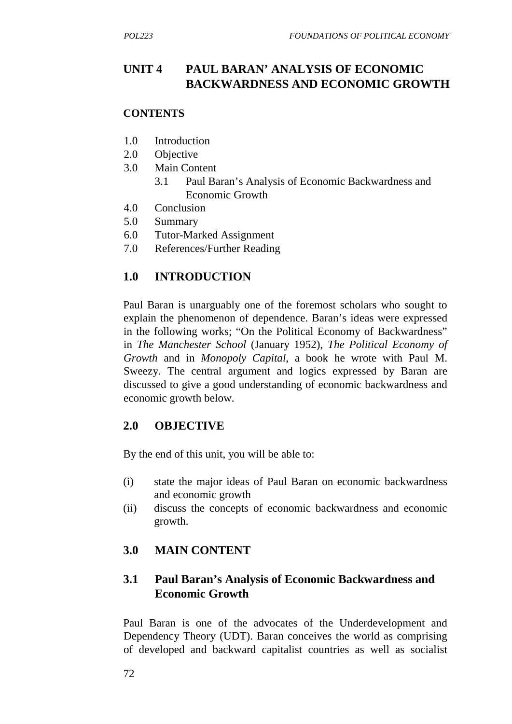## **UNIT 4 PAUL BARAN' ANALYSIS OF ECONOMIC BACKWARDNESS AND ECONOMIC GROWTH**

#### **CONTENTS**

- 1.0 Introduction
- 2.0 Objective
- 3.0 Main Content
	- 3.1 Paul Baran's Analysis of Economic Backwardness and Economic Growth
- 4.0 Conclusion
- 5.0 Summary
- 6.0 Tutor-Marked Assignment
- 7.0 References/Further Reading

## **1.0 INTRODUCTION**

Paul Baran is unarguably one of the foremost scholars who sought to explain the phenomenon of dependence. Baran's ideas were expressed in the following works; "On the Political Economy of Backwardness" in *The Manchester School* (January 1952), *The Political Economy of Growth* and in *Monopoly Capital*, a book he wrote with Paul M. Sweezy. The central argument and logics expressed by Baran are discussed to give a good understanding of economic backwardness and economic growth below.

#### **2.0 OBJECTIVE**

By the end of this unit, you will be able to:

- (i) state the major ideas of Paul Baran on economic backwardness and economic growth
- (ii) discuss the concepts of economic backwardness and economic growth.

## **3.0 MAIN CONTENT**

## **3.1 Paul Baran's Analysis of Economic Backwardness and Economic Growth**

Paul Baran is one of the advocates of the Underdevelopment and Dependency Theory (UDT). Baran conceives the world as comprising of developed and backward capitalist countries as well as socialist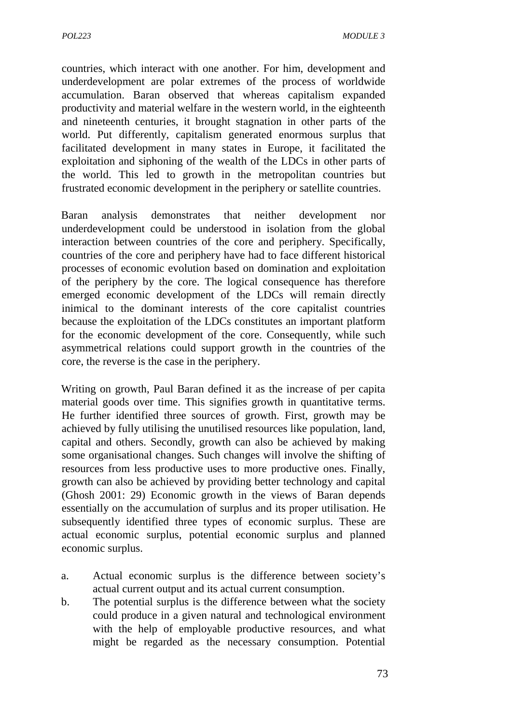countries, which interact with one another. For him, development and underdevelopment are polar extremes of the process of worldwide accumulation. Baran observed that whereas capitalism expanded productivity and material welfare in the western world, in the eighteenth and nineteenth centuries, it brought stagnation in other parts of the world. Put differently, capitalism generated enormous surplus that facilitated development in many states in Europe, it facilitated the exploitation and siphoning of the wealth of the LDCs in other parts of the world. This led to growth in the metropolitan countries but frustrated economic development in the periphery or satellite countries.

Baran analysis demonstrates that neither development nor underdevelopment could be understood in isolation from the global interaction between countries of the core and periphery. Specifically, countries of the core and periphery have had to face different historical processes of economic evolution based on domination and exploitation of the periphery by the core. The logical consequence has therefore emerged economic development of the LDCs will remain directly inimical to the dominant interests of the core capitalist countries because the exploitation of the LDCs constitutes an important platform for the economic development of the core. Consequently, while such asymmetrical relations could support growth in the countries of the core, the reverse is the case in the periphery.

Writing on growth, Paul Baran defined it as the increase of per capita material goods over time. This signifies growth in quantitative terms. He further identified three sources of growth. First, growth may be achieved by fully utilising the unutilised resources like population, land, capital and others. Secondly, growth can also be achieved by making some organisational changes. Such changes will involve the shifting of resources from less productive uses to more productive ones. Finally, growth can also be achieved by providing better technology and capital (Ghosh 2001: 29) Economic growth in the views of Baran depends essentially on the accumulation of surplus and its proper utilisation. He subsequently identified three types of economic surplus. These are actual economic surplus, potential economic surplus and planned economic surplus.

- a. Actual economic surplus is the difference between society's actual current output and its actual current consumption.
- b. The potential surplus is the difference between what the society could produce in a given natural and technological environment with the help of employable productive resources, and what might be regarded as the necessary consumption. Potential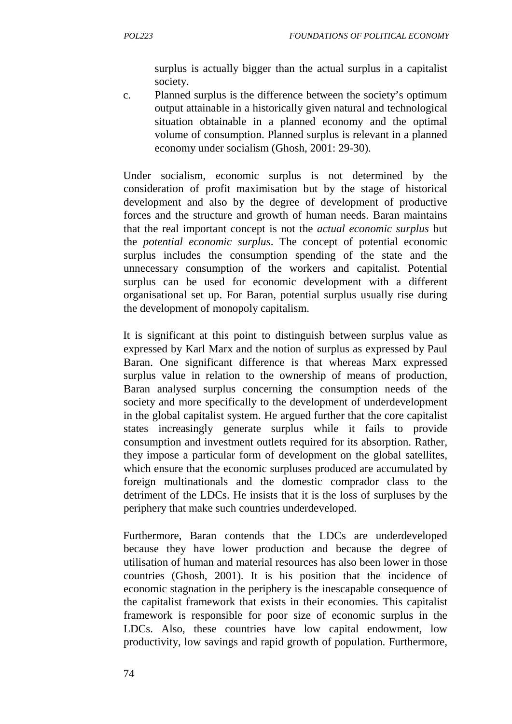surplus is actually bigger than the actual surplus in a capitalist society.

c. Planned surplus is the difference between the society's optimum output attainable in a historically given natural and technological situation obtainable in a planned economy and the optimal volume of consumption. Planned surplus is relevant in a planned economy under socialism (Ghosh, 2001: 29-30).

Under socialism, economic surplus is not determined by the consideration of profit maximisation but by the stage of historical development and also by the degree of development of productive forces and the structure and growth of human needs. Baran maintains that the real important concept is not the *actual economic surplus* but the *potential economic surplus*. The concept of potential economic surplus includes the consumption spending of the state and the unnecessary consumption of the workers and capitalist. Potential surplus can be used for economic development with a different organisational set up. For Baran, potential surplus usually rise during the development of monopoly capitalism.

It is significant at this point to distinguish between surplus value as expressed by Karl Marx and the notion of surplus as expressed by Paul Baran. One significant difference is that whereas Marx expressed surplus value in relation to the ownership of means of production, Baran analysed surplus concerning the consumption needs of the society and more specifically to the development of underdevelopment in the global capitalist system. He argued further that the core capitalist states increasingly generate surplus while it fails to provide consumption and investment outlets required for its absorption. Rather, they impose a particular form of development on the global satellites, which ensure that the economic surpluses produced are accumulated by foreign multinationals and the domestic comprador class to the detriment of the LDCs. He insists that it is the loss of surpluses by the periphery that make such countries underdeveloped.

Furthermore, Baran contends that the LDCs are underdeveloped because they have lower production and because the degree of utilisation of human and material resources has also been lower in those countries (Ghosh, 2001). It is his position that the incidence of economic stagnation in the periphery is the inescapable consequence of the capitalist framework that exists in their economies. This capitalist framework is responsible for poor size of economic surplus in the LDCs. Also, these countries have low capital endowment, low productivity, low savings and rapid growth of population. Furthermore,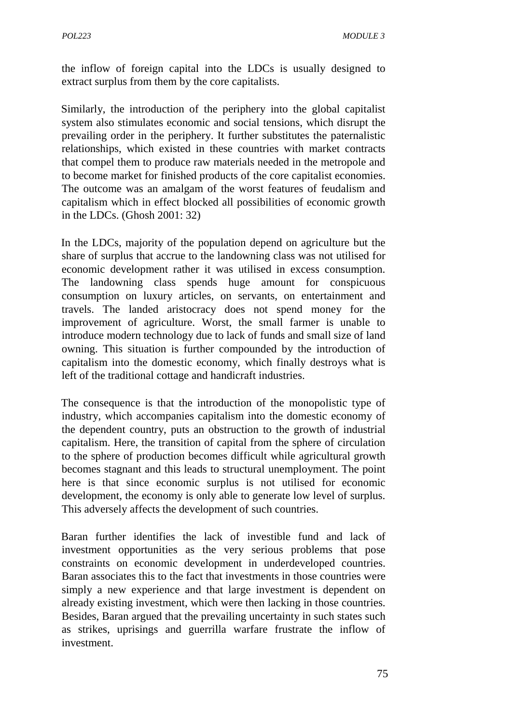the inflow of foreign capital into the LDCs is usually designed to extract surplus from them by the core capitalists.

Similarly, the introduction of the periphery into the global capitalist system also stimulates economic and social tensions, which disrupt the prevailing order in the periphery. It further substitutes the paternalistic relationships, which existed in these countries with market contracts that compel them to produce raw materials needed in the metropole and to become market for finished products of the core capitalist economies. The outcome was an amalgam of the worst features of feudalism and capitalism which in effect blocked all possibilities of economic growth in the LDCs. (Ghosh 2001: 32)

In the LDCs, majority of the population depend on agriculture but the share of surplus that accrue to the landowning class was not utilised for economic development rather it was utilised in excess consumption. The landowning class spends huge amount for conspicuous consumption on luxury articles, on servants, on entertainment and travels. The landed aristocracy does not spend money for the improvement of agriculture. Worst, the small farmer is unable to introduce modern technology due to lack of funds and small size of land owning. This situation is further compounded by the introduction of capitalism into the domestic economy, which finally destroys what is left of the traditional cottage and handicraft industries.

The consequence is that the introduction of the monopolistic type of industry, which accompanies capitalism into the domestic economy of the dependent country, puts an obstruction to the growth of industrial capitalism. Here, the transition of capital from the sphere of circulation to the sphere of production becomes difficult while agricultural growth becomes stagnant and this leads to structural unemployment. The point here is that since economic surplus is not utilised for economic development, the economy is only able to generate low level of surplus. This adversely affects the development of such countries.

Baran further identifies the lack of investible fund and lack of investment opportunities as the very serious problems that pose constraints on economic development in underdeveloped countries. Baran associates this to the fact that investments in those countries were simply a new experience and that large investment is dependent on already existing investment, which were then lacking in those countries. Besides, Baran argued that the prevailing uncertainty in such states such as strikes, uprisings and guerrilla warfare frustrate the inflow of investment.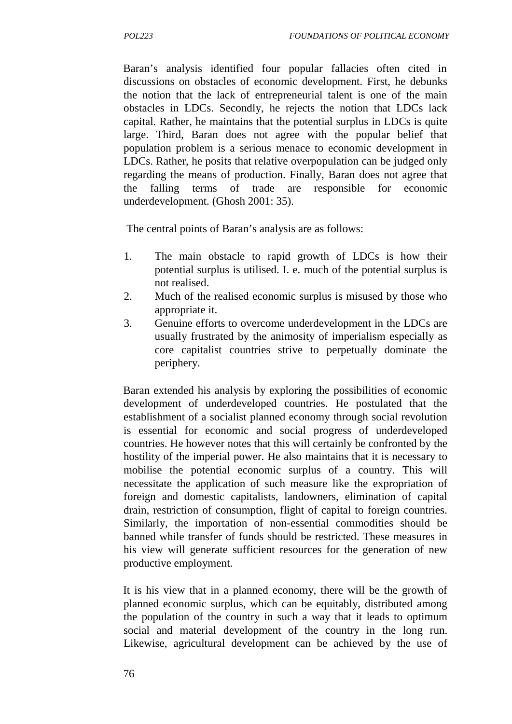Baran's analysis identified four popular fallacies often cited in discussions on obstacles of economic development. First, he debunks the notion that the lack of entrepreneurial talent is one of the main obstacles in LDCs. Secondly, he rejects the notion that LDCs lack capital. Rather, he maintains that the potential surplus in LDCs is quite large. Third, Baran does not agree with the popular belief that population problem is a serious menace to economic development in LDCs. Rather, he posits that relative overpopulation can be judged only regarding the means of production. Finally, Baran does not agree that the falling terms of trade are responsible for economic underdevelopment. (Ghosh 2001: 35).

The central points of Baran's analysis are as follows:

- 1. The main obstacle to rapid growth of LDCs is how their potential surplus is utilised. I. e. much of the potential surplus is not realised.
- 2. Much of the realised economic surplus is misused by those who appropriate it.
- 3. Genuine efforts to overcome underdevelopment in the LDCs are usually frustrated by the animosity of imperialism especially as core capitalist countries strive to perpetually dominate the periphery.

Baran extended his analysis by exploring the possibilities of economic development of underdeveloped countries. He postulated that the establishment of a socialist planned economy through social revolution is essential for economic and social progress of underdeveloped countries. He however notes that this will certainly be confronted by the hostility of the imperial power. He also maintains that it is necessary to mobilise the potential economic surplus of a country. This will necessitate the application of such measure like the expropriation of foreign and domestic capitalists, landowners, elimination of capital drain, restriction of consumption, flight of capital to foreign countries. Similarly, the importation of non-essential commodities should be banned while transfer of funds should be restricted. These measures in his view will generate sufficient resources for the generation of new productive employment.

It is his view that in a planned economy, there will be the growth of planned economic surplus, which can be equitably, distributed among the population of the country in such a way that it leads to optimum social and material development of the country in the long run. Likewise, agricultural development can be achieved by the use of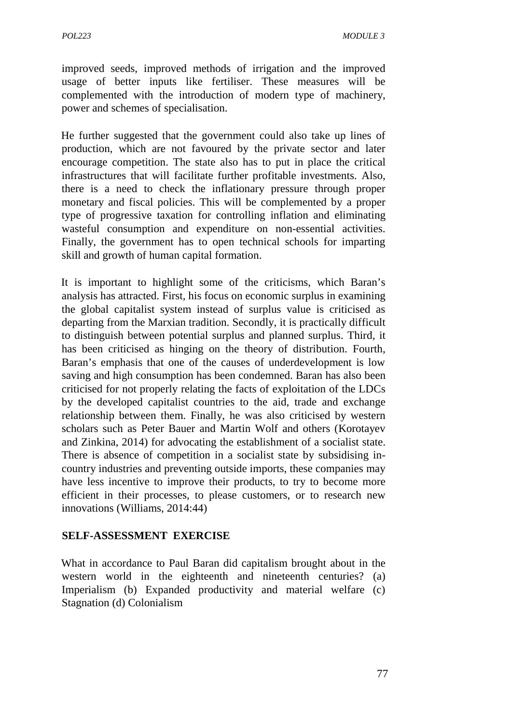improved seeds, improved methods of irrigation and the improved usage of better inputs like fertiliser. These measures will be complemented with the introduction of modern type of machinery, power and schemes of specialisation.

He further suggested that the government could also take up lines of production, which are not favoured by the private sector and later encourage competition. The state also has to put in place the critical infrastructures that will facilitate further profitable investments. Also, there is a need to check the inflationary pressure through proper monetary and fiscal policies. This will be complemented by a proper type of progressive taxation for controlling inflation and eliminating wasteful consumption and expenditure on non-essential activities. Finally, the government has to open technical schools for imparting skill and growth of human capital formation.

It is important to highlight some of the criticisms, which Baran's analysis has attracted. First, his focus on economic surplus in examining the global capitalist system instead of surplus value is criticised as departing from the Marxian tradition. Secondly, it is practically difficult to distinguish between potential surplus and planned surplus. Third, it has been criticised as hinging on the theory of distribution. Fourth, Baran's emphasis that one of the causes of underdevelopment is low saving and high consumption has been condemned. Baran has also been criticised for not properly relating the facts of exploitation of the LDCs by the developed capitalist countries to the aid, trade and exchange relationship between them. Finally, he was also criticised by western scholars such as Peter Bauer and Martin Wolf and others (Korotayev and Zinkina, 2014) for advocating the establishment of a socialist state. There is absence of competition in a socialist state by subsidising in country industries and preventing outside imports, these companies may have less incentive to improve their products, to try to become more efficient in their processes, to please customers, or to research new innovations (Williams, 2014:44)

#### **SELF-ASSESSMENT EXERCISE**

What in accordance to Paul Baran did capitalism brought about in the western world in the eighteenth and nineteenth centuries? (a) Imperialism (b) Expanded productivity and material welfare (c) Stagnation (d) Colonialism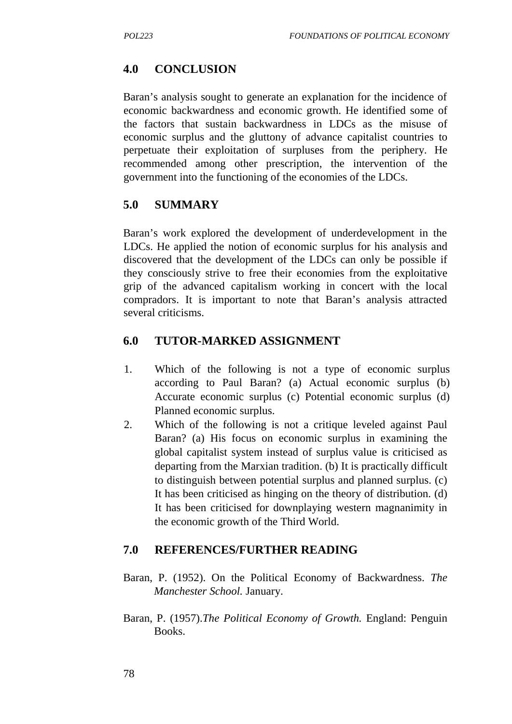## **4.0 CONCLUSION**

Baran's analysis sought to generate an explanation for the incidence of economic backwardness and economic growth. He identified some of the factors that sustain backwardness in LDCs as the misuse of economic surplus and the gluttony of advance capitalist countries to perpetuate their exploitation of surpluses from the periphery. He recommended among other prescription, the intervention of the government into the functioning of the economies of the LDCs.

## **5.0 SUMMARY**

Baran's work explored the development of underdevelopment in the LDCs. He applied the notion of economic surplus for his analysis and discovered that the development of the LDCs can only be possible if they consciously strive to free their economies from the exploitative grip of the advanced capitalism working in concert with the local compradors. It is important to note that Baran's analysis attracted several criticisms.

## **6.0 TUTOR-MARKED ASSIGNMENT**

- 1. Which of the following is not a type of economic surplus according to Paul Baran? (a) Actual economic surplus (b) Accurate economic surplus (c) Potential economic surplus (d) Planned economic surplus.
- 2. Which of the following is not a critique leveled against Paul Baran? (a) His focus on economic surplus in examining the global capitalist system instead of surplus value is criticised as departing from the Marxian tradition. (b) It is practically difficult to distinguish between potential surplus and planned surplus. (c) It has been criticised as hinging on the theory of distribution. (d) It has been criticised for downplaying western magnanimity in the economic growth of the Third World.

## **7.0 REFERENCES/FURTHER READING**

- Baran, P. (1952). On the Political Economy of Backwardness. *The Manchester School.* January.
- Baran, P. (1957).*The Political Economy of Growth.* England: Penguin Books.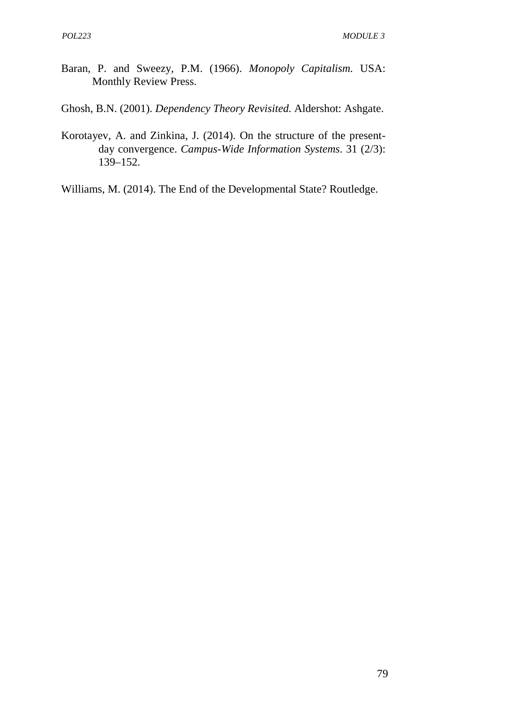- Baran, P. and Sweezy, P.M. (1966). *Monopoly Capitalism.* USA: Monthly Review Press.
- Ghosh, B.N. (2001). *Dependency Theory Revisited.* Aldershot: Ashgate.
- Korotayev, A. and Zinkina, J. (2014). On the structure of the present day convergence. *Campus-Wide Information Systems*. 31 (2/3): 139–152.
- Williams, M. (2014). The End of the Developmental State? Routledge.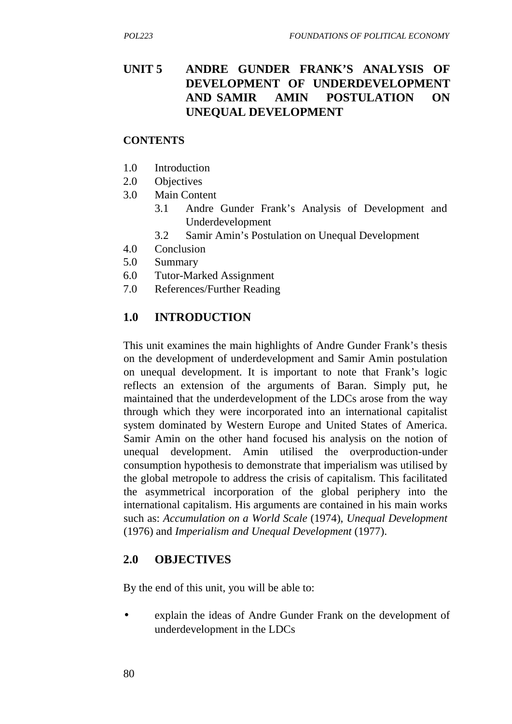## **UNIT 5 ANDRE GUNDER FRANK'S ANALYSIS OF DEVELOPMENT OF UNDERDEVELOPMENT AND SAMIR AMIN POSTULATION ON UNEQUAL DEVELOPMENT**

#### **CONTENTS**

- 1.0 Introduction
- 2.0 Objectives
- 3.0 Main Content
	- 3.1 Andre Gunder Frank's Analysis of Development and Underdevelopment
	- 3.2 Samir Amin's Postulation on Unequal Development
- 4.0 Conclusion
- 5.0 Summary
- 6.0 Tutor-Marked Assignment
- 7.0 References/Further Reading

## **1.0 INTRODUCTION**

This unit examines the main highlights of Andre Gunder Frank's thesis on the development of underdevelopment and Samir Amin postulation on unequal development. It is important to note that Frank's logic reflects an extension of the arguments of Baran. Simply put, he maintained that the underdevelopment of the LDCs arose from the way through which they were incorporated into an international capitalist system dominated by Western Europe and United States of America. Samir Amin on the other hand focused his analysis on the notion of unequal development. Amin utilised the overproduction-under consumption hypothesis to demonstrate that imperialism was utilised by the global metropole to address the crisis of capitalism. This facilitated the asymmetrical incorporation of the global periphery into the international capitalism. His arguments are contained in his main works such as: *Accumulation on a World Scale* (1974), *Unequal Development* (1976) and *Imperialism and Unequal Development* (1977).

## **2.0 OBJECTIVES**

By the end of this unit, you will be able to:

 explain the ideas of Andre Gunder Frank on the development of underdevelopment in the LDCs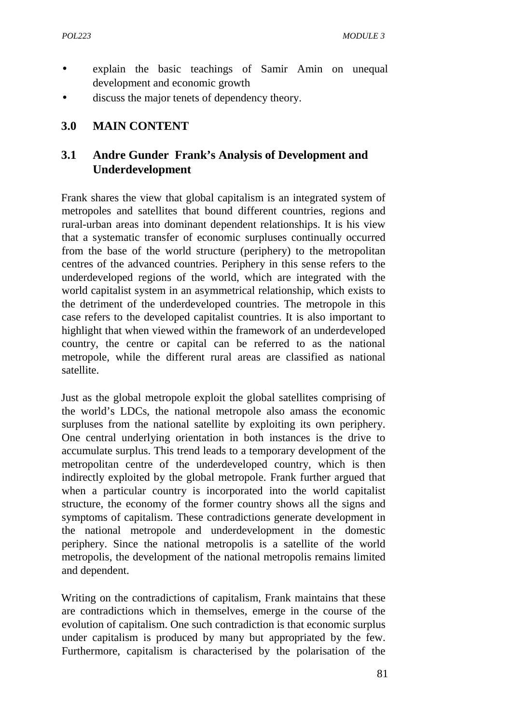- explain the basic teachings of Samir Amin on unequal development and economic growth
- discuss the major tenets of dependency theory.

### **3.0 MAIN CONTENT**

## **3.1 Andre Gunder Frank's Analysis of Development and Underdevelopment**

Frank shares the view that global capitalism is an integrated system of metropoles and satellites that bound different countries, regions and rural-urban areas into dominant dependent relationships. It is his view that a systematic transfer of economic surpluses continually occurred from the base of the world structure (periphery) to the metropolitan centres of the advanced countries. Periphery in this sense refers to the underdeveloped regions of the world, which are integrated with the world capitalist system in an asymmetrical relationship, which exists to the detriment of the underdeveloped countries. The metropole in this case refers to the developed capitalist countries. It is also important to highlight that when viewed within the framework of an underdeveloped country, the centre or capital can be referred to as the national metropole, while the different rural areas are classified as national satellite.

Just as the global metropole exploit the global satellites comprising of the world's LDCs, the national metropole also amass the economic surpluses from the national satellite by exploiting its own periphery. One central underlying orientation in both instances is the drive to accumulate surplus. This trend leads to a temporary development of the metropolitan centre of the underdeveloped country, which is then indirectly exploited by the global metropole. Frank further argued that when a particular country is incorporated into the world capitalist structure, the economy of the former country shows all the signs and symptoms of capitalism. These contradictions generate development in the national metropole and underdevelopment in the domestic periphery. Since the national metropolis is a satellite of the world metropolis, the development of the national metropolis remains limited and dependent.

Writing on the contradictions of capitalism, Frank maintains that these are contradictions which in themselves, emerge in the course of the evolution of capitalism. One such contradiction is that economic surplus under capitalism is produced by many but appropriated by the few. Furthermore, capitalism is characterised by the polarisation of the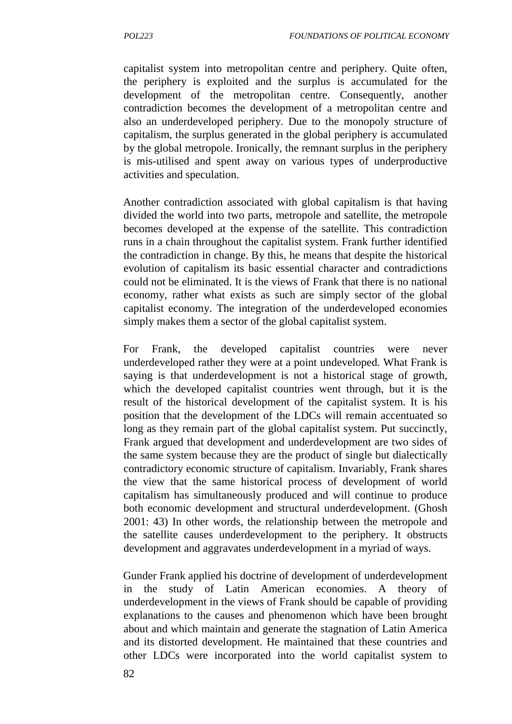capitalist system into metropolitan centre and periphery. Quite often, the periphery is exploited and the surplus is accumulated for the development of the metropolitan centre. Consequently, another contradiction becomes the development of a metropolitan centre and also an underdeveloped periphery. Due to the monopoly structure of capitalism, the surplus generated in the global periphery is accumulated by the global metropole. Ironically, the remnant surplus in the periphery is mis-utilised and spent away on various types of underproductive activities and speculation.

Another contradiction associated with global capitalism is that having divided the world into two parts, metropole and satellite, the metropole becomes developed at the expense of the satellite. This contradiction runs in a chain throughout the capitalist system. Frank further identified the contradiction in change. By this, he means that despite the historical evolution of capitalism its basic essential character and contradictions could not be eliminated. It is the views of Frank that there is no national economy, rather what exists as such are simply sector of the global capitalist economy. The integration of the underdeveloped economies simply makes them a sector of the global capitalist system.

For Frank, the developed capitalist countries were never underdeveloped rather they were at a point undeveloped. What Frank is saying is that underdevelopment is not a historical stage of growth, which the developed capitalist countries went through, but it is the result of the historical development of the capitalist system. It is his position that the development of the LDCs will remain accentuated so long as they remain part of the global capitalist system. Put succinctly, Frank argued that development and underdevelopment are two sides of the same system because they are the product of single but dialectically contradictory economic structure of capitalism. Invariably, Frank shares the view that the same historical process of development of world capitalism has simultaneously produced and will continue to produce both economic development and structural underdevelopment. (Ghosh 2001: 43) In other words, the relationship between the metropole and the satellite causes underdevelopment to the periphery. It obstructs development and aggravates underdevelopment in a myriad of ways.

Gunder Frank applied his doctrine of development of underdevelopment in the study of Latin American economies. A theory of underdevelopment in the views of Frank should be capable of providing explanations to the causes and phenomenon which have been brought about and which maintain and generate the stagnation of Latin America and its distorted development. He maintained that these countries and other LDCs were incorporated into the world capitalist system to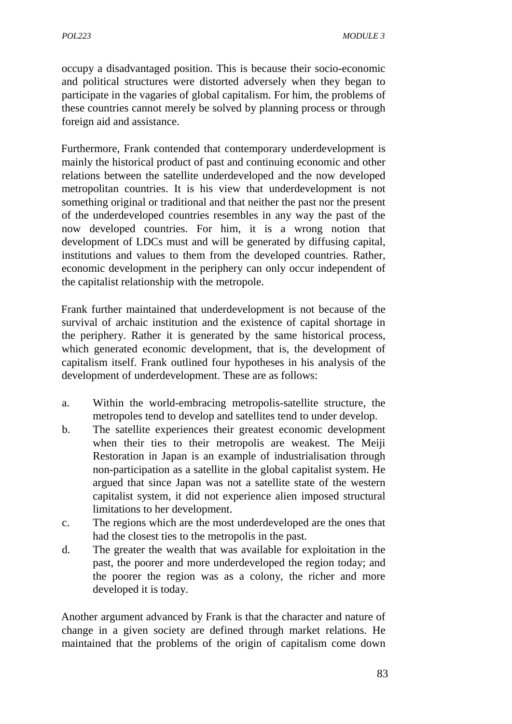occupy a disadvantaged position. This is because their socio-economic and political structures were distorted adversely when they began to participate in the vagaries of global capitalism. For him, the problems of these countries cannot merely be solved by planning process or through foreign aid and assistance.

Furthermore, Frank contended that contemporary underdevelopment is mainly the historical product of past and continuing economic and other relations between the satellite underdeveloped and the now developed metropolitan countries. It is his view that underdevelopment is not something original or traditional and that neither the past nor the present of the underdeveloped countries resembles in any way the past of the now developed countries. For him, it is a wrong notion that development of LDCs must and will be generated by diffusing capital, institutions and values to them from the developed countries. Rather, economic development in the periphery can only occur independent of the capitalist relationship with the metropole.

Frank further maintained that underdevelopment is not because of the survival of archaic institution and the existence of capital shortage in the periphery. Rather it is generated by the same historical process, which generated economic development, that is, the development of capitalism itself. Frank outlined four hypotheses in his analysis of the development of underdevelopment. These are as follows:

- a. Within the world-embracing metropolis-satellite structure, the metropoles tend to develop and satellites tend to under develop.
- b. The satellite experiences their greatest economic development when their ties to their metropolis are weakest. The Meiji Restoration in Japan is an example of industrialisation through non-participation as a satellite in the global capitalist system. He argued that since Japan was not a satellite state of the western capitalist system, it did not experience alien imposed structural limitations to her development.
- c. The regions which are the most underdeveloped are the ones that had the closest ties to the metropolis in the past.
- d. The greater the wealth that was available for exploitation in the past, the poorer and more underdeveloped the region today; and the poorer the region was as a colony, the richer and more developed it is today.

Another argument advanced by Frank is that the character and nature of change in a given society are defined through market relations. He maintained that the problems of the origin of capitalism come down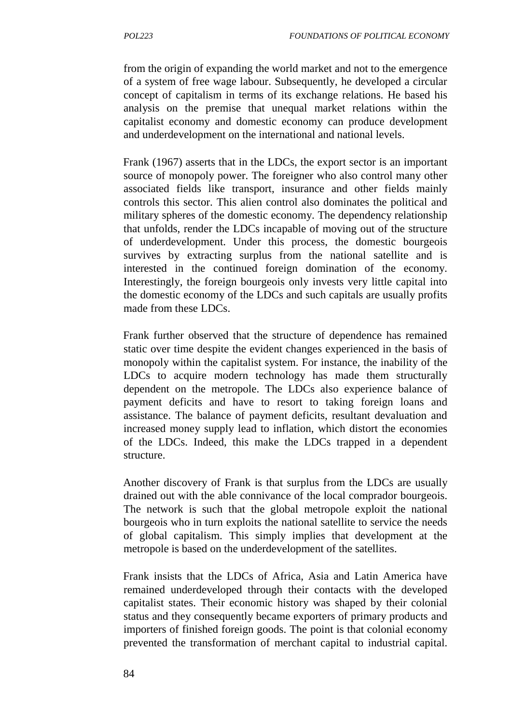from the origin of expanding the world market and not to the emergence of a system of free wage labour. Subsequently, he developed a circular concept of capitalism in terms of its exchange relations. He based his analysis on the premise that unequal market relations within the capitalist economy and domestic economy can produce development and underdevelopment on the international and national levels.

Frank (1967) asserts that in the LDCs, the export sector is an important source of monopoly power. The foreigner who also control many other associated fields like transport, insurance and other fields mainly controls this sector. This alien control also dominates the political and military spheres of the domestic economy. The dependency relationship that unfolds, render the LDCs incapable of moving out of the structure of underdevelopment. Under this process, the domestic bourgeois survives by extracting surplus from the national satellite and is interested in the continued foreign domination of the economy. Interestingly, the foreign bourgeois only invests very little capital into the domestic economy of the LDCs and such capitals are usually profits made from these LDCs.

Frank further observed that the structure of dependence has remained static over time despite the evident changes experienced in the basis of monopoly within the capitalist system. For instance, the inability of the LDCs to acquire modern technology has made them structurally dependent on the metropole. The LDCs also experience balance of payment deficits and have to resort to taking foreign loans and assistance. The balance of payment deficits, resultant devaluation and increased money supply lead to inflation, which distort the economies of the LDCs. Indeed, this make the LDCs trapped in a dependent structure.

Another discovery of Frank is that surplus from the LDCs are usually drained out with the able connivance of the local comprador bourgeois. The network is such that the global metropole exploit the national bourgeois who in turn exploits the national satellite to service the needs of global capitalism. This simply implies that development at the metropole is based on the underdevelopment of the satellites.

Frank insists that the LDCs of Africa, Asia and Latin America have remained underdeveloped through their contacts with the developed capitalist states. Their economic history was shaped by their colonial status and they consequently became exporters of primary products and importers of finished foreign goods. The point is that colonial economy prevented the transformation of merchant capital to industrial capital.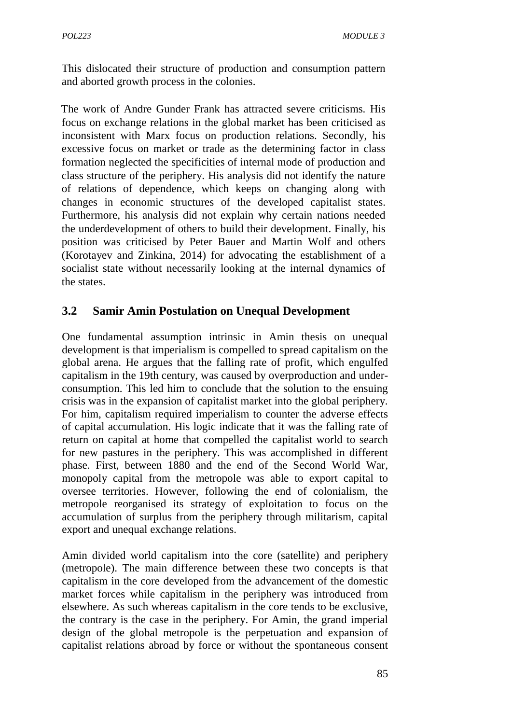This dislocated their structure of production and consumption pattern and aborted growth process in the colonies.

The work of Andre Gunder Frank has attracted severe criticisms. His focus on exchange relations in the global market has been criticised as inconsistent with Marx focus on production relations. Secondly, his excessive focus on market or trade as the determining factor in class formation neglected the specificities of internal mode of production and class structure of the periphery. His analysis did not identify the nature of relations of dependence, which keeps on changing along with changes in economic structures of the developed capitalist states. Furthermore, his analysis did not explain why certain nations needed the underdevelopment of others to build their development. Finally, his position was criticised by Peter Bauer and Martin Wolf and others (Korotayev and Zinkina, 2014) for advocating the establishment of a socialist state without necessarily looking at the internal dynamics of the states.

## **3.2 Samir Amin Postulation on Unequal Development**

One fundamental assumption intrinsic in Amin thesis on unequal development is that imperialism is compelled to spread capitalism on the global arena. He argues that the falling rate of profit, which engulfed capitalism in the 19th century, was caused by overproduction and under consumption. This led him to conclude that the solution to the ensuing crisis was in the expansion of capitalist market into the global periphery. For him, capitalism required imperialism to counter the adverse effects of capital accumulation. His logic indicate that it was the falling rate of return on capital at home that compelled the capitalist world to search for new pastures in the periphery. This was accomplished in different phase. First, between 1880 and the end of the Second World War, monopoly capital from the metropole was able to export capital to oversee territories. However, following the end of colonialism, the metropole reorganised its strategy of exploitation to focus on the accumulation of surplus from the periphery through militarism, capital export and unequal exchange relations.

Amin divided world capitalism into the core (satellite) and periphery (metropole). The main difference between these two concepts is that capitalism in the core developed from the advancement of the domestic market forces while capitalism in the periphery was introduced from elsewhere. As such whereas capitalism in the core tends to be exclusive, the contrary is the case in the periphery. For Amin, the grand imperial design of the global metropole is the perpetuation and expansion of capitalist relations abroad by force or without the spontaneous consent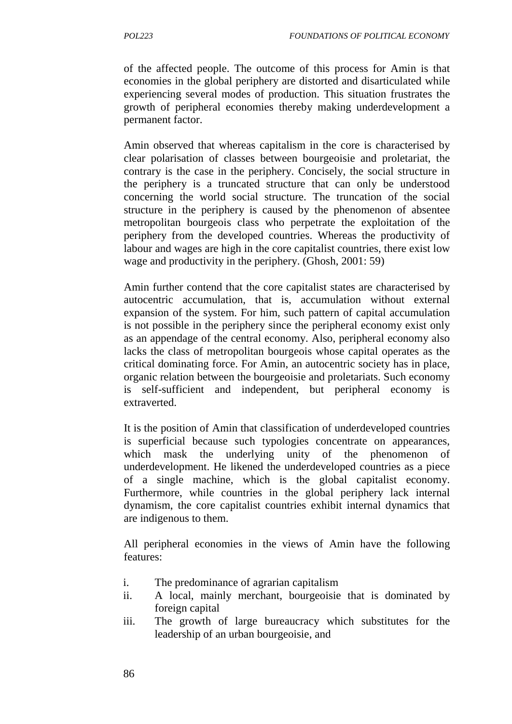of the affected people. The outcome of this process for Amin is that economies in the global periphery are distorted and disarticulated while experiencing several modes of production. This situation frustrates the growth of peripheral economies thereby making underdevelopment a permanent factor.

Amin observed that whereas capitalism in the core is characterised by clear polarisation of classes between bourgeoisie and proletariat, the contrary is the case in the periphery. Concisely, the social structure in the periphery is a truncated structure that can only be understood concerning the world social structure. The truncation of the social structure in the periphery is caused by the phenomenon of absentee metropolitan bourgeois class who perpetrate the exploitation of the periphery from the developed countries. Whereas the productivity of labour and wages are high in the core capitalist countries, there exist low wage and productivity in the periphery. (Ghosh, 2001: 59)

Amin further contend that the core capitalist states are characterised by autocentric accumulation, that is, accumulation without external expansion of the system. For him, such pattern of capital accumulation is not possible in the periphery since the peripheral economy exist only as an appendage of the central economy. Also, peripheral economy also lacks the class of metropolitan bourgeois whose capital operates as the critical dominating force. For Amin, an autocentric society has in place, organic relation between the bourgeoisie and proletariats. Such economy is self-sufficient and independent, but peripheral economy is extraverted.

It is the position of Amin that classification of underdeveloped countries is superficial because such typologies concentrate on appearances, which mask the underlying unity of the phenomenon of underdevelopment. He likened the underdeveloped countries as a piece of a single machine, which is the global capitalist economy. Furthermore, while countries in the global periphery lack internal dynamism, the core capitalist countries exhibit internal dynamics that are indigenous to them.

All peripheral economies in the views of Amin have the following features:

- i. The predominance of agrarian capitalism
- ii. A local, mainly merchant, bourgeoisie that is dominated by foreign capital
- iii. The growth of large bureaucracy which substitutes for the leadership of an urban bourgeoisie, and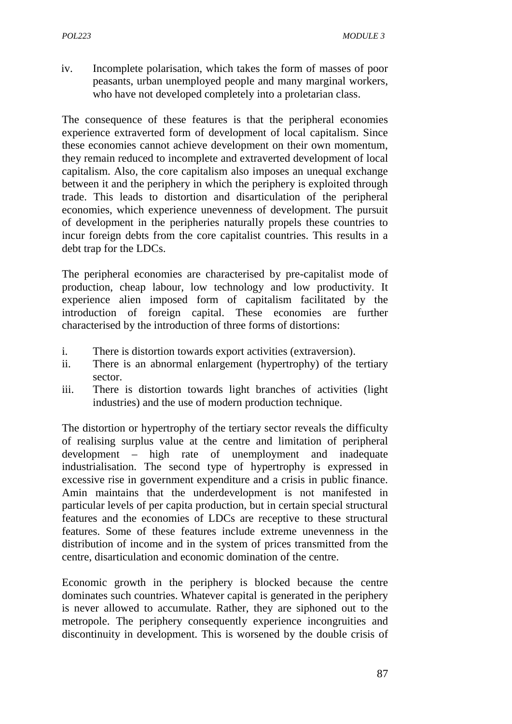iv. Incomplete polarisation, which takes the form of masses of poor peasants, urban unemployed people and many marginal workers, who have not developed completely into a proletarian class.

The consequence of these features is that the peripheral economies experience extraverted form of development of local capitalism. Since these economies cannot achieve development on their own momentum, they remain reduced to incomplete and extraverted development of local capitalism. Also, the core capitalism also imposes an unequal exchange between it and the periphery in which the periphery is exploited through trade. This leads to distortion and disarticulation of the peripheral economies, which experience unevenness of development. The pursuit of development in the peripheries naturally propels these countries to incur foreign debts from the core capitalist countries. This results in a debt trap for the LDCs.

The peripheral economies are characterised by pre-capitalist mode of production, cheap labour, low technology and low productivity. It experience alien imposed form of capitalism facilitated by the introduction of foreign capital. These economies are further characterised by the introduction of three forms of distortions:

- i. There is distortion towards export activities (extraversion).
- ii. There is an abnormal enlargement (hypertrophy) of the tertiary sector.
- iii. There is distortion towards light branches of activities (light industries) and the use of modern production technique.

The distortion or hypertrophy of the tertiary sector reveals the difficulty of realising surplus value at the centre and limitation of peripheral development – high rate of unemployment and inadequate industrialisation. The second type of hypertrophy is expressed in excessive rise in government expenditure and a crisis in public finance. Amin maintains that the underdevelopment is not manifested in particular levels of per capita production, but in certain special structural features and the economies of LDCs are receptive to these structural features. Some of these features include extreme unevenness in the distribution of income and in the system of prices transmitted from the centre, disarticulation and economic domination of the centre.

Economic growth in the periphery is blocked because the centre dominates such countries. Whatever capital is generated in the periphery is never allowed to accumulate. Rather, they are siphoned out to the metropole. The periphery consequently experience incongruities and discontinuity in development. This is worsened by the double crisis of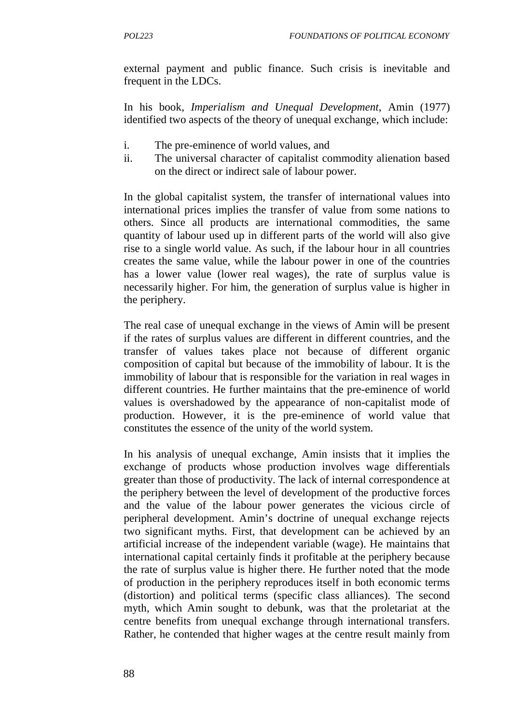external payment and public finance. Such crisis is inevitable and frequent in the LDCs.

In his book, *Imperialism and Unequal Development*, Amin (1977) identified two aspects of the theory of unequal exchange, which include:

- i. The pre-eminence of world values, and
- ii. The universal character of capitalist commodity alienation based on the direct or indirect sale of labour power.

In the global capitalist system, the transfer of international values into international prices implies the transfer of value from some nations to others. Since all products are international commodities, the same quantity of labour used up in different parts of the world will also give rise to a single world value. As such, if the labour hour in all countries creates the same value, while the labour power in one of the countries has a lower value (lower real wages), the rate of surplus value is necessarily higher. For him, the generation of surplus value is higher in the periphery.

The real case of unequal exchange in the views of Amin will be present if the rates of surplus values are different in different countries, and the transfer of values takes place not because of different organic composition of capital but because of the immobility of labour. It is the immobility of labour that is responsible for the variation in real wages in different countries. He further maintains that the pre-eminence of world values is overshadowed by the appearance of non-capitalist mode of production. However, it is the pre-eminence of world value that constitutes the essence of the unity of the world system.

In his analysis of unequal exchange, Amin insists that it implies the exchange of products whose production involves wage differentials greater than those of productivity. The lack of internal correspondence at the periphery between the level of development of the productive forces and the value of the labour power generates the vicious circle of peripheral development. Amin's doctrine of unequal exchange rejects two significant myths. First, that development can be achieved by an artificial increase of the independent variable (wage). He maintains that international capital certainly finds it profitable at the periphery because the rate of surplus value is higher there. He further noted that the mode of production in the periphery reproduces itself in both economic terms (distortion) and political terms (specific class alliances). The second myth, which Amin sought to debunk, was that the proletariat at the centre benefits from unequal exchange through international transfers. Rather, he contended that higher wages at the centre result mainly from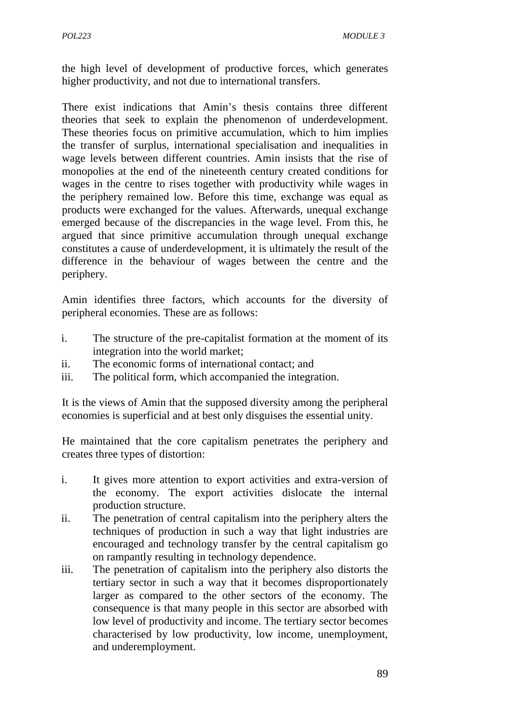the high level of development of productive forces, which generates higher productivity, and not due to international transfers.

There exist indications that Amin's thesis contains three different theories that seek to explain the phenomenon of underdevelopment. These theories focus on primitive accumulation, which to him implies the transfer of surplus, international specialisation and inequalities in wage levels between different countries. Amin insists that the rise of monopolies at the end of the nineteenth century created conditions for wages in the centre to rises together with productivity while wages in the periphery remained low. Before this time, exchange was equal as products were exchanged for the values. Afterwards, unequal exchange emerged because of the discrepancies in the wage level. From this, he argued that since primitive accumulation through unequal exchange constitutes a cause of underdevelopment, it is ultimately the result of the difference in the behaviour of wages between the centre and the periphery.

Amin identifies three factors, which accounts for the diversity of peripheral economies. These are as follows:

- i. The structure of the pre-capitalist formation at the moment of its integration into the world market;
- ii. The economic forms of international contact; and
- iii. The political form, which accompanied the integration.

It is the views of Amin that the supposed diversity among the peripheral economies is superficial and at best only disguises the essential unity.

He maintained that the core capitalism penetrates the periphery and creates three types of distortion:

- i. It gives more attention to export activities and extra-version of the economy. The export activities dislocate the internal production structure.
- ii. The penetration of central capitalism into the periphery alters the techniques of production in such a way that light industries are encouraged and technology transfer by the central capitalism go on rampantly resulting in technology dependence.
- iii. The penetration of capitalism into the periphery also distorts the tertiary sector in such a way that it becomes disproportionately larger as compared to the other sectors of the economy. The consequence is that many people in this sector are absorbed with low level of productivity and income. The tertiary sector becomes characterised by low productivity, low income, unemployment, and underemployment.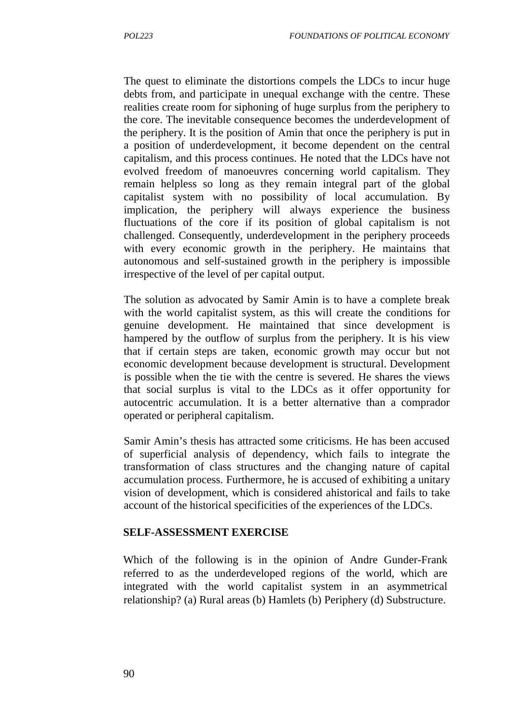The quest to eliminate the distortions compels the LDCs to incur huge debts from, and participate in unequal exchange with the centre. These realities create room for siphoning of huge surplus from the periphery to the core. The inevitable consequence becomes the underdevelopment of the periphery. It is the position of Amin that once the periphery is put in a position of underdevelopment, it become dependent on the central capitalism, and this process continues. He noted that the LDCs have not evolved freedom of manoeuvres concerning world capitalism. They remain helpless so long as they remain integral part of the global capitalist system with no possibility of local accumulation. By implication, the periphery will always experience the business fluctuations of the core if its position of global capitalism is not challenged. Consequently, underdevelopment in the periphery proceeds with every economic growth in the periphery. He maintains that autonomous and self-sustained growth in the periphery is impossible irrespective of the level of per capital output.

The solution as advocated by Samir Amin is to have a complete break with the world capitalist system, as this will create the conditions for genuine development. He maintained that since development is hampered by the outflow of surplus from the periphery. It is his view that if certain steps are taken, economic growth may occur but not economic development because development is structural. Development is possible when the tie with the centre is severed. He shares the views that social surplus is vital to the LDCs as it offer opportunity for autocentric accumulation. It is a better alternative than a comprador operated or peripheral capitalism.

Samir Amin's thesis has attracted some criticisms. He has been accused of superficial analysis of dependency, which fails to integrate the transformation of class structures and the changing nature of capital accumulation process. Furthermore, he is accused of exhibiting a unitary vision of development, which is considered ahistorical and fails to take account of the historical specificities of the experiences of the LDCs.

#### **SELF-ASSESSMENT EXERCISE**

Which of the following is in the opinion of Andre Gunder-Frank referred to as the underdeveloped regions of the world, which are integrated with the world capitalist system in an asymmetrical relationship? (a) Rural areas (b) Hamlets (b) Periphery (d) Substructure.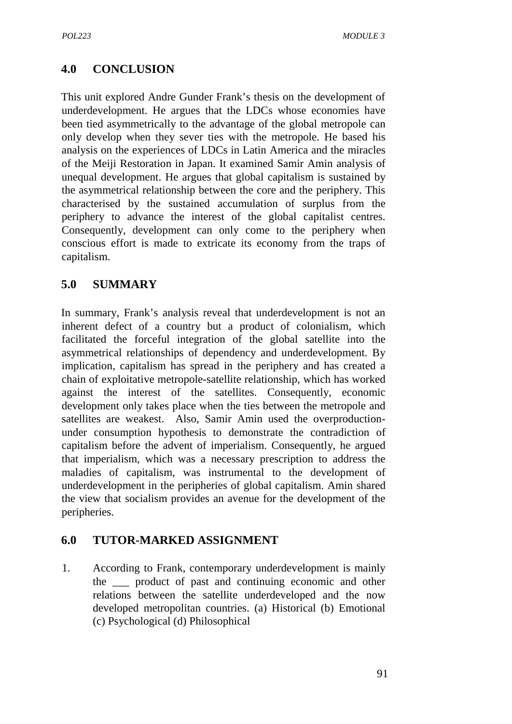# **4.0 CONCLUSION**

This unit explored Andre Gunder Frank's thesis on the development of underdevelopment. He argues that the LDCs whose economies have been tied asymmetrically to the advantage of the global metropole can only develop when they sever ties with the metropole. He based his analysis on the experiences of LDCs in Latin America and the miracles of the Meiji Restoration in Japan. It examined Samir Amin analysis of unequal development. He argues that global capitalism is sustained by the asymmetrical relationship between the core and the periphery. This characterised by the sustained accumulation of surplus from the periphery to advance the interest of the global capitalist centres. Consequently, development can only come to the periphery when conscious effort is made to extricate its economy from the traps of capitalism.

### **5.0 SUMMARY**

In summary, Frank's analysis reveal that underdevelopment is not an inherent defect of a country but a product of colonialism, which facilitated the forceful integration of the global satellite into the asymmetrical relationships of dependency and underdevelopment. By implication, capitalism has spread in the periphery and has created a chain of exploitative metropole-satellite relationship, which has worked against the interest of the satellites. Consequently, economic development only takes place when the ties between the metropole and satellites are weakest. Also, Samir Amin used the overproduction under consumption hypothesis to demonstrate the contradiction of capitalism before the advent of imperialism. Consequently, he argued that imperialism, which was a necessary prescription to address the maladies of capitalism, was instrumental to the development of underdevelopment in the peripheries of global capitalism. Amin shared the view that socialism provides an avenue for the development of the peripheries.

### **6.0 TUTOR-MARKED ASSIGNMENT**

1. According to Frank, contemporary underdevelopment is mainly the \_\_\_ product of past and continuing economic and other relations between the satellite underdeveloped and the now developed metropolitan countries. (a) Historical (b) Emotional (c) Psychological (d) Philosophical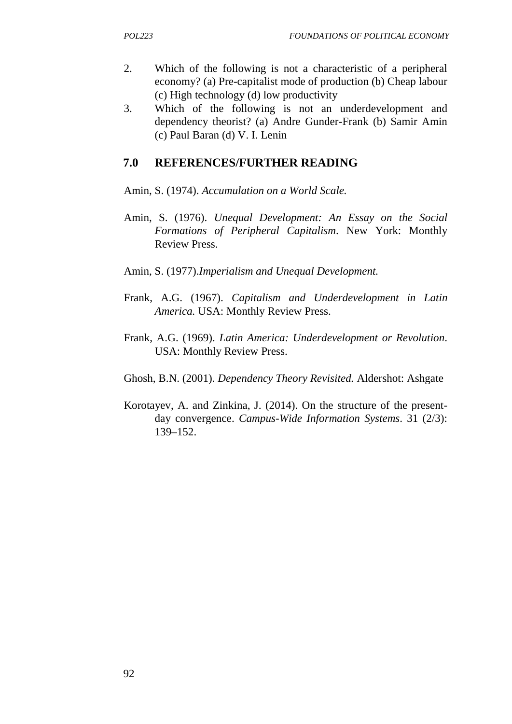- 2. Which of the following is not a characteristic of a peripheral economy? (a) Pre-capitalist mode of production (b) Cheap labour (c) High technology (d) low productivity
- 3. Which of the following is not an underdevelopment and dependency theorist? (a) Andre Gunder-Frank (b) Samir Amin (c) Paul Baran (d) V. I. Lenin

### **7.0 REFERENCES/FURTHER READING**

Amin, S. (1974). *Accumulation on a World Scale.*

- Amin, S. (1976). *Unequal Development: An Essay on the Social Formations of Peripheral Capitalism*. New York: Monthly Review Press.
- Amin, S. (1977).*Imperialism and Unequal Development.*
- Frank, A.G. (1967). *Capitalism and Underdevelopment in Latin America.* USA: Monthly Review Press.
- Frank, A.G. (1969). *Latin America: Underdevelopment or Revolution*. USA: Monthly Review Press.
- Ghosh, B.N. (2001). *Dependency Theory Revisited.* Aldershot: Ashgate
- Korotayev, A. and Zinkina, J. (2014). On the structure of the present day convergence. *Campus-Wide Information Systems*. 31 (2/3): 139–152.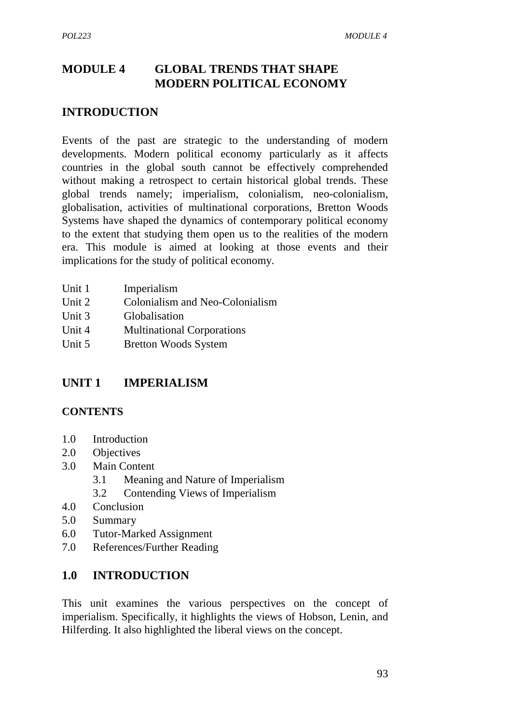# **MODULE 4 GLOBAL TRENDS THAT SHAPE MODERN POLITICAL ECONOMY**

#### **INTRODUCTION**

Events of the past are strategic to the understanding of modern developments. Modern political economy particularly as it affects countries in the global south cannot be effectively comprehended without making a retrospect to certain historical global trends. These global trends namely; imperialism, colonialism, neo-colonialism, globalisation, activities of multinational corporations, Bretton Woods Systems have shaped the dynamics of contemporary political economy to the extent that studying them open us to the realities of the modern era. This module is aimed at looking at those events and their implications for the study of political economy.

| Unit 1 | Imperialism                       |
|--------|-----------------------------------|
| Unit 2 | Colonialism and Neo-Colonialism   |
| Unit 3 | Globalisation                     |
| Unit 4 | <b>Multinational Corporations</b> |
| Unit 5 | <b>Bretton Woods System</b>       |

### **UNIT 1 IMPERIALISM**

#### **CONTENTS**

- 1.0 Introduction
- 2.0 Objectives
- 3.0 Main Content
	- 3.1 Meaning and Nature of Imperialism
	- 3.2 Contending Views of Imperialism
- 4.0 Conclusion
- 5.0 Summary
- 6.0 Tutor-Marked Assignment
- 7.0 References/Further Reading

#### **1.0 INTRODUCTION**

This unit examines the various perspectives on the concept of imperialism. Specifically, it highlights the views of Hobson, Lenin, and Hilferding. It also highlighted the liberal views on the concept.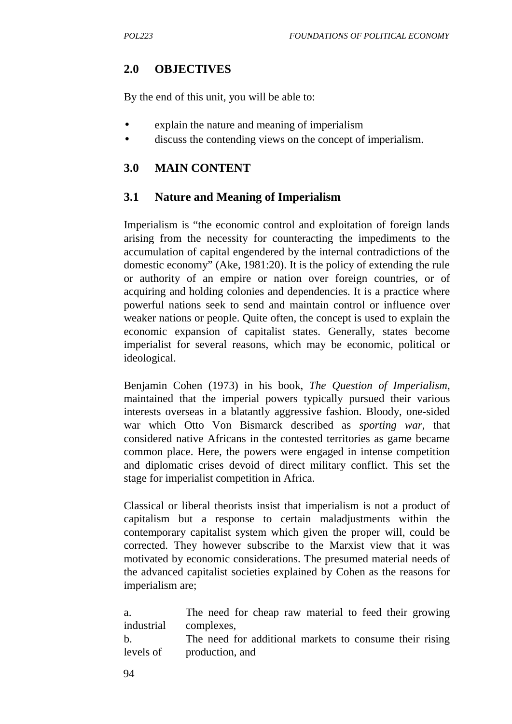# **2.0 OBJECTIVES**

By the end of this unit, you will be able to:

- explain the nature and meaning of imperialism
- discuss the contending views on the concept of imperialism.

### **3.0 MAIN CONTENT**

### **3.1 Nature and Meaning of Imperialism**

Imperialism is "the economic control and exploitation of foreign lands arising from the necessity for counteracting the impediments to the accumulation of capital engendered by the internal contradictions of the domestic economy" (Ake, 1981:20). It is the policy of extending the rule or authority of an empire or nation over foreign countries, or of acquiring and holding colonies and dependencies. It is a practice where powerful nations seek to send and maintain control or influence over weaker nations or people. Quite often, the concept is used to explain the economic expansion of capitalist states. Generally, states become imperialist for several reasons, which may be economic, political or ideological.

Benjamin Cohen (1973) in his book, *The Question of Imperialism*, maintained that the imperial powers typically pursued their various interests overseas in a blatantly aggressive fashion. Bloody, one-sided war which Otto Von Bismarck described as *sporting war*, that considered native Africans in the contested territories as game became common place. Here, the powers were engaged in intense competition and diplomatic crises devoid of direct military conflict. This set the stage for imperialist competition in Africa.

Classical or liberal theorists insist that imperialism is not a product of capitalism but a response to certain maladjustments within the contemporary capitalist system which given the proper will, could be corrected. They however subscribe to the Marxist view that it was motivated by economic considerations. The presumed material needs of the advanced capitalist societies explained by Cohen as the reasons for imperialism are;

| a.                    | The need for cheap raw material to feed their growing                                |
|-----------------------|--------------------------------------------------------------------------------------|
| industrial complexes, |                                                                                      |
| b.                    | The need for additional markets to consume their rising<br>levels of production, and |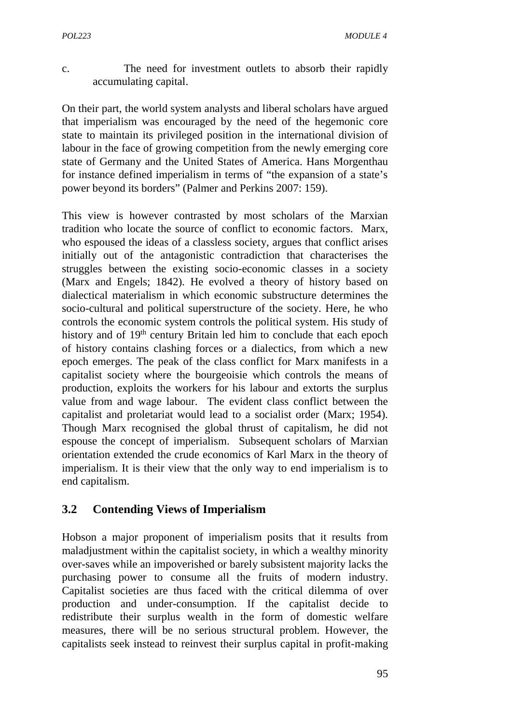c. The need for investment outlets to absorb their rapidly accumulating capital.

On their part, the world system analysts and liberal scholars have argued that imperialism was encouraged by the need of the hegemonic core state to maintain its privileged position in the international division of labour in the face of growing competition from the newly emerging core state of Germany and the United States of America. Hans Morgenthau for instance defined imperialism in terms of "the expansion of a state's power beyond its borders" (Palmer and Perkins 2007: 159).

This view is however contrasted by most scholars of the Marxian tradition who locate the source of conflict to economic factors. Marx, who espoused the ideas of a classless society, argues that conflict arises initially out of the antagonistic contradiction that characterises the struggles between the existing socio-economic classes in a society (Marx and Engels; 1842). He evolved a theory of history based on dialectical materialism in which economic substructure determines the socio-cultural and political superstructure of the society. Here, he who controls the economic system controls the political system. His study of history and of 19<sup>th</sup> century Britain led him to conclude that each epoch of history contains clashing forces or a dialectics, from which a new epoch emerges. The peak of the class conflict for Marx manifests in a capitalist society where the bourgeoisie which controls the means of production, exploits the workers for his labour and extorts the surplus value from and wage labour. The evident class conflict between the capitalist and proletariat would lead to a socialist order (Marx; 1954). Though Marx recognised the global thrust of capitalism, he did not espouse the concept of imperialism. Subsequent scholars of Marxian orientation extended the crude economics of Karl Marx in the theory of imperialism. It is their view that the only way to end imperialism is to end capitalism.

### **3.2 Contending Views of Imperialism**

Hobson a major proponent of imperialism posits that it results from maladjustment within the capitalist society, in which a wealthy minority over-saves while an impoverished or barely subsistent majority lacks the purchasing power to consume all the fruits of modern industry. Capitalist societies are thus faced with the critical dilemma of over production and under-consumption. If the capitalist decide to redistribute their surplus wealth in the form of domestic welfare measures, there will be no serious structural problem. However, the capitalists seek instead to reinvest their surplus capital in profit-making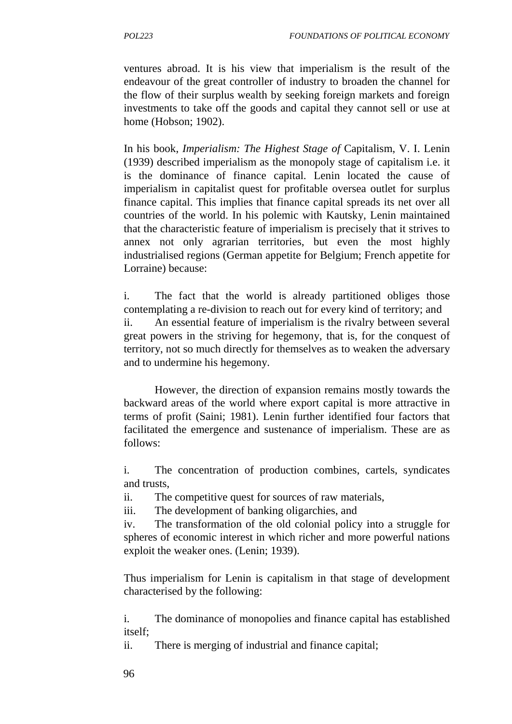ventures abroad. It is his view that imperialism is the result of the endeavour of the great controller of industry to broaden the channel for the flow of their surplus wealth by seeking foreign markets and foreign investments to take off the goods and capital they cannot sell or use at home (Hobson; 1902).

In his book, *Imperialism: The Highest Stage of* Capitalism, V. I. Lenin (1939) described imperialism as the monopoly stage of capitalism i.e. it is the dominance of finance capital. Lenin located the cause of imperialism in capitalist quest for profitable oversea outlet for surplus finance capital. This implies that finance capital spreads its net over all countries of the world. In his polemic with Kautsky, Lenin maintained that the characteristic feature of imperialism is precisely that it strives to annex not only agrarian territories, but even the most highly industrialised regions (German appetite for Belgium; French appetite for Lorraine) because:

i. The fact that the world is already partitioned obliges those contemplating a re-division to reach out for every kind of territory; and ii. An essential feature of imperialism is the rivalry between several great powers in the striving for hegemony, that is, for the conquest of territory, not so much directly for themselves as to weaken the adversary and to undermine his hegemony.

However, the direction of expansion remains mostly towards the backward areas of the world where export capital is more attractive in terms of profit (Saini; 1981). Lenin further identified four factors that facilitated the emergence and sustenance of imperialism. These are as follows:

i. The concentration of production combines, cartels, syndicates and trusts,

ii. The competitive quest for sources of raw materials,

iii. The development of banking oligarchies, and

iv. The transformation of the old colonial policy into a struggle for spheres of economic interest in which richer and more powerful nations exploit the weaker ones. (Lenin; 1939).

Thus imperialism for Lenin is capitalism in that stage of development characterised by the following:

i. The dominance of monopolies and finance capital has established itself;

ii. There is merging of industrial and finance capital;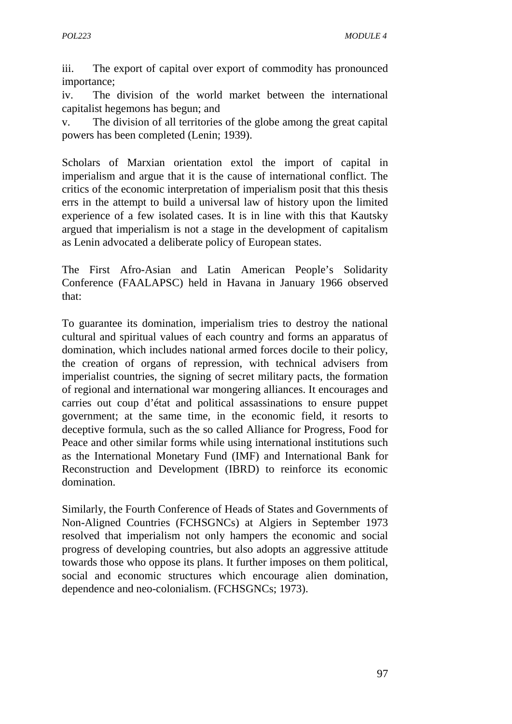iii. The export of capital over export of commodity has pronounced importance;

iv. The division of the world market between the international capitalist hegemons has begun; and

v. The division of all territories of the globe among the great capital powers has been completed (Lenin; 1939).

Scholars of Marxian orientation extol the import of capital in imperialism and argue that it is the cause of international conflict. The critics of the economic interpretation of imperialism posit that this thesis errs in the attempt to build a universal law of history upon the limited experience of a few isolated cases. It is in line with this that Kautsky argued that imperialism is not a stage in the development of capitalism as Lenin advocated a deliberate policy of European states.

The First Afro-Asian and Latin American People's Solidarity Conference (FAALAPSC) held in Havana in January 1966 observed that:

To guarantee its domination, imperialism tries to destroy the national cultural and spiritual values of each country and forms an apparatus of domination, which includes national armed forces docile to their policy, the creation of organs of repression, with technical advisers from imperialist countries, the signing of secret military pacts, the formation of regional and international war mongering alliances. It encourages and carries out coup d'état and political assassinations to ensure puppet government; at the same time, in the economic field, it resorts to deceptive formula, such as the so called Alliance for Progress, Food for Peace and other similar forms while using international institutions such as the International Monetary Fund (IMF) and International Bank for Reconstruction and Development (IBRD) to reinforce its economic domination.

Similarly, the Fourth Conference of Heads of States and Governments of Non-Aligned Countries (FCHSGNCs) at Algiers in September 1973 resolved that imperialism not only hampers the economic and social progress of developing countries, but also adopts an aggressive attitude towards those who oppose its plans. It further imposes on them political, social and economic structures which encourage alien domination, dependence and neo-colonialism. (FCHSGNCs; 1973).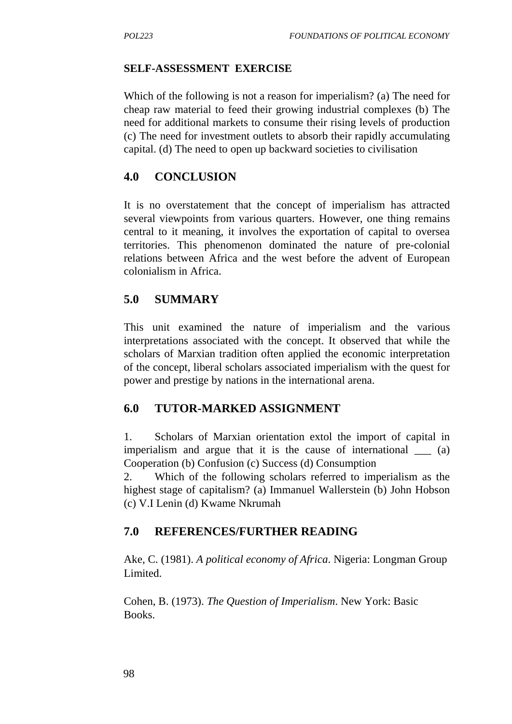#### **SELF-ASSESSMENT EXERCISE**

Which of the following is not a reason for imperialism? (a) The need for cheap raw material to feed their growing industrial complexes (b) The need for additional markets to consume their rising levels of production (c) The need for investment outlets to absorb their rapidly accumulating capital. (d) The need to open up backward societies to civilisation

### **4.0 CONCLUSION**

It is no overstatement that the concept of imperialism has attracted several viewpoints from various quarters. However, one thing remains central to it meaning, it involves the exportation of capital to oversea territories. This phenomenon dominated the nature of pre-colonial relations between Africa and the west before the advent of European colonialism in Africa.

### **5.0 SUMMARY**

This unit examined the nature of imperialism and the various interpretations associated with the concept. It observed that while the scholars of Marxian tradition often applied the economic interpretation of the concept, liberal scholars associated imperialism with the quest for power and prestige by nations in the international arena.

### **6.0 TUTOR-MARKED ASSIGNMENT**

1. Scholars of Marxian orientation extol the import of capital in imperialism and argue that it is the cause of international \_\_\_ (a) Cooperation (b) Confusion (c) Success (d) Consumption

2. Which of the following scholars referred to imperialism as the highest stage of capitalism? (a) Immanuel Wallerstein (b) John Hobson (c) V.I Lenin (d) Kwame Nkrumah

### **7.0 REFERENCES/FURTHER READING**

Ake, C. (1981). *A political economy of Africa*. Nigeria: Longman Group Limited.

Cohen, B. (1973). *The Question of Imperialism*. New York: Basic Books.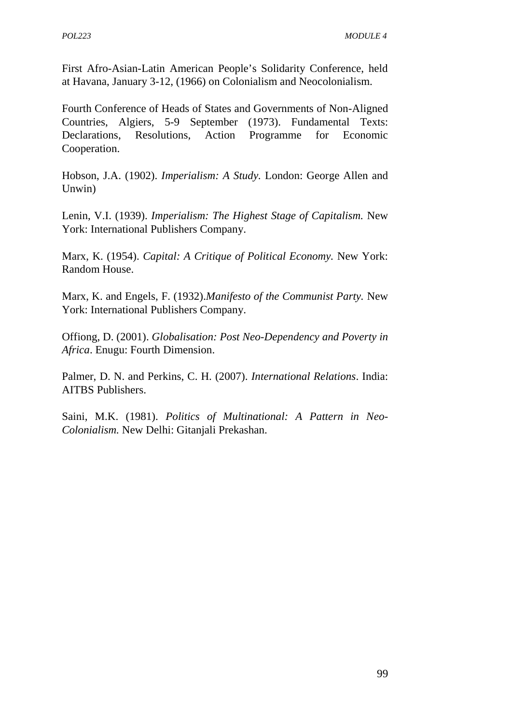First Afro-Asian-Latin American People's Solidarity Conference, held at Havana, January 3-12, (1966) on Colonialism and Neocolonialism.

Fourth Conference of Heads of States and Governments of Non-Aligned Countries, Algiers, 5-9 September (1973). Fundamental Texts: Declarations, Resolutions, Action Programme for Economic Cooperation.

Hobson, J.A. (1902). *Imperialism: A Study.* London: George Allen and Unwin)

Lenin, V.I. (1939). *Imperialism: The Highest Stage of Capitalism.* New York: International Publishers Company.

Marx, K. (1954). *Capital: A Critique of Political Economy.* New York: Random House.

Marx, K. and Engels, F. (1932).*Manifesto of the Communist Party.* New York: International Publishers Company.

Offiong, D. (2001). *Globalisation: Post Neo-Dependency and Poverty in Africa*. Enugu: Fourth Dimension.

Palmer, D. N. and Perkins, C. H. (2007). *International Relations*. India: AITBS Publishers.

Saini, M.K. (1981). *Politics of Multinational: A Pattern in Neo- Colonialism.* New Delhi: Gitanjali Prekashan.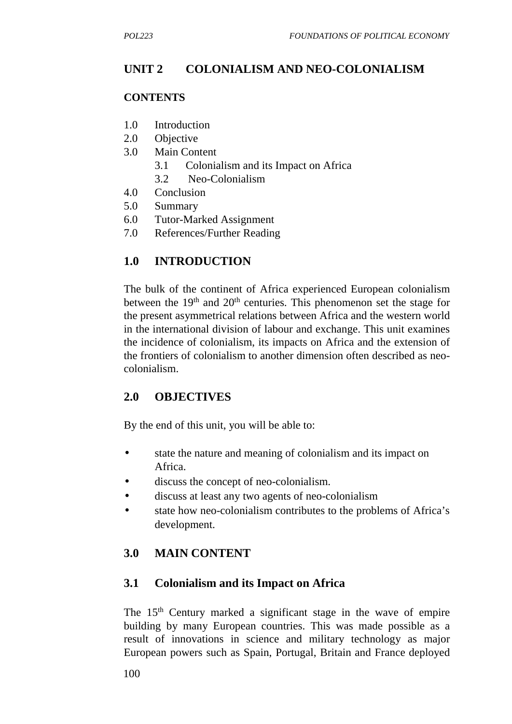# **UNIT 2 COLONIALISM AND NEO-COLONIALISM**

#### **CONTENTS**

- 1.0 Introduction
- 2.0 Objective
- 3.0 Main Content
	- 3.1 Colonialism and its Impact on Africa
	- 3.2 Neo-Colonialism
- 4.0 Conclusion
- 5.0 Summary
- 6.0 Tutor-Marked Assignment
- 7.0 References/Further Reading

# **1.0 INTRODUCTION**

The bulk of the continent of Africa experienced European colonialism between the  $19<sup>th</sup>$  and  $20<sup>th</sup>$  centuries. This phenomenon set the stage for the present asymmetrical relations between Africa and the western world in the international division of labour and exchange. This unit examines the incidence of colonialism, its impacts on Africa and the extension of the frontiers of colonialism to another dimension often described as neo colonialism.

### **2.0 OBJECTIVES**

By the end of this unit, you will be able to:

- state the nature and meaning of colonialism and its impact on Africa.
- discuss the concept of neo-colonialism.
- discuss at least any two agents of neo-colonialism
- state how neo-colonialism contributes to the problems of Africa's development.

# **3.0 MAIN CONTENT**

### **3.1 Colonialism and its Impact on Africa**

The 15<sup>th</sup> Century marked a significant stage in the wave of empire building by many European countries. This was made possible as a result of innovations in science and military technology as major European powers such as Spain, Portugal, Britain and France deployed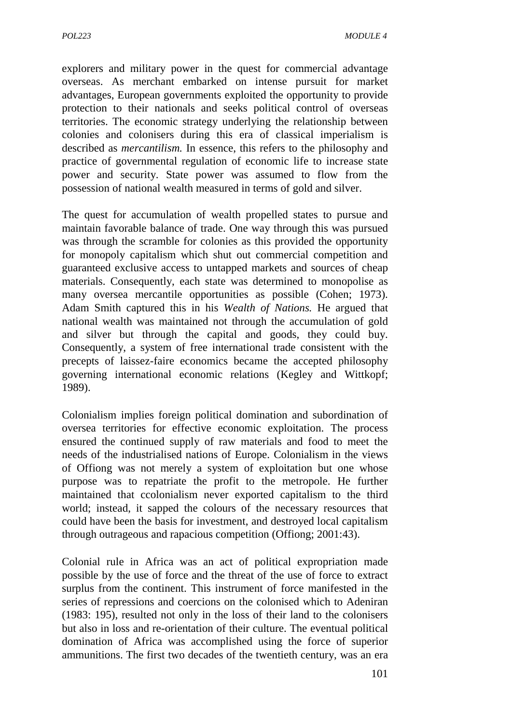explorers and military power in the quest for commercial advantage overseas. As merchant embarked on intense pursuit for market advantages, European governments exploited the opportunity to provide protection to their nationals and seeks political control of overseas territories. The economic strategy underlying the relationship between colonies and colonisers during this era of classical imperialism is described as *mercantilism.* In essence, this refers to the philosophy and practice of governmental regulation of economic life to increase state power and security. State power was assumed to flow from the possession of national wealth measured in terms of gold and silver.

The quest for accumulation of wealth propelled states to pursue and maintain favorable balance of trade. One way through this was pursued was through the scramble for colonies as this provided the opportunity for monopoly capitalism which shut out commercial competition and guaranteed exclusive access to untapped markets and sources of cheap materials. Consequently, each state was determined to monopolise as many oversea mercantile opportunities as possible (Cohen; 1973). Adam Smith captured this in his *Wealth of Nations.* He argued that national wealth was maintained not through the accumulation of gold and silver but through the capital and goods, they could buy. Consequently, a system of free international trade consistent with the precepts of laissez-faire economics became the accepted philosophy governing international economic relations (Kegley and Wittkopf; 1989).

Colonialism implies foreign political domination and subordination of oversea territories for effective economic exploitation. The process ensured the continued supply of raw materials and food to meet the needs of the industrialised nations of Europe. Colonialism in the views of Offiong was not merely a system of exploitation but one whose purpose was to repatriate the profit to the metropole. He further maintained that ccolonialism never exported capitalism to the third world; instead, it sapped the colours of the necessary resources that could have been the basis for investment, and destroyed local capitalism through outrageous and rapacious competition (Offiong; 2001:43).

Colonial rule in Africa was an act of political expropriation made possible by the use of force and the threat of the use of force to extract surplus from the continent. This instrument of force manifested in the series of repressions and coercions on the colonised which to Adeniran (1983: 195), resulted not only in the loss of their land to the colonisers but also in loss and re-orientation of their culture. The eventual political domination of Africa was accomplished using the force of superior ammunitions. The first two decades of the twentieth century, was an era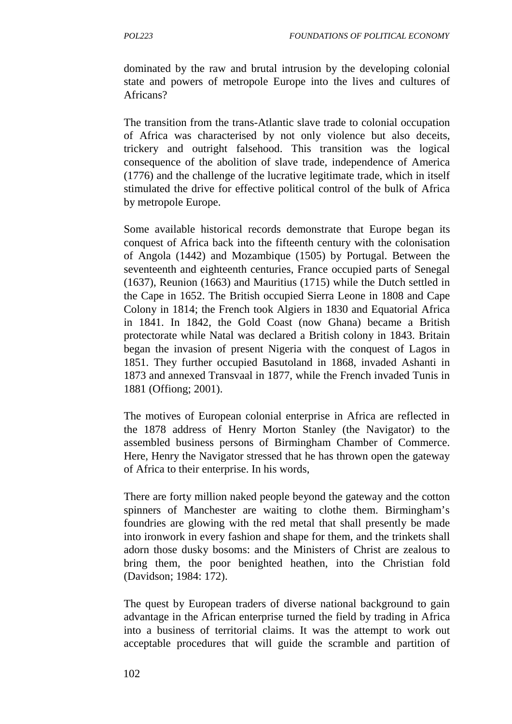dominated by the raw and brutal intrusion by the developing colonial state and powers of metropole Europe into the lives and cultures of Africans?

The transition from the trans-Atlantic slave trade to colonial occupation of Africa was characterised by not only violence but also deceits, trickery and outright falsehood. This transition was the logical consequence of the abolition of slave trade, independence of America (1776) and the challenge of the lucrative legitimate trade, which in itself stimulated the drive for effective political control of the bulk of Africa by metropole Europe.

Some available historical records demonstrate that Europe began its conquest of Africa back into the fifteenth century with the colonisation of Angola (1442) and Mozambique (1505) by Portugal. Between the seventeenth and eighteenth centuries, France occupied parts of Senegal (1637), Reunion (1663) and Mauritius (1715) while the Dutch settled in the Cape in 1652. The British occupied Sierra Leone in 1808 and Cape Colony in 1814; the French took Algiers in 1830 and Equatorial Africa in 1841. In 1842, the Gold Coast (now Ghana) became a British protectorate while Natal was declared a British colony in 1843. Britain began the invasion of present Nigeria with the conquest of Lagos in 1851. They further occupied Basutoland in 1868, invaded Ashanti in 1873 and annexed Transvaal in 1877, while the French invaded Tunis in 1881 (Offiong; 2001).

The motives of European colonial enterprise in Africa are reflected in the 1878 address of Henry Morton Stanley (the Navigator) to the assembled business persons of Birmingham Chamber of Commerce. Here, Henry the Navigator stressed that he has thrown open the gateway of Africa to their enterprise. In his words,

There are forty million naked people beyond the gateway and the cotton spinners of Manchester are waiting to clothe them. Birmingham's foundries are glowing with the red metal that shall presently be made into ironwork in every fashion and shape for them, and the trinkets shall adorn those dusky bosoms: and the Ministers of Christ are zealous to bring them, the poor benighted heathen, into the Christian fold (Davidson; 1984: 172).

The quest by European traders of diverse national background to gain advantage in the African enterprise turned the field by trading in Africa into a business of territorial claims. It was the attempt to work out acceptable procedures that will guide the scramble and partition of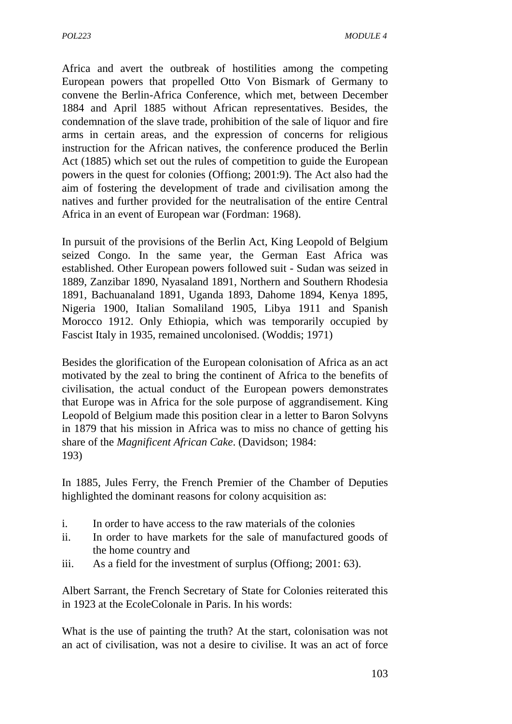Africa and avert the outbreak of hostilities among the competing European powers that propelled Otto Von Bismark of Germany to convene the Berlin-Africa Conference, which met, between December 1884 and April 1885 without African representatives. Besides, the condemnation of the slave trade, prohibition of the sale of liquor and fire arms in certain areas, and the expression of concerns for religious instruction for the African natives, the conference produced the Berlin Act (1885) which set out the rules of competition to guide the European powers in the quest for colonies (Offiong; 2001:9). The Act also had the aim of fostering the development of trade and civilisation among the natives and further provided for the neutralisation of the entire Central Africa in an event of European war (Fordman: 1968).

In pursuit of the provisions of the Berlin Act, King Leopold of Belgium seized Congo. In the same year, the German East Africa was established. Other European powers followed suit - Sudan was seized in 1889, Zanzibar 1890, Nyasaland 1891, Northern and Southern Rhodesia 1891, Bachuanaland 1891, Uganda 1893, Dahome 1894, Kenya 1895, Nigeria 1900, Italian Somaliland 1905, Libya 1911 and Spanish Morocco 1912. Only Ethiopia, which was temporarily occupied by Fascist Italy in 1935, remained uncolonised. (Woddis; 1971)

Besides the glorification of the European colonisation of Africa as an act motivated by the zeal to bring the continent of Africa to the benefits of civilisation, the actual conduct of the European powers demonstrates that Europe was in Africa for the sole purpose of aggrandisement. King Leopold of Belgium made this position clear in a letter to Baron Solvyns in 1879 that his mission in Africa was to miss no chance of getting his share of the *Magnificent African Cake*. (Davidson; 1984: 193)

In 1885, Jules Ferry, the French Premier of the Chamber of Deputies highlighted the dominant reasons for colony acquisition as:

- i. In order to have access to the raw materials of the colonies
- ii. In order to have markets for the sale of manufactured goods of the home country and
- iii. As a field for the investment of surplus (Offiong; 2001: 63).

Albert Sarrant, the French Secretary of State for Colonies reiterated this in 1923 at the EcoleColonale in Paris. In his words:

What is the use of painting the truth? At the start, colonisation was not an act of civilisation, was not a desire to civilise. It was an act of force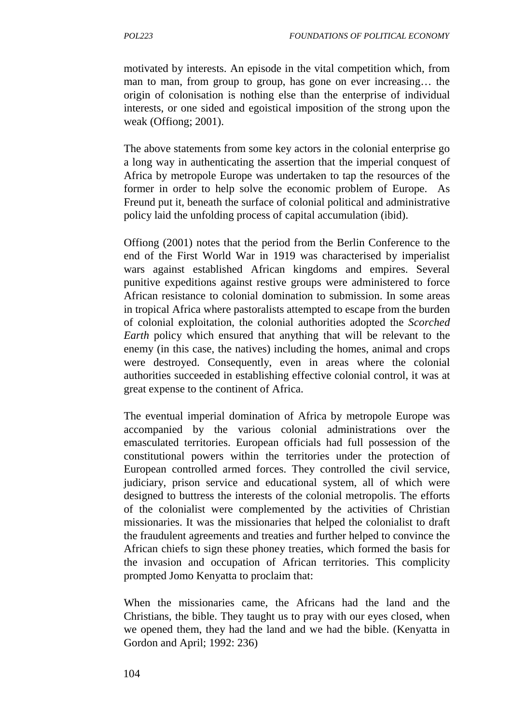motivated by interests. An episode in the vital competition which, from man to man, from group to group, has gone on ever increasing… the origin of colonisation is nothing else than the enterprise of individual interests, or one sided and egoistical imposition of the strong upon the weak (Offiong; 2001).

The above statements from some key actors in the colonial enterprise go a long way in authenticating the assertion that the imperial conquest of Africa by metropole Europe was undertaken to tap the resources of the former in order to help solve the economic problem of Europe. As Freund put it, beneath the surface of colonial political and administrative policy laid the unfolding process of capital accumulation (ibid).

Offiong (2001) notes that the period from the Berlin Conference to the end of the First World War in 1919 was characterised by imperialist wars against established African kingdoms and empires. Several punitive expeditions against restive groups were administered to force African resistance to colonial domination to submission. In some areas in tropical Africa where pastoralists attempted to escape from the burden of colonial exploitation, the colonial authorities adopted the *Scorched Earth* policy which ensured that anything that will be relevant to the enemy (in this case, the natives) including the homes, animal and crops were destroyed. Consequently, even in areas where the colonial authorities succeeded in establishing effective colonial control, it was at great expense to the continent of Africa.

The eventual imperial domination of Africa by metropole Europe was accompanied by the various colonial administrations over the emasculated territories. European officials had full possession of the constitutional powers within the territories under the protection of European controlled armed forces. They controlled the civil service, judiciary, prison service and educational system, all of which were designed to buttress the interests of the colonial metropolis. The efforts of the colonialist were complemented by the activities of Christian missionaries. It was the missionaries that helped the colonialist to draft the fraudulent agreements and treaties and further helped to convince the African chiefs to sign these phoney treaties, which formed the basis for the invasion and occupation of African territories. This complicity prompted Jomo Kenyatta to proclaim that:

When the missionaries came, the Africans had the land and the Christians, the bible. They taught us to pray with our eyes closed, when we opened them, they had the land and we had the bible. (Kenyatta in Gordon and April; 1992: 236)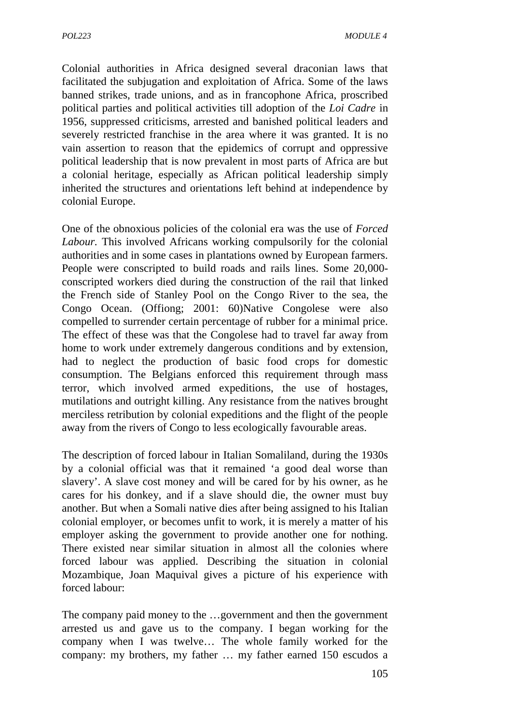Colonial authorities in Africa designed several draconian laws that facilitated the subjugation and exploitation of Africa. Some of the laws banned strikes, trade unions, and as in francophone Africa, proscribed political parties and political activities till adoption of the *Loi Cadre* in 1956, suppressed criticisms, arrested and banished political leaders and severely restricted franchise in the area where it was granted. It is no vain assertion to reason that the epidemics of corrupt and oppressive political leadership that is now prevalent in most parts of Africa are but a colonial heritage, especially as African political leadership simply inherited the structures and orientations left behind at independence by colonial Europe.

One of the obnoxious policies of the colonial era was the use of *Forced Labour.* This involved Africans working compulsorily for the colonial authorities and in some cases in plantations owned by European farmers. People were conscripted to build roads and rails lines. Some 20,000 conscripted workers died during the construction of the rail that linked the French side of Stanley Pool on the Congo River to the sea, the Congo Ocean. (Offiong; 2001: 60)Native Congolese were also compelled to surrender certain percentage of rubber for a minimal price. The effect of these was that the Congolese had to travel far away from home to work under extremely dangerous conditions and by extension, had to neglect the production of basic food crops for domestic consumption. The Belgians enforced this requirement through mass terror, which involved armed expeditions, the use of hostages, mutilations and outright killing. Any resistance from the natives brought merciless retribution by colonial expeditions and the flight of the people away from the rivers of Congo to less ecologically favourable areas.

The description of forced labour in Italian Somaliland, during the 1930s by a colonial official was that it remained 'a good deal worse than slavery'. A slave cost money and will be cared for by his owner, as he cares for his donkey, and if a slave should die, the owner must buy another. But when a Somali native dies after being assigned to his Italian colonial employer, or becomes unfit to work, it is merely a matter of his employer asking the government to provide another one for nothing. There existed near similar situation in almost all the colonies where forced labour was applied. Describing the situation in colonial Mozambique, Joan Maquival gives a picture of his experience with forced labour:

The company paid money to the …government and then the government arrested us and gave us to the company. I began working for the company when I was twelve… The whole family worked for the company: my brothers, my father … my father earned 150 escudos a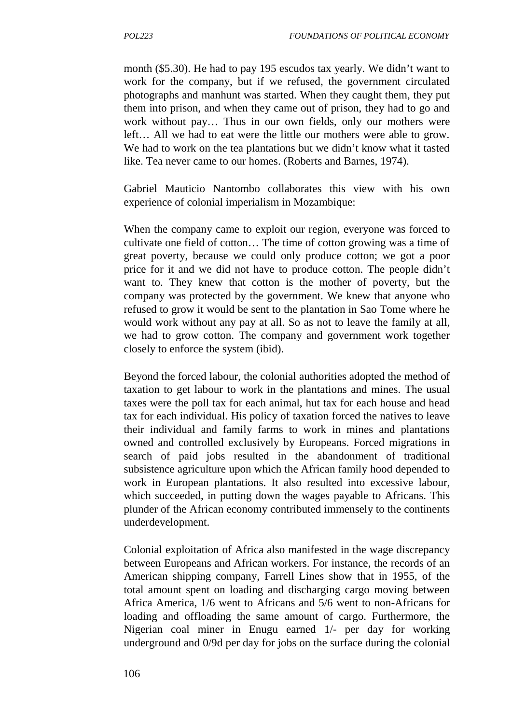month (\$5.30). He had to pay 195 escudos tax yearly. We didn't want to work for the company, but if we refused, the government circulated photographs and manhunt was started. When they caught them, they put them into prison, and when they came out of prison, they had to go and work without pay… Thus in our own fields, only our mothers were left… All we had to eat were the little our mothers were able to grow. We had to work on the tea plantations but we didn't know what it tasted like. Tea never came to our homes. (Roberts and Barnes, 1974).

Gabriel Mauticio Nantombo collaborates this view with his own experience of colonial imperialism in Mozambique:

When the company came to exploit our region, everyone was forced to cultivate one field of cotton… The time of cotton growing was a time of great poverty, because we could only produce cotton; we got a poor price for it and we did not have to produce cotton. The people didn't want to. They knew that cotton is the mother of poverty, but the company was protected by the government. We knew that anyone who refused to grow it would be sent to the plantation in Sao Tome where he would work without any pay at all. So as not to leave the family at all, we had to grow cotton. The company and government work together closely to enforce the system (ibid).

Beyond the forced labour, the colonial authorities adopted the method of taxation to get labour to work in the plantations and mines. The usual taxes were the poll tax for each animal, hut tax for each house and head tax for each individual. His policy of taxation forced the natives to leave their individual and family farms to work in mines and plantations owned and controlled exclusively by Europeans. Forced migrations in search of paid jobs resulted in the abandonment of traditional subsistence agriculture upon which the African family hood depended to work in European plantations. It also resulted into excessive labour, which succeeded, in putting down the wages payable to Africans. This plunder of the African economy contributed immensely to the continents underdevelopment.

Colonial exploitation of Africa also manifested in the wage discrepancy between Europeans and African workers. For instance, the records of an American shipping company, Farrell Lines show that in 1955, of the total amount spent on loading and discharging cargo moving between Africa America, 1/6 went to Africans and 5/6 went to non-Africans for loading and offloading the same amount of cargo. Furthermore, the Nigerian coal miner in Enugu earned 1/- per day for working underground and 0/9d per day for jobs on the surface during the colonial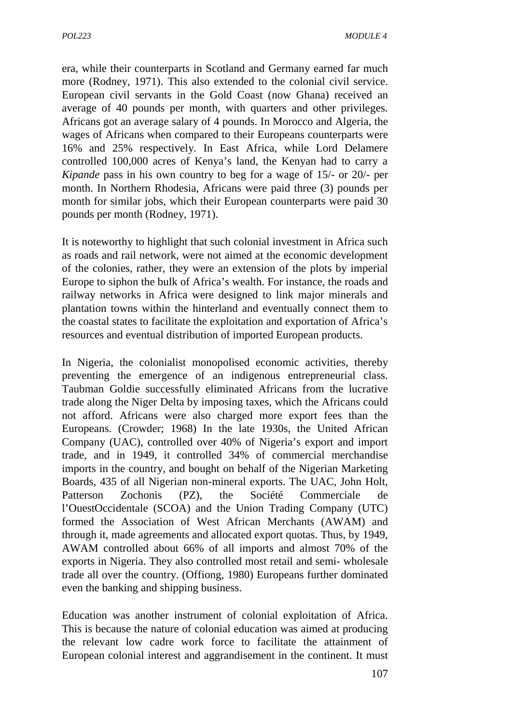era, while their counterparts in Scotland and Germany earned far much more (Rodney, 1971). This also extended to the colonial civil service. European civil servants in the Gold Coast (now Ghana) received an average of 40 pounds per month, with quarters and other privileges. Africans got an average salary of 4 pounds. In Morocco and Algeria, the wages of Africans when compared to their Europeans counterparts were 16% and 25% respectively. In East Africa, while Lord Delamere controlled 100,000 acres of Kenya's land, the Kenyan had to carry a *Kipande* pass in his own country to beg for a wage of 15/- or 20/- per month. In Northern Rhodesia, Africans were paid three (3) pounds per month for similar jobs, which their European counterparts were paid 30 pounds per month (Rodney, 1971).

It is noteworthy to highlight that such colonial investment in Africa such as roads and rail network, were not aimed at the economic development of the colonies, rather, they were an extension of the plots by imperial Europe to siphon the bulk of Africa's wealth. For instance, the roads and railway networks in Africa were designed to link major minerals and plantation towns within the hinterland and eventually connect them to the coastal states to facilitate the exploitation and exportation of Africa's resources and eventual distribution of imported European products.

In Nigeria, the colonialist monopolised economic activities, thereby preventing the emergence of an indigenous entrepreneurial class. Taubman Goldie successfully eliminated Africans from the lucrative trade along the Niger Delta by imposing taxes, which the Africans could not afford. Africans were also charged more export fees than the Europeans. (Crowder; 1968) In the late 1930s, the United African Company (UAC), controlled over 40% of Nigeria's export and import trade, and in 1949, it controlled 34% of commercial merchandise imports in the country, and bought on behalf of the Nigerian Marketing Boards, 435 of all Nigerian non-mineral exports. The UAC, John Holt, Patterson Zochonis (PZ), the Société Commerciale de l'OuestOccidentale (SCOA) and the Union Trading Company (UTC) formed the Association of West African Merchants (AWAM) and through it, made agreements and allocated export quotas. Thus, by 1949, AWAM controlled about 66% of all imports and almost 70% of the exports in Nigeria. They also controlled most retail and semi- wholesale trade all over the country. (Offiong, 1980) Europeans further dominated even the banking and shipping business.

Education was another instrument of colonial exploitation of Africa. This is because the nature of colonial education was aimed at producing the relevant low cadre work force to facilitate the attainment of European colonial interest and aggrandisement in the continent. It must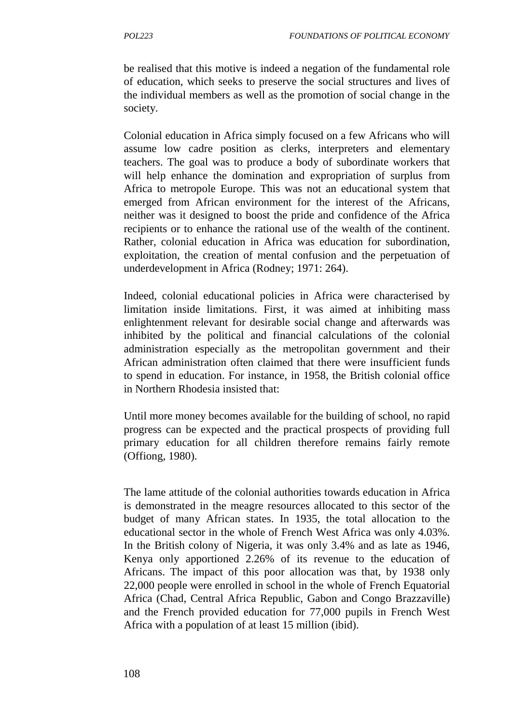be realised that this motive is indeed a negation of the fundamental role of education, which seeks to preserve the social structures and lives of the individual members as well as the promotion of social change in the society.

Colonial education in Africa simply focused on a few Africans who will assume low cadre position as clerks, interpreters and elementary teachers. The goal was to produce a body of subordinate workers that will help enhance the domination and expropriation of surplus from Africa to metropole Europe. This was not an educational system that emerged from African environment for the interest of the Africans, neither was it designed to boost the pride and confidence of the Africa recipients or to enhance the rational use of the wealth of the continent. Rather, colonial education in Africa was education for subordination, exploitation, the creation of mental confusion and the perpetuation of underdevelopment in Africa (Rodney; 1971: 264).

Indeed, colonial educational policies in Africa were characterised by limitation inside limitations. First, it was aimed at inhibiting mass enlightenment relevant for desirable social change and afterwards was inhibited by the political and financial calculations of the colonial administration especially as the metropolitan government and their African administration often claimed that there were insufficient funds to spend in education. For instance, in 1958, the British colonial office in Northern Rhodesia insisted that:

Until more money becomes available for the building of school, no rapid progress can be expected and the practical prospects of providing full primary education for all children therefore remains fairly remote (Offiong, 1980).

The lame attitude of the colonial authorities towards education in Africa is demonstrated in the meagre resources allocated to this sector of the budget of many African states. In 1935, the total allocation to the educational sector in the whole of French West Africa was only 4.03%. In the British colony of Nigeria, it was only 3.4% and as late as 1946, Kenya only apportioned 2.26% of its revenue to the education of Africans. The impact of this poor allocation was that, by 1938 only 22,000 people were enrolled in school in the whole of French Equatorial Africa (Chad, Central Africa Republic, Gabon and Congo Brazzaville) and the French provided education for 77,000 pupils in French West Africa with a population of at least 15 million (ibid).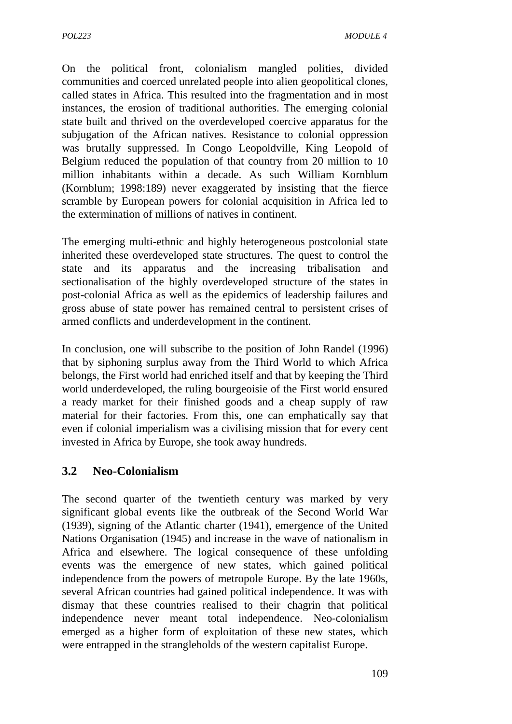On the political front, colonialism mangled polities, divided communities and coerced unrelated people into alien geopolitical clones, called states in Africa. This resulted into the fragmentation and in most instances, the erosion of traditional authorities. The emerging colonial state built and thrived on the overdeveloped coercive apparatus for the subjugation of the African natives. Resistance to colonial oppression was brutally suppressed. In Congo Leopoldville, King Leopold of Belgium reduced the population of that country from 20 million to 10 million inhabitants within a decade. As such William Kornblum (Kornblum; 1998:189) never exaggerated by insisting that the fierce scramble by European powers for colonial acquisition in Africa led to the extermination of millions of natives in continent.

The emerging multi-ethnic and highly heterogeneous postcolonial state inherited these overdeveloped state structures. The quest to control the state and its apparatus and the increasing tribalisation and sectionalisation of the highly overdeveloped structure of the states in post-colonial Africa as well as the epidemics of leadership failures and gross abuse of state power has remained central to persistent crises of armed conflicts and underdevelopment in the continent.

In conclusion, one will subscribe to the position of John Randel (1996) that by siphoning surplus away from the Third World to which Africa belongs, the First world had enriched itself and that by keeping the Third world underdeveloped, the ruling bourgeoisie of the First world ensured a ready market for their finished goods and a cheap supply of raw material for their factories. From this, one can emphatically say that even if colonial imperialism was a civilising mission that for every cent invested in Africa by Europe, she took away hundreds.

# **3.2 Neo-Colonialism**

The second quarter of the twentieth century was marked by very significant global events like the outbreak of the Second World War (1939), signing of the Atlantic charter (1941), emergence of the United Nations Organisation (1945) and increase in the wave of nationalism in Africa and elsewhere. The logical consequence of these unfolding events was the emergence of new states, which gained political independence from the powers of metropole Europe. By the late 1960s, several African countries had gained political independence. It was with dismay that these countries realised to their chagrin that political independence never meant total independence. Neo-colonialism emerged as a higher form of exploitation of these new states, which were entrapped in the strangleholds of the western capitalist Europe.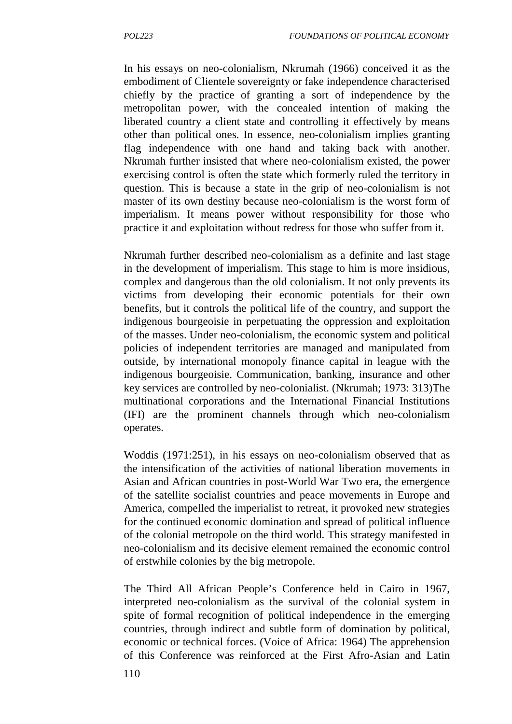In his essays on neo-colonialism, Nkrumah (1966) conceived it as the embodiment of Clientele sovereignty or fake independence characterised chiefly by the practice of granting a sort of independence by the metropolitan power, with the concealed intention of making the liberated country a client state and controlling it effectively by means other than political ones. In essence, neo-colonialism implies granting flag independence with one hand and taking back with another. Nkrumah further insisted that where neo-colonialism existed, the power exercising control is often the state which formerly ruled the territory in question. This is because a state in the grip of neo-colonialism is not master of its own destiny because neo-colonialism is the worst form of imperialism. It means power without responsibility for those who practice it and exploitation without redress for those who suffer from it.

Nkrumah further described neo-colonialism as a definite and last stage in the development of imperialism. This stage to him is more insidious, complex and dangerous than the old colonialism. It not only prevents its victims from developing their economic potentials for their own benefits, but it controls the political life of the country, and support the indigenous bourgeoisie in perpetuating the oppression and exploitation of the masses. Under neo-colonialism, the economic system and political policies of independent territories are managed and manipulated from outside, by international monopoly finance capital in league with the indigenous bourgeoisie. Communication, banking, insurance and other key services are controlled by neo-colonialist. (Nkrumah; 1973: 313)The multinational corporations and the International Financial Institutions (IFI) are the prominent channels through which neo-colonialism operates.

Woddis (1971:251), in his essays on neo-colonialism observed that as the intensification of the activities of national liberation movements in Asian and African countries in post-World War Two era, the emergence of the satellite socialist countries and peace movements in Europe and America, compelled the imperialist to retreat, it provoked new strategies for the continued economic domination and spread of political influence of the colonial metropole on the third world. This strategy manifested in neo-colonialism and its decisive element remained the economic control of erstwhile colonies by the big metropole.

The Third All African People's Conference held in Cairo in 1967, interpreted neo-colonialism as the survival of the colonial system in spite of formal recognition of political independence in the emerging countries, through indirect and subtle form of domination by political, economic or technical forces. (Voice of Africa: 1964) The apprehension of this Conference was reinforced at the First Afro-Asian and Latin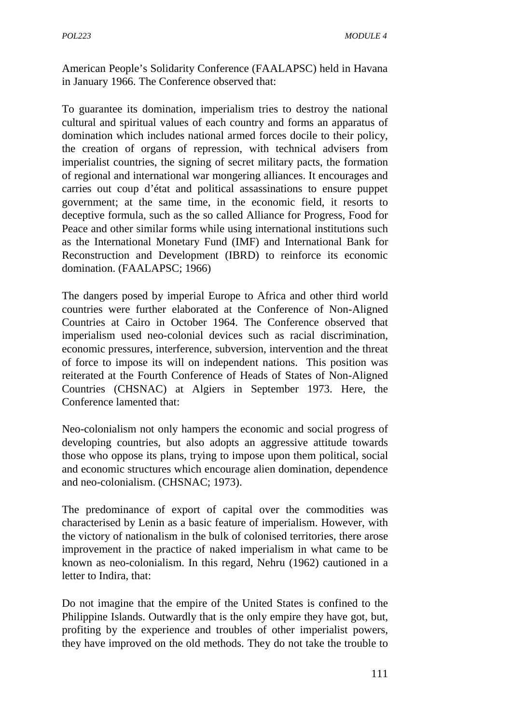American People's Solidarity Conference (FAALAPSC) held in Havana in January 1966. The Conference observed that:

To guarantee its domination, imperialism tries to destroy the national cultural and spiritual values of each country and forms an apparatus of domination which includes national armed forces docile to their policy, the creation of organs of repression, with technical advisers from imperialist countries, the signing of secret military pacts, the formation of regional and international war mongering alliances. It encourages and carries out coup d'état and political assassinations to ensure puppet government; at the same time, in the economic field, it resorts to deceptive formula, such as the so called Alliance for Progress, Food for Peace and other similar forms while using international institutions such as the International Monetary Fund (IMF) and International Bank for Reconstruction and Development (IBRD) to reinforce its economic domination. (FAALAPSC; 1966)

The dangers posed by imperial Europe to Africa and other third world countries were further elaborated at the Conference of Non-Aligned Countries at Cairo in October 1964. The Conference observed that imperialism used neo-colonial devices such as racial discrimination, economic pressures, interference, subversion, intervention and the threat of force to impose its will on independent nations. This position was reiterated at the Fourth Conference of Heads of States of Non-Aligned Countries (CHSNAC) at Algiers in September 1973. Here, the Conference lamented that:

Neo-colonialism not only hampers the economic and social progress of developing countries, but also adopts an aggressive attitude towards those who oppose its plans, trying to impose upon them political, social and economic structures which encourage alien domination, dependence and neo-colonialism. (CHSNAC; 1973).

The predominance of export of capital over the commodities was characterised by Lenin as a basic feature of imperialism. However, with the victory of nationalism in the bulk of colonised territories, there arose improvement in the practice of naked imperialism in what came to be known as neo-colonialism. In this regard, Nehru (1962) cautioned in a letter to Indira, that:

Do not imagine that the empire of the United States is confined to the Philippine Islands. Outwardly that is the only empire they have got, but, profiting by the experience and troubles of other imperialist powers, they have improved on the old methods. They do not take the trouble to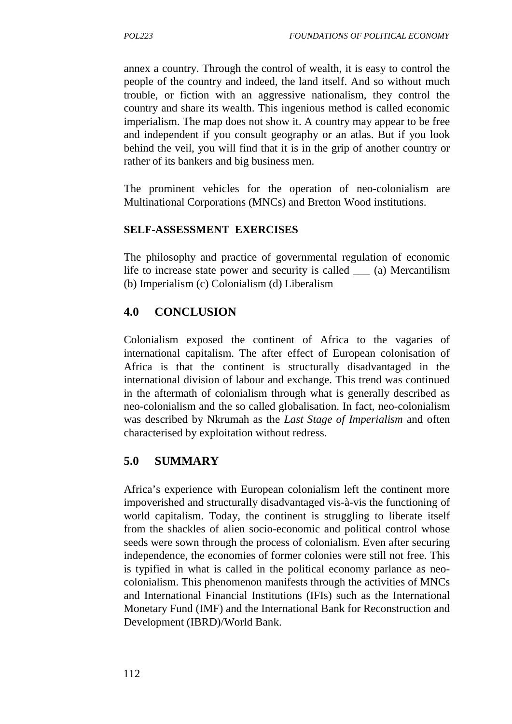annex a country. Through the control of wealth, it is easy to control the people of the country and indeed, the land itself. And so without much trouble, or fiction with an aggressive nationalism, they control the country and share its wealth. This ingenious method is called economic imperialism. The map does not show it. A country may appear to be free and independent if you consult geography or an atlas. But if you look behind the veil, you will find that it is in the grip of another country or rather of its bankers and big business men.

The prominent vehicles for the operation of neo-colonialism are Multinational Corporations (MNCs) and Bretton Wood institutions.

### **SELF-ASSESSMENT EXERCISES**

The philosophy and practice of governmental regulation of economic life to increase state power and security is called \_\_\_ (a) Mercantilism (b) Imperialism (c) Colonialism (d) Liberalism

### **4.0 CONCLUSION**

Colonialism exposed the continent of Africa to the vagaries of international capitalism. The after effect of European colonisation of Africa is that the continent is structurally disadvantaged in the international division of labour and exchange. This trend was continued in the aftermath of colonialism through what is generally described as neo-colonialism and the so called globalisation. In fact, neo-colonialism was described by Nkrumah as the *Last Stage of Imperialism* and often characterised by exploitation without redress.

### **5.0 SUMMARY**

Africa's experience with European colonialism left the continent more impoverished and structurally disadvantaged vis-à-vis the functioning of world capitalism. Today, the continent is struggling to liberate itself from the shackles of alien socio-economic and political control whose seeds were sown through the process of colonialism. Even after securing independence, the economies of former colonies were still not free. This is typified in what is called in the political economy parlance as neo colonialism. This phenomenon manifests through the activities of MNCs and International Financial Institutions (IFIs) such as the International Monetary Fund (IMF) and the International Bank for Reconstruction and Development (IBRD)/World Bank.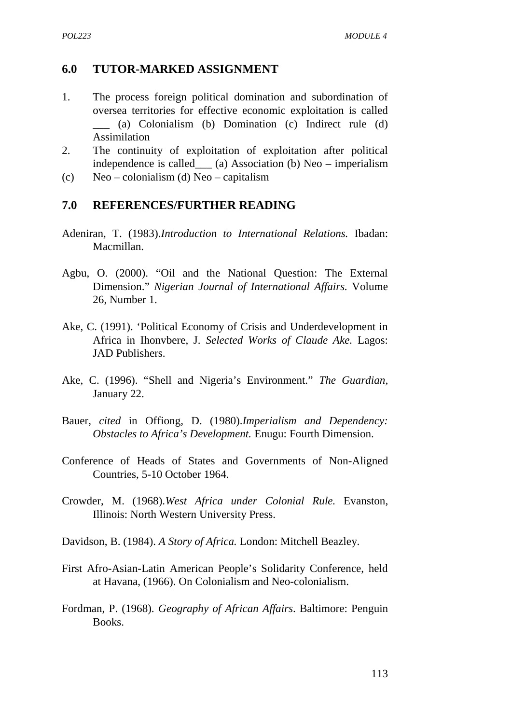#### **6.0 TUTOR-MARKED ASSIGNMENT**

- 1. The process foreign political domination and subordination of oversea territories for effective economic exploitation is called \_\_\_ (a) Colonialism (b) Domination (c) Indirect rule (d) Assimilation
- 2. The continuity of exploitation of exploitation after political independence is called\_\_\_ (a) Association (b) Neo – imperialism
- (c) Neo colonialism (d) Neo capitalism

#### **7.0 REFERENCES/FURTHER READING**

- Adeniran*,* T. (1983).*Introduction to International Relations.* Ibadan: Macmillan.
- Agbu, O. (2000). "Oil and the National Question: The External Dimension." *Nigerian Journal of International Affairs.* Volume 26, Number 1.
- Ake, C. (1991). 'Political Economy of Crisis and Underdevelopment in Africa in Ihonvbere, J. *Selected Works of Claude Ake.* Lagos: JAD Publishers.
- Ake, C. (1996). "Shell and Nigeria's Environment." *The Guardian,* January 22.
- Bauer, *cited* in Offiong, D. (1980).*Imperialism and Dependency: Obstacles to Africa's Development.* Enugu: Fourth Dimension.
- Conference of Heads of States and Governments of Non-Aligned Countries, 5-10 October 1964.
- Crowder, M. (1968).*West Africa under Colonial Rule.* Evanston, Illinois: North Western University Press.
- Davidson, B. (1984). *A Story of Africa.* London: Mitchell Beazley.
- First Afro-Asian-Latin American People's Solidarity Conference, held at Havana, (1966). On Colonialism and Neo-colonialism.
- Fordman, P. (1968). *Geography of African Affairs*. Baltimore: Penguin Books.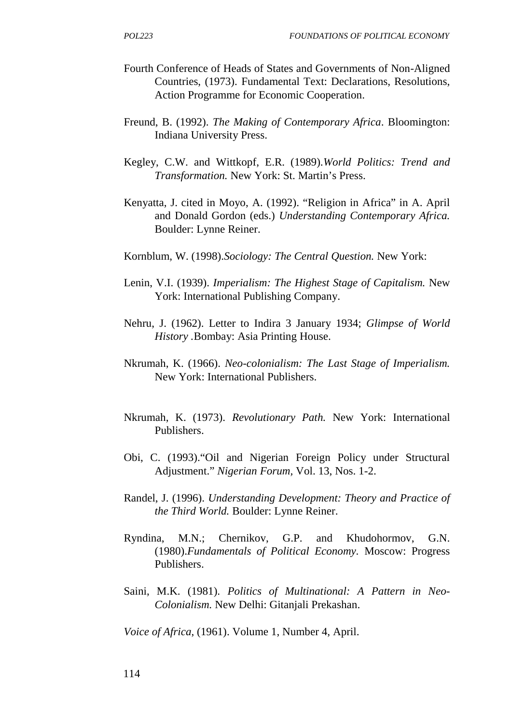- Fourth Conference of Heads of States and Governments of Non-Aligned Countries, (1973). Fundamental Text: Declarations, Resolutions, Action Programme for Economic Cooperation.
- Freund, B. (1992). *The Making of Contemporary Africa*. Bloomington: Indiana University Press.
- Kegley, C.W. and Wittkopf, E.R. (1989).*World Politics: Trend and Transformation.* New York: St. Martin's Press.
- Kenyatta, J. cited in Moyo, A. (1992). "Religion in Africa" in A. April and Donald Gordon (eds.) *Understanding Contemporary Africa.* Boulder: Lynne Reiner.
- Kornblum, W. (1998).*Sociology: The Central Question.* New York:
- Lenin, V.I. (1939). *Imperialism: The Highest Stage of Capitalism.* New York: International Publishing Company.
- Nehru, J. (1962). Letter to Indira 3 January 1934; *Glimpse of World History .*Bombay: Asia Printing House.
- Nkrumah, K. (1966). *Neo-colonialism: The Last Stage of Imperialism.* New York: International Publishers.
- Nkrumah, K. (1973). *Revolutionary Path.* New York: International Publishers.
- Obi, C. (1993)."Oil and Nigerian Foreign Policy under Structural Adjustment." *Nigerian Forum,* Vol. 13, Nos. 1-2.
- Randel, J. (1996). *Understanding Development: Theory and Practice of the Third World.* Boulder: Lynne Reiner.
- Ryndina, M.N.; Chernikov, G.P. and Khudohormov, G.N. (1980).*Fundamentals of Political Economy.* Moscow: Progress Publishers.
- Saini, M.K. (1981). *Politics of Multinational: A Pattern in Neo- Colonialism.* New Delhi: Gitanjali Prekashan.

*Voice of Africa*, (1961). Volume 1, Number 4, April.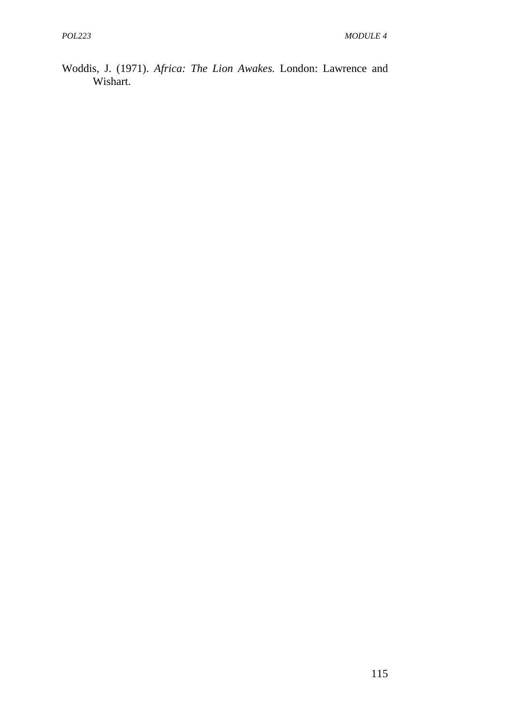Woddis, J. (1971). *Africa: The Lion Awakes.* London: Lawrence and Wishart.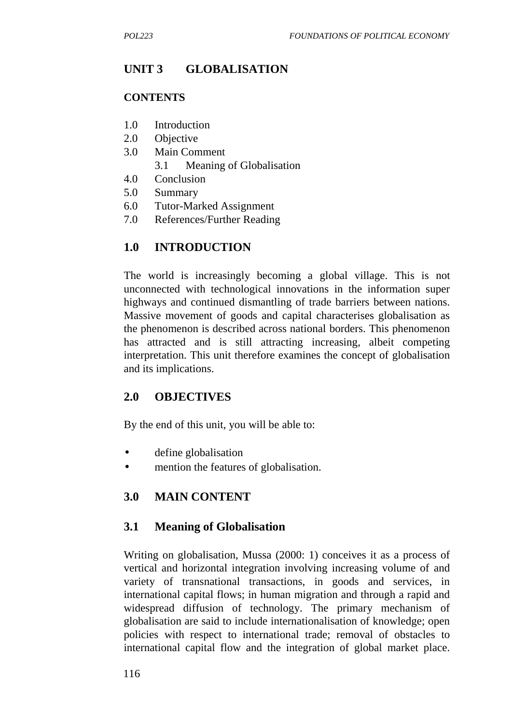# **UNIT 3 GLOBALISATION**

#### **CONTENTS**

- 1.0 Introduction
- 2.0 Objective
- 3.0 Main Comment
	- 3.1 Meaning of Globalisation
- 4.0 Conclusion
- 5.0 Summary
- 6.0 Tutor-Marked Assignment
- 7.0 References/Further Reading

### **1.0 INTRODUCTION**

The world is increasingly becoming a global village. This is not unconnected with technological innovations in the information super highways and continued dismantling of trade barriers between nations. Massive movement of goods and capital characterises globalisation as the phenomenon is described across national borders. This phenomenon has attracted and is still attracting increasing, albeit competing interpretation. This unit therefore examines the concept of globalisation and its implications.

### **2.0 OBJECTIVES**

By the end of this unit, you will be able to:

- define globalisation
- mention the features of globalisation.

# **3.0 MAIN CONTENT**

### **3.1 Meaning of Globalisation**

Writing on globalisation, Mussa (2000: 1) conceives it as a process of vertical and horizontal integration involving increasing volume of and variety of transnational transactions, in goods and services, in international capital flows; in human migration and through a rapid and widespread diffusion of technology. The primary mechanism of globalisation are said to include internationalisation of knowledge; open policies with respect to international trade; removal of obstacles to international capital flow and the integration of global market place.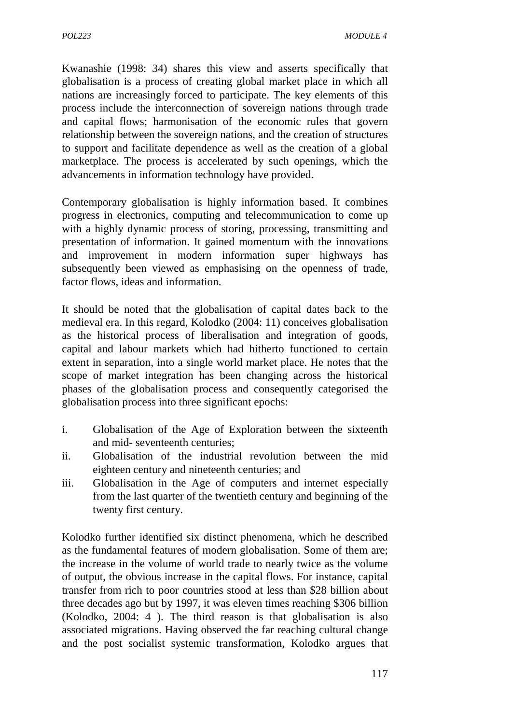Kwanashie (1998: 34) shares this view and asserts specifically that globalisation is a process of creating global market place in which all nations are increasingly forced to participate. The key elements of this process include the interconnection of sovereign nations through trade and capital flows; harmonisation of the economic rules that govern relationship between the sovereign nations, and the creation of structures to support and facilitate dependence as well as the creation of a global marketplace. The process is accelerated by such openings, which the advancements in information technology have provided.

Contemporary globalisation is highly information based. It combines progress in electronics, computing and telecommunication to come up with a highly dynamic process of storing, processing, transmitting and presentation of information. It gained momentum with the innovations and improvement in modern information super highways has subsequently been viewed as emphasising on the openness of trade, factor flows, ideas and information.

It should be noted that the globalisation of capital dates back to the medieval era. In this regard, Kolodko (2004: 11) conceives globalisation as the historical process of liberalisation and integration of goods, capital and labour markets which had hitherto functioned to certain extent in separation, into a single world market place. He notes that the scope of market integration has been changing across the historical phases of the globalisation process and consequently categorised the globalisation process into three significant epochs:

- i. Globalisation of the Age of Exploration between the sixteenth and mid- seventeenth centuries;
- ii. Globalisation of the industrial revolution between the mid eighteen century and nineteenth centuries; and
- iii. Globalisation in the Age of computers and internet especially from the last quarter of the twentieth century and beginning of the twenty first century.

Kolodko further identified six distinct phenomena, which he described as the fundamental features of modern globalisation. Some of them are; the increase in the volume of world trade to nearly twice as the volume of output, the obvious increase in the capital flows. For instance, capital transfer from rich to poor countries stood at less than \$28 billion about three decades ago but by 1997, it was eleven times reaching \$306 billion (Kolodko, 2004: 4 ). The third reason is that globalisation is also associated migrations. Having observed the far reaching cultural change and the post socialist systemic transformation, Kolodko argues that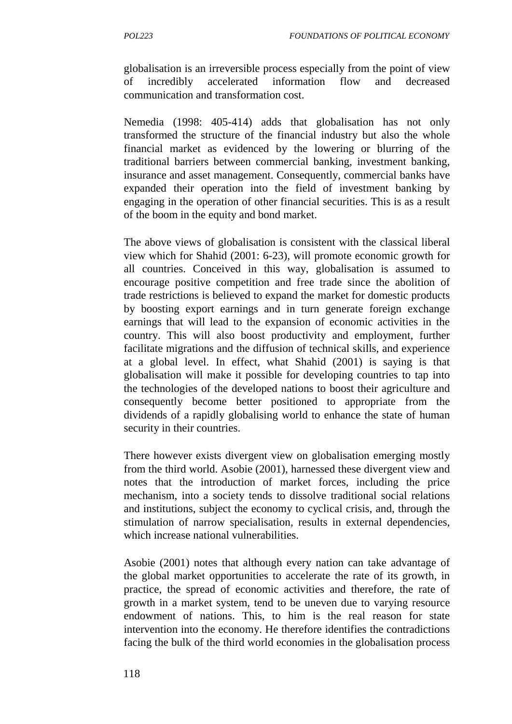globalisation is an irreversible process especially from the point of view of incredibly accelerated information flow and decreased communication and transformation cost.

Nemedia (1998: 405-414) adds that globalisation has not only transformed the structure of the financial industry but also the whole financial market as evidenced by the lowering or blurring of the traditional barriers between commercial banking, investment banking, insurance and asset management. Consequently, commercial banks have expanded their operation into the field of investment banking by engaging in the operation of other financial securities. This is as a result of the boom in the equity and bond market.

The above views of globalisation is consistent with the classical liberal view which for Shahid (2001: 6-23), will promote economic growth for all countries. Conceived in this way, globalisation is assumed to encourage positive competition and free trade since the abolition of trade restrictions is believed to expand the market for domestic products by boosting export earnings and in turn generate foreign exchange earnings that will lead to the expansion of economic activities in the country. This will also boost productivity and employment, further facilitate migrations and the diffusion of technical skills, and experience at a global level. In effect, what Shahid (2001) is saying is that globalisation will make it possible for developing countries to tap into the technologies of the developed nations to boost their agriculture and consequently become better positioned to appropriate from the dividends of a rapidly globalising world to enhance the state of human security in their countries.

There however exists divergent view on globalisation emerging mostly from the third world. Asobie (2001), harnessed these divergent view and notes that the introduction of market forces, including the price mechanism, into a society tends to dissolve traditional social relations and institutions, subject the economy to cyclical crisis, and, through the stimulation of narrow specialisation, results in external dependencies, which increase national vulnerabilities.

Asobie (2001) notes that although every nation can take advantage of the global market opportunities to accelerate the rate of its growth, in practice, the spread of economic activities and therefore, the rate of growth in a market system, tend to be uneven due to varying resource endowment of nations. This, to him is the real reason for state intervention into the economy. He therefore identifies the contradictions facing the bulk of the third world economies in the globalisation process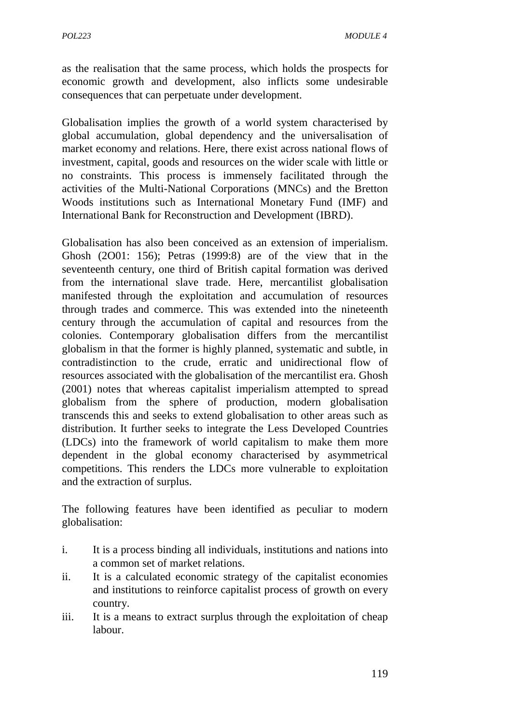as the realisation that the same process, which holds the prospects for economic growth and development, also inflicts some undesirable consequences that can perpetuate under development.

Globalisation implies the growth of a world system characterised by global accumulation, global dependency and the universalisation of market economy and relations. Here, there exist across national flows of investment, capital, goods and resources on the wider scale with little or no constraints. This process is immensely facilitated through the activities of the Multi-National Corporations (MNCs) and the Bretton Woods institutions such as International Monetary Fund (IMF) and International Bank for Reconstruction and Development (IBRD).

Globalisation has also been conceived as an extension of imperialism. Ghosh (2O01: 156); Petras (1999:8) are of the view that in the seventeenth century, one third of British capital formation was derived from the international slave trade. Here, mercantilist globalisation manifested through the exploitation and accumulation of resources through trades and commerce. This was extended into the nineteenth century through the accumulation of capital and resources from the colonies. Contemporary globalisation differs from the mercantilist globalism in that the former is highly planned, systematic and subtle, in contradistinction to the crude, erratic and unidirectional flow of resources associated with the globalisation of the mercantilist era. Ghosh (2001) notes that whereas capitalist imperialism attempted to spread globalism from the sphere of production, modern globalisation transcends this and seeks to extend globalisation to other areas such as distribution. It further seeks to integrate the Less Developed Countries (LDCs) into the framework of world capitalism to make them more dependent in the global economy characterised by asymmetrical competitions. This renders the LDCs more vulnerable to exploitation and the extraction of surplus.

The following features have been identified as peculiar to modern globalisation:

- i. It is a process binding all individuals, institutions and nations into a common set of market relations.
- ii. It is a calculated economic strategy of the capitalist economies and institutions to reinforce capitalist process of growth on every country.
- iii. It is a means to extract surplus through the exploitation of cheap labour.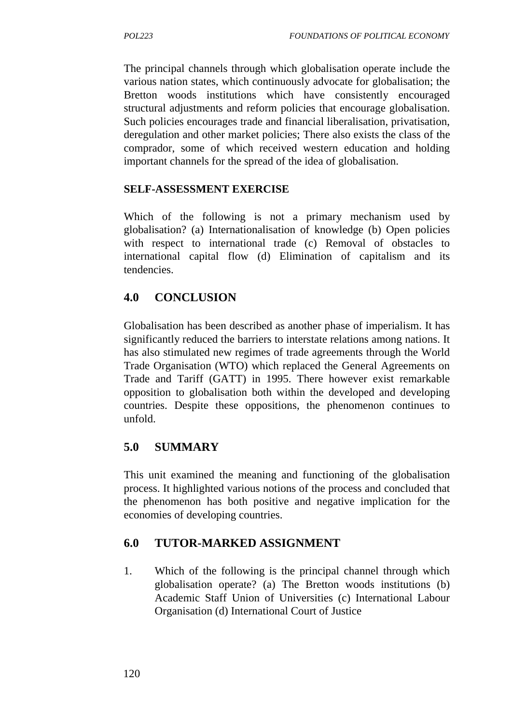The principal channels through which globalisation operate include the various nation states, which continuously advocate for globalisation; the Bretton woods institutions which have consistently encouraged structural adjustments and reform policies that encourage globalisation. Such policies encourages trade and financial liberalisation, privatisation, deregulation and other market policies; There also exists the class of the comprador, some of which received western education and holding important channels for the spread of the idea of globalisation.

### **SELF-ASSESSMENT EXERCISE**

Which of the following is not a primary mechanism used by globalisation? (a) Internationalisation of knowledge (b) Open policies with respect to international trade (c) Removal of obstacles to international capital flow (d) Elimination of capitalism and its tendencies.

# **4.0 CONCLUSION**

Globalisation has been described as another phase of imperialism. It has significantly reduced the barriers to interstate relations among nations. It has also stimulated new regimes of trade agreements through the World Trade Organisation (WTO) which replaced the General Agreements on Trade and Tariff (GATT) in 1995. There however exist remarkable opposition to globalisation both within the developed and developing countries. Despite these oppositions, the phenomenon continues to unfold.

# **5.0 SUMMARY**

This unit examined the meaning and functioning of the globalisation process. It highlighted various notions of the process and concluded that the phenomenon has both positive and negative implication for the economies of developing countries.

# **6.0 TUTOR-MARKED ASSIGNMENT**

1. Which of the following is the principal channel through which globalisation operate? (a) The Bretton woods institutions (b) Academic Staff Union of Universities (c) International Labour Organisation (d) International Court of Justice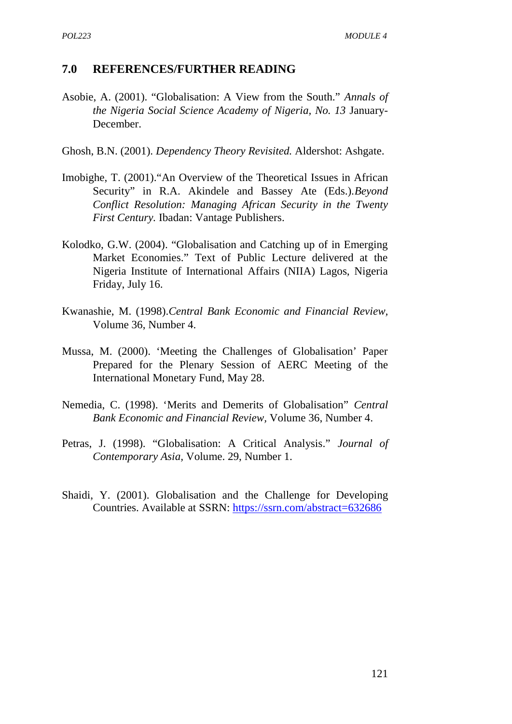#### **7.0 REFERENCES/FURTHER READING**

- Asobie, A. (2001). "Globalisation: A View from the South." *Annals of the Nigeria Social Science Academy of Nigeria, No. 13* January- December.
- Ghosh, B.N. (2001). *Dependency Theory Revisited.* Aldershot: Ashgate.
- Imobighe, T. (2001)."An Overview of the Theoretical Issues in African Security" in R.A. Akindele and Bassey Ate (Eds.).*Beyond Conflict Resolution: Managing African Security in the Twenty First Century.* Ibadan: Vantage Publishers.
- Kolodko, G.W. (2004). "Globalisation and Catching up of in Emerging Market Economies." Text of Public Lecture delivered at the Nigeria Institute of International Affairs (NIIA) Lagos, Nigeria Friday, July 16.
- Kwanashie, M. (1998).*Central Bank Economic and Financial Review,* Volume 36, Number 4.
- Mussa, M. (2000). 'Meeting the Challenges of Globalisation' Paper Prepared for the Plenary Session of AERC Meeting of the International Monetary Fund, May 28.
- Nemedia, C. (1998). 'Merits and Demerits of Globalisation" *Central Bank Economic and Financial Review,* Volume 36, Number 4.
- Petras, J. (1998). "Globalisation: A Critical Analysis." *Journal of Contemporary Asia,* Volume. 29, Number 1.
- Shaidi, Y. (2001). Globalisation and the Challenge for Developing Countries. Available at SSRN: https://ssrn.com/abstract=632686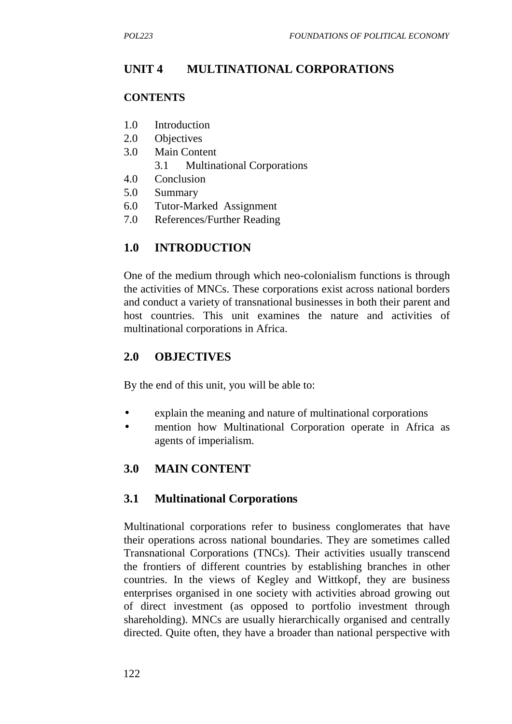# **UNIT 4 MULTINATIONAL CORPORATIONS**

#### **CONTENTS**

- 1.0 Introduction
- 2.0 Objectives
- 3.0 Main Content
	- 3.1 Multinational Corporations
- 4.0 Conclusion
- 5.0 Summary
- 6.0 Tutor-Marked Assignment
- 7.0 References/Further Reading

# **1.0 INTRODUCTION**

One of the medium through which neo-colonialism functions is through the activities of MNCs. These corporations exist across national borders and conduct a variety of transnational businesses in both their parent and host countries. This unit examines the nature and activities of multinational corporations in Africa.

### **2.0 OBJECTIVES**

By the end of this unit, you will be able to:

- explain the meaning and nature of multinational corporations
- mention how Multinational Corporation operate in Africa as agents of imperialism.

# **3.0 MAIN CONTENT**

# **3.1 Multinational Corporations**

Multinational corporations refer to business conglomerates that have their operations across national boundaries. They are sometimes called Transnational Corporations (TNCs). Their activities usually transcend the frontiers of different countries by establishing branches in other countries. In the views of Kegley and Wittkopf, they are business enterprises organised in one society with activities abroad growing out of direct investment (as opposed to portfolio investment through shareholding). MNCs are usually hierarchically organised and centrally directed. Quite often, they have a broader than national perspective with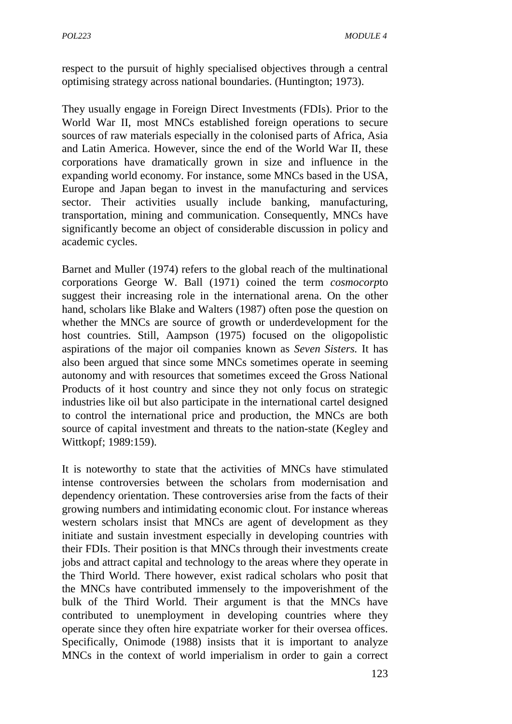respect to the pursuit of highly specialised objectives through a central optimising strategy across national boundaries. (Huntington; 1973).

They usually engage in Foreign Direct Investments (FDIs). Prior to the World War II, most MNCs established foreign operations to secure sources of raw materials especially in the colonised parts of Africa, Asia and Latin America. However, since the end of the World War II, these corporations have dramatically grown in size and influence in the expanding world economy. For instance, some MNCs based in the USA, Europe and Japan began to invest in the manufacturing and services sector. Their activities usually include banking, manufacturing, transportation, mining and communication. Consequently, MNCs have significantly become an object of considerable discussion in policy and academic cycles.

Barnet and Muller (1974) refers to the global reach of the multinational corporations George W. Ball (1971) coined the term *cosmocorp*to suggest their increasing role in the international arena. On the other hand, scholars like Blake and Walters (1987) often pose the question on whether the MNCs are source of growth or underdevelopment for the host countries. Still, Aampson (1975) focused on the oligopolistic aspirations of the major oil companies known as *Seven Sisters.* It has also been argued that since some MNCs sometimes operate in seeming autonomy and with resources that sometimes exceed the Gross National Products of it host country and since they not only focus on strategic industries like oil but also participate in the international cartel designed to control the international price and production, the MNCs are both source of capital investment and threats to the nation-state (Kegley and Wittkopf; 1989:159).

It is noteworthy to state that the activities of MNCs have stimulated intense controversies between the scholars from modernisation and dependency orientation. These controversies arise from the facts of their growing numbers and intimidating economic clout. For instance whereas western scholars insist that MNCs are agent of development as they initiate and sustain investment especially in developing countries with their FDIs. Their position is that MNCs through their investments create jobs and attract capital and technology to the areas where they operate in the Third World. There however, exist radical scholars who posit that the MNCs have contributed immensely to the impoverishment of the bulk of the Third World. Their argument is that the MNCs have contributed to unemployment in developing countries where they operate since they often hire expatriate worker for their oversea offices. Specifically, Onimode (1988) insists that it is important to analyze MNCs in the context of world imperialism in order to gain a correct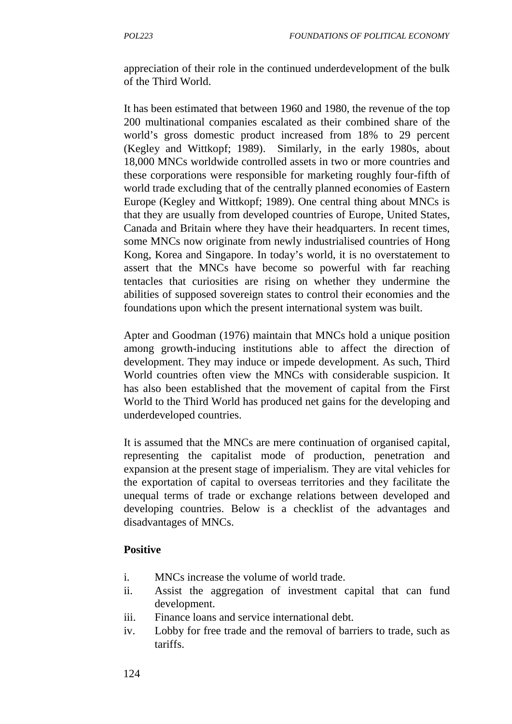appreciation of their role in the continued underdevelopment of the bulk of the Third World.

It has been estimated that between 1960 and 1980, the revenue of the top 200 multinational companies escalated as their combined share of the world's gross domestic product increased from 18% to 29 percent (Kegley and Wittkopf; 1989). Similarly, in the early 1980s, about 18,000 MNCs worldwide controlled assets in two or more countries and these corporations were responsible for marketing roughly four-fifth of world trade excluding that of the centrally planned economies of Eastern Europe (Kegley and Wittkopf; 1989). One central thing about MNCs is that they are usually from developed countries of Europe, United States, Canada and Britain where they have their headquarters. In recent times, some MNCs now originate from newly industrialised countries of Hong Kong, Korea and Singapore. In today's world, it is no overstatement to assert that the MNCs have become so powerful with far reaching tentacles that curiosities are rising on whether they undermine the abilities of supposed sovereign states to control their economies and the foundations upon which the present international system was built.

Apter and Goodman (1976) maintain that MNCs hold a unique position among growth-inducing institutions able to affect the direction of development. They may induce or impede development. As such, Third World countries often view the MNCs with considerable suspicion. It has also been established that the movement of capital from the First World to the Third World has produced net gains for the developing and underdeveloped countries.

It is assumed that the MNCs are mere continuation of organised capital, representing the capitalist mode of production, penetration and expansion at the present stage of imperialism. They are vital vehicles for the exportation of capital to overseas territories and they facilitate the unequal terms of trade or exchange relations between developed and developing countries. Below is a checklist of the advantages and disadvantages of MNCs.

### **Positive**

- i. MNCs increase the volume of world trade.
- ii. Assist the aggregation of investment capital that can fund development.
- iii. Finance loans and service international debt.
- iv. Lobby for free trade and the removal of barriers to trade, such as tariffs.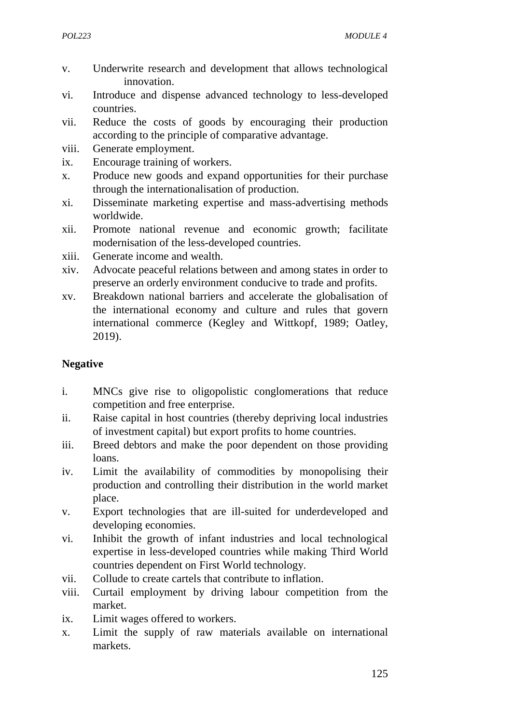- v. Underwrite research and development that allows technological innovation.
- vi. Introduce and dispense advanced technology to less-developed countries.
- vii. Reduce the costs of goods by encouraging their production according to the principle of comparative advantage.
- viii. Generate employment.
- ix. Encourage training of workers.
- x. Produce new goods and expand opportunities for their purchase through the internationalisation of production.
- xi. Disseminate marketing expertise and mass-advertising methods worldwide.
- xii. Promote national revenue and economic growth; facilitate modernisation of the less-developed countries.
- xiii. Generate income and wealth.
- xiv. Advocate peaceful relations between and among states in order to preserve an orderly environment conducive to trade and profits.
- xv. Breakdown national barriers and accelerate the globalisation of the international economy and culture and rules that govern international commerce (Kegley and Wittkopf, 1989; Oatley, 2019).

### **Negative**

- i. MNCs give rise to oligopolistic conglomerations that reduce competition and free enterprise.
- ii. Raise capital in host countries (thereby depriving local industries of investment capital) but export profits to home countries.
- iii. Breed debtors and make the poor dependent on those providing loans.
- iv. Limit the availability of commodities by monopolising their production and controlling their distribution in the world market place.
- v. Export technologies that are ill-suited for underdeveloped and developing economies.
- vi. Inhibit the growth of infant industries and local technological expertise in less-developed countries while making Third World countries dependent on First World technology.
- vii. Collude to create cartels that contribute to inflation.
- viii. Curtail employment by driving labour competition from the market.
- ix. Limit wages offered to workers.
- x. Limit the supply of raw materials available on international markets.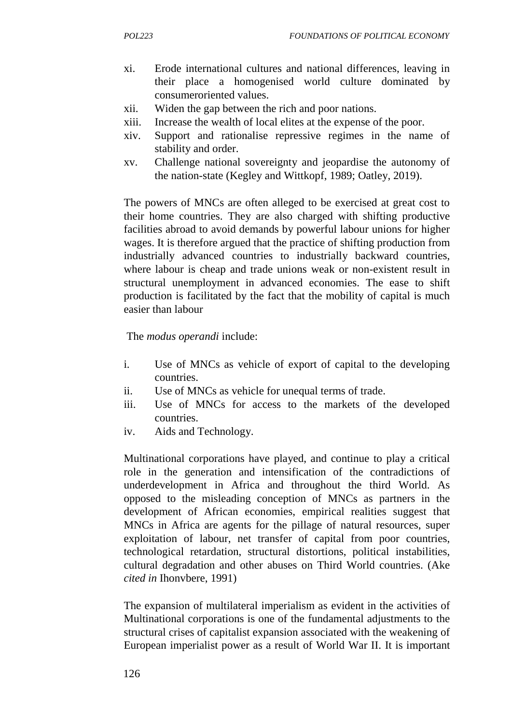- xi. Erode international cultures and national differences, leaving in their place a homogenised world culture dominated by consumeroriented values.
- xii. Widen the gap between the rich and poor nations.
- xiii. Increase the wealth of local elites at the expense of the poor.
- xiv. Support and rationalise repressive regimes in the name of stability and order.
- xv. Challenge national sovereignty and jeopardise the autonomy of the nation-state (Kegley and Wittkopf, 1989; Oatley, 2019).

The powers of MNCs are often alleged to be exercised at great cost to their home countries. They are also charged with shifting productive facilities abroad to avoid demands by powerful labour unions for higher wages. It is therefore argued that the practice of shifting production from industrially advanced countries to industrially backward countries, where labour is cheap and trade unions weak or non-existent result in structural unemployment in advanced economies. The ease to shift production is facilitated by the fact that the mobility of capital is much easier than labour

The *modus operandi* include:

- i. Use of MNCs as vehicle of export of capital to the developing countries.
- ii. Use of MNCs as vehicle for unequal terms of trade.
- iii. Use of MNCs for access to the markets of the developed countries.
- iv. Aids and Technology.

Multinational corporations have played, and continue to play a critical role in the generation and intensification of the contradictions of underdevelopment in Africa and throughout the third World. As opposed to the misleading conception of MNCs as partners in the development of African economies, empirical realities suggest that MNCs in Africa are agents for the pillage of natural resources, super exploitation of labour, net transfer of capital from poor countries, technological retardation, structural distortions, political instabilities, cultural degradation and other abuses on Third World countries. (Ake *cited in* Ihonvbere, 1991)

The expansion of multilateral imperialism as evident in the activities of Multinational corporations is one of the fundamental adjustments to the structural crises of capitalist expansion associated with the weakening of European imperialist power as a result of World War II. It is important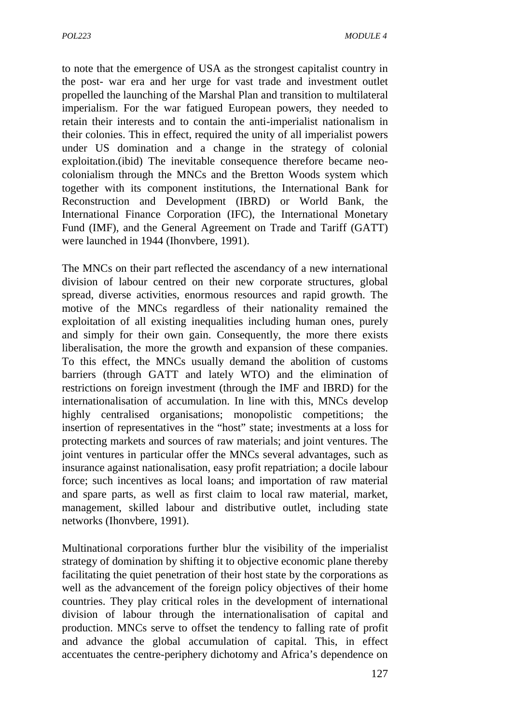to note that the emergence of USA as the strongest capitalist country in the post- war era and her urge for vast trade and investment outlet propelled the launching of the Marshal Plan and transition to multilateral imperialism. For the war fatigued European powers, they needed to retain their interests and to contain the anti-imperialist nationalism in their colonies. This in effect, required the unity of all imperialist powers under US domination and a change in the strategy of colonial exploitation.(ibid) The inevitable consequence therefore became neo colonialism through the MNCs and the Bretton Woods system which together with its component institutions, the International Bank for Reconstruction and Development (IBRD) or World Bank, the International Finance Corporation (IFC), the International Monetary Fund (IMF), and the General Agreement on Trade and Tariff (GATT) were launched in 1944 (Ihonvbere, 1991).

The MNCs on their part reflected the ascendancy of a new international division of labour centred on their new corporate structures, global spread, diverse activities, enormous resources and rapid growth. The motive of the MNCs regardless of their nationality remained the exploitation of all existing inequalities including human ones, purely and simply for their own gain. Consequently, the more there exists liberalisation, the more the growth and expansion of these companies. To this effect, the MNCs usually demand the abolition of customs barriers (through GATT and lately WTO) and the elimination of restrictions on foreign investment (through the IMF and IBRD) for the internationalisation of accumulation. In line with this, MNCs develop highly centralised organisations; monopolistic competitions; the insertion of representatives in the "host" state; investments at a loss for protecting markets and sources of raw materials; and joint ventures. The joint ventures in particular offer the MNCs several advantages, such as insurance against nationalisation, easy profit repatriation; a docile labour force; such incentives as local loans; and importation of raw material and spare parts, as well as first claim to local raw material, market, management, skilled labour and distributive outlet, including state networks (Ihonvbere, 1991).

Multinational corporations further blur the visibility of the imperialist strategy of domination by shifting it to objective economic plane thereby facilitating the quiet penetration of their host state by the corporations as well as the advancement of the foreign policy objectives of their home countries. They play critical roles in the development of international division of labour through the internationalisation of capital and production. MNCs serve to offset the tendency to falling rate of profit and advance the global accumulation of capital. This, in effect accentuates the centre-periphery dichotomy and Africa's dependence on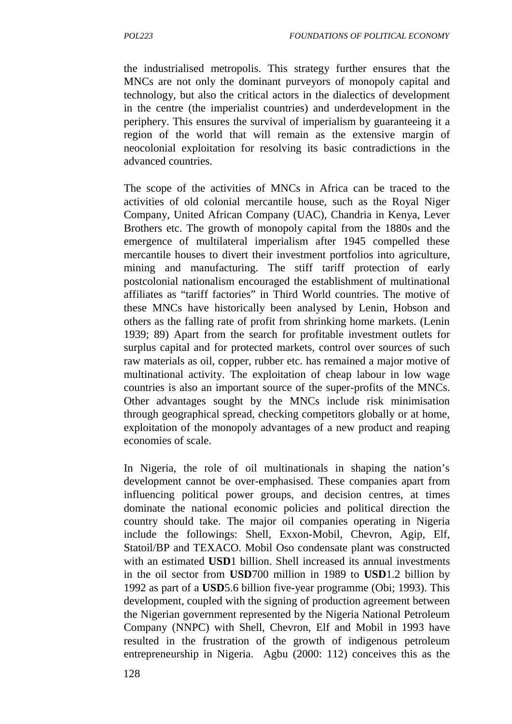the industrialised metropolis. This strategy further ensures that the MNCs are not only the dominant purveyors of monopoly capital and technology, but also the critical actors in the dialectics of development in the centre (the imperialist countries) and underdevelopment in the periphery. This ensures the survival of imperialism by guaranteeing it a region of the world that will remain as the extensive margin of neocolonial exploitation for resolving its basic contradictions in the advanced countries.

The scope of the activities of MNCs in Africa can be traced to the activities of old colonial mercantile house, such as the Royal Niger Company, United African Company (UAC), Chandria in Kenya, Lever Brothers etc. The growth of monopoly capital from the 1880s and the emergence of multilateral imperialism after 1945 compelled these mercantile houses to divert their investment portfolios into agriculture, mining and manufacturing. The stiff tariff protection of early postcolonial nationalism encouraged the establishment of multinational affiliates as "tariff factories" in Third World countries. The motive of these MNCs have historically been analysed by Lenin, Hobson and others as the falling rate of profit from shrinking home markets. (Lenin 1939; 89) Apart from the search for profitable investment outlets for surplus capital and for protected markets, control over sources of such raw materials as oil, copper, rubber etc. has remained a major motive of multinational activity. The exploitation of cheap labour in low wage countries is also an important source of the super-profits of the MNCs. Other advantages sought by the MNCs include risk minimisation through geographical spread, checking competitors globally or at home, exploitation of the monopoly advantages of a new product and reaping economies of scale.

In Nigeria, the role of oil multinationals in shaping the nation's development cannot be over-emphasised. These companies apart from influencing political power groups, and decision centres, at times dominate the national economic policies and political direction the country should take. The major oil companies operating in Nigeria include the followings: Shell, Exxon-Mobil, Chevron, Agip, Elf, Statoil/BP and TEXACO. Mobil Oso condensate plant was constructed with an estimated **USD**1 billion. Shell increased its annual investments in the oil sector from **USD**700 million in 1989 to **USD**1.2 billion by 1992 as part of a **USD**5.6 billion five-year programme (Obi; 1993). This development, coupled with the signing of production agreement between the Nigerian government represented by the Nigeria National Petroleum Company (NNPC) with Shell, Chevron, Elf and Mobil in 1993 have resulted in the frustration of the growth of indigenous petroleum entrepreneurship in Nigeria. Agbu (2000: 112) conceives this as the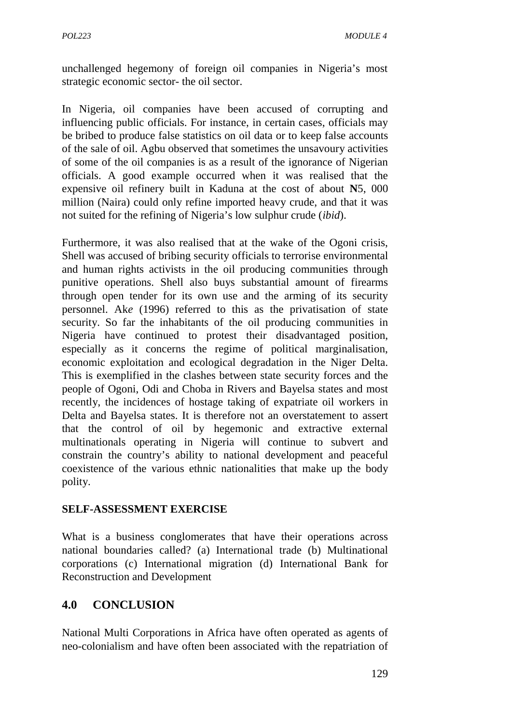unchallenged hegemony of foreign oil companies in Nigeria's most strategic economic sector- the oil sector.

In Nigeria, oil companies have been accused of corrupting and influencing public officials. For instance, in certain cases, officials may be bribed to produce false statistics on oil data or to keep false accounts of the sale of oil. Agbu observed that sometimes the unsavoury activities of some of the oil companies is as a result of the ignorance of Nigerian officials. A good example occurred when it was realised that the expensive oil refinery built in Kaduna at the cost of about **N**5, 000 million (Naira) could only refine imported heavy crude, and that it was not suited for the refining of Nigeria's low sulphur crude (*ibid*).

Furthermore, it was also realised that at the wake of the Ogoni crisis, Shell was accused of bribing security officials to terrorise environmental and human rights activists in the oil producing communities through punitive operations. Shell also buys substantial amount of firearms through open tender for its own use and the arming of its security personnel. Ak*e* (1996) referred to this as the privatisation of state security. So far the inhabitants of the oil producing communities in Nigeria have continued to protest their disadvantaged position, especially as it concerns the regime of political marginalisation, economic exploitation and ecological degradation in the Niger Delta. This is exemplified in the clashes between state security forces and the people of Ogoni, Odi and Choba in Rivers and Bayelsa states and most recently, the incidences of hostage taking of expatriate oil workers in Delta and Bayelsa states. It is therefore not an overstatement to assert that the control of oil by hegemonic and extractive external multinationals operating in Nigeria will continue to subvert and constrain the country's ability to national development and peaceful coexistence of the various ethnic nationalities that make up the body polity.

#### **SELF-ASSESSMENT EXERCISE**

What is a business conglomerates that have their operations across national boundaries called? (a) International trade (b) Multinational corporations (c) International migration (d) International Bank for Reconstruction and Development

## **4.0 CONCLUSION**

National Multi Corporations in Africa have often operated as agents of neo-colonialism and have often been associated with the repatriation of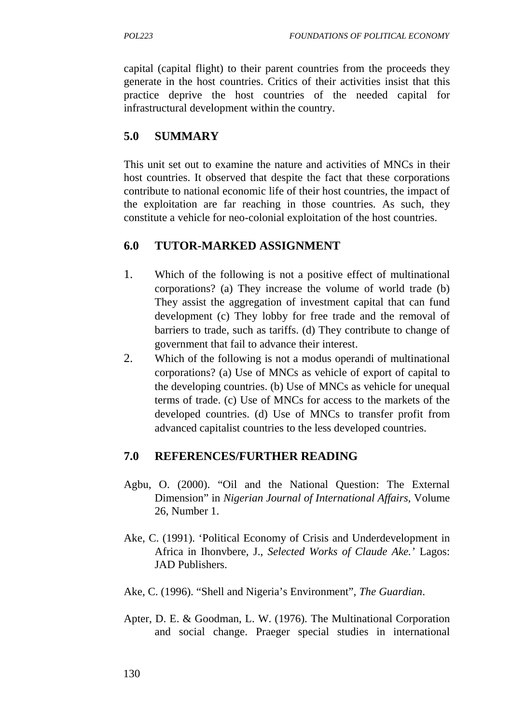capital (capital flight) to their parent countries from the proceeds they generate in the host countries. Critics of their activities insist that this practice deprive the host countries of the needed capital for infrastructural development within the country.

# **5.0 SUMMARY**

This unit set out to examine the nature and activities of MNCs in their host countries. It observed that despite the fact that these corporations contribute to national economic life of their host countries, the impact of the exploitation are far reaching in those countries. As such, they constitute a vehicle for neo-colonial exploitation of the host countries.

## **6.0 TUTOR-MARKED ASSIGNMENT**

- 1. Which of the following is not a positive effect of multinational corporations? (a) They increase the volume of world trade (b) They assist the aggregation of investment capital that can fund development (c) They lobby for free trade and the removal of barriers to trade, such as tariffs. (d) They contribute to change of government that fail to advance their interest.
- 2. Which of the following is not a modus operandi of multinational corporations? (a) Use of MNCs as vehicle of export of capital to the developing countries. (b) Use of MNCs as vehicle for unequal terms of trade. (c) Use of MNCs for access to the markets of the developed countries. (d) Use of MNCs to transfer profit from advanced capitalist countries to the less developed countries.

## **7.0 REFERENCES/FURTHER READING**

- Agbu, O. (2000). "Oil and the National Question: The External Dimension" in *Nigerian Journal of International Affairs,* Volume 26, Number 1.
- Ake, C. (1991). 'Political Economy of Crisis and Underdevelopment in Africa in Ihonvbere, J., *Selected Works of Claude Ake.'* Lagos: JAD Publishers.
- Ake, C. (1996). "Shell and Nigeria's Environment", *The Guardian*.
- Apter, D. E. & Goodman, L. W. (1976). The Multinational Corporation and social change. Praeger special studies in international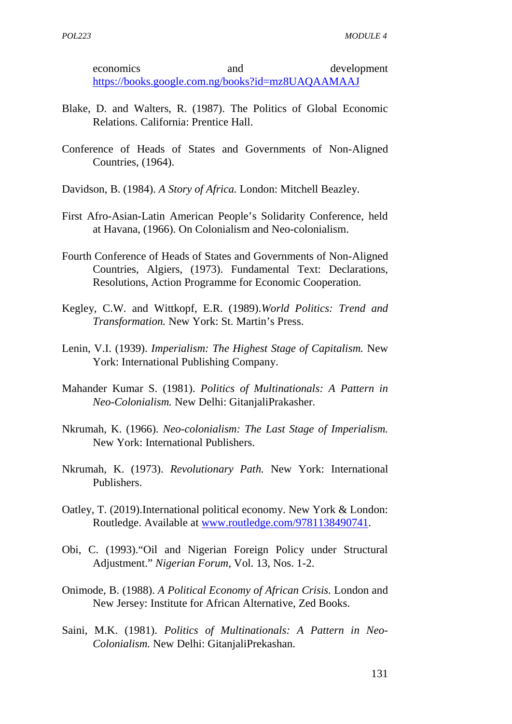economics and development https://books.google.com.ng/books?id=mz8UAQAAMAAJ

- Blake, D. and Walters, R. (1987). The Politics of Global Economic Relations. California: Prentice Hall.
- Conference of Heads of States and Governments of Non-Aligned Countries, (1964).
- Davidson, B. (1984). *A Story of Africa.* London: Mitchell Beazley.
- First Afro-Asian-Latin American People's Solidarity Conference, held at Havana, (1966). On Colonialism and Neo-colonialism.
- Fourth Conference of Heads of States and Governments of Non-Aligned Countries, Algiers, (1973). Fundamental Text: Declarations, Resolutions, Action Programme for Economic Cooperation.
- Kegley, C.W. and Wittkopf, E.R. (1989).*World Politics: Trend and Transformation.* New York: St. Martin's Press.
- Lenin, V.I. (1939). *Imperialism: The Highest Stage of Capitalism.* New York: International Publishing Company.
- Mahander Kumar S. (1981). *Politics of Multinationals: A Pattern in Neo-Colonialism.* New Delhi: GitanjaliPrakasher.
- Nkrumah, K. (1966). *Neo-colonialism: The Last Stage of Imperialism.* New York: International Publishers.
- Nkrumah, K. (1973). *Revolutionary Path.* New York: International Publishers.
- Oatley, T. (2019).International political economy. New York & London: Routledge. Available at www.routledge.com/9781138490741.
- Obi, C. (1993)."Oil and Nigerian Foreign Policy under Structural Adjustment." *Nigerian Forum,* Vol. 13, Nos. 1-2.
- Onimode, B. (1988). *A Political Economy of African Crisis.* London and New Jersey: Institute for African Alternative, Zed Books.
- Saini, M.K. (1981). *Politics of Multinationals: A Pattern in Neo- Colonialism.* New Delhi: GitanjaliPrekashan.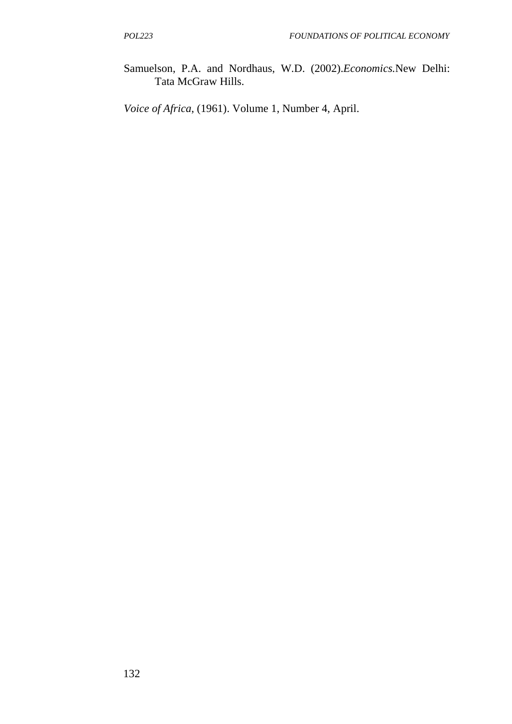Samuelson, P.A. and Nordhaus, W.D. (2002).*Economics.*New Delhi: Tata McGraw Hills.

*Voice of Africa*, (1961). Volume 1, Number 4, April.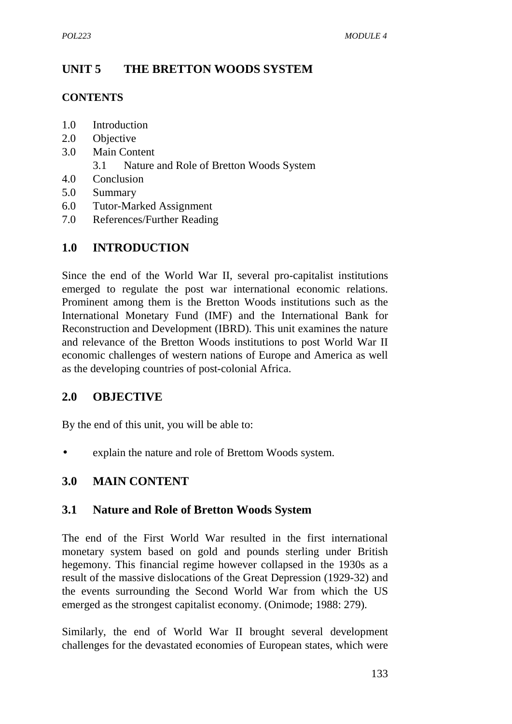# **UNIT 5 THE BRETTON WOODS SYSTEM**

### **CONTENTS**

- 1.0 Introduction
- 2.0 Objective
- 3.0 Main Content
	- 3.1 Nature and Role of Bretton Woods System
- 4.0 Conclusion
- 5.0 Summary
- 6.0 Tutor-Marked Assignment
- 7.0 References/Further Reading

### **1.0 INTRODUCTION**

Since the end of the World War II, several pro-capitalist institutions emerged to regulate the post war international economic relations. Prominent among them is the Bretton Woods institutions such as the International Monetary Fund (IMF) and the International Bank for Reconstruction and Development (IBRD). This unit examines the nature and relevance of the Bretton Woods institutions to post World War II economic challenges of western nations of Europe and America as well as the developing countries of post-colonial Africa.

## **2.0 OBJECTIVE**

By the end of this unit, you will be able to:

explain the nature and role of Brettom Woods system.

## **3.0 MAIN CONTENT**

### **3.1 Nature and Role of Bretton Woods System**

The end of the First World War resulted in the first international monetary system based on gold and pounds sterling under British hegemony. This financial regime however collapsed in the 1930s as a result of the massive dislocations of the Great Depression (1929-32) and the events surrounding the Second World War from which the US emerged as the strongest capitalist economy. (Onimode; 1988: 279).

Similarly, the end of World War II brought several development challenges for the devastated economies of European states, which were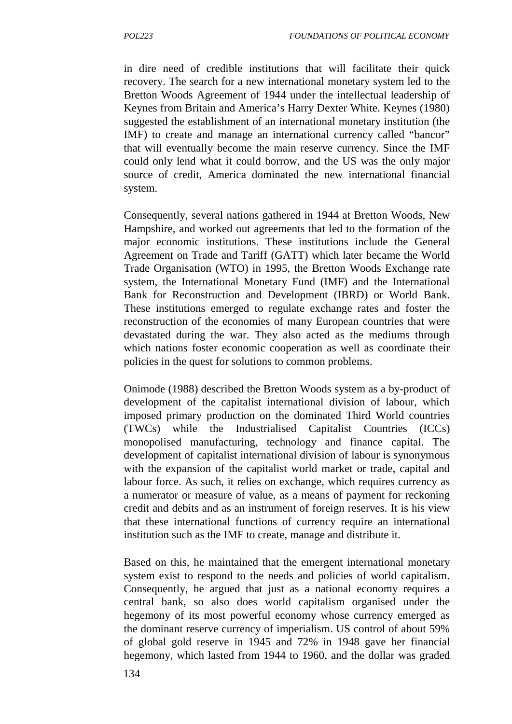in dire need of credible institutions that will facilitate their quick recovery. The search for a new international monetary system led to the Bretton Woods Agreement of 1944 under the intellectual leadership of Keynes from Britain and America's Harry Dexter White. Keynes (1980) suggested the establishment of an international monetary institution (the IMF) to create and manage an international currency called "bancor" that will eventually become the main reserve currency. Since the IMF could only lend what it could borrow, and the US was the only major source of credit, America dominated the new international financial system.

Consequently, several nations gathered in 1944 at Bretton Woods, New Hampshire, and worked out agreements that led to the formation of the major economic institutions. These institutions include the General Agreement on Trade and Tariff (GATT) which later became the World Trade Organisation (WTO) in 1995, the Bretton Woods Exchange rate system, the International Monetary Fund (IMF) and the International Bank for Reconstruction and Development (IBRD) or World Bank. These institutions emerged to regulate exchange rates and foster the reconstruction of the economies of many European countries that were devastated during the war. They also acted as the mediums through which nations foster economic cooperation as well as coordinate their policies in the quest for solutions to common problems.

Onimode (1988) described the Bretton Woods system as a by-product of development of the capitalist international division of labour, which imposed primary production on the dominated Third World countries (TWCs) while the Industrialised Capitalist Countries (ICCs) monopolised manufacturing, technology and finance capital. The development of capitalist international division of labour is synonymous with the expansion of the capitalist world market or trade, capital and labour force. As such, it relies on exchange, which requires currency as a numerator or measure of value, as a means of payment for reckoning credit and debits and as an instrument of foreign reserves. It is his view that these international functions of currency require an international institution such as the IMF to create, manage and distribute it.

Based on this, he maintained that the emergent international monetary system exist to respond to the needs and policies of world capitalism. Consequently, he argued that just as a national economy requires a central bank, so also does world capitalism organised under the hegemony of its most powerful economy whose currency emerged as the dominant reserve currency of imperialism. US control of about 59% of global gold reserve in 1945 and 72% in 1948 gave her financial hegemony, which lasted from 1944 to 1960, and the dollar was graded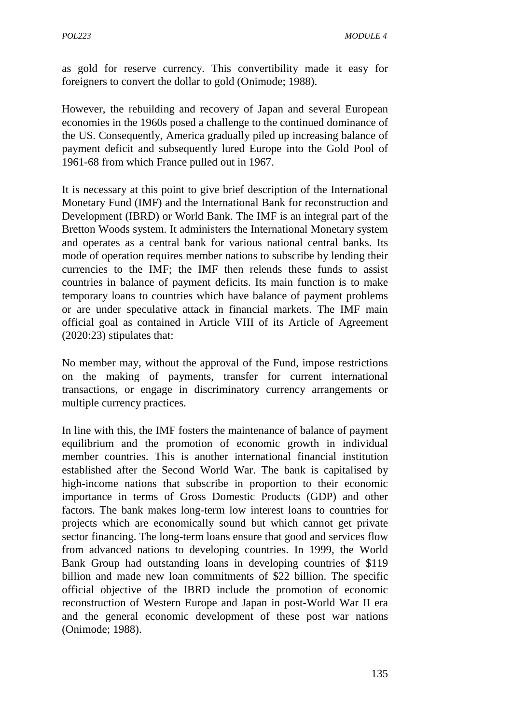as gold for reserve currency. This convertibility made it easy for foreigners to convert the dollar to gold (Onimode; 1988).

However, the rebuilding and recovery of Japan and several European economies in the 1960s posed a challenge to the continued dominance of the US. Consequently, America gradually piled up increasing balance of payment deficit and subsequently lured Europe into the Gold Pool of 1961-68 from which France pulled out in 1967.

It is necessary at this point to give brief description of the International Monetary Fund (IMF) and the International Bank for reconstruction and Development (IBRD) or World Bank. The IMF is an integral part of the Bretton Woods system. It administers the International Monetary system and operates as a central bank for various national central banks. Its mode of operation requires member nations to subscribe by lending their currencies to the IMF; the IMF then relends these funds to assist countries in balance of payment deficits. Its main function is to make temporary loans to countries which have balance of payment problems or are under speculative attack in financial markets. The IMF main official goal as contained in Article VIII of its Article of Agreement (2020:23) stipulates that:

No member may, without the approval of the Fund, impose restrictions on the making of payments, transfer for current international transactions, or engage in discriminatory currency arrangements or multiple currency practices.

In line with this, the IMF fosters the maintenance of balance of payment equilibrium and the promotion of economic growth in individual member countries. This is another international financial institution established after the Second World War. The bank is capitalised by high-income nations that subscribe in proportion to their economic importance in terms of Gross Domestic Products (GDP) and other factors. The bank makes long-term low interest loans to countries for projects which are economically sound but which cannot get private sector financing. The long-term loans ensure that good and services flow from advanced nations to developing countries. In 1999, the World Bank Group had outstanding loans in developing countries of \$119 billion and made new loan commitments of \$22 billion. The specific official objective of the IBRD include the promotion of economic reconstruction of Western Europe and Japan in post-World War II era and the general economic development of these post war nations (Onimode; 1988).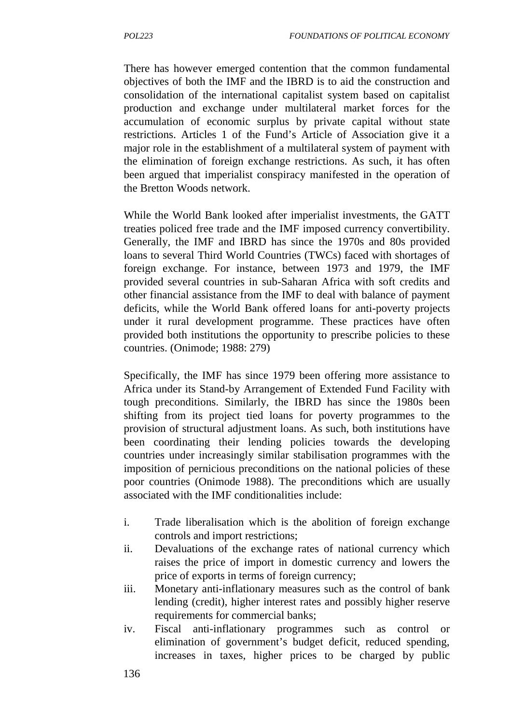There has however emerged contention that the common fundamental objectives of both the IMF and the IBRD is to aid the construction and consolidation of the international capitalist system based on capitalist production and exchange under multilateral market forces for the accumulation of economic surplus by private capital without state restrictions. Articles 1 of the Fund's Article of Association give it a major role in the establishment of a multilateral system of payment with the elimination of foreign exchange restrictions. As such, it has often been argued that imperialist conspiracy manifested in the operation of the Bretton Woods network.

While the World Bank looked after imperialist investments, the GATT treaties policed free trade and the IMF imposed currency convertibility. Generally, the IMF and IBRD has since the 1970s and 80s provided loans to several Third World Countries (TWCs) faced with shortages of foreign exchange. For instance, between 1973 and 1979, the IMF provided several countries in sub-Saharan Africa with soft credits and other financial assistance from the IMF to deal with balance of payment deficits, while the World Bank offered loans for anti-poverty projects under it rural development programme. These practices have often provided both institutions the opportunity to prescribe policies to these countries. (Onimode; 1988: 279)

Specifically, the IMF has since 1979 been offering more assistance to Africa under its Stand-by Arrangement of Extended Fund Facility with tough preconditions. Similarly, the IBRD has since the 1980s been shifting from its project tied loans for poverty programmes to the provision of structural adjustment loans. As such, both institutions have been coordinating their lending policies towards the developing countries under increasingly similar stabilisation programmes with the imposition of pernicious preconditions on the national policies of these poor countries (Onimode 1988). The preconditions which are usually associated with the IMF conditionalities include:

- i. Trade liberalisation which is the abolition of foreign exchange controls and import restrictions;
- ii. Devaluations of the exchange rates of national currency which raises the price of import in domestic currency and lowers the price of exports in terms of foreign currency;
- iii. Monetary anti-inflationary measures such as the control of bank lending (credit), higher interest rates and possibly higher reserve requirements for commercial banks;
- iv. Fiscal anti-inflationary programmes such as control or elimination of government's budget deficit, reduced spending, increases in taxes, higher prices to be charged by public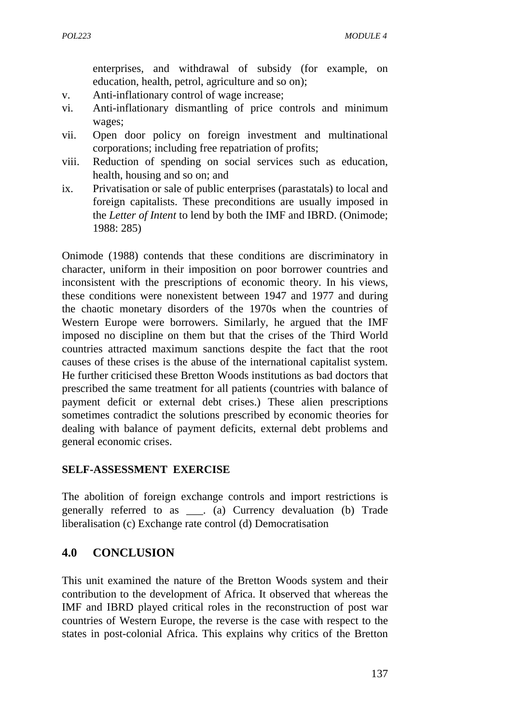enterprises, and withdrawal of subsidy (for example, on education, health, petrol, agriculture and so on);

- v. Anti-inflationary control of wage increase;
- vi. Anti-inflationary dismantling of price controls and minimum wages;
- vii. Open door policy on foreign investment and multinational corporations; including free repatriation of profits;
- viii. Reduction of spending on social services such as education, health, housing and so on; and
- ix. Privatisation or sale of public enterprises (parastatals) to local and foreign capitalists. These preconditions are usually imposed in the *Letter of Intent* to lend by both the IMF and IBRD. (Onimode; 1988: 285)

Onimode (1988) contends that these conditions are discriminatory in character, uniform in their imposition on poor borrower countries and inconsistent with the prescriptions of economic theory. In his views, these conditions were nonexistent between 1947 and 1977 and during the chaotic monetary disorders of the 1970s when the countries of Western Europe were borrowers. Similarly, he argued that the IMF imposed no discipline on them but that the crises of the Third World countries attracted maximum sanctions despite the fact that the root causes of these crises is the abuse of the international capitalist system. He further criticised these Bretton Woods institutions as bad doctors that prescribed the same treatment for all patients (countries with balance of payment deficit or external debt crises.) These alien prescriptions sometimes contradict the solutions prescribed by economic theories for dealing with balance of payment deficits, external debt problems and general economic crises.

#### **SELF-ASSESSMENT EXERCISE**

The abolition of foreign exchange controls and import restrictions is generally referred to as \_\_\_. (a) Currency devaluation (b) Trade liberalisation (c) Exchange rate control (d) Democratisation

### **4.0 CONCLUSION**

This unit examined the nature of the Bretton Woods system and their contribution to the development of Africa. It observed that whereas the IMF and IBRD played critical roles in the reconstruction of post war countries of Western Europe, the reverse is the case with respect to the states in post-colonial Africa. This explains why critics of the Bretton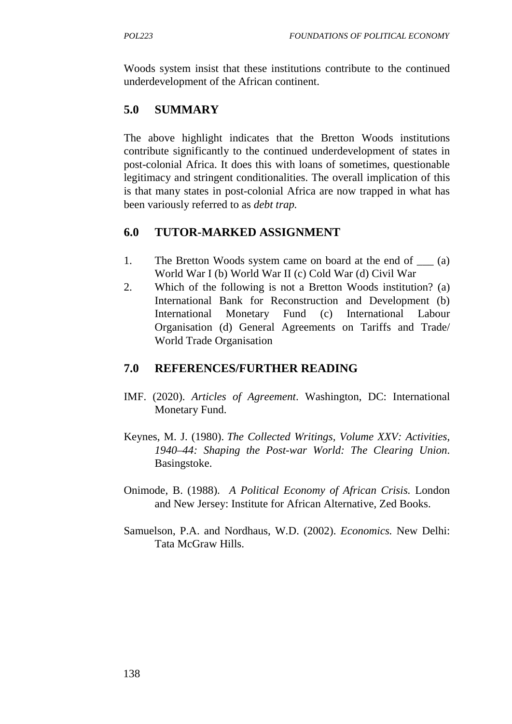Woods system insist that these institutions contribute to the continued underdevelopment of the African continent.

### **5.0 SUMMARY**

The above highlight indicates that the Bretton Woods institutions contribute significantly to the continued underdevelopment of states in post-colonial Africa. It does this with loans of sometimes, questionable legitimacy and stringent conditionalities. The overall implication of this is that many states in post-colonial Africa are now trapped in what has been variously referred to as *debt trap.*

### **6.0 TUTOR-MARKED ASSIGNMENT**

- 1. The Bretton Woods system came on board at the end of (a) World War I (b) World War II (c) Cold War (d) Civil War
- 2. Which of the following is not a Bretton Woods institution? (a) International Bank for Reconstruction and Development (b) International Monetary Fund (c) International Labour Organisation (d) General Agreements on Tariffs and Trade/ World Trade Organisation

### **7.0 REFERENCES/FURTHER READING**

- IMF. (2020). *Articles of Agreement*. Washington, DC: International Monetary Fund.
- Keynes, M. J. (1980). *The Collected Writings, Volume XXV: Activities, 1940–44: Shaping the Post-war World: The Clearing Union*. Basingstoke.
- Onimode, B. (1988). *A Political Economy of African Crisis.* London and New Jersey: Institute for African Alternative, Zed Books.
- Samuelson, P.A. and Nordhaus, W.D. (2002). *Economics.* New Delhi: Tata McGraw Hills.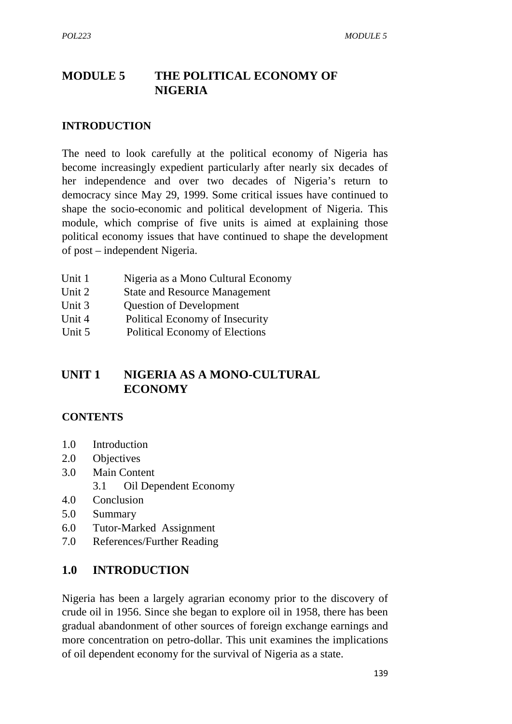# **MODULE 5 THE POLITICAL ECONOMY OF NIGERIA**

#### **INTRODUCTION**

The need to look carefully at the political economy of Nigeria has become increasingly expedient particularly after nearly six decades of her independence and over two decades of Nigeria's return to democracy since May 29, 1999. Some critical issues have continued to shape the socio-economic and political development of Nigeria. This module, which comprise of five units is aimed at explaining those political economy issues that have continued to shape the development of post – independent Nigeria.

- Unit 1 Nigeria as a Mono Cultural Economy
- Unit 2 State and Resource Management
- Unit 3 Question of Development
- Unit 4 Political Economy of Insecurity
- Unit 5 Political Economy of Elections

### **UNIT 1 NIGERIA AS A MONO-CULTURAL ECONOMY**

#### **CONTENTS**

- 1.0 Introduction
- 2.0 Objectives
- 3.0 Main Content 3.1 Oil Dependent Economy
- 4.0 Conclusion
- 5.0 Summary
- 6.0 Tutor-Marked Assignment
- 7.0 References/Further Reading

### **1.0 INTRODUCTION**

Nigeria has been a largely agrarian economy prior to the discovery of crude oil in 1956. Since she began to explore oil in 1958, there has been gradual abandonment of other sources of foreign exchange earnings and more concentration on petro-dollar. This unit examines the implications of oil dependent economy for the survival of Nigeria as a state.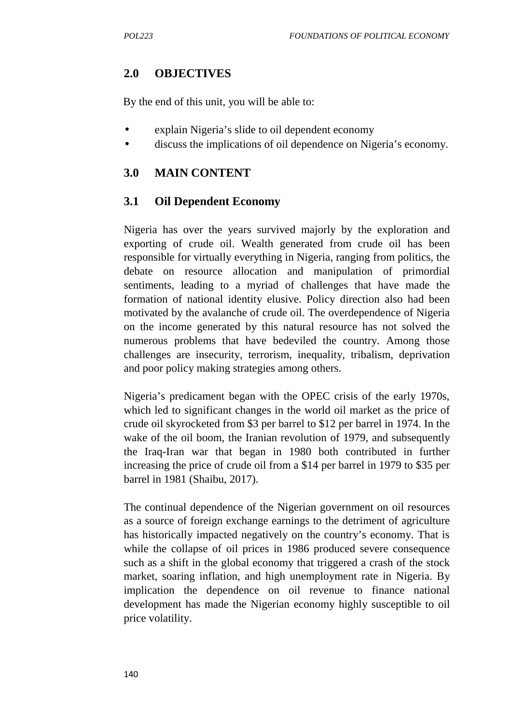## **2.0 OBJECTIVES**

By the end of this unit, you will be able to:

- explain Nigeria's slide to oil dependent economy
- discuss the implications of oil dependence on Nigeria's economy.

### **3.0 MAIN CONTENT**

### **3.1 Oil Dependent Economy**

Nigeria has over the years survived majorly by the exploration and exporting of crude oil. Wealth generated from crude oil has been responsible for virtually everything in Nigeria, ranging from politics, the debate on resource allocation and manipulation of primordial sentiments, leading to a myriad of challenges that have made the formation of national identity elusive. Policy direction also had been motivated by the avalanche of crude oil. The overdependence of Nigeria on the income generated by this natural resource has not solved the numerous problems that have bedeviled the country. Among those challenges are insecurity, terrorism, inequality, tribalism, deprivation and poor policy making strategies among others.

Nigeria's predicament began with the OPEC crisis of the early 1970s, which led to significant changes in the world oil market as the price of crude oil skyrocketed from \$3 per barrel to \$12 per barrel in 1974. In the wake of the oil boom, the Iranian revolution of 1979, and subsequently the Iraq-Iran war that began in 1980 both contributed in further increasing the price of crude oil from a \$14 per barrel in 1979 to \$35 per barrel in 1981 (Shaibu, 2017).

The continual dependence of the Nigerian government on oil resources as a source of foreign exchange earnings to the detriment of agriculture has historically impacted negatively on the country's economy. That is while the collapse of oil prices in 1986 produced severe consequence such as a shift in the global economy that triggered a crash of the stock market, soaring inflation, and high unemployment rate in Nigeria. By implication the dependence on oil revenue to finance national development has made the Nigerian economy highly susceptible to oil price volatility.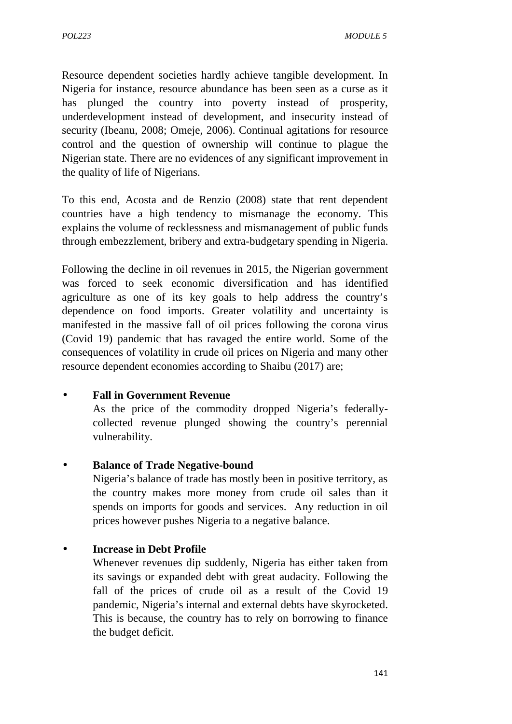Resource dependent societies hardly achieve tangible development. In Nigeria for instance, resource abundance has been seen as a curse as it has plunged the country into poverty instead of prosperity, underdevelopment instead of development, and insecurity instead of security (Ibeanu, 2008; Omeje, 2006). Continual agitations for resource control and the question of ownership will continue to plague the Nigerian state. There are no evidences of any significant improvement in the quality of life of Nigerians.

To this end, Acosta and de Renzio (2008) state that rent dependent countries have a high tendency to mismanage the economy. This explains the volume of recklessness and mismanagement of public funds through embezzlement, bribery and extra-budgetary spending in Nigeria.

Following the decline in oil revenues in 2015, the Nigerian government was forced to seek economic diversification and has identified agriculture as one of its key goals to help address the country's dependence on food imports. Greater volatility and uncertainty is manifested in the massive fall of oil prices following the corona virus (Covid 19) pandemic that has ravaged the entire world. Some of the consequences of volatility in crude oil prices on Nigeria and many other resource dependent economies according to Shaibu (2017) are;

#### **Fall in Government Revenue**

As the price of the commodity dropped Nigeria's federally collected revenue plunged showing the country's perennial vulnerability.

#### **Balance of Trade Negative-bound**

Nigeria's balance of trade has mostly been in positive territory, as the country makes more money from crude oil sales than it spends on imports for goods and services. Any reduction in oil prices however pushes Nigeria to a negative balance.

#### **Increase in Debt Profile**

Whenever revenues dip suddenly, Nigeria has either taken from its savings or expanded debt with great audacity. Following the fall of the prices of crude oil as a result of the Covid 19 pandemic, Nigeria's internal and external debts have skyrocketed. This is because, the country has to rely on borrowing to finance the budget deficit.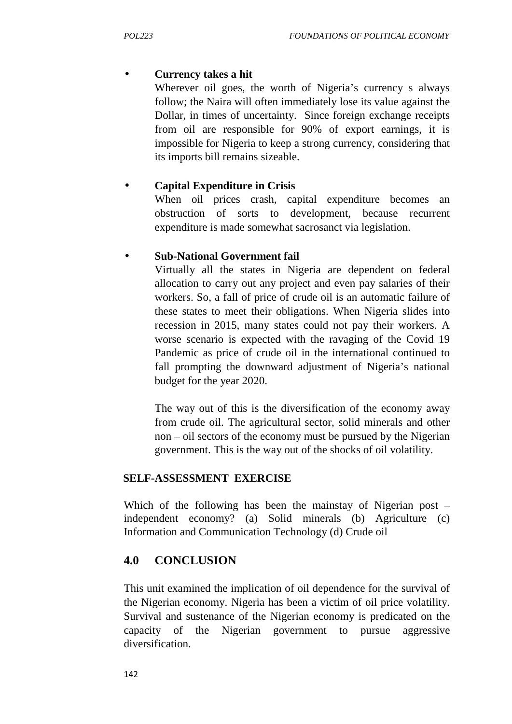### **Currency takes a hit**

Wherever oil goes, the worth of Nigeria's currency s always follow; the Naira will often immediately lose its value against the Dollar, in times of uncertainty. Since foreign exchange receipts from oil are responsible for 90% of export earnings, it is impossible for Nigeria to keep a strong currency, considering that its imports bill remains sizeable.

### **Capital Expenditure in Crisis**

When oil prices crash, capital expenditure becomes an obstruction of sorts to development, because recurrent expenditure is made somewhat sacrosanct via legislation.

### **Sub-National Government fail**

Virtually all the states in Nigeria are dependent on federal allocation to carry out any project and even pay salaries of their workers. So, a fall of price of crude oil is an automatic failure of these states to meet their obligations. When Nigeria slides into recession in 2015, many states could not pay their workers. A worse scenario is expected with the ravaging of the Covid 19 Pandemic as price of crude oil in the international continued to fall prompting the downward adjustment of Nigeria's national budget for the year 2020.

The way out of this is the diversification of the economy away from crude oil. The agricultural sector, solid minerals and other non – oil sectors of the economy must be pursued by the Nigerian government. This is the way out of the shocks of oil volatility.

### **SELF-ASSESSMENT EXERCISE**

Which of the following has been the mainstay of Nigerian post – independent economy? (a) Solid minerals (b) Agriculture (c) Information and Communication Technology (d) Crude oil

## **4.0 CONCLUSION**

This unit examined the implication of oil dependence for the survival of the Nigerian economy. Nigeria has been a victim of oil price volatility. Survival and sustenance of the Nigerian economy is predicated on the capacity of the Nigerian government to pursue aggressive diversification.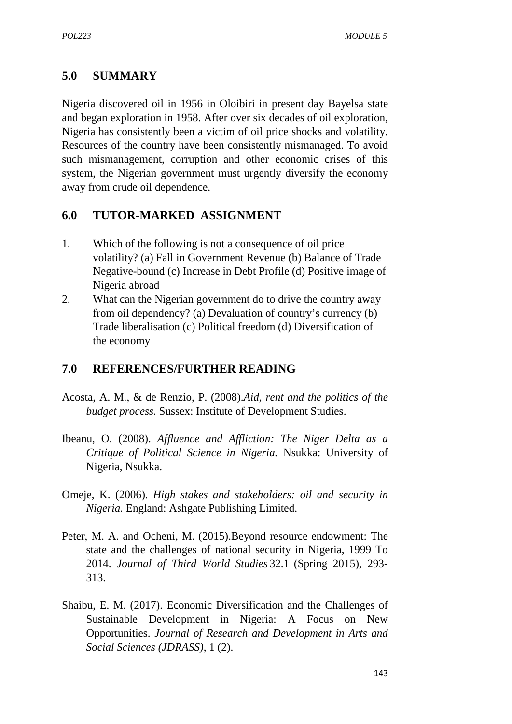### **5.0 SUMMARY**

Nigeria discovered oil in 1956 in Oloibiri in present day Bayelsa state and began exploration in 1958. After over six decades of oil exploration, Nigeria has consistently been a victim of oil price shocks and volatility. Resources of the country have been consistently mismanaged. To avoid such mismanagement, corruption and other economic crises of this system, the Nigerian government must urgently diversify the economy away from crude oil dependence.

### **6.0 TUTOR-MARKED ASSIGNMENT**

- 1. Which of the following is not a consequence of oil price volatility? (a) Fall in Government Revenue (b) Balance of Trade Negative-bound (c) Increase in Debt Profile (d) Positive image of Nigeria abroad
- 2. What can the Nigerian government do to drive the country away from oil dependency? (a) Devaluation of country's currency (b) Trade liberalisation (c) Political freedom (d) Diversification of the economy

### **7.0 REFERENCES/FURTHER READING**

- Acosta, A. M., & de Renzio, P. (2008).*Aid, rent and the politics of the budget process.* Sussex: Institute of Development Studies.
- Ibeanu, O. (2008). *Affluence and Affliction: The Niger Delta as a Critique of Political Science in Nigeria.* Nsukka: University of Nigeria, Nsukka.
- Omeje, K. (2006). *High stakes and stakeholders: oil and security in Nigeria.* England: Ashgate Publishing Limited.
- Peter, M. A. and Ocheni, M. (2015).Beyond resource endowment: The state and the challenges of national security in Nigeria, 1999 To 2014. *Journal of Third World Studies* 32.1 (Spring 2015), 293- 313.
- Shaibu, E. M. (2017). Economic Diversification and the Challenges of Sustainable Development in Nigeria: A Focus on New Opportunities. *Journal of Research and Development in Arts and Social Sciences (JDRASS)*, 1 (2).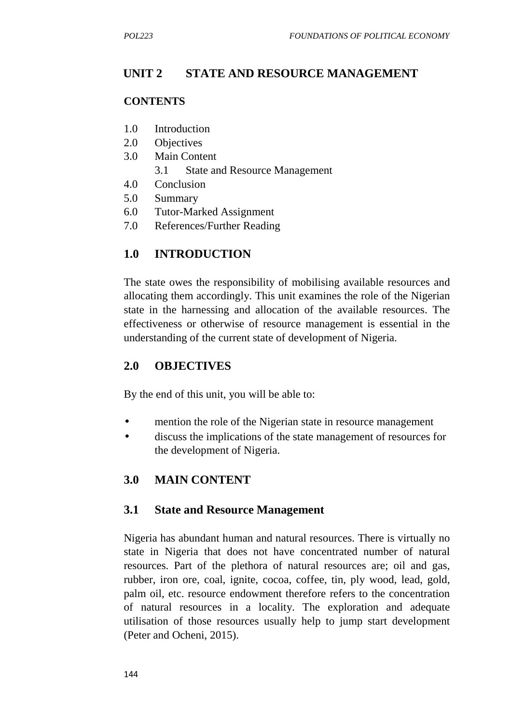# **UNIT 2 STATE AND RESOURCE MANAGEMENT**

#### **CONTENTS**

- 1.0 Introduction
- 2.0 Objectives
- 3.0 Main Content
	- 3.1 State and Resource Management
- 4.0 Conclusion
- 5.0 Summary
- 6.0 Tutor-Marked Assignment
- 7.0 References/Further Reading

## **1.0 INTRODUCTION**

The state owes the responsibility of mobilising available resources and allocating them accordingly. This unit examines the role of the Nigerian state in the harnessing and allocation of the available resources. The effectiveness or otherwise of resource management is essential in the understanding of the current state of development of Nigeria.

### **2.0 OBJECTIVES**

By the end of this unit, you will be able to:

- mention the role of the Nigerian state in resource management
- discuss the implications of the state management of resources for the development of Nigeria.

## **3.0 MAIN CONTENT**

### **3.1 State and Resource Management**

Nigeria has abundant human and natural resources. There is virtually no state in Nigeria that does not have concentrated number of natural resources. Part of the plethora of natural resources are; oil and gas, rubber, iron ore, coal, ignite, cocoa, coffee, tin, ply wood, lead, gold, palm oil, etc. resource endowment therefore refers to the concentration of natural resources in a locality. The exploration and adequate utilisation of those resources usually help to jump start development (Peter and Ocheni, 2015).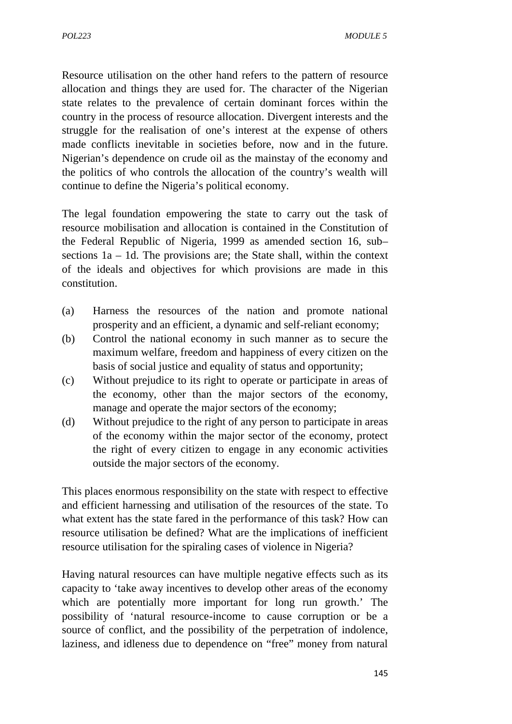Resource utilisation on the other hand refers to the pattern of resource allocation and things they are used for. The character of the Nigerian state relates to the prevalence of certain dominant forces within the country in the process of resource allocation. Divergent interests and the struggle for the realisation of one's interest at the expense of others made conflicts inevitable in societies before, now and in the future. Nigerian's dependence on crude oil as the mainstay of the economy and the politics of who controls the allocation of the country's wealth will continue to define the Nigeria's political economy.

The legal foundation empowering the state to carry out the task of resource mobilisation and allocation is contained in the Constitution of the Federal Republic of Nigeria, 1999 as amended section 16, sub– sections 1a – 1d. The provisions are; the State shall, within the context of the ideals and objectives for which provisions are made in this constitution.

- (a) Harness the resources of the nation and promote national prosperity and an efficient, a dynamic and self-reliant economy;
- (b) Control the national economy in such manner as to secure the maximum welfare, freedom and happiness of every citizen on the basis of social justice and equality of status and opportunity;
- (c) Without prejudice to its right to operate or participate in areas of the economy, other than the major sectors of the economy, manage and operate the major sectors of the economy;
- (d) Without prejudice to the right of any person to participate in areas of the economy within the major sector of the economy, protect the right of every citizen to engage in any economic activities outside the major sectors of the economy.

This places enormous responsibility on the state with respect to effective and efficient harnessing and utilisation of the resources of the state. To what extent has the state fared in the performance of this task? How can resource utilisation be defined? What are the implications of inefficient resource utilisation for the spiraling cases of violence in Nigeria?

Having natural resources can have multiple negative effects such as its capacity to 'take away incentives to develop other areas of the economy which are potentially more important for long run growth.' The possibility of 'natural resource-income to cause corruption or be a source of conflict, and the possibility of the perpetration of indolence, laziness, and idleness due to dependence on "free" money from natural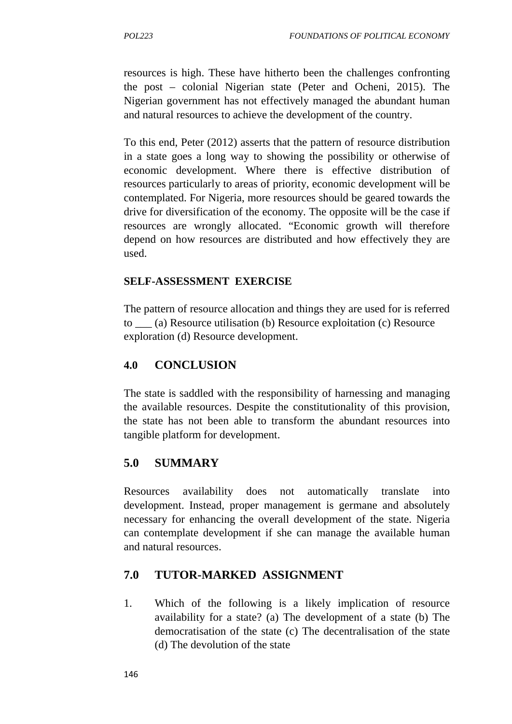resources is high. These have hitherto been the challenges confronting the post – colonial Nigerian state (Peter and Ocheni, 2015). The Nigerian government has not effectively managed the abundant human and natural resources to achieve the development of the country.

To this end, Peter (2012) asserts that the pattern of resource distribution in a state goes a long way to showing the possibility or otherwise of economic development. Where there is effective distribution of resources particularly to areas of priority, economic development will be contemplated. For Nigeria, more resources should be geared towards the drive for diversification of the economy. The opposite will be the case if resources are wrongly allocated. "Economic growth will therefore depend on how resources are distributed and how effectively they are used.

### **SELF-ASSESSMENT EXERCISE**

The pattern of resource allocation and things they are used for is referred to \_\_\_ (a) Resource utilisation (b) Resource exploitation (c) Resource exploration (d) Resource development.

### **4.0 CONCLUSION**

The state is saddled with the responsibility of harnessing and managing the available resources. Despite the constitutionality of this provision, the state has not been able to transform the abundant resources into tangible platform for development.

### **5.0 SUMMARY**

Resources availability does not automatically translate into development. Instead, proper management is germane and absolutely necessary for enhancing the overall development of the state. Nigeria can contemplate development if she can manage the available human and natural resources.

## **7.0 TUTOR-MARKED ASSIGNMENT**

1. Which of the following is a likely implication of resource availability for a state? (a) The development of a state (b) The democratisation of the state (c) The decentralisation of the state (d) The devolution of the state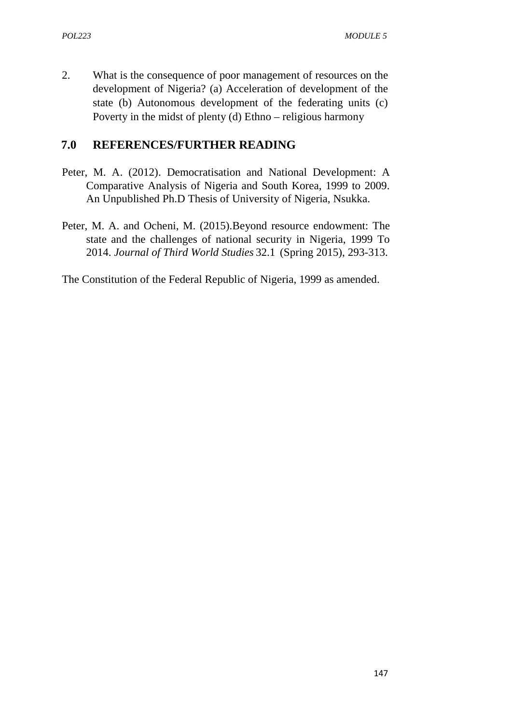2. What is the consequence of poor management of resources on the development of Nigeria? (a) Acceleration of development of the state (b) Autonomous development of the federating units (c) Poverty in the midst of plenty (d) Ethno – religious harmony

### **7.0 REFERENCES/FURTHER READING**

- Peter, M. A. (2012). Democratisation and National Development: A Comparative Analysis of Nigeria and South Korea, 1999 to 2009. An Unpublished Ph.D Thesis of University of Nigeria, Nsukka.
- Peter, M. A. and Ocheni, M. (2015).Beyond resource endowment: The state and the challenges of national security in Nigeria, 1999 To 2014. *Journal of Third World Studies* 32.1 (Spring 2015), 293-313.

The Constitution of the Federal Republic of Nigeria, 1999 as amended.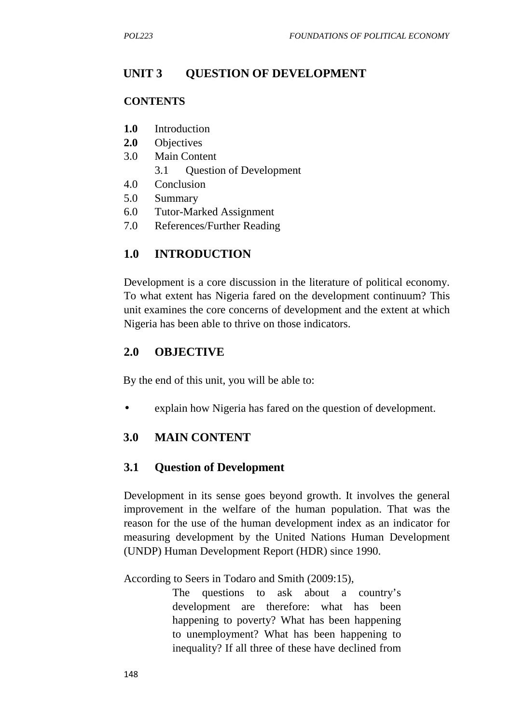# **UNIT 3 QUESTION OF DEVELOPMENT**

#### **CONTENTS**

- **1.0** Introduction
- **2.0** Objectives
- 3.0 Main Content
	- 3.1 Question of Development
- 4.0 Conclusion
- 5.0 Summary
- 6.0 Tutor-Marked Assignment
- 7.0 References/Further Reading

## **1.0 INTRODUCTION**

Development is a core discussion in the literature of political economy. To what extent has Nigeria fared on the development continuum? This unit examines the core concerns of development and the extent at which Nigeria has been able to thrive on those indicators.

### **2.0 OBJECTIVE**

By the end of this unit, you will be able to:

explain how Nigeria has fared on the question of development.

## **3.0 MAIN CONTENT**

### **3.1 Question of Development**

Development in its sense goes beyond growth. It involves the general improvement in the welfare of the human population. That was the reason for the use of the human development index as an indicator for measuring development by the United Nations Human Development (UNDP) Human Development Report (HDR) since 1990.

According to Seers in Todaro and Smith (2009:15),

The questions to ask about a country's development are therefore: what has been happening to poverty? What has been happening to unemployment? What has been happening to inequality? If all three of these have declined from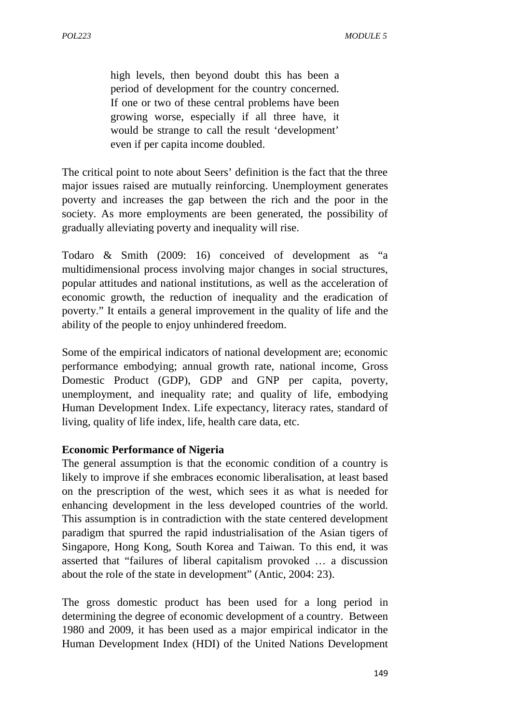high levels, then beyond doubt this has been a period of development for the country concerned. If one or two of these central problems have been growing worse, especially if all three have, it would be strange to call the result 'development' even if per capita income doubled.

The critical point to note about Seers' definition is the fact that the three major issues raised are mutually reinforcing. Unemployment generates poverty and increases the gap between the rich and the poor in the society. As more employments are been generated, the possibility of gradually alleviating poverty and inequality will rise.

Todaro & Smith (2009: 16) conceived of development as "a multidimensional process involving major changes in social structures, popular attitudes and national institutions, as well as the acceleration of economic growth, the reduction of inequality and the eradication of poverty." It entails a general improvement in the quality of life and the ability of the people to enjoy unhindered freedom.

Some of the empirical indicators of national development are; economic performance embodying; annual growth rate, national income, Gross Domestic Product (GDP), GDP and GNP per capita, poverty, unemployment, and inequality rate; and quality of life, embodying Human Development Index. Life expectancy, literacy rates, standard of living, quality of life index, life, health care data, etc.

#### **Economic Performance of Nigeria**

The general assumption is that the economic condition of a country is likely to improve if she embraces economic liberalisation, at least based on the prescription of the west, which sees it as what is needed for enhancing development in the less developed countries of the world. This assumption is in contradiction with the state centered development paradigm that spurred the rapid industrialisation of the Asian tigers of Singapore, Hong Kong, South Korea and Taiwan. To this end, it was asserted that "failures of liberal capitalism provoked … a discussion about the role of the state in development" (Antic, 2004: 23).

The gross domestic product has been used for a long period in determining the degree of economic development of a country. Between 1980 and 2009, it has been used as a major empirical indicator in the Human Development Index (HDI) of the United Nations Development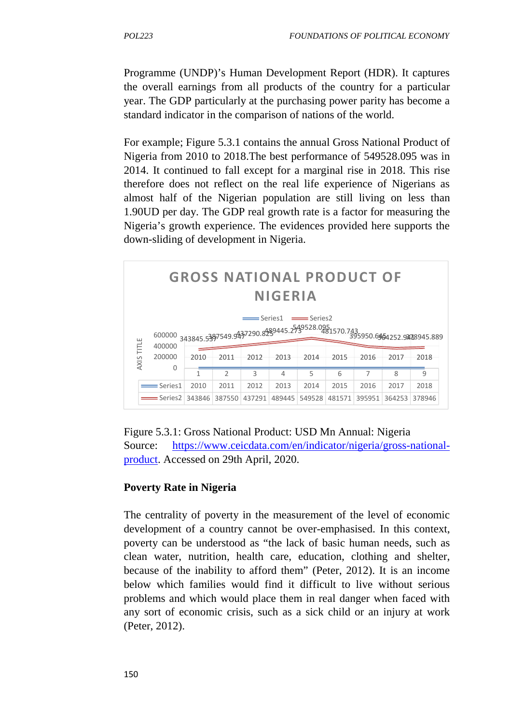Programme (UNDP)'s Human Development Report (HDR). It captures the overall earnings from all products of the country for a particular year. The GDP particularly at the purchasing power parity has become a standard indicator in the comparison of nations of the world.

For example; Figure 5.3.1 contains the annual Gross National Product of Nigeria from 2010 to 2018.The best performance of 549528.095 was in 2014. It continued to fall except for a marginal rise in 2018. This rise therefore does not reflect on the real life experience of Nigerians as almost half of the Nigerian population are still living on less than 1.90UD per day. The GDP real growth rate is a factor for measuring the Nigeria's growth experience. The evidences provided here supports the down-sliding of development in Nigeria.





### **Poverty Rate in Nigeria**

The centrality of poverty in the measurement of the level of economic development of a country cannot be over-emphasised. In this context, poverty can be understood as "the lack of basic human needs, such as clean water, nutrition, health care, education, clothing and shelter, because of the inability to afford them" (Peter, 2012). It is an income below which families would find it difficult to live without serious problems and which would place them in real danger when faced with any sort of economic crisis, such as a sick child or an injury at work (Peter, 2012).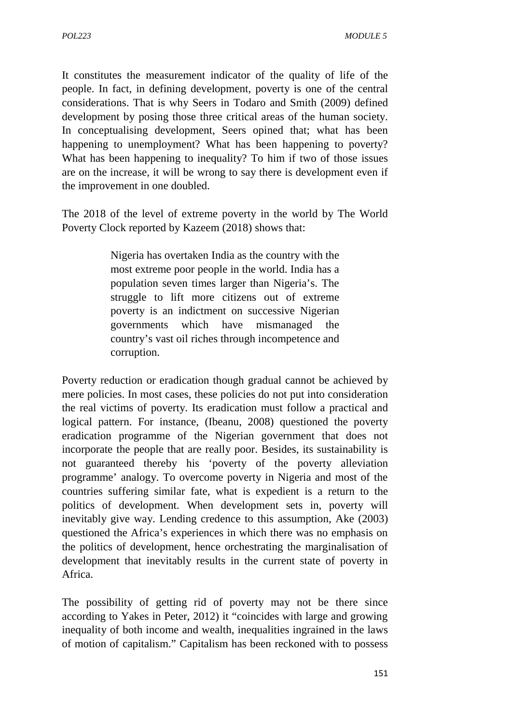It constitutes the measurement indicator of the quality of life of the people. In fact, in defining development, poverty is one of the central considerations. That is why Seers in Todaro and Smith (2009) defined development by posing those three critical areas of the human society. In conceptualising development, Seers opined that; what has been happening to unemployment? What has been happening to poverty? What has been happening to inequality? To him if two of those issues are on the increase, it will be wrong to say there is development even if the improvement in one doubled.

The 2018 of the level of extreme poverty in the world by The World Poverty Clock reported by Kazeem (2018) shows that:

> Nigeria has overtaken India as the country with the most extreme poor people in the world. India has a population seven times larger than Nigeria's. The struggle to lift more citizens out of extreme poverty is an indictment on successive Nigerian governments which have mismanaged the country's vast oil riches through incompetence and corruption.

Poverty reduction or eradication though gradual cannot be achieved by mere policies. In most cases, these policies do not put into consideration the real victims of poverty. Its eradication must follow a practical and logical pattern. For instance, (Ibeanu, 2008) questioned the poverty eradication programme of the Nigerian government that does not incorporate the people that are really poor. Besides, its sustainability is not guaranteed thereby his 'poverty of the poverty alleviation programme' analogy. To overcome poverty in Nigeria and most of the countries suffering similar fate, what is expedient is a return to the politics of development. When development sets in, poverty will inevitably give way. Lending credence to this assumption, Ake (2003) questioned the Africa's experiences in which there was no emphasis on the politics of development, hence orchestrating the marginalisation of development that inevitably results in the current state of poverty in Africa.

The possibility of getting rid of poverty may not be there since according to Yakes in Peter, 2012) it "coincides with large and growing inequality of both income and wealth, inequalities ingrained in the laws of motion of capitalism." Capitalism has been reckoned with to possess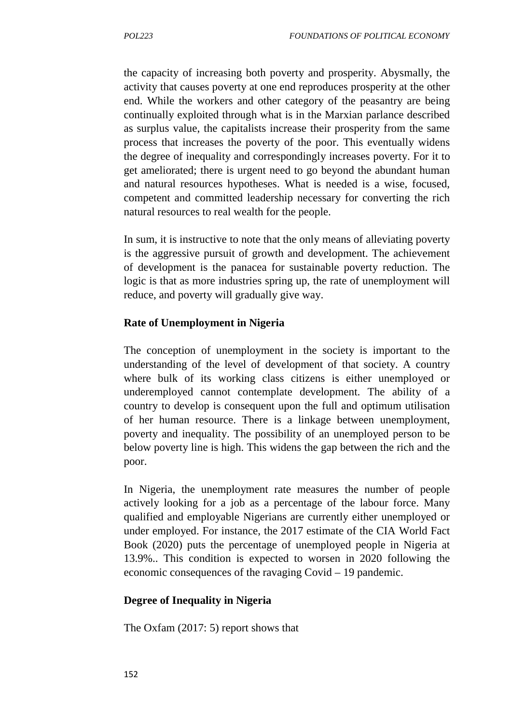the capacity of increasing both poverty and prosperity. Abysmally, the activity that causes poverty at one end reproduces prosperity at the other end. While the workers and other category of the peasantry are being continually exploited through what is in the Marxian parlance described as surplus value, the capitalists increase their prosperity from the same process that increases the poverty of the poor. This eventually widens the degree of inequality and correspondingly increases poverty. For it to get ameliorated; there is urgent need to go beyond the abundant human and natural resources hypotheses. What is needed is a wise, focused, competent and committed leadership necessary for converting the rich natural resources to real wealth for the people.

In sum, it is instructive to note that the only means of alleviating poverty is the aggressive pursuit of growth and development. The achievement of development is the panacea for sustainable poverty reduction. The logic is that as more industries spring up, the rate of unemployment will reduce, and poverty will gradually give way.

#### **Rate of Unemployment in Nigeria**

The conception of unemployment in the society is important to the understanding of the level of development of that society. A country where bulk of its working class citizens is either unemployed or underemployed cannot contemplate development. The ability of a country to develop is consequent upon the full and optimum utilisation of her human resource. There is a linkage between unemployment, poverty and inequality. The possibility of an unemployed person to be below poverty line is high. This widens the gap between the rich and the poor.

In Nigeria, the unemployment rate measures the number of people actively looking for a job as a percentage of the labour force. Many qualified and employable Nigerians are currently either unemployed or under employed. For instance, the 2017 estimate of the CIA World Fact Book (2020) puts the percentage of unemployed people in Nigeria at 13.9%.. This condition is expected to worsen in 2020 following the economic consequences of the ravaging Covid – 19 pandemic.

### **Degree of Inequality in Nigeria**

The Oxfam (2017: 5) report shows that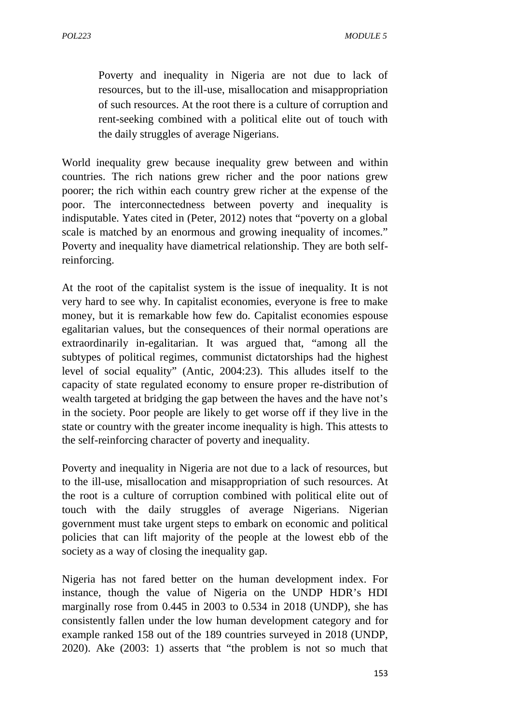Poverty and inequality in Nigeria are not due to lack of resources, but to the ill-use, misallocation and misappropriation of such resources. At the root there is a culture of corruption and rent-seeking combined with a political elite out of touch with the daily struggles of average Nigerians.

World inequality grew because inequality grew between and within countries. The rich nations grew richer and the poor nations grew poorer; the rich within each country grew richer at the expense of the poor. The interconnectedness between poverty and inequality is indisputable. Yates cited in (Peter, 2012) notes that "poverty on a global scale is matched by an enormous and growing inequality of incomes." Poverty and inequality have diametrical relationship. They are both selfreinforcing.

At the root of the capitalist system is the issue of inequality. It is not very hard to see why. In capitalist economies, everyone is free to make money, but it is remarkable how few do. Capitalist economies espouse egalitarian values, but the consequences of their normal operations are extraordinarily in-egalitarian. It was argued that, "among all the subtypes of political regimes, communist dictatorships had the highest level of social equality" (Antic, 2004:23). This alludes itself to the capacity of state regulated economy to ensure proper re-distribution of wealth targeted at bridging the gap between the haves and the have not's in the society. Poor people are likely to get worse off if they live in the state or country with the greater income inequality is high. This attests to the self-reinforcing character of poverty and inequality.

Poverty and inequality in Nigeria are not due to a lack of resources, but to the ill-use, misallocation and misappropriation of such resources. At the root is a culture of corruption combined with political elite out of touch with the daily struggles of average Nigerians. Nigerian government must take urgent steps to embark on economic and political policies that can lift majority of the people at the lowest ebb of the society as a way of closing the inequality gap.

Nigeria has not fared better on the human development index. For instance, though the value of Nigeria on the UNDP HDR's HDI marginally rose from 0.445 in 2003 to 0.534 in 2018 (UNDP), she has consistently fallen under the low human development category and for example ranked 158 out of the 189 countries surveyed in 2018 (UNDP, 2020). Ake (2003: 1) asserts that "the problem is not so much that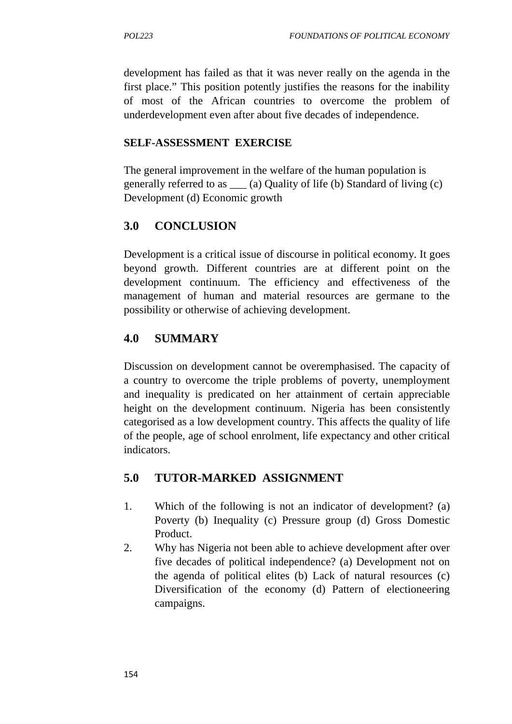development has failed as that it was never really on the agenda in the first place." This position potently justifies the reasons for the inability of most of the African countries to overcome the problem of underdevelopment even after about five decades of independence.

#### **SELF-ASSESSMENT EXERCISE**

The general improvement in the welfare of the human population is generally referred to as \_\_\_ (a) Quality of life (b) Standard of living (c) Development (d) Economic growth

## **3.0 CONCLUSION**

Development is a critical issue of discourse in political economy. It goes beyond growth. Different countries are at different point on the development continuum. The efficiency and effectiveness of the management of human and material resources are germane to the possibility or otherwise of achieving development.

# **4.0 SUMMARY**

Discussion on development cannot be overemphasised. The capacity of a country to overcome the triple problems of poverty, unemployment and inequality is predicated on her attainment of certain appreciable height on the development continuum. Nigeria has been consistently categorised as a low development country. This affects the quality of life of the people, age of school enrolment, life expectancy and other critical indicators.

## **5.0 TUTOR-MARKED ASSIGNMENT**

- 1. Which of the following is not an indicator of development? (a) Poverty (b) Inequality (c) Pressure group (d) Gross Domestic Product.
- 2. Why has Nigeria not been able to achieve development after over five decades of political independence? (a) Development not on the agenda of political elites (b) Lack of natural resources (c) Diversification of the economy (d) Pattern of electioneering campaigns.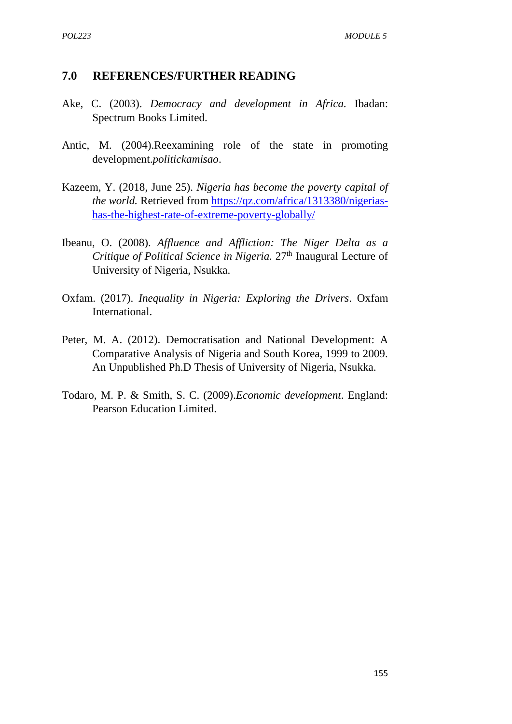#### **7.0 REFERENCES/FURTHER READING**

- Ake, C. (2003). *Democracy and development in Africa.* Ibadan: Spectrum Books Limited.
- Antic, M. (2004).Reexamining role of the state in promoting development.*politickamisao*.
- Kazeem, Y. (2018, June 25). *Nigeria has become the poverty capital of the world.* Retrieved from https://qz.com/africa/1313380/nigerias has-the-highest-rate-of-extreme-poverty-globally/
- Ibeanu, O. (2008). *Affluence and Affliction: The Niger Delta as a Critique of Political Science in Nigeria.* 27<sup>th</sup> Inaugural Lecture of University of Nigeria, Nsukka.
- Oxfam. (2017). *Inequality in Nigeria: Exploring the Drivers*. Oxfam International.
- Peter, M. A. (2012). Democratisation and National Development: A Comparative Analysis of Nigeria and South Korea, 1999 to 2009. An Unpublished Ph.D Thesis of University of Nigeria, Nsukka.
- Todaro, M. P. & Smith, S. C. (2009).*Economic development*. England: Pearson Education Limited.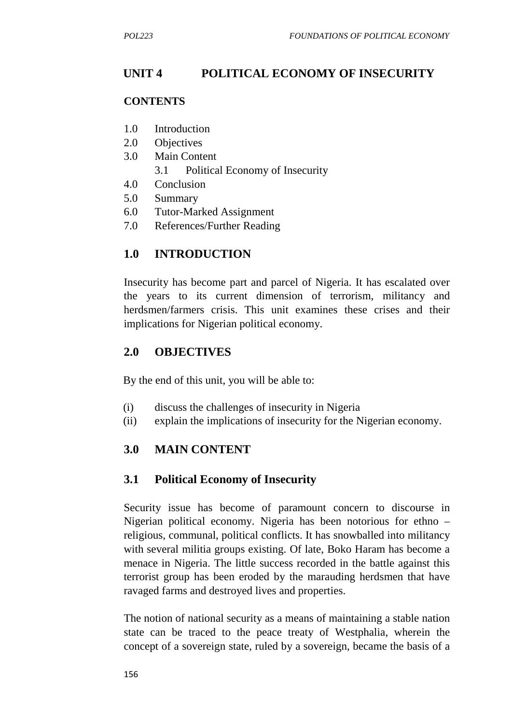# **UNIT 4 POLITICAL ECONOMY OF INSECURITY**

#### **CONTENTS**

- 1.0 Introduction
- 2.0 Objectives
- 3.0 Main Content
	- 3.1 Political Economy of Insecurity
- 4.0 Conclusion
- 5.0 Summary
- 6.0 Tutor-Marked Assignment
- 7.0 References/Further Reading

## **1.0 INTRODUCTION**

Insecurity has become part and parcel of Nigeria. It has escalated over the years to its current dimension of terrorism, militancy and herdsmen/farmers crisis. This unit examines these crises and their implications for Nigerian political economy.

### **2.0 OBJECTIVES**

By the end of this unit, you will be able to:

- (i) discuss the challenges of insecurity in Nigeria
- (ii) explain the implications of insecurity for the Nigerian economy.

### **3.0 MAIN CONTENT**

### **3.1 Political Economy of Insecurity**

Security issue has become of paramount concern to discourse in Nigerian political economy. Nigeria has been notorious for ethno – religious, communal, political conflicts. It has snowballed into militancy with several militia groups existing. Of late, Boko Haram has become a menace in Nigeria. The little success recorded in the battle against this terrorist group has been eroded by the marauding herdsmen that have ravaged farms and destroyed lives and properties.

The notion of national security as a means of maintaining a stable nation state can be traced to the peace treaty of Westphalia, wherein the concept of a sovereign state, ruled by a sovereign, became the basis of a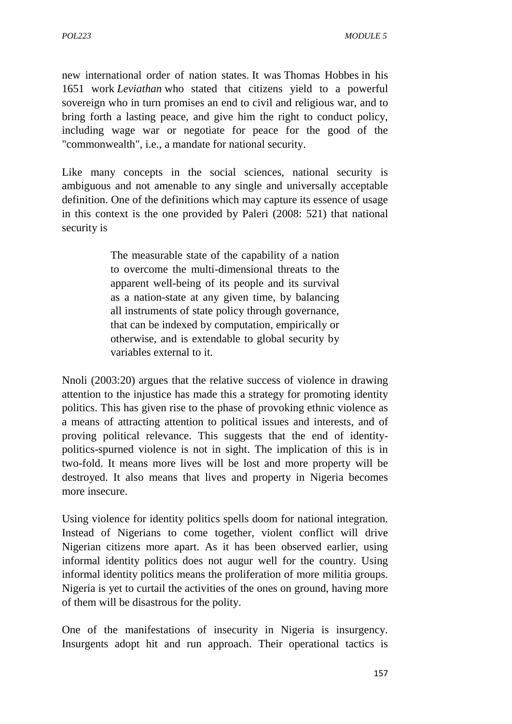new international order of nation states. It was Thomas Hobbes in his 1651 work *Leviathan* who stated that citizens yield to a powerful sovereign who in turn promises an end to civil and religious war, and to bring forth a lasting peace, and give him the right to conduct policy, including wage war or negotiate for peace for the good of the "commonwealth", i.e., a mandate for national security.

Like many concepts in the social sciences, national security is ambiguous and not amenable to any single and universally acceptable definition. One of the definitions which may capture its essence of usage in this context is the one provided by Paleri (2008: 521) that national security is

> The measurable state of the capability of a nation to overcome the multi-dimensional threats to the apparent well-being of its people and its survival as a nation-state at any given time, by balancing all instruments of state policy through governance, that can be indexed by computation, empirically or otherwise, and is extendable to global security by variables external to it.

Nnoli (2003:20) argues that the relative success of violence in drawing attention to the injustice has made this a strategy for promoting identity politics. This has given rise to the phase of provoking ethnic violence as a means of attracting attention to political issues and interests, and of proving political relevance. This suggests that the end of identity politics-spurned violence is not in sight. The implication of this is in two-fold. It means more lives will be lost and more property will be destroyed. It also means that lives and property in Nigeria becomes more insecure.

Using violence for identity politics spells doom for national integration. Instead of Nigerians to come together, violent conflict will drive Nigerian citizens more apart. As it has been observed earlier, using informal identity politics does not augur well for the country. Using informal identity politics means the proliferation of more militia groups. Nigeria is yet to curtail the activities of the ones on ground, having more of them will be disastrous for the polity.

One of the manifestations of insecurity in Nigeria is insurgency. Insurgents adopt hit and run approach. Their operational tactics is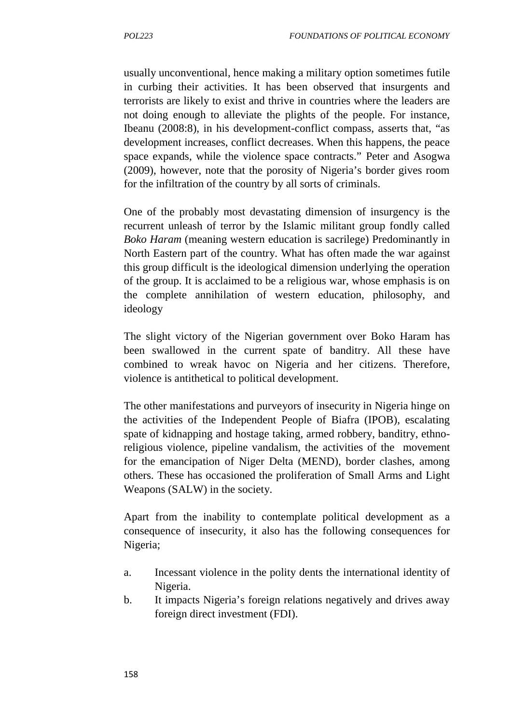usually unconventional, hence making a military option sometimes futile in curbing their activities. It has been observed that insurgents and terrorists are likely to exist and thrive in countries where the leaders are not doing enough to alleviate the plights of the people. For instance, Ibeanu (2008:8), in his development-conflict compass, asserts that, "as development increases, conflict decreases. When this happens, the peace space expands, while the violence space contracts." Peter and Asogwa (2009), however, note that the porosity of Nigeria's border gives room for the infiltration of the country by all sorts of criminals.

One of the probably most devastating dimension of insurgency is the recurrent unleash of terror by the Islamic militant group fondly called *Boko Haram* (meaning western education is sacrilege) Predominantly in North Eastern part of the country. What has often made the war against this group difficult is the ideological dimension underlying the operation of the group. It is acclaimed to be a religious war, whose emphasis is on the complete annihilation of western education, philosophy, and ideology

The slight victory of the Nigerian government over Boko Haram has been swallowed in the current spate of banditry. All these have combined to wreak havoc on Nigeria and her citizens. Therefore, violence is antithetical to political development.

The other manifestations and purveyors of insecurity in Nigeria hinge on the activities of the Independent People of Biafra (IPOB), escalating spate of kidnapping and hostage taking, armed robbery, banditry, ethnoreligious violence, pipeline vandalism, the activities of the movement for the emancipation of Niger Delta (MEND), border clashes, among others. These has occasioned the proliferation of Small Arms and Light Weapons (SALW) in the society.

Apart from the inability to contemplate political development as a consequence of insecurity, it also has the following consequences for Nigeria;

- a. Incessant violence in the polity dents the international identity of Nigeria.
- b. It impacts Nigeria's foreign relations negatively and drives away foreign direct investment (FDI).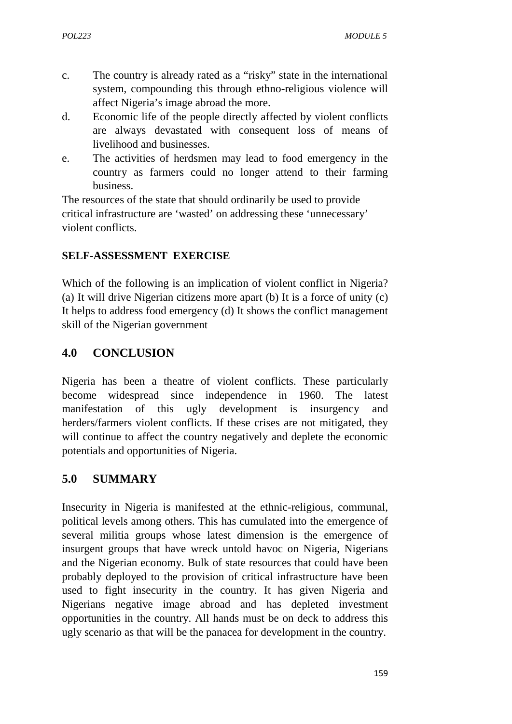- c. The country is already rated as a "risky" state in the international system, compounding this through ethno-religious violence will affect Nigeria's image abroad the more.
- d. Economic life of the people directly affected by violent conflicts are always devastated with consequent loss of means of livelihood and businesses.
- e. The activities of herdsmen may lead to food emergency in the country as farmers could no longer attend to their farming business.

The resources of the state that should ordinarily be used to provide critical infrastructure are 'wasted' on addressing these 'unnecessary' violent conflicts.

#### **SELF-ASSESSMENT EXERCISE**

Which of the following is an implication of violent conflict in Nigeria? (a) It will drive Nigerian citizens more apart (b) It is a force of unity (c) It helps to address food emergency (d) It shows the conflict management skill of the Nigerian government

### **4.0 CONCLUSION**

Nigeria has been a theatre of violent conflicts. These particularly become widespread since independence in 1960. The latest manifestation of this ugly development is insurgency and herders/farmers violent conflicts. If these crises are not mitigated, they will continue to affect the country negatively and deplete the economic potentials and opportunities of Nigeria.

## **5.0 SUMMARY**

Insecurity in Nigeria is manifested at the ethnic-religious, communal, political levels among others. This has cumulated into the emergence of several militia groups whose latest dimension is the emergence of insurgent groups that have wreck untold havoc on Nigeria, Nigerians and the Nigerian economy. Bulk of state resources that could have been probably deployed to the provision of critical infrastructure have been used to fight insecurity in the country. It has given Nigeria and Nigerians negative image abroad and has depleted investment opportunities in the country. All hands must be on deck to address this ugly scenario as that will be the panacea for development in the country.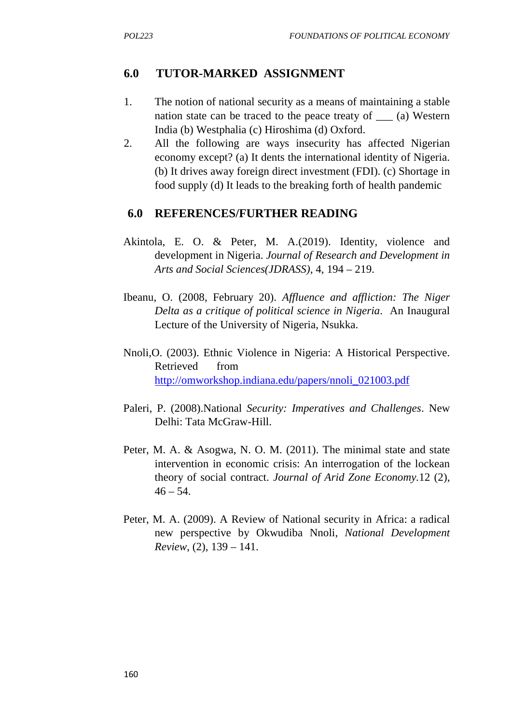### **6.0 TUTOR-MARKED ASSIGNMENT**

- 1. The notion of national security as a means of maintaining a stable nation state can be traced to the peace treaty of \_\_\_ (a) Western India (b) Westphalia (c) Hiroshima (d) Oxford.
- 2. All the following are ways insecurity has affected Nigerian economy except? (a) It dents the international identity of Nigeria. (b) It drives away foreign direct investment (FDI). (c) Shortage in food supply (d) It leads to the breaking forth of health pandemic

#### **6.0 REFERENCES/FURTHER READING**

- Akintola, E. O. & Peter, M. A.(2019). Identity, violence and development in Nigeria. *Journal of Research and Development in Arts and Social Sciences(JDRASS)*, 4, 194 – 219.
- Ibeanu, O. (2008, February 20). *Affluence and affliction: The Niger Delta as a critique of political science in Nigeria*. An Inaugural Lecture of the University of Nigeria, Nsukka.
- Nnoli,O. (2003). Ethnic Violence in Nigeria: A Historical Perspective. Retrieved from http://omworkshop.indiana.edu/papers/nnoli\_021003.pdf
- Paleri, P. (2008).National *Security: Imperatives and Challenges*. New Delhi: Tata McGraw-Hill.
- Peter, M. A. & Asogwa, N. O. M. (2011). The minimal state and state intervention in economic crisis: An interrogation of the lockean theory of social contract. *Journal of Arid Zone Economy.*12 (2),  $46 - 54.$
- Peter, M. A. (2009). A Review of National security in Africa: a radical new perspective by Okwudiba Nnoli, *National Development Review*, (2), 139 – 141.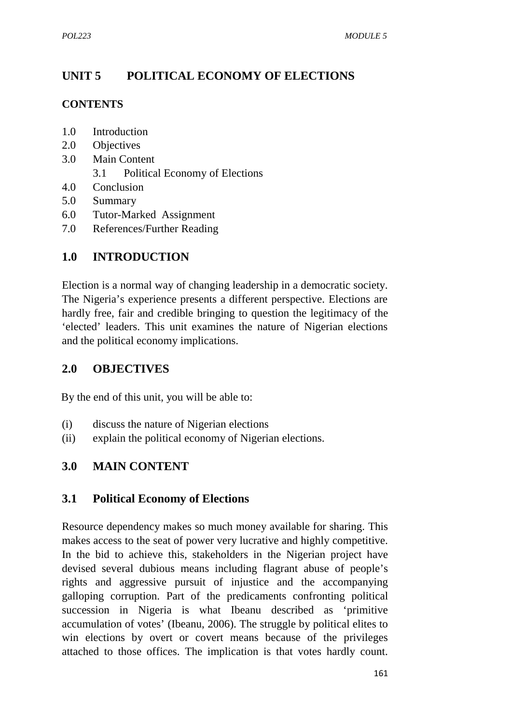# **UNIT 5 POLITICAL ECONOMY OF ELECTIONS**

#### **CONTENTS**

- 1.0 Introduction
- 2.0 Objectives
- 3.0 Main Content 3.1 Political Economy of Elections
- 4.0 Conclusion
- 5.0 Summary
- 6.0 Tutor-Marked Assignment
- 7.0 References/Further Reading

## **1.0 INTRODUCTION**

Election is a normal way of changing leadership in a democratic society. The Nigeria's experience presents a different perspective. Elections are hardly free, fair and credible bringing to question the legitimacy of the 'elected' leaders. This unit examines the nature of Nigerian elections and the political economy implications.

## **2.0 OBJECTIVES**

By the end of this unit, you will be able to:

- (i) discuss the nature of Nigerian elections
- (ii) explain the political economy of Nigerian elections.

### **3.0 MAIN CONTENT**

#### **3.1 Political Economy of Elections**

Resource dependency makes so much money available for sharing. This makes access to the seat of power very lucrative and highly competitive. In the bid to achieve this, stakeholders in the Nigerian project have devised several dubious means including flagrant abuse of people's rights and aggressive pursuit of injustice and the accompanying galloping corruption. Part of the predicaments confronting political succession in Nigeria is what Ibeanu described as 'primitive accumulation of votes' (Ibeanu, 2006). The struggle by political elites to win elections by overt or covert means because of the privileges attached to those offices. The implication is that votes hardly count.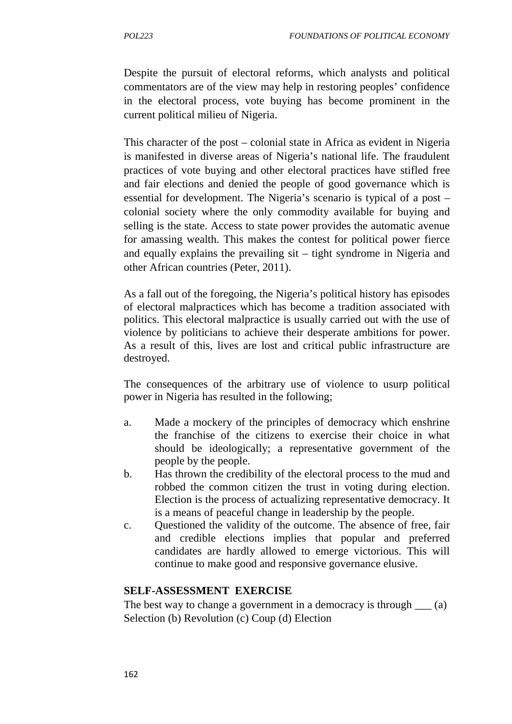Despite the pursuit of electoral reforms, which analysts and political commentators are of the view may help in restoring peoples' confidence in the electoral process, vote buying has become prominent in the current political milieu of Nigeria.

This character of the post – colonial state in Africa as evident in Nigeria is manifested in diverse areas of Nigeria's national life. The fraudulent practices of vote buying and other electoral practices have stifled free and fair elections and denied the people of good governance which is essential for development. The Nigeria's scenario is typical of a post – colonial society where the only commodity available for buying and selling is the state. Access to state power provides the automatic avenue for amassing wealth. This makes the contest for political power fierce and equally explains the prevailing sit – tight syndrome in Nigeria and other African countries (Peter, 2011).

As a fall out of the foregoing, the Nigeria's political history has episodes of electoral malpractices which has become a tradition associated with politics. This electoral malpractice is usually carried out with the use of violence by politicians to achieve their desperate ambitions for power. As a result of this, lives are lost and critical public infrastructure are destroyed.

The consequences of the arbitrary use of violence to usurp political power in Nigeria has resulted in the following;

- a. Made a mockery of the principles of democracy which enshrine the franchise of the citizens to exercise their choice in what should be ideologically; a representative government of the people by the people.
- b. Has thrown the credibility of the electoral process to the mud and robbed the common citizen the trust in voting during election. Election is the process of actualizing representative democracy. It is a means of peaceful change in leadership by the people.
- c. Questioned the validity of the outcome. The absence of free, fair and credible elections implies that popular and preferred candidates are hardly allowed to emerge victorious. This will continue to make good and responsive governance elusive.

#### **SELF-ASSESSMENT EXERCISE**

The best way to change a government in a democracy is through  $\qquad$  (a) Selection (b) Revolution (c) Coup (d) Election